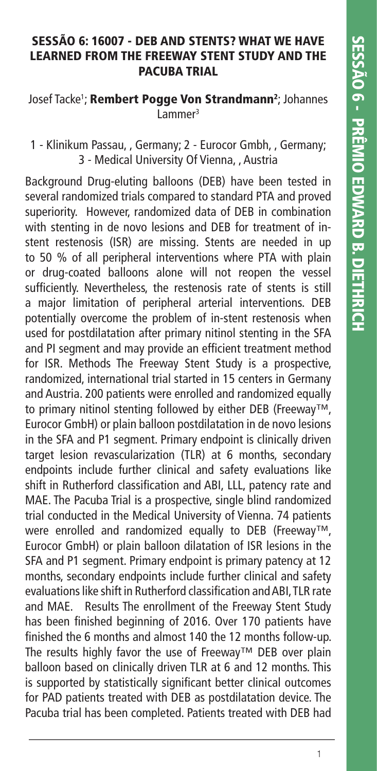#### **SESSÃO 6: 16007 - DEB AND STENTS? WHAT WE HAVE LEARNED FROM THE FREEWAY STENT STUDY AND THE PACUBA TRIAL**

Josef Tacke<sup>1</sup>; **Rembert Pogge Von Strandmann<sup>2</sup>;** Johannes Lammer3

## 1 - Klinikum Passau, , Germany; 2 - Eurocor Gmbh, , Germany; 3 - Medical University Of Vienna, , Austria

Background Drug-eluting balloons (DEB) have been tested in several randomized trials compared to standard PTA and proved superiority. However, randomized data of DEB in combination with stenting in de novo lesions and DEB for treatment of instent restenosis (ISR) are missing. Stents are needed in up to 50 % of all peripheral interventions where PTA with plain or drug-coated balloons alone will not reopen the vessel sufficiently. Nevertheless, the restenosis rate of stents is still a major limitation of peripheral arterial interventions. DEB potentially overcome the problem of in-stent restenosis when used for postdilatation after primary nitinol stenting in the SFA and PI segment and may provide an efficient treatment method for ISR. Methods The Freeway Stent Study is a prospective, randomized, international trial started in 15 centers in Germany and Austria. 200 patients were enrolled and randomized equally to primary nitinol stenting followed by either DEB (Freeway™, Eurocor GmbH) or plain balloon postdilatation in de novo lesions in the SFA and P1 segment. Primary endpoint is clinically driven target lesion revascularization (TLR) at 6 months, secondary endpoints include further clinical and safety evaluations like shift in Rutherford classification and ABI, LLL, patency rate and MAE. The Pacuba Trial is a prospective, single blind randomized trial conducted in the Medical University of Vienna. 74 patients were enrolled and randomized equally to DEB (Freeway™, Eurocor GmbH) or plain balloon dilatation of ISR lesions in the SFA and P1 segment. Primary endpoint is primary patency at 12 months, secondary endpoints include further clinical and safety evaluations like shift in Rutherford classification and ABI. TLR rate and MAE. Results The enrollment of the Freeway Stent Study has been finished beginning of 2016. Over 170 patients have finished the 6 months and almost 140 the 12 months follow-up. The results highly favor the use of Freeway™ DEB over plain balloon based on clinically driven TLR at 6 and 12 months. This is supported by statistically significant better clinical outcomes for PAD patients treated with DEB as postdilatation device. The Pacuba trial has been completed. Patients treated with DEB had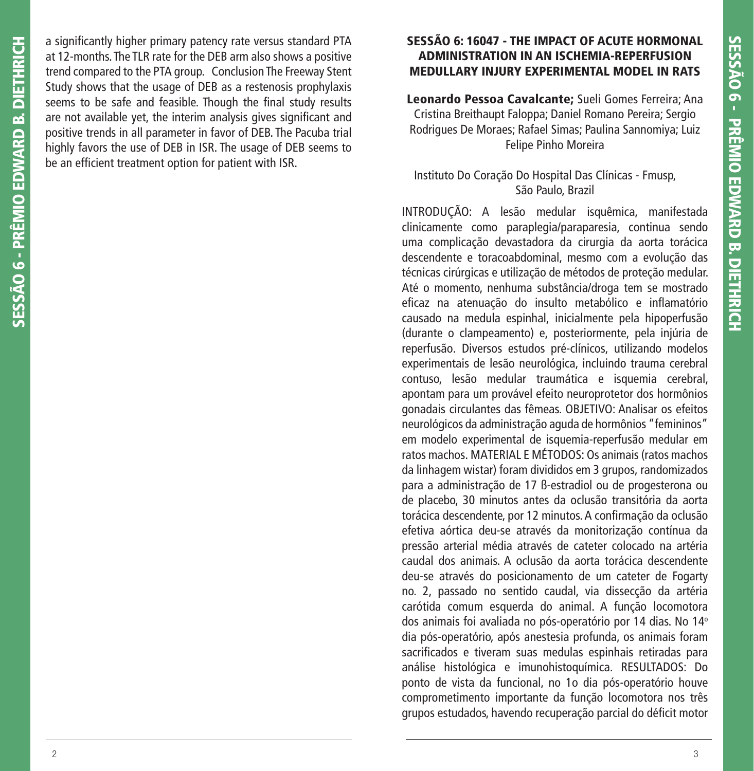a significantly higher primary patency rate versus standard PTA at 12-months. The TLR rate for the DEB arm also shows a positive trend compared to the PTA group. Conclusion The Freeway Stent Study shows that the usage of DEB as a restenosis prophylaxis seems to be safe and feasible. Though the final study results are not available yet, the interim analysis gives significant and positive trends in all parameter in favor of DEB. The Pacuba trial highly favors the use of DEB in ISR. The usage of DEB seems to be an efficient treatment option for patient with ISR.

# **SESSÃO 6: 16047 - THE IMPACT OF ACUTE HORMONAL ADMINISTRATION IN AN ISCHEMIA-REPERFUSION MEDULLARY INJURY EXPERIMENTAL MODEL IN RATS**

**Leonardo Pessoa Cavalcante;** Sueli Gomes Ferreira; Ana Cristina Breithaupt Faloppa; Daniel Romano Pereira; Sergio Rodrigues De Moraes; Rafael Simas; Paulina Sannomiya; Luiz Felipe Pinho Moreira

# Instituto Do Coração Do Hospital Das Clínicas - Fmusp, São Paulo, Brazil

INTRODUÇÃO: A lesão medular isquêmica, manifestada clinicamente como paraplegia/paraparesia, continua sendo uma complicação devastadora da cirurgia da aorta torácica descendente e toracoabdominal, mesmo com a evolução das técnicas cirúrgicas e utilização de métodos de proteção medular. Até o momento, nenhuma substância/droga tem se mostrado eficaz na atenuação do insulto metabólico e inflamatório causado na medula espinhal, inicialmente pela hipoperfusão (durante o clampeamento) e, posteriormente, pela injúria de reperfusão. Diversos estudos pré-clínicos, utilizando modelos experimentais de lesão neurológica, incluindo trauma cerebral contuso, lesão medular traumática e isquemia cerebral, apontam para um provável efeito neuroprotetor dos hormônios gonadais circulantes das fêmeas. OBJETIVO: Analisar os efeitos neurológicos da administração aguda de hormônios "femininos" em modelo experimental de isquemia-reperfusão medular em ratos machos. MATERIAL E MÉTODOS: Os animais (ratos machos da linhagem wistar) foram divididos em 3 grupos, randomizados para a administração de 17 ß-estradiol ou de progesterona ou de placebo, 30 minutos antes da oclusão transitória da aorta torácica descendente, por 12 minutos. A confirmação da oclusão efetiva aórtica deu-se através da monitorização contínua da pressão arterial média através de cateter colocado na artéria caudal dos animais. A oclusão da aorta torácica descendente deu-se através do posicionamento de um cateter de Fogarty no. 2, passado no sentido caudal, via dissecção da artéria carótida comum esquerda do animal. A função locomotora dos animais foi avaliada no pós-operatório por 14 dias. No 14° dia pós-operatório, após anestesia profunda, os animais foram sacrificados e tiveram suas medulas espinhais retiradas para análise histológica e imunohistoquímica. RESULTADOS: Do ponto de vista da funcional, no 1o dia pós-operatório houve comprometimento importante da função locomotora nos três grupos estudados, havendo recuperação parcial do déficit motor

**SESSÃO 6 - PRÊMIO EDWARD B. DIETHRICH**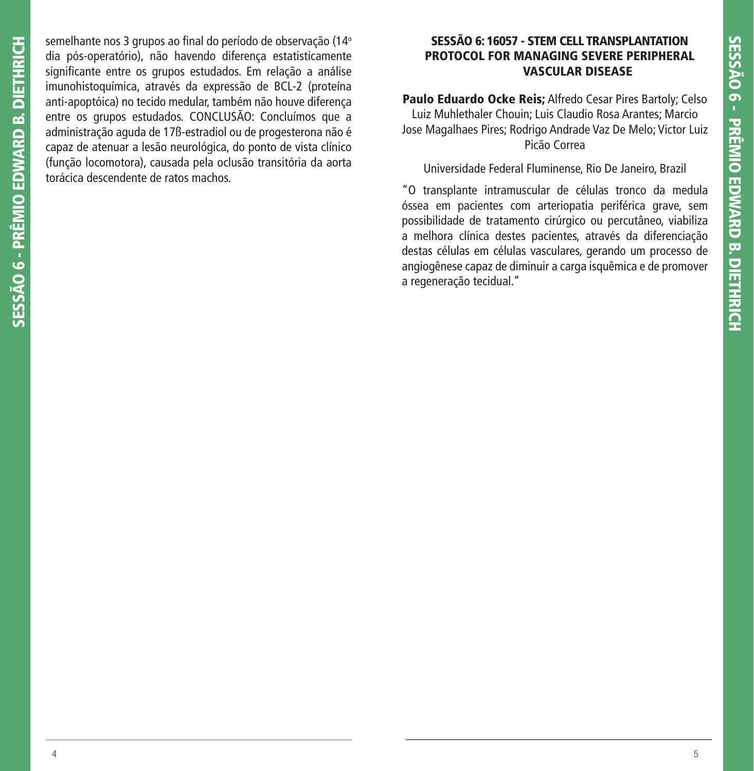semelhante nos 3 grupos ao final do período de observação (14° dia pós-operatório), não havendo diferença estatisticamente significante entre os grupos estudados. Em relação a análise imunohistoquímica, através da expressão de BCL-2 (proteína anti-apoptóica) no tecido medular, também não houve diferença entre os grupos estudados. CONCLUSÃO: Concluímos que a administração aguda de 17ß-estradiol ou de progesterona não é capaz de atenuar a lesão neurológica, do ponto de vista clínico (função locomotora), causada pela oclusão transitória da aorta torácica descendente de ratos machos.

## **SESSÃO 6: 16057 - STEM CELL TRANSPLANTATION PROTOCOL FOR MANAGING SEVERE PERIPHERAL VASCULAR DISEASE**

**Paulo Eduardo Ocke Reis;** Alfredo Cesar Pires Bartoly; Celso Luiz Muhlethaler Chouin; Luis Claudio Rosa Arantes; Marcio Jose Magalhaes Pires; Rodrigo Andrade Vaz De Melo; Victor Luiz Picão Correa

## Universidade Federal Fluminense, Rio De Janeiro, Brazil

"O transplante intramuscular de células tronco da medula óssea em pacientes com arteriopatia periférica grave, sem possibilidade de tratamento cirúrgico ou percutâneo, viabiliza a melhora clínica destes pacientes, através da diferenciação destas células em células vasculares, gerando um processo de angiogênese capaz de diminuir a carga isquêmica e de promover a regeneração tecidual."

**SESSÃO 6 - PRÊMIO EDWARD B. DIETHRICH**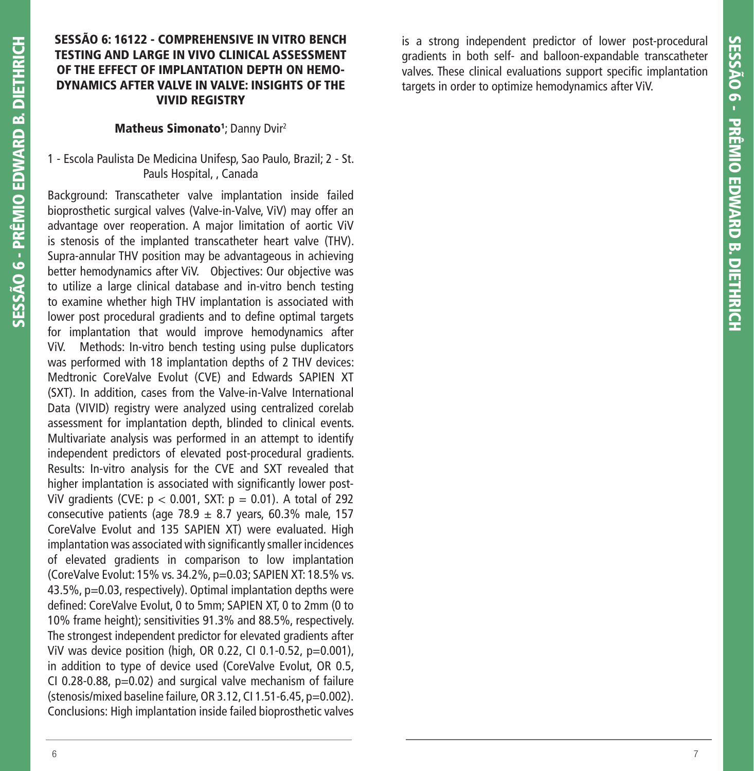# **SESSÃO 6: 16122 - COMPREHENSIVE IN VITRO BENCH TESTING AND LARGE IN VIVO CLINICAL ASSESSMENT OF THE EFFECT OF IMPLANTATION DEPTH ON HEMO-DYNAMICS AFTER VALVE IN VALVE: INSIGHTS OF THE VIVID REGISTRY**

## **Matheus Simonato<sup>1</sup>; Danny Dvir<sup>2</sup>**

# 1 - Escola Paulista De Medicina Unifesp, Sao Paulo, Brazil; 2 - St. Pauls Hospital, , Canada

Background: Transcatheter valve implantation inside failed bioprosthetic surgical valves (Valve-in-Valve, ViV) may offer an advantage over reoperation. A major limitation of aortic ViV is stenosis of the implanted transcatheter heart valve (THV). Supra-annular THV position may be advantageous in achieving better hemodynamics after ViV. Objectives: Our objective was to utilize a large clinical database and in-vitro bench testing to examine whether high THV implantation is associated with lower post procedural gradients and to define optimal targets for implantation that would improve hemodynamics after ViV. Methods: In-vitro bench testing using pulse duplicators was performed with 18 implantation depths of 2 THV devices: Medtronic CoreValve Evolut (CVE) and Edwards SAPIEN XT (SXT). In addition, cases from the Valve-in-Valve International Data (VIVID) registry were analyzed using centralized corelab assessment for implantation depth, blinded to clinical events. Multivariate analysis was performed in an attempt to identify independent predictors of elevated post-procedural gradients. Results: In-vitro analysis for the CVE and SXT revealed that higher implantation is associated with significantly lower post-ViV gradients (CVE:  $p < 0.001$ , SXT:  $p = 0.01$ ). A total of 292 consecutive patients (age 78.9  $\pm$  8.7 years, 60.3% male, 157 CoreValve Evolut and 135 SAPIEN XT) were evaluated. High implantation was associated with significantly smaller incidences of elevated gradients in comparison to low implantation (CoreValve Evolut: 15% vs. 34.2%, p=0.03; SAPIEN XT: 18.5% vs. 43.5%, p=0.03, respectively). Optimal implantation depths were defined: CoreValve Evolut, 0 to 5mm; SAPIEN XT, 0 to 2mm (0 to 10% frame height); sensitivities 91.3% and 88.5%, respectively. The strongest independent predictor for elevated gradients after ViV was device position (high, OR 0.22, CI 0.1-0.52, p=0.001), in addition to type of device used (CoreValve Evolut, OR 0.5, CI 0.28-0.88, p=0.02) and surgical valve mechanism of failure (stenosis/mixed baseline failure, OR 3.12, CI 1.51-6.45, p=0.002). Conclusions: High implantation inside failed bioprosthetic valves

is a strong independent predictor of lower post-procedural gradients in both self- and balloon-expandable transcatheter valves. These clinical evaluations support specific implantation targets in order to optimize hemodynamics after ViV.

**SESSÃO 6 - PRÊMIO EDWARD B. DIETHRICH**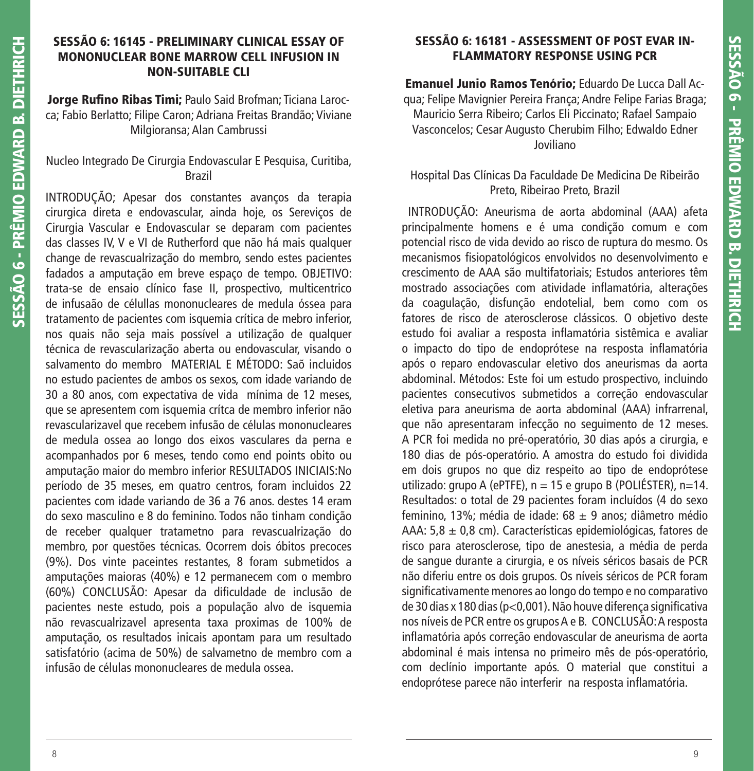## **SESSÃO 6: 16145 - PRELIMINARY CLINICAL ESSAY OF MONONUCLEAR BONE MARROW CELL INFUSION IN NON-SUITABLE CLI**

Jorge Rufino Ribas Timi; Paulo Said Brofman; Ticiana Larocca; Fabio Berlatto; Filipe Caron; Adriana Freitas Brandão; Viviane Milgioransa; Alan Cambrussi

# Nucleo Integrado De Cirurgia Endovascular E Pesquisa, Curitiba, Brazil

INTRODUÇÃO; Apesar dos constantes avanços da terapia cirurgica direta e endovascular, ainda hoje, os Sereviços de Cirurgia Vascular e Endovascular se deparam com pacientes das classes IV, V e VI de Rutherford que não há mais qualquer change de revascualrização do membro, sendo estes pacientes fadados a amputação em breve espaço de tempo. OBJETIVO: trata-se de ensaio clínico fase II, prospectivo, multicentrico de infusaão de célullas mononucleares de medula óssea para tratamento de pacientes com isquemia crítica de mebro inferior, nos quais não seja mais possível a utilização de qualquer técnica de revascularização aberta ou endovascular, visando o salvamento do membro MATERIAL E MÉTODO: Saõ incluidos no estudo pacientes de ambos os sexos, com idade variando de 30 a 80 anos, com expectativa de vida mínima de 12 meses, que se apresentem com isquemia crítca de membro inferior não revascularizavel que recebem infusão de células mononucleares de medula ossea ao longo dos eixos vasculares da perna e acompanhados por 6 meses, tendo como end points obito ou amputação maior do membro inferior RESULTADOS INICIAIS:No período de 35 meses, em quatro centros, foram incluidos 22 pacientes com idade variando de 36 a 76 anos. destes 14 eram do sexo masculino e 8 do feminino. Todos não tinham condição de receber qualquer tratametno para revascualrização do membro, por questões técnicas. Ocorrem dois óbitos precoces (9%). Dos vinte paceintes restantes, 8 foram submetidos a amputações maioras (40%) e 12 permanecem com o membro (60%) CONCLUSÃO: Apesar da dificuldade de inclusão de pacientes neste estudo, pois a população alvo de isquemia não revascualrizavel apresenta taxa proximas de 100% de amputação, os resultados inicais apontam para um resultado satisfatório (acima de 50%) de salvametno de membro com a infusão de células mononucleares de medula ossea.

# **SESSÃO 6: 16181 - ASSESSMENT OF POST EVAR IN-FLAMMATORY RESPONSE USING PCR**

**Emanuel Junio Ramos Tenório;** Eduardo De Lucca Dall Acqua; Felipe Mavignier Pereira França; Andre Felipe Farias Braga; Mauricio Serra Ribeiro; Carlos Eli Piccinato; Rafael Sampaio Vasconcelos; Cesar Augusto Cherubim Filho; Edwaldo Edner Joviliano

# Hospital Das Clínicas Da Faculdade De Medicina De Ribeirão Preto, Ribeirao Preto, Brazil

 INTRODUÇÃO: Aneurisma de aorta abdominal (AAA) afeta principalmente homens e é uma condição comum e com potencial risco de vida devido ao risco de ruptura do mesmo. Os mecanismos fisiopatológicos envolvidos no desenvolvimento e crescimento de AAA são multifatoriais; Estudos anteriores têm mostrado associações com atividade inflamatória, alterações da coagulação, disfunção endotelial, bem como com os fatores de risco de aterosclerose clássicos. O objetivo deste estudo foi avaliar a resposta inflamatória sistêmica e avaliar o impacto do tipo de endoprótese na resposta inflamatória após o reparo endovascular eletivo dos aneurismas da aorta abdominal. Métodos: Este foi um estudo prospectivo, incluindo pacientes consecutivos submetidos a correção endovascular eletiva para aneurisma de aorta abdominal (AAA) infrarrenal, que não apresentaram infecção no seguimento de 12 meses. A PCR foi medida no pré-operatório, 30 dias após a cirurgia, e 180 dias de pós-operatório. A amostra do estudo foi dividida em dois grupos no que diz respeito ao tipo de endoprótese utilizado: grupo A (ePTFE), n = 15 e grupo B (POLIÉSTER), n=14. Resultados: o total de 29 pacientes foram incluídos (4 do sexo feminino, 13%; média de idade: 68  $\pm$  9 anos; diâmetro médio AAA:  $5,8 \pm 0,8$  cm). Características epidemiológicas, fatores de risco para aterosclerose, tipo de anestesia, a média de perda de sangue durante a cirurgia, e os níveis séricos basais de PCR não diferiu entre os dois grupos. Os níveis séricos de PCR foram significativamente menores ao longo do tempo e no comparativo de 30 dias x 180 dias (p<0,001). Não houve diferença significativa nos níveis de PCR entre os grupos A e B. CONCLUSÃO: A resposta inflamatória após correção endovascular de aneurisma de aorta abdominal é mais intensa no primeiro mês de pós-operatório, com declínio importante após. O material que constitui a endoprótese parece não interferir na resposta inflamatória.

**SESSÃO 6 - PRÊMIO EDWARD B. DIETHRICH**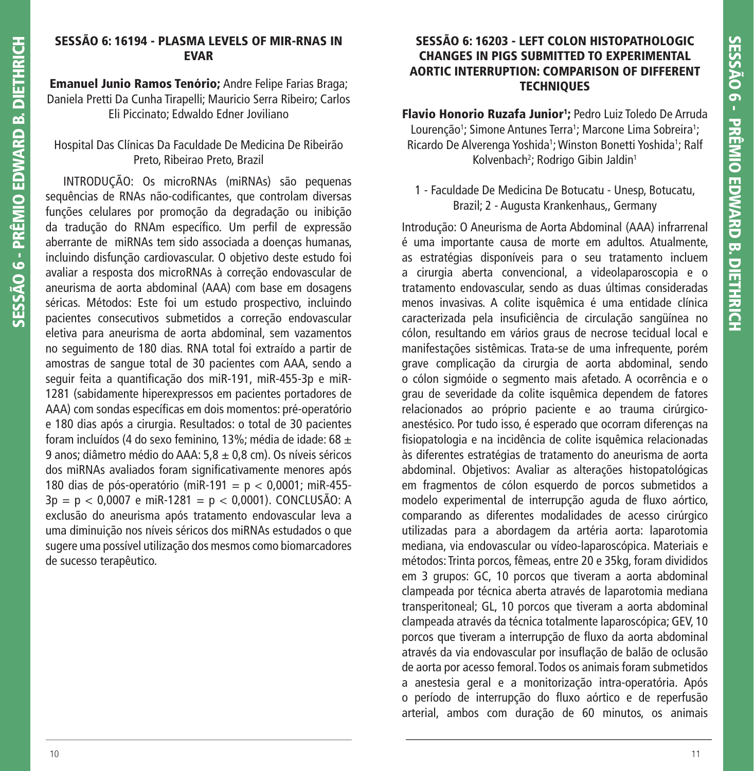## **SESSÃO 6: 16194 - PLASMA LEVELS OF MIR-RNAS IN EVAR**

**Emanuel Junio Ramos Tenório;** Andre Felipe Farias Braga; Daniela Pretti Da Cunha Tirapelli; Mauricio Serra Ribeiro; Carlos Eli Piccinato; Edwaldo Edner Joviliano

## Hospital Das Clínicas Da Faculdade De Medicina De Ribeirão Preto, Ribeirao Preto, Brazil

 INTRODUÇÃO: Os microRNAs (miRNAs) são pequenas sequências de RNAs não-codificantes, que controlam diversas funções celulares por promoção da degradação ou inibição da tradução do RNAm específico. Um perfil de expressão aberrante de miRNAs tem sido associada a doenças humanas, incluindo disfunção cardiovascular. O objetivo deste estudo foi avaliar a resposta dos microRNAs à correção endovascular de aneurisma de aorta abdominal (AAA) com base em dosagens séricas. Métodos: Este foi um estudo prospectivo, incluindo pacientes consecutivos submetidos a correção endovascular eletiva para aneurisma de aorta abdominal, sem vazamentos no seguimento de 180 dias. RNA total foi extraído a partir de amostras de sangue total de 30 pacientes com AAA, sendo a seguir feita a quantificação dos miR-191, miR-455-3p e miR-1281 (sabidamente hiperexpressos em pacientes portadores de AAA) com sondas específicas em dois momentos: pré-operatório e 180 dias após a cirurgia. Resultados: o total de 30 pacientes foram incluídos (4 do sexo feminino, 13%; média de idade: 68 ± 9 anos; diâmetro médio do AAA: 5,8 ± 0,8 cm). Os níveis séricos dos miRNAs avaliados foram significativamente menores após 180 dias de pós-operatório (miR-191 = p < 0,0001; miR-455-  $3p = p < 0,0007$  e miR-1281 =  $p < 0,0001$ ). CONCLUSÃO: A exclusão do aneurisma após tratamento endovascular leva a uma diminuição nos níveis séricos dos miRNAs estudados o que sugere uma possível utilização dos mesmos como biomarcadores de sucesso terapêutico.

## **SESSÃO 6: 16203 - LEFT COLON HISTOPATHOLOGIC CHANGES IN PIGS SUBMITTED TO EXPERIMENTAL AORTIC INTERRUPTION: COMPARISON OF DIFFERENT TECHNIQUES**

**Flavio Honorio Ruzafa Junior1 ;** Pedro Luiz Toledo De Arruda Lourenção<sup>1</sup>; Simone Antunes Terra<sup>1</sup>; Marcone Lima Sobreira<sup>1</sup>; Ricardo De Alverenga Yoshida<sup>1</sup>; Winston Bonetti Yoshida<sup>1</sup>; Ralf Kolvenbach<sup>2</sup>; Rodrigo Gibin Jaldin<sup>1</sup>

# 1 - Faculdade De Medicina De Botucatu - Unesp, Botucatu, Brazil; 2 - Augusta Krankenhaus,, Germany

Introdução: O Aneurisma de Aorta Abdominal (AAA) infrarrenal é uma importante causa de morte em adultos. Atualmente, as estratégias disponíveis para o seu tratamento incluem a cirurgia aberta convencional, a videolaparoscopia e o tratamento endovascular, sendo as duas últimas consideradas menos invasivas. A colite isquêmica é uma entidade clínica caracterizada pela insuficiência de circulação sangüínea no cólon, resultando em vários graus de necrose tecidual local e manifestações sistêmicas. Trata-se de uma infrequente, porém grave complicação da cirurgia de aorta abdominal, sendo o cólon sigmóide o segmento mais afetado. A ocorrência e o grau de severidade da colite isquêmica dependem de fatores relacionados ao próprio paciente e ao trauma cirúrgicoanestésico. Por tudo isso, é esperado que ocorram diferenças na fisiopatologia e na incidência de colite isquêmica relacionadas às diferentes estratégias de tratamento do aneurisma de aorta abdominal. Objetivos: Avaliar as alterações histopatológicas em fragmentos de cólon esquerdo de porcos submetidos a modelo experimental de interrupção aguda de fluxo aórtico, comparando as diferentes modalidades de acesso cirúrgico utilizadas para a abordagem da artéria aorta: laparotomia mediana, via endovascular ou vídeo-laparoscópica. Materiais e métodos: Trinta porcos, fêmeas, entre 20 e 35kg, foram divididos em 3 grupos: GC, 10 porcos que tiveram a aorta abdominal clampeada por técnica aberta através de laparotomia mediana transperitoneal; GL, 10 porcos que tiveram a aorta abdominal clampeada através da técnica totalmente laparoscópica; GEV, 10 porcos que tiveram a interrupção de fluxo da aorta abdominal através da via endovascular por insuflação de balão de oclusão de aorta por acesso femoral. Todos os animais foram submetidos a anestesia geral e a monitorização intra-operatória. Após o período de interrupção do fluxo aórtico e de reperfusão arterial, ambos com duração de 60 minutos, os animais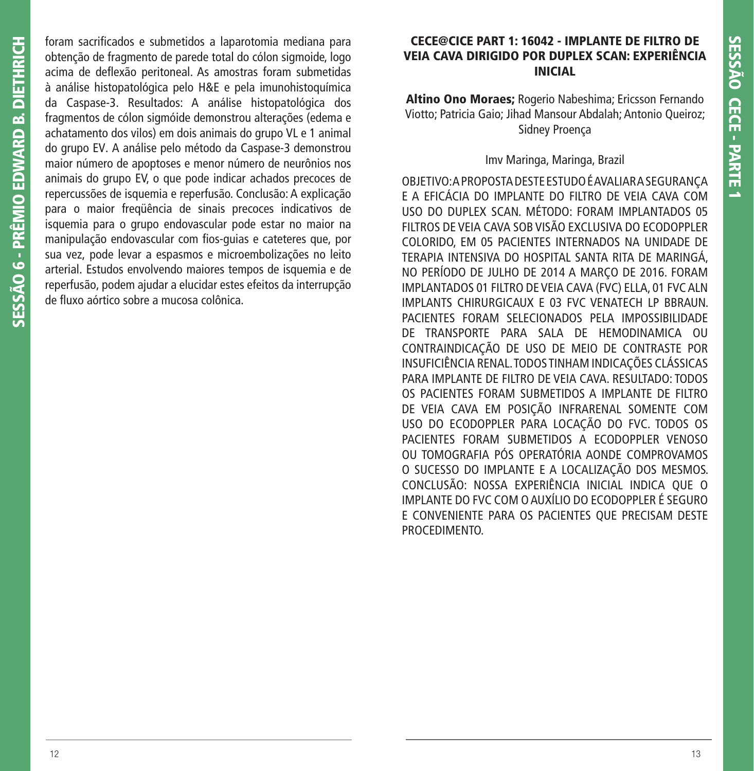foram sacrificados e submetidos a laparotomia mediana para obtenção de fragmento de parede total do cólon sigmoide, logo acima de deflexão peritoneal. As amostras foram submetidas à análise histopatológica pelo H&E e pela imunohistoquímica da Caspase-3. Resultados: A análise histopatológica dos fragmentos de cólon sigmóide demonstrou alterações (edema e achatamento dos vilos) em dois animais do grupo VL e 1 animal do grupo EV. A análise pelo método da Caspase-3 demonstrou maior número de apoptoses e menor número de neurônios nos animais do grupo EV, o que pode indicar achados precoces de repercussões de isquemia e reperfusão. Conclusão: A explicação para o maior freqüência de sinais precoces indicativos de isquemia para o grupo endovascular pode estar no maior na manipulação endovascular com fios-guias e cateteres que, por sua vez, pode levar a espasmos e microembolizações no leito arterial. Estudos envolvendo maiores tempos de isquemia e de reperfusão, podem ajudar a elucidar estes efeitos da interrupção de fluxo aórtico sobre a mucosa colônica.

## **CECE@CICE PART 1: 16042 - IMPLANTE DE FILTRO DE VEIA CAVA DIRIGIDO POR DUPLEX SCAN: EXPERIÊNCIA INICIAL**

**Altino Ono Moraes;** Rogerio Nabeshima; Ericsson Fernando Viotto; Patricia Gaio; Jihad Mansour Abdalah; Antonio Queiroz; Sidney Proença

## Imv Maringa, Maringa, Brazil

OBJETIVO: A PROPOSTA DESTE ESTUDO É AVALIAR A SEGURANÇA E A EFICÁCIA DO IMPLANTE DO FILTRO DE VEIA CAVA COM USO DO DUPLEX SCAN. MÉTODO: FORAM IMPLANTADOS 05 FILTROS DE VEIA CAVA SOB VISÃO EXCLUSIVA DO ECODOPPLER COLORIDO, EM 05 PACIENTES INTERNADOS NA UNIDADE DE TERAPIA INTENSIVA DO HOSPITAL SANTA RITA DE MARINGÁ, NO PERÍODO DE JULHO DE 2014 A MARÇO DE 2016. FORAM IMPLANTADOS 01 FILTRO DE VEIA CAVA (FVC) ELLA, 01 FVC ALN IMPLANTS CHIRURGICAUX E 03 FVC VENATECH LP BBRAUN. PACIENTES FORAM SELECIONADOS PELA IMPOSSIBILIDADE DE TRANSPORTE PARA SALA DE HEMODINAMICA OU CONTRAINDICAÇÃO DE USO DE MEIO DE CONTRASTE POR INSUFICIÊNCIA RENAL. TODOS TINHAM INDICAÇÕES CLÁSSICAS PARA IMPLANTE DE FILTRO DE VEIA CAVA. RESULTADO: TODOS OS PACIENTES FORAM SUBMETIDOS A IMPLANTE DE FILTRO DE VEIA CAVA EM POSIÇÃO INFRARENAL SOMENTE COM USO DO ECODOPPLER PARA LOCAÇÃO DO FVC. TODOS OS PACIENTES FORAM SUBMETIDOS A ECODOPPLER VENOSO OU TOMOGRAFIA PÓS OPERATÓRIA AONDE COMPROVAMOS O SUCESSO DO IMPLANTE E A LOCALIZAÇÃO DOS MESMOS. CONCLUSÃO: NOSSA EXPERIÊNCIA INICIAL INDICA QUE O IMPLANTE DO FVC COM O AUXÍLIO DO ECODOPPLER É SEGURO E CONVENIENTE PARA OS PACIENTES QUE PRECISAM DESTE PROCEDIMENTO.

**SESSÃO 6 - PRÊMIO EDWARD B. DIETHRICH**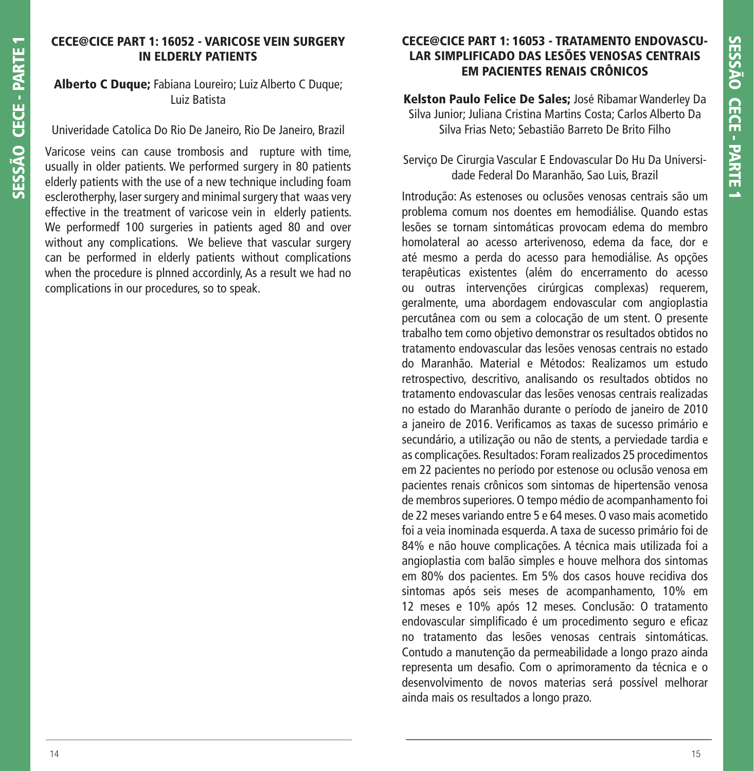# **CECE@CICE PART 1: 16052 - VARICOSE VEIN SURGERY IN ELDERLY PATIENTS**

## **Alberto C Duque;** Fabiana Loureiro; Luiz Alberto C Duque; Luiz Batista

#### Univeridade Catolica Do Rio De Janeiro, Rio De Janeiro, Brazil

Varicose veins can cause trombosis and rupture with time, usually in older patients. We performed surgery in 80 patients elderly patients with the use of a new technique including foam esclerotherphy, laser surgery and minimal surgery that waas very effective in the treatment of varicose vein in elderly patients. We performedf 100 surgeries in patients aged 80 and over without any complications. We believe that vascular surgery can be performed in elderly patients without complications when the procedure is plnned accordinly, As a result we had no complications in our procedures, so to speak.

# **CECE@CICE PART 1: 16053 - TRATAMENTO ENDOVASCU-LAR SIMPLIFICADO DAS LESÕES VENOSAS CENTRAIS EM PACIENTES RENAIS CRÔNICOS**

**Kelston Paulo Felice De Sales;** José Ribamar Wanderley Da Silva Junior; Juliana Cristina Martins Costa; Carlos Alberto Da Silva Frias Neto; Sebastião Barreto De Brito Filho

Serviço De Cirurgia Vascular E Endovascular Do Hu Da Universidade Federal Do Maranhão, Sao Luis, Brazil

Introdução: As estenoses ou oclusões venosas centrais são um problema comum nos doentes em hemodiálise. Quando estas lesões se tornam sintomáticas provocam edema do membro homolateral ao acesso arterivenoso, edema da face, dor e até mesmo a perda do acesso para hemodiálise. As opções terapêuticas existentes (além do encerramento do acesso ou outras intervenções cirúrgicas complexas) requerem, geralmente, uma abordagem endovascular com angioplastia percutânea com ou sem a colocação de um stent. O presente trabalho tem como objetivo demonstrar os resultados obtidos no tratamento endovascular das lesões venosas centrais no estado do Maranhão. Material e Métodos: Realizamos um estudo retrospectivo, descritivo, analisando os resultados obtidos no tratamento endovascular das lesões venosas centrais realizadas no estado do Maranhão durante o período de janeiro de 2010 a janeiro de 2016. Verificamos as taxas de sucesso primário e secundário, a utilização ou não de stents, a perviedade tardia e as complicações. Resultados: Foram realizados 25 procedimentos em 22 pacientes no período por estenose ou oclusão venosa em pacientes renais crônicos som sintomas de hipertensão venosa de membros superiores. O tempo médio de acompanhamento foi de 22 meses variando entre 5 e 64 meses. O vaso mais acometido foi a veia inominada esquerda. A taxa de sucesso primário foi de 84% e não houve complicações. A técnica mais utilizada foi a angioplastia com balão simples e houve melhora dos sintomas em 80% dos pacientes. Em 5% dos casos houve recidiva dos sintomas após seis meses de acompanhamento, 10% em 12 meses e 10% após 12 meses. Conclusão: O tratamento endovascular simplificado é um procedimento seguro e eficaz no tratamento das lesões venosas centrais sintomáticas. Contudo a manutenção da permeabilidade a longo prazo ainda representa um desafio. Com o aprimoramento da técnica e o desenvolvimento de novos materias será possível melhorar ainda mais os resultados a longo prazo.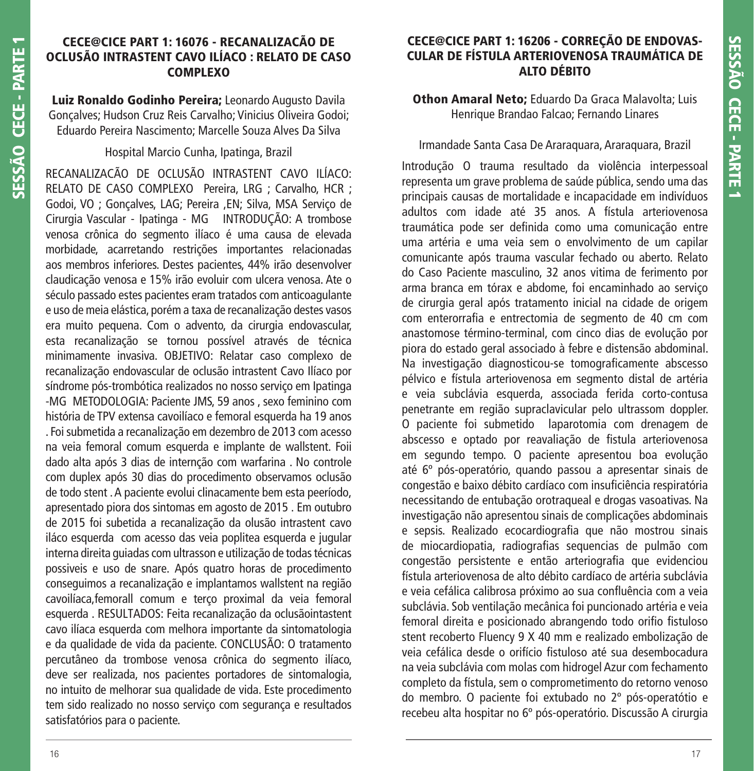## **CECE@CICE PART 1: 16076 - RECANALIZACÃO DE OCLUSÃO INTRASTENT CAVO ILÍACO : RELATO DE CASO COMPLEXO**

**Luiz Ronaldo Godinho Pereira;** Leonardo Augusto Davila Gonçalves; Hudson Cruz Reis Carvalho; Vinicius Oliveira Godoi; Eduardo Pereira Nascimento; Marcelle Souza Alves Da Silva

## Hospital Marcio Cunha, Ipatinga, Brazil

RECANALIZACÃO DE OCLUSÃO INTRASTENT CAVO ILÍACO: RELATO DE CASO COMPLEXO Pereira, LRG ; Carvalho, HCR ; Godoi, VO ; Gonçalves, LAG; Pereira ,EN; Silva, MSA Serviço de Cirurgia Vascular - Ipatinga - MG INTRODUÇÃO: A trombose venosa crônica do segmento ilíaco é uma causa de elevada morbidade, acarretando restrições importantes relacionadas aos membros inferiores. Destes pacientes, 44% irão desenvolver claudicação venosa e 15% irão evoluir com ulcera venosa. Ate o século passado estes pacientes eram tratados com anticoagulante e uso de meia elástica, porém a taxa de recanalização destes vasos era muito pequena. Com o advento, da cirurgia endovascular, esta recanalização se tornou possível através de técnica minimamente invasiva. OBJETIVO: Relatar caso complexo de recanalização endovascular de oclusão intrastent Cavo Ilíaco por síndrome pós-trombótica realizados no nosso serviço em Ipatinga -MG METODOLOGIA: Paciente JMS, 59 anos , sexo feminino com história de TPV extensa cavoilíaco e femoral esquerda ha 19 anos . Foi submetida a recanalização em dezembro de 2013 com acesso na veia femoral comum esquerda e implante de wallstent. Foii dado alta após 3 dias de internção com warfarina . No controle com duplex após 30 dias do procedimento observamos oclusão de todo stent . A paciente evolui clinacamente bem esta peeríodo, apresentado piora dos sintomas em agosto de 2015 . Em outubro de 2015 foi subetida a recanalização da olusão intrastent cavo iláco esquerda com acesso das veia poplitea esquerda e jugular interna direita guiadas com ultrasson e utilização de todas técnicas possiveis e uso de snare. Após quatro horas de procedimento conseguimos a recanalização e implantamos wallstent na região cavoilíaca,femorall comum e terço proximal da veia femoral esquerda . RESULTADOS: Feita recanalização da oclusãointastent cavo ilíaca esquerda com melhora importante da sintomatologia e da qualidade de vida da paciente. CONCLUSÃO: O tratamento percutâneo da trombose venosa crônica do segmento ilíaco, deve ser realizada, nos pacientes portadores de sintomalogia, no intuito de melhorar sua qualidade de vida. Este procedimento tem sido realizado no nosso serviço com segurança e resultados satisfatórios para o paciente.

# **CECE@CICE PART 1: 16206 - CORREÇÃO DE ENDOVAS-CULAR DE FÍSTULA ARTERIOVENOSA TRAUMÁTICA DE ALTO DÉBITO**

**Othon Amaral Neto;** Eduardo Da Graca Malavolta; Luis Henrique Brandao Falcao; Fernando Linares

# Irmandade Santa Casa De Araraquara, Araraquara, Brazil

Introdução O trauma resultado da violência interpessoal representa um grave problema de saúde pública, sendo uma das principais causas de mortalidade e incapacidade em indivíduos adultos com idade até 35 anos. A fístula arteriovenosa traumática pode ser definida como uma comunicação entre uma artéria e uma veia sem o envolvimento de um capilar comunicante após trauma vascular fechado ou aberto. Relato do Caso Paciente masculino, 32 anos vitima de ferimento por arma branca em tórax e abdome, foi encaminhado ao serviço de cirurgia geral após tratamento inicial na cidade de origem com enterorrafia e entrectomia de segmento de 40 cm com anastomose término-terminal, com cinco dias de evolução por piora do estado geral associado à febre e distensão abdominal. Na investigação diagnosticou-se tomograficamente abscesso pélvico e fístula arteriovenosa em segmento distal de artéria e veia subclávia esquerda, associada ferida corto-contusa penetrante em região supraclavicular pelo ultrassom doppler. O paciente foi submetido laparotomia com drenagem de abscesso e optado por reavaliação de fistula arteriovenosa em segundo tempo. O paciente apresentou boa evolução até 6º pós-operatório, quando passou a apresentar sinais de congestão e baixo débito cardíaco com insuficiência respiratória necessitando de entubação orotraqueal e drogas vasoativas. Na investigação não apresentou sinais de complicações abdominais e sepsis. Realizado ecocardiografia que não mostrou sinais de miocardiopatia, radiografias sequencias de pulmão com congestão persistente e então arteriografia que evidenciou fístula arteriovenosa de alto débito cardíaco de artéria subclávia e veia cefálica calibrosa próximo ao sua confluência com a veia subclávia. Sob ventilação mecânica foi puncionado artéria e veia femoral direita e posicionado abrangendo todo orifio fistuloso stent recoberto Fluency 9 X 40 mm e realizado embolização de veia cefálica desde o orifício fistuloso até sua desembocadura na veia subclávia com molas com hidrogel Azur com fechamento completo da fístula, sem o comprometimento do retorno venoso do membro. O paciente foi extubado no 2º pós-operatótio e recebeu alta hospitar no 6º pós-operatório. Discussão A cirurgia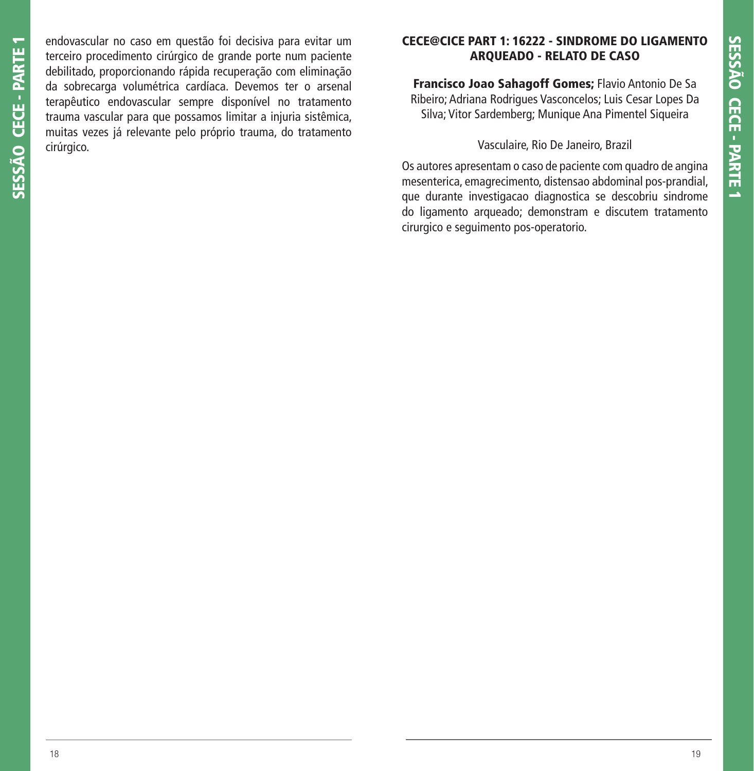SESSÃO CECE - PARTE 1 **SESSÃO CECE - PARTE 1**

endovascular no caso em questão foi decisiva para evitar um terceiro procedimento cirúrgico de grande porte num paciente debilitado, proporcionando rápida recuperação com eliminação da sobrecarga volumétrica cardíaca. Devemos ter o arsenal terapêutico endovascular sempre disponível no tratamento trauma vascular para que possamos limitar a injuria sistêmica, muitas vezes já relevante pelo próprio trauma, do tratamento cirúrgico.

# **CECE@CICE PART 1: 16222 - SINDROME DO LIGAMENTO ARQUEADO - RELATO DE CASO**

**Francisco Joao Sahagoff Gomes;** Flavio Antonio De Sa Ribeiro; Adriana Rodrigues Vasconcelos; Luis Cesar Lopes Da Silva; Vitor Sardemberg; Munique Ana Pimentel Siqueira

Vasculaire, Rio De Janeiro, Brazil

Os autores apresentam o caso de paciente com quadro de angina mesenterica, emagrecimento, distensao abdominal pos-prandial, que durante investigacao diagnostica se descobriu sindrome do ligamento arqueado; demonstram e discutem tratamento cirurgico e seguimento pos-operatorio.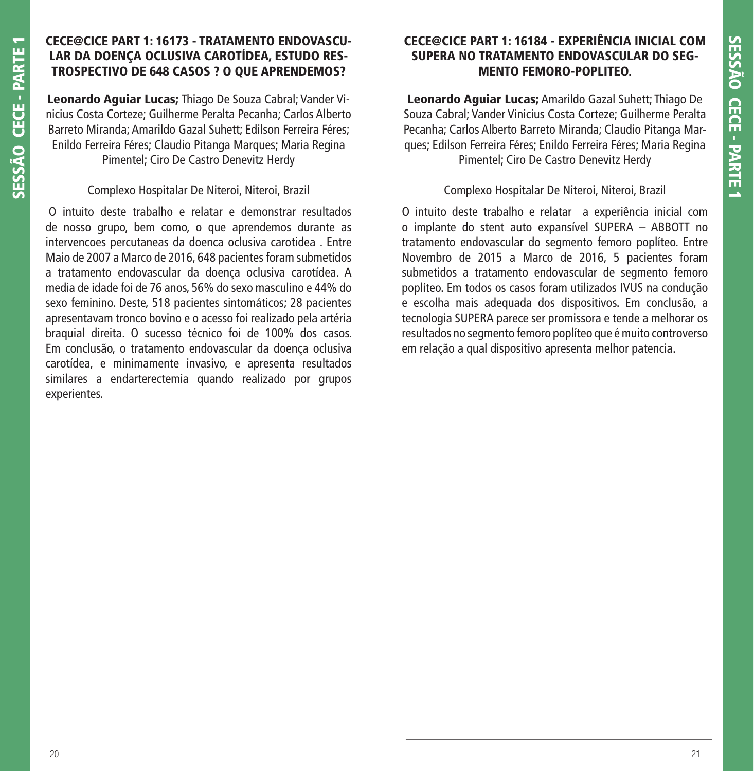# **CECE@CICE PART 1: 16173 - TRATAMENTO ENDOVASCU-LAR DA DOENÇA OCLUSIVA CAROTÍDEA, ESTUDO RES-TROSPECTIVO DE 648 CASOS ? O QUE APRENDEMOS?**

**Leonardo Aguiar Lucas;** Thiago De Souza Cabral; Vander Vinicius Costa Corteze; Guilherme Peralta Pecanha; Carlos Alberto Barreto Miranda; Amarildo Gazal Suhett; Edilson Ferreira Féres; Enildo Ferreira Féres; Claudio Pitanga Marques; Maria Regina Pimentel; Ciro De Castro Denevitz Herdy

# Complexo Hospitalar De Niteroi, Niteroi, Brazil

 O intuito deste trabalho e relatar e demonstrar resultados de nosso grupo, bem como, o que aprendemos durante as intervencoes percutaneas da doenca oclusiva carotidea . Entre Maio de 2007 a Marco de 2016, 648 pacientes foram submetidos a tratamento endovascular da doença oclusiva carotídea. A media de idade foi de 76 anos, 56% do sexo masculino e 44% do sexo feminino. Deste, 518 pacientes sintomáticos; 28 pacientes apresentavam tronco bovino e o acesso foi realizado pela artéria braquial direita. O sucesso técnico foi de 100% dos casos. Em conclusão, o tratamento endovascular da doença oclusiva carotídea, e minimamente invasivo, e apresenta resultados similares a endarterectemia quando realizado por grupos experientes.

# **CECE@CICE PART 1: 16184 - EXPERIÊNCIA INICIAL COM SUPERA NO TRATAMENTO ENDOVASCULAR DO SEG-MENTO FEMORO-POPLITEO.**

**Leonardo Aguiar Lucas;** Amarildo Gazal Suhett; Thiago De Souza Cabral; Vander Vinicius Costa Corteze; Guilherme Peralta Pecanha; Carlos Alberto Barreto Miranda; Claudio Pitanga Marques; Edilson Ferreira Féres; Enildo Ferreira Féres; Maria Regina Pimentel; Ciro De Castro Denevitz Herdy

# Complexo Hospitalar De Niteroi, Niteroi, Brazil

O intuito deste trabalho e relatar a experiência inicial com o implante do stent auto expansível SUPERA – ABBOTT no tratamento endovascular do segmento femoro poplíteo. Entre Novembro de 2015 a Marco de 2016, 5 pacientes foram submetidos a tratamento endovascular de segmento femoro poplíteo. Em todos os casos foram utilizados IVUS na condução e escolha mais adequada dos dispositivos. Em conclusão, a tecnologia SUPERA parece ser promissora e tende a melhorar os resultados no segmento femoro poplíteo que é muito controverso em relação a qual dispositivo apresenta melhor patencia.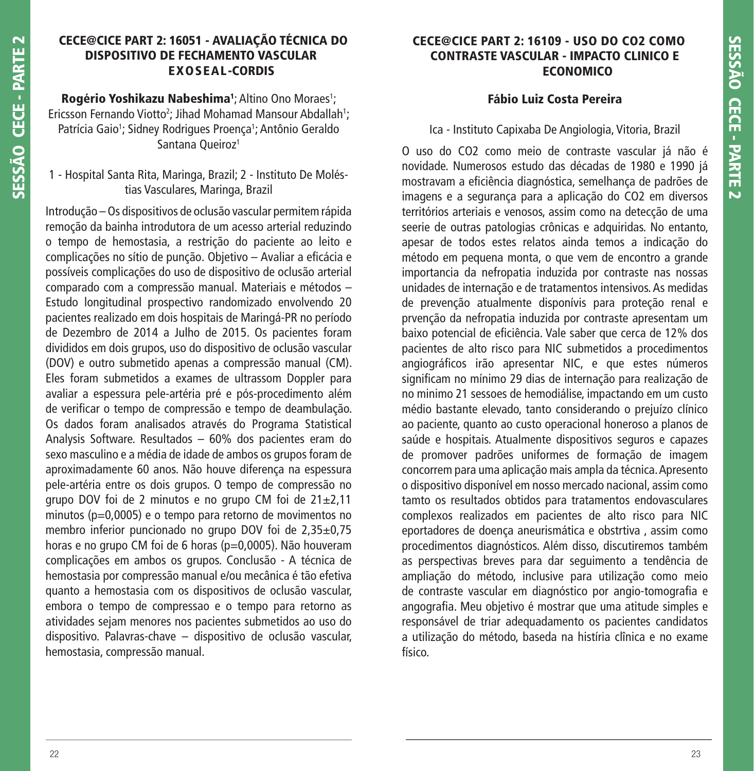# **CECE@CICE PART 2: 16051 - AVALIAÇÃO TÉCNICA DO DISPOSITIVO DE FECHAMENTO VASCULAR EXOSEAL-CORDIS**

**Rogério Yoshikazu Nabeshima**<sup>1</sup>; Altino Ono Moraes<sup>1</sup>; Ericsson Fernando Viotto<sup>2</sup>; Jihad Mohamad Mansour Abdallah<sup>1</sup>; Patrícia Gaio<sup>1</sup>; Sidney Rodrigues Proença<sup>1</sup>; Antônio Geraldo Santana Queiroz<sup>1</sup>

# 1 - Hospital Santa Rita, Maringa, Brazil; 2 - Instituto De Moléstias Vasculares, Maringa, Brazil

Introdução – Os dispositivos de oclusão vascular permitem rápida remoção da bainha introdutora de um acesso arterial reduzindo o tempo de hemostasia, a restrição do paciente ao leito e complicações no sítio de punção. Objetivo – Avaliar a eficácia e possíveis complicações do uso de dispositivo de oclusão arterial comparado com a compressão manual. Materiais e métodos – Estudo longitudinal prospectivo randomizado envolvendo 20 pacientes realizado em dois hospitais de Maringá-PR no período de Dezembro de 2014 a Julho de 2015. Os pacientes foram divididos em dois grupos, uso do dispositivo de oclusão vascular (DOV) e outro submetido apenas a compressão manual (CM). Eles foram submetidos a exames de ultrassom Doppler para avaliar a espessura pele-artéria pré e pós-procedimento além de verificar o tempo de compressão e tempo de deambulação. Os dados foram analisados através do Programa Statistical Analysis Software. Resultados – 60% dos pacientes eram do sexo masculino e a média de idade de ambos os grupos foram de aproximadamente 60 anos. Não houve diferença na espessura pele-artéria entre os dois grupos. O tempo de compressão no grupo DOV foi de 2 minutos e no grupo CM foi de 21±2,11 minutos (p=0,0005) e o tempo para retorno de movimentos no membro inferior puncionado no grupo DOV foi de 2,35±0,75 horas e no grupo CM foi de 6 horas (p=0,0005). Não houveram complicações em ambos os grupos. Conclusão - A técnica de hemostasia por compressão manual e/ou mecânica é tão efetiva quanto a hemostasia com os dispositivos de oclusão vascular, embora o tempo de compressao e o tempo para retorno as atividades sejam menores nos pacientes submetidos ao uso do dispositivo. Palavras-chave – dispositivo de oclusão vascular, hemostasia, compressão manual.

# **CECE@CICE PART 2: 16109 - USO DO CO2 COMO CONTRASTE VASCULAR - IMPACTO CLINICO E ECONOMICO**

# **Fábio Luiz Costa Pereira**

# Ica - Instituto Capixaba De Angiologia, Vitoria, Brazil

O uso do CO2 como meio de contraste vascular já não é novidade. Numerosos estudo das décadas de 1980 e 1990 já mostravam a eficiência diagnóstica, semelhança de padrões de imagens e a segurança para a aplicação do CO2 em diversos territórios arteriais e venosos, assim como na detecção de uma seerie de outras patologias crônicas e adquiridas. No entanto, apesar de todos estes relatos ainda temos a indicação do método em pequena monta, o que vem de encontro a grande importancia da nefropatia induzida por contraste nas nossas unidades de internação e de tratamentos intensivos. As medidas de prevenção atualmente disponívis para proteção renal e prvenção da nefropatia induzida por contraste apresentam um baixo potencial de eficiência. Vale saber que cerca de 12% dos pacientes de alto risco para NIC submetidos a procedimentos angiográficos irão apresentar NIC, e que estes números significam no mínimo 29 dias de internação para realização de no minimo 21 sessoes de hemodiálise, impactando em um custo médio bastante elevado, tanto considerando o prejuízo clínico ao paciente, quanto ao custo operacional honeroso a planos de saúde e hospitais. Atualmente dispositivos seguros e capazes de promover padrões uniformes de formação de imagem concorrem para uma aplicação mais ampla da técnica. Apresento o dispositivo disponível em nosso mercado nacional, assim como tamto os resultados obtidos para tratamentos endovasculares complexos realizados em pacientes de alto risco para NIC eportadores de doença aneurismática e obstrtiva , assim como procedimentos diagnósticos. Além disso, discutiremos também as perspectivas breves para dar seguimento a tendência de ampliação do método, inclusive para utilização como meio de contraste vascular em diagnóstico por angio-tomografia e angografia. Meu objetivo é mostrar que uma atitude simples e responsável de triar adequadamento os pacientes candidatos a utilização do método, baseda na histíria clînica e no exame físico.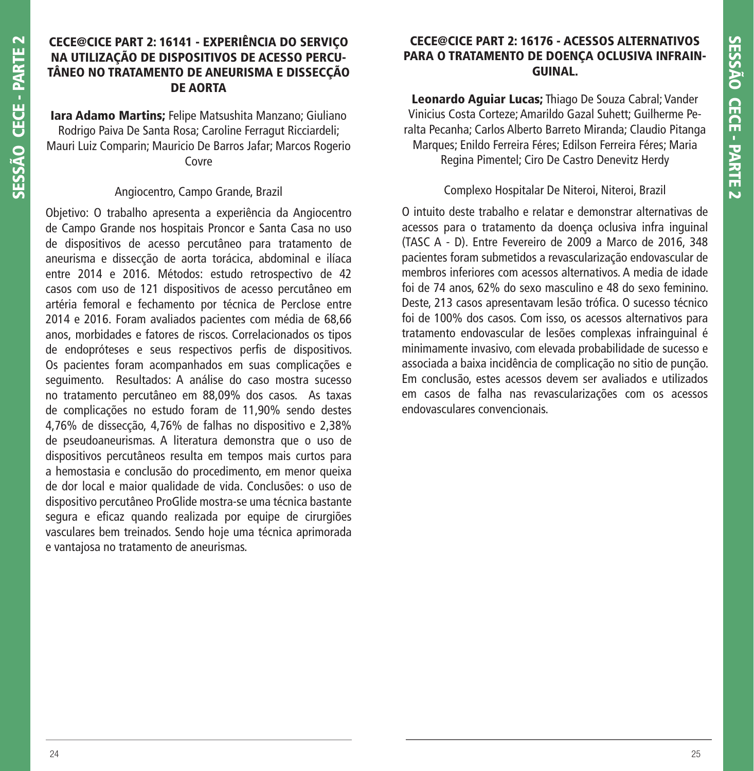# **CECE@CICE PART 2: 16141 - EXPERIÊNCIA DO SERVIÇO NA UTILIZAÇÃO DE DISPOSITIVOS DE ACESSO PERCU-TÂNEO NO TRATAMENTO DE ANEURISMA E DISSECÇÃO DE AORTA**

**Iara Adamo Martins;** Felipe Matsushita Manzano; Giuliano Rodrigo Paiva De Santa Rosa; Caroline Ferragut Ricciardeli; Mauri Luiz Comparin; Mauricio De Barros Jafar; Marcos Rogerio Covre

# Angiocentro, Campo Grande, Brazil

Objetivo: O trabalho apresenta a experiência da Angiocentro de Campo Grande nos hospitais Proncor e Santa Casa no uso de dispositivos de acesso percutâneo para tratamento de aneurisma e dissecção de aorta torácica, abdominal e ilíaca entre 2014 e 2016. Métodos: estudo retrospectivo de 42 casos com uso de 121 dispositivos de acesso percutâneo em artéria femoral e fechamento por técnica de Perclose entre 2014 e 2016. Foram avaliados pacientes com média de 68,66 anos, morbidades e fatores de riscos. Correlacionados os tipos de endopróteses e seus respectivos perfis de dispositivos. Os pacientes foram acompanhados em suas complicações e seguimento. Resultados: A análise do caso mostra sucesso no tratamento percutâneo em 88,09% dos casos. As taxas de complicações no estudo foram de 11,90% sendo destes 4,76% de dissecção, 4,76% de falhas no dispositivo e 2,38% de pseudoaneurismas. A literatura demonstra que o uso de dispositivos percutâneos resulta em tempos mais curtos para a hemostasia e conclusão do procedimento, em menor queixa de dor local e maior qualidade de vida. Conclusões: o uso de dispositivo percutâneo ProGlide mostra-se uma técnica bastante segura e eficaz quando realizada por equipe de cirurgiões vasculares bem treinados. Sendo hoje uma técnica aprimorada e vantajosa no tratamento de aneurismas.

# **CECE@CICE PART 2: 16176 - ACESSOS ALTERNATIVOS PARA O TRATAMENTO DE DOENÇA OCLUSIVA INFRAIN-GUINAL.**

**Leonardo Aguiar Lucas;** Thiago De Souza Cabral; Vander Vinicius Costa Corteze; Amarildo Gazal Suhett; Guilherme Peralta Pecanha; Carlos Alberto Barreto Miranda; Claudio Pitanga Marques; Enildo Ferreira Féres; Edilson Ferreira Féres; Maria Regina Pimentel; Ciro De Castro Denevitz Herdy

# Complexo Hospitalar De Niteroi, Niteroi, Brazil

O intuito deste trabalho e relatar e demonstrar alternativas de acessos para o tratamento da doença oclusiva infra inguinal (TASC A - D). Entre Fevereiro de 2009 a Marco de 2016, 348 pacientes foram submetidos a revascularização endovascular de membros inferiores com acessos alternativos. A media de idade foi de 74 anos, 62% do sexo masculino e 48 do sexo feminino. Deste, 213 casos apresentavam lesão trófica. O sucesso técnico foi de 100% dos casos. Com isso, os acessos alternativos para tratamento endovascular de lesões complexas infrainguinal é minimamente invasivo, com elevada probabilidade de sucesso e associada a baixa incidência de complicação no sitio de punção. Em conclusão, estes acessos devem ser avaliados e utilizados em casos de falha nas revascularizações com os acessos endovasculares convencionais.

**SESSÃO CECE - PARTE 2**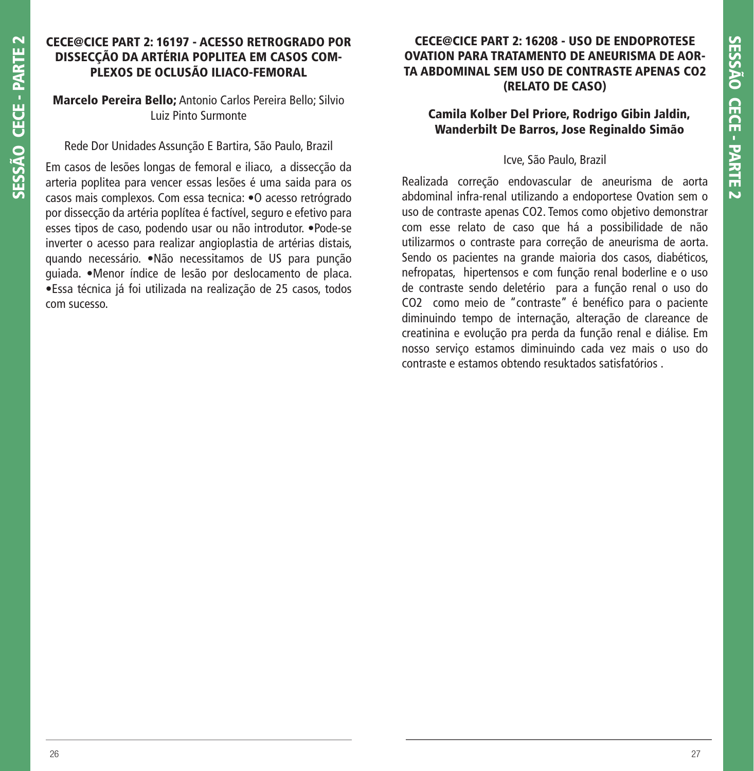## **CECE@CICE PART 2: 16197 - ACESSO RETROGRADO POR DISSECÇÃO DA ARTÉRIA POPLITEA EM CASOS COM-PLEXOS DE OCLUSÃO ILIACO-FEMORAL**

## **Marcelo Pereira Bello;** Antonio Carlos Pereira Bello; Silvio Luiz Pinto Surmonte

Rede Dor Unidades Assunção E Bartira, São Paulo, Brazil

Em casos de lesões longas de femoral e iliaco, a dissecção da arteria poplitea para vencer essas lesões é uma saida para os casos mais complexos. Com essa tecnica: •O acesso retrógrado por dissecção da artéria poplítea é factível, seguro e efetivo para esses tipos de caso, podendo usar ou não introdutor. •Pode-se inverter o acesso para realizar angioplastia de artérias distais, quando necessário. •Não necessitamos de US para punção guiada. •Menor índice de lesão por deslocamento de placa. •Essa técnica já foi utilizada na realização de 25 casos, todos com sucesso.

# **CECE@CICE PART 2: 16208 - USO DE ENDOPROTESE OVATION PARA TRATAMENTO DE ANEURISMA DE AOR-TA ABDOMINAL SEM USO DE CONTRASTE APENAS CO2 (RELATO DE CASO)**

# **Camila Kolber Del Priore, Rodrigo Gibin Jaldin, Wanderbilt De Barros, Jose Reginaldo Simão**

#### Icve, São Paulo, Brazil

Realizada correção endovascular de aneurisma de aorta abdominal infra-renal utilizando a endoportese Ovation sem o uso de contraste apenas CO2. Temos como objetivo demonstrar com esse relato de caso que há a possibilidade de não utilizarmos o contraste para correção de aneurisma de aorta. Sendo os pacientes na grande maioria dos casos, diabéticos, nefropatas, hipertensos e com função renal boderline e o uso de contraste sendo deletério para a função renal o uso do CO2 como meio de "contraste" é benéfico para o paciente diminuindo tempo de internação, alteração de clareance de creatinina e evolução pra perda da função renal e diálise. Em nosso serviço estamos diminuindo cada vez mais o uso do contraste e estamos obtendo resuktados satisfatórios .

**SESSÃO CECE - PARTE 2**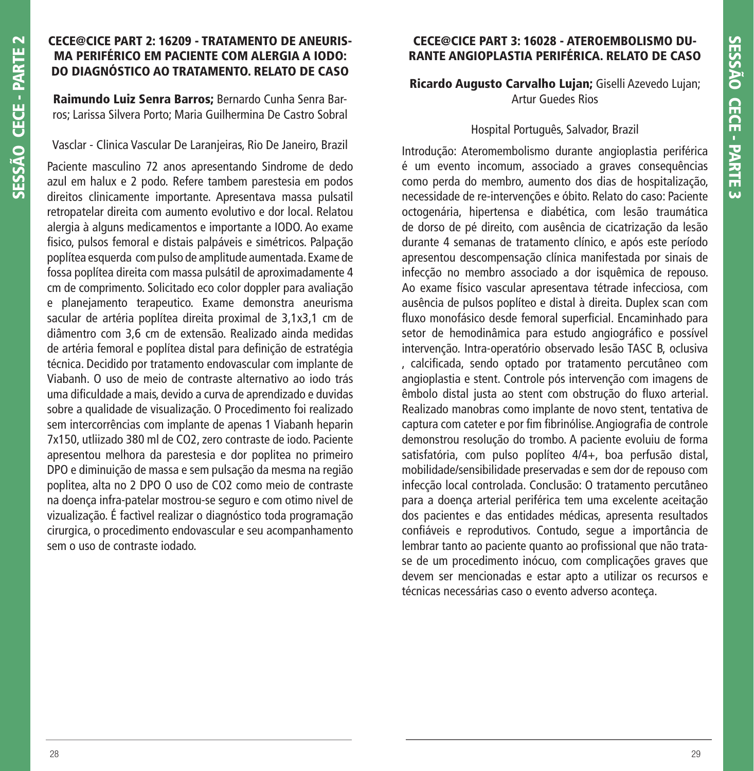## **CECE@CICE PART 2: 16209 - TRATAMENTO DE ANEURIS-MA PERIFÉRICO EM PACIENTE COM ALERGIA A IODO: DO DIAGNÓSTICO AO TRATAMENTO. RELATO DE CASO**

**Raimundo Luiz Senra Barros;** Bernardo Cunha Senra Barros; Larissa Silvera Porto; Maria Guilhermina De Castro Sobral

Vasclar - Clinica Vascular De Laranjeiras, Rio De Janeiro, Brazil

Paciente masculino 72 anos apresentando Sindrome de dedo azul em halux e 2 podo. Refere tambem parestesia em podos direitos clinicamente importante. Apresentava massa pulsatil retropatelar direita com aumento evolutivo e dor local. Relatou alergia à alguns medicamentos e importante a IODO. Ao exame fisico, pulsos femoral e distais palpáveis e simétricos. Palpação poplítea esquerda com pulso de amplitude aumentada. Exame de fossa poplítea direita com massa pulsátil de aproximadamente 4 cm de comprimento. Solicitado eco color doppler para avaliação e planejamento terapeutico. Exame demonstra aneurisma sacular de artéria poplítea direita proximal de 3,1x3,1 cm de diâmentro com 3,6 cm de extensão. Realizado ainda medidas de artéria femoral e poplítea distal para definição de estratégia técnica. Decidido por tratamento endovascular com implante de Viabanh. O uso de meio de contraste alternativo ao iodo trás uma dificuldade a mais, devido a curva de aprendizado e duvidas sobre a qualidade de visualização. O Procedimento foi realizado sem intercorrências com implante de apenas 1 Viabanh heparin 7x150, utliizado 380 ml de CO2, zero contraste de iodo. Paciente apresentou melhora da parestesia e dor poplitea no primeiro DPO e diminuição de massa e sem pulsação da mesma na região poplitea, alta no 2 DPO O uso de CO2 como meio de contraste na doença infra-patelar mostrou-se seguro e com otimo nivel de vizualização. É factìvel realizar o diagnóstico toda programação cirurgica, o procedimento endovascular e seu acompanhamento sem o uso de contraste iodado.

# **CECE@CICE PART 3: 16028 - ATEROEMBOLISMO DU-RANTE ANGIOPLASTIA PERIFÉRICA. RELATO DE CASO**

**Ricardo Augusto Carvalho Lujan;** Giselli Azevedo Lujan; Artur Guedes Rios

#### Hospital Português, Salvador, Brazil

Introdução: Ateromembolismo durante angioplastia periférica é um evento incomum, associado a graves consequências como perda do membro, aumento dos dias de hospitalização, necessidade de re-intervenções e óbito. Relato do caso: Paciente octogenária, hipertensa e diabética, com lesão traumática de dorso de pé direito, com ausência de cicatrização da lesão durante 4 semanas de tratamento clínico, e após este período apresentou descompensação clínica manifestada por sinais de infecção no membro associado a dor isquêmica de repouso. Ao exame físico vascular apresentava tétrade infecciosa, com ausência de pulsos poplíteo e distal à direita. Duplex scan com fluxo monofásico desde femoral superficial. Encaminhado para setor de hemodinâmica para estudo angiográfico e possível intervenção. Intra-operatório observado lesão TASC B, oclusiva , calcifi cada, sendo optado por tratamento percutâneo com angioplastia e stent. Controle pós intervenção com imagens de êmbolo distal justa ao stent com obstrução do fluxo arterial. Realizado manobras como implante de novo stent, tentativa de captura com cateter e por fim fibrinólise. Angiografia de controle demonstrou resolução do trombo. A paciente evoluiu de forma satisfatória, com pulso poplíteo 4/4+, boa perfusão distal, mobilidade/sensibilidade preservadas e sem dor de repouso com infecção local controlada. Conclusão: O tratamento percutâneo para a doença arterial periférica tem uma excelente aceitação dos pacientes e das entidades médicas, apresenta resultados confiáveis e reprodutivos. Contudo, segue a importância de lembrar tanto ao paciente quanto ao profissional que não tratase de um procedimento inócuo, com complicações graves que devem ser mencionadas e estar apto a utilizar os recursos e técnicas necessárias caso o evento adverso aconteça.

**SESSÃO CECE - PARTE 2**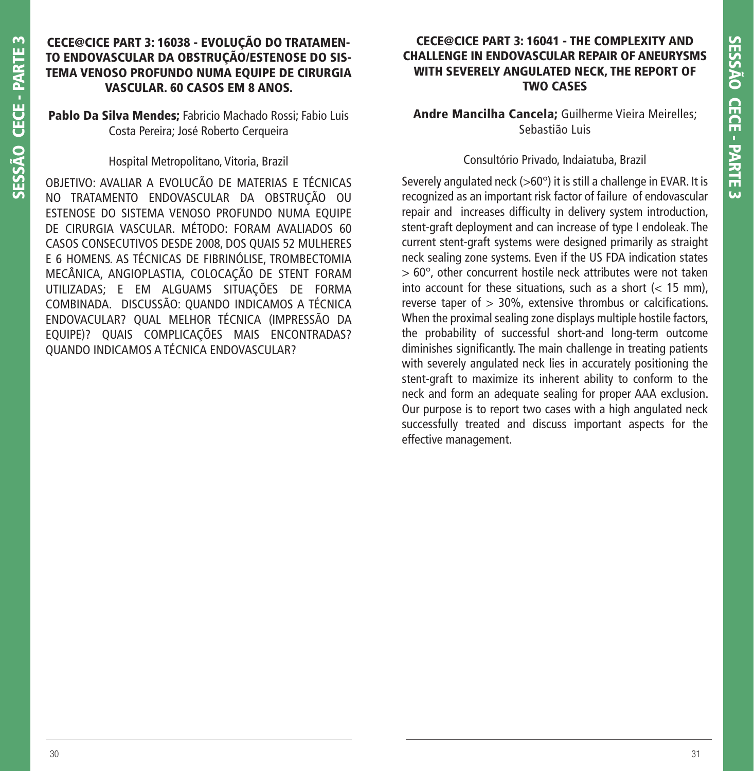# **CECE@CICE PART 3: 16038 - EVOLUÇÃO DO TRATAMEN-TO ENDOVASCULAR DA OBSTRUÇÃO/ESTENOSE DO SIS-TEMA VENOSO PROFUNDO NUMA EQUIPE DE CIRURGIA VASCULAR. 60 CASOS EM 8 ANOS.**

**Pablo Da Silva Mendes;** Fabricio Machado Rossi; Fabio Luis Costa Pereira; José Roberto Cerqueira

Hospital Metropolitano, Vitoria, Brazil

OBJETIVO: AVALIAR A EVOLUCÃO DE MATERIAS E TÉCNICAS NO TRATAMENTO ENDOVASCULAR DA OBSTRUÇÃO OU ESTENOSE DO SISTEMA VENOSO PROFUNDO NUMA EQUIPE DE CIRURGIA VASCULAR. MÉTODO: FORAM AVALIADOS 60 CASOS CONSECUTIVOS DESDE 2008, DOS QUAIS 52 MULHERES E 6 HOMENS. AS TÉCNICAS DE FIBRINÓLISE, TROMBECTOMIA MECÂNICA, ANGIOPLASTIA, COLOCAÇÃO DE STENT FORAM UTILIZADAS; E EM ALGUAMS SITUAÇÕES DE FORMA COMBINADA. DISCUSSÃO: QUANDO INDICAMOS A TÉCNICA ENDOVACULAR? QUAL MELHOR TÉCNICA (IMPRESSÃO DA EQUIPE)? QUAIS COMPLICAÇÕES MAIS ENCONTRADAS? QUANDO INDICAMOS A TÉCNICA ENDOVASCULAR?

# **CECE@CICE PART 3: 16041 - THE COMPLEXITY AND CHALLENGE IN ENDOVASCULAR REPAIR OF ANEURYSMS WITH SEVERELY ANGULATED NECK, THE REPORT OF TWO CASES**

**Andre Mancilha Cancela;** Guilherme Vieira Meirelles; Sebastião Luis

## Consultório Privado, Indaiatuba, Brazil

Severely angulated neck ( $>60^\circ$ ) it is still a challenge in EVAR. It is recognized as an important risk factor of failure of endovascular repair and increases difficulty in delivery system introduction. stent-graft deployment and can increase of type I endoleak. The current stent-graft systems were designed primarily as straight neck sealing zone systems. Even if the US FDA indication states > 60°, other concurrent hostile neck attributes were not taken into account for these situations, such as a short  $\left($  < 15 mm). reverse taper of  $> 30\%$ , extensive thrombus or calcifications. When the proximal sealing zone displays multiple hostile factors, the probability of successful short-and long-term outcome diminishes significantly. The main challenge in treating patients with severely angulated neck lies in accurately positioning the stent-graft to maximize its inherent ability to conform to the neck and form an adequate sealing for proper AAA exclusion. Our purpose is to report two cases with a high angulated neck successfully treated and discuss important aspects for the effective management.

**SESSÃO CECE - PARTE 3**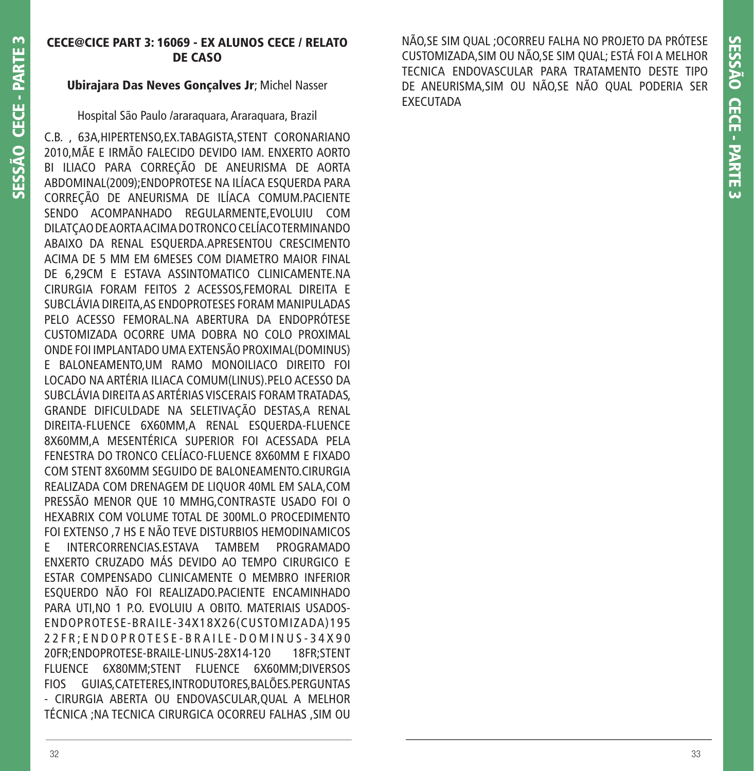# **CECE@CICE PART 3: 16069 - EX ALUNOS CECE / RELATO DE CASO**

# **Ubirajara Das Neves Gonçalves Jr**; Michel Nasser

Hospital São Paulo /araraquara, Araraquara, Brazil

C.B. , 63A,HIPERTENSO,EX.TABAGISTA,STENT CORONARIANO 2010,MÃE E IRMÃO FALECIDO DEVIDO IAM. ENXERTO AORTO BI ILIACO PARA CORREÇÃO DE ANEURISMA DE AORTA ABDOMINAL(2009);ENDOPROTESE NA ILÍACA ESQUERDA PARA CORREÇÃO DE ANEURISMA DE ILÍACA COMUM.PACIENTE SENDO ACOMPANHADO REGULARMENTE,EVOLUIU COM DILATÇAO DE AORTA ACIMA DO TRONCO CELÍACO TERMINANDO ABAIXO DA RENAL ESQUERDA.APRESENTOU CRESCIMENTO ACIMA DE 5 MM EM 6MESES COM DIAMETRO MAIOR FINAL DE 6,29CM E ESTAVA ASSINTOMATICO CLINICAMENTE.NA CIRURGIA FORAM FEITOS 2 ACESSOS,FEMORAL DIREITA E SUBCLÁVIA DIREITA,AS ENDOPROTESES FORAM MANIPULADAS PELO ACESSO FEMORAL.NA ABERTURA DA ENDOPRÓTESE CUSTOMIZADA OCORRE UMA DOBRA NO COLO PROXIMAL ONDE FOI IMPLANTADO UMA EXTENSÃO PROXIMAL(DOMINUS) E BALONEAMENTO,UM RAMO MONOILIACO DIREITO FOI LOCADO NA ARTÉRIA ILIACA COMUM(LINUS).PELO ACESSO DA SUBCLÁVIA DIREITA AS ARTÉRIAS VISCERAIS FORAM TRATADAS, GRANDE DIFICULDADE NA SELETIVAÇÃO DESTAS,A RENAL DIREITA-FLUENCE 6X60MM,A RENAL ESQUERDA-FLUENCE 8X60MM,A MESENTÉRICA SUPERIOR FOI ACESSADA PELA FENESTRA DO TRONCO CELÍACO-FLUENCE 8X60MM E FIXADO COM STENT 8X60MM SEGUIDO DE BALONEAMENTO.CIRURGIA REALIZADA COM DRENAGEM DE LIQUOR 40ML EM SALA,COM PRESSÃO MENOR QUE 10 MMHG,CONTRASTE USADO FOI O HEXABRIX COM VOLUME TOTAL DE 300ML.O PROCEDIMENTO FOI EXTENSO ,7 HS E NÃO TEVE DISTURBIOS HEMODINAMICOS E INTERCORRENCIAS.ESTAVA TAMBEM PROGRAMADO ENXERTO CRUZADO MÁS DEVIDO AO TEMPO CIRURGICO E ESTAR COMPENSADO CLINICAMENTE O MEMBRO INFERIOR ESQUERDO NÃO FOI REALIZADO.PACIENTE ENCAMINHADO PARA UTI,NO 1 P.O. EVOLUIU A OBITO. MATERIAIS USADOS-ENDOPROTESE-BRAILE-34X18X26(CUSTOMIZADA)195 2 2 F R ; E N D O P R O T E S E - B R A I L E - D O M I N U S - 3 4 X 9 0 20FR;ENDOPROTESE-BRAILE-LINUS-28X14-120 18FR;STENT FLUENCE 6X80MM;STENT FLUENCE 6X60MM;DIVERSOS FIOS GUIAS,CATETERES,INTRODUTORES,BALÕES.PERGUNTAS - CIRURGIA ABERTA OU ENDOVASCULAR,QUAL A MELHOR TÉCNICA ;NA TECNICA CIRURGICA OCORREU FALHAS ,SIM OU NÃO,SE SIM QUAL ;OCORREU FALHA NO PROJETO DA PRÓTESE CUSTOMIZADA,SIM OU NÃO,SE SIM QUAL; ESTÁ FOI A MELHOR TECNICA ENDOVASCULAR PARA TRATAMENTO DESTE TIPO DE ANEURISMA,SIM OU NÃO,SE NÃO QUAL PODERIA SER EXECUTADA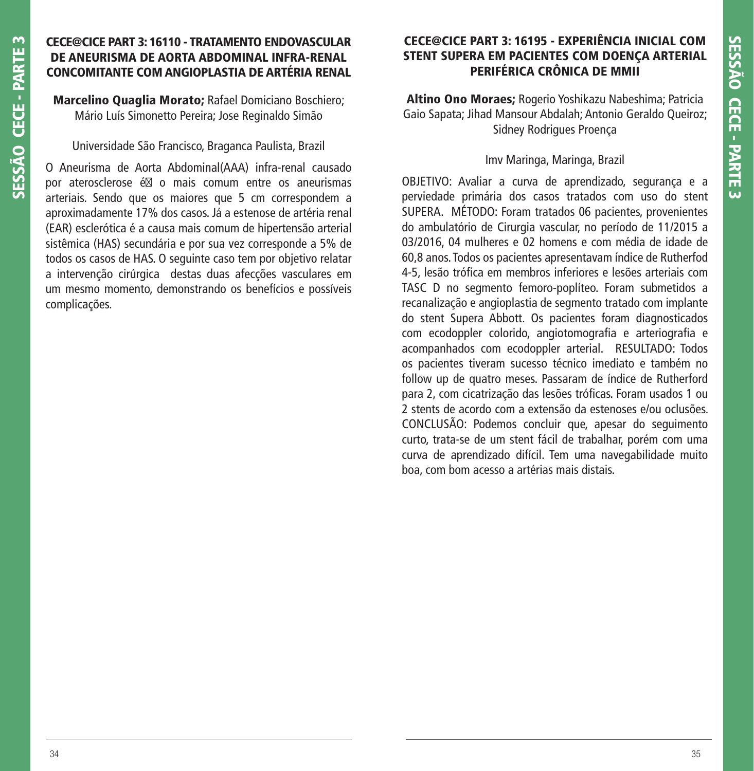## **CECE@CICE PART 3: 16110 - TRATAMENTO ENDOVASCULAR DE ANEURISMA DE AORTA ABDOMINAL INFRA-RENAL CONCOMITANTE COM ANGIOPLASTIA DE ARTÉRIA RENAL**

**Marcelino Quaglia Morato;** Rafael Domiciano Boschiero; Mário Luís Simonetto Pereira; Jose Reginaldo Simão

Universidade São Francisco, Braganca Paulista, Brazil

O Aneurisma de Aorta Abdominal(AAA) infra-renal causado por aterosclerose  $\epsilon \boxtimes$  o mais comum entre os aneurismas arteriais. Sendo que os maiores que 5 cm correspondem a aproximadamente 17% dos casos. Já a estenose de artéria renal (EAR) esclerótica é a causa mais comum de hipertensão arterial sistêmica (HAS) secundária e por sua vez corresponde a 5% de todos os casos de HAS. O seguinte caso tem por objetivo relatar a intervenção cirúrgica destas duas afecções vasculares em um mesmo momento, demonstrando os benefícios e possíveis complicações.

# **CECE@CICE PART 3: 16195 - EXPERIÊNCIA INICIAL COM STENT SUPERA EM PACIENTES COM DOENÇA ARTERIAL PERIFÉRICA CRÔNICA DE MMII**

**Altino Ono Moraes;** Rogerio Yoshikazu Nabeshima; Patricia Gaio Sapata; Jihad Mansour Abdalah; Antonio Geraldo Queiroz; Sidney Rodrigues Proença

## Imv Maringa, Maringa, Brazil

OBJETIVO: Avaliar a curva de aprendizado, segurança e a perviedade primária dos casos tratados com uso do stent SUPERA. MÉTODO: Foram tratados 06 pacientes, provenientes do ambulatório de Cirurgia vascular, no período de 11/2015 a 03/2016, 04 mulheres e 02 homens e com média de idade de 60,8 anos. Todos os pacientes apresentavam índice de Rutherfod 4-5, lesão trófica em membros inferiores e lesões arteriais com TASC D no segmento femoro-poplíteo. Foram submetidos a recanalização e angioplastia de segmento tratado com implante do stent Supera Abbott. Os pacientes foram diagnosticados com ecodoppler colorido, angiotomografia e arteriografia e acompanhados com ecodoppler arterial. RESULTADO: Todos os pacientes tiveram sucesso técnico imediato e também no follow up de quatro meses. Passaram de índice de Rutherford para 2, com cicatrização das lesões tróficas. Foram usados 1 ou 2 stents de acordo com a extensão da estenoses e/ou oclusões. CONCLUSÃO: Podemos concluir que, apesar do seguimento curto, trata-se de um stent fácil de trabalhar, porém com uma curva de aprendizado difícil. Tem uma navegabilidade muito boa, com bom acesso a artérias mais distais.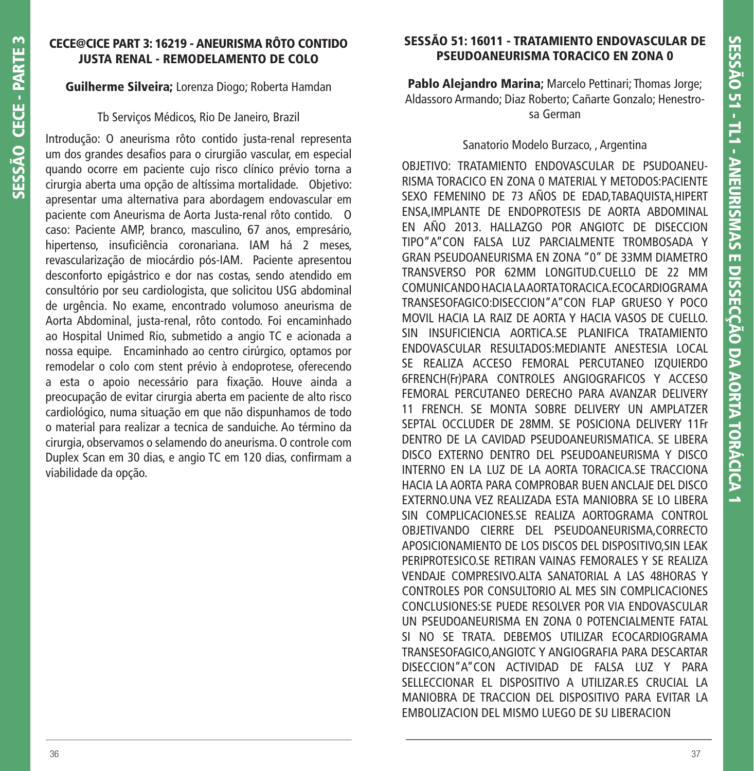# **CECE@CICE PART 3: 16219 - ANEURISMA RÔTO CONTIDO JUSTA RENAL - REMODELAMENTO DE COLO**

## **Guilherme Silveira;** Lorenza Diogo; Roberta Hamdan

#### Tb Serviços Médicos, Rio De Janeiro, Brazil

Introdução: O aneurisma rôto contido justa-renal representa um dos grandes desafios para o cirurgião vascular, em especial quando ocorre em paciente cujo risco clínico prévio torna a cirurgia aberta uma opção de altíssima mortalidade. Objetivo: apresentar uma alternativa para abordagem endovascular em paciente com Aneurisma de Aorta Justa-renal rôto contido. O caso: Paciente AMP, branco, masculino, 67 anos, empresário, hipertenso, insuficiência coronariana. IAM há 2 meses, revascularização de miocárdio pós-IAM. Paciente apresentou desconforto epigástrico e dor nas costas, sendo atendido em consultório por seu cardiologista, que solicitou USG abdominal de urgência. No exame, encontrado volumoso aneurisma de Aorta Abdominal, justa-renal, rôto contodo. Foi encaminhado ao Hospital Unimed Rio, submetido a angio TC e acionada a nossa equipe. Encaminhado ao centro cirúrgico, optamos por remodelar o colo com stent prévio à endoprotese, oferecendo a esta o apoio necessário para fixação. Houve ainda a preocupação de evitar cirurgia aberta em paciente de alto risco cardiológico, numa situação em que não dispunhamos de todo o material para realizar a tecnica de sanduiche. Ao término da cirurgia, observamos o selamendo do aneurisma. O controle com Duplex Scan em 30 dias, e angio TC em 120 dias, confirmam a viabilidade da opção.

# **SESSÃO 51: 16011 - TRATAMIENTO ENDOVASCULAR DE PSEUDOANEURISMA TORACICO EN ZONA 0**

**Pablo Alejandro Marina;** Marcelo Pettinari; Thomas Jorge; Aldassoro Armando; Diaz Roberto; Cañarte Gonzalo; Henestrosa German

## Sanatorio Modelo Burzaco, , Argentina

OBJETIVO: TRATAMIENTO ENDOVASCULAR DE PSUDOANEU-RISMA TORACICO EN ZONA 0 MATERIAL Y METODOS:PACIENTE SEXO FEMENINO DE 73 AÑOS DE EDAD,TABAQUISTA,HIPERT ENSA,IMPLANTE DE ENDOPROTESIS DE AORTA ABDOMINAL EN AÑO 2013. HALLAZGO POR ANGIOTC DE DISECCION TIPO"A"CON FALSA LUZ PARCIALMENTE TROMBOSADA Y GRAN PSEUDOANEURISMA EN ZONA "0" DE 33MM DIAMETRO TRANSVERSO POR 62MM LONGITUD.CUELLO DE 22 MM COMUNICANDO HACIA LA AORTA TORACICA.ECOCARDIOGRAMA TRANSESOFAGICO:DISECCION"A"CON FLAP GRUESO Y POCO MOVIL HACIA LA RAIZ DE AORTA Y HACIA VASOS DE CUELLO. SIN INSUFICIENCIA AORTICA.SE PLANIFICA TRATAMIENTO ENDOVASCULAR RESULTADOS:MEDIANTE ANESTESIA LOCAL SE REALIZA ACCESO FEMORAL PERCUTANEO IZQUIERDO 6FRENCH(Fr)PARA CONTROLES ANGIOGRAFICOS Y ACCESO FEMORAL PERCUTANEO DERECHO PARA AVANZAR DELIVERY 11 FRENCH. SE MONTA SOBRE DELIVERY UN AMPLATZER SEPTAL OCCLUDER DE 28MM. SE POSICIONA DELIVERY 11Fr DENTRO DE LA CAVIDAD PSEUDOANEURISMATICA. SE LIBERA DISCO EXTERNO DENTRO DEL PSEUDOANEURISMA Y DISCO INTERNO EN LA LUZ DE LA AORTA TORACICA.SE TRACCIONA HACIA LA AORTA PARA COMPROBAR BUEN ANCLAJE DEL DISCO EXTERNO.UNA VEZ REALIZADA ESTA MANIOBRA SE LO LIBERA SIN COMPLICACIONES.SE REALIZA AORTOGRAMA CONTROL OBJETIVANDO CIERRE DEL PSEUDOANEURISMA,CORRECTO APOSICIONAMIENTO DE LOS DISCOS DEL DISPOSITIVO,SIN LEAK PERIPROTESICO.SE RETIRAN VAINAS FEMORALES Y SE REALIZA VENDAJE COMPRESIVO.ALTA SANATORIAL A LAS 48HORAS Y CONTROLES POR CONSULTORIO AL MES SIN COMPLICACIONES CONCLUSIONES:SE PUEDE RESOLVER POR VIA ENDOVASCULAR UN PSEUDOANEURISMA EN ZONA 0 POTENCIALMENTE FATAL SI NO SE TRATA. DEBEMOS UTILIZAR ECOCARDIOGRAMA TRANSESOFAGICO,ANGIOTC Y ANGIOGRAFIA PARA DESCARTAR DISECCION"A"CON ACTIVIDAD DE FALSA LUZ Y PARA SELLECCIONAR EL DISPOSITIVO A UTILIZAR.ES CRUCIAL LA MANIOBRA DE TRACCION DEL DISPOSITIVO PARA EVITAR LA EMBOLIZACION DEL MISMO LUEGO DE SU LIBERACION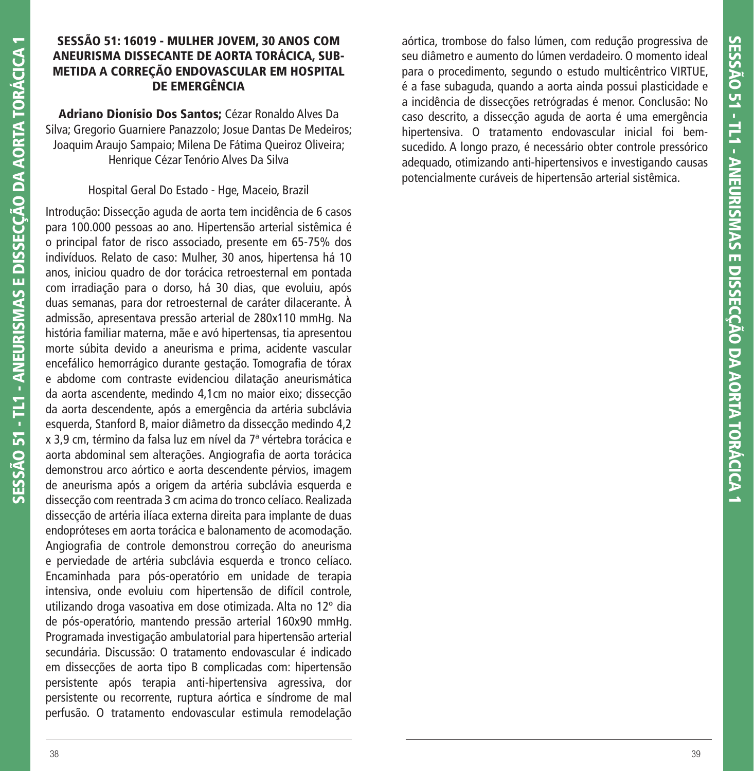## **SESSÃO 51: 16019 - MULHER JOVEM, 30 ANOS COM ANEURISMA DISSECANTE DE AORTA TORÁCICA, SUB-METIDA A CORREÇÃO ENDOVASCULAR EM HOSPITAL DE EMERGÊNCIA**

**Adriano Dionísio Dos Santos;** Cézar Ronaldo Alves Da Silva; Gregorio Guarniere Panazzolo; Josue Dantas De Medeiros; Joaquim Araujo Sampaio; Milena De Fátima Queiroz Oliveira; Henrique Cézar Tenório Alves Da Silva

## Hospital Geral Do Estado - Hge, Maceio, Brazil

Introdução: Dissecção aguda de aorta tem incidência de 6 casos para 100.000 pessoas ao ano. Hipertensão arterial sistêmica é o principal fator de risco associado, presente em 65-75% dos indivíduos. Relato de caso: Mulher, 30 anos, hipertensa há 10 anos, iniciou quadro de dor torácica retroesternal em pontada com irradiação para o dorso, há 30 dias, que evoluiu, após duas semanas, para dor retroesternal de caráter dilacerante. À admissão, apresentava pressão arterial de 280x110 mmHg. Na história familiar materna, mãe e avó hipertensas, tia apresentou morte súbita devido a aneurisma e prima, acidente vascular encefálico hemorrágico durante gestação. Tomografia de tórax e abdome com contraste evidenciou dilatação aneurismática da aorta ascendente, medindo 4,1cm no maior eixo; dissecção da aorta descendente, após a emergência da artéria subclávia esquerda, Stanford B, maior diâmetro da dissecção medindo 4,2 x 3,9 cm, término da falsa luz em nível da 7ª vértebra torácica e aorta abdominal sem alterações. Angiografia de aorta torácica demonstrou arco aórtico e aorta descendente pérvios, imagem de aneurisma após a origem da artéria subclávia esquerda e dissecção com reentrada 3 cm acima do tronco celíaco. Realizada dissecção de artéria ilíaca externa direita para implante de duas endopróteses em aorta torácica e balonamento de acomodação. Angiografia de controle demonstrou correção do aneurisma e perviedade de artéria subclávia esquerda e tronco celíaco. Encaminhada para pós-operatório em unidade de terapia intensiva, onde evoluiu com hipertensão de difícil controle, utilizando droga vasoativa em dose otimizada. Alta no 12º dia de pós-operatório, mantendo pressão arterial 160x90 mmHg. Programada investigação ambulatorial para hipertensão arterial secundária. Discussão: O tratamento endovascular é indicado em dissecções de aorta tipo B complicadas com: hipertensão persistente após terapia anti-hipertensiva agressiva, dor persistente ou recorrente, ruptura aórtica e síndrome de mal perfusão. O tratamento endovascular estimula remodelação

aórtica, trombose do falso lúmen, com redução progressiva de seu diâmetro e aumento do lúmen verdadeiro. O momento ideal para o procedimento, segundo o estudo multicêntrico VIRTUE, é a fase subaguda, quando a aorta ainda possui plasticidade e a incidência de dissecções retrógradas é menor. Conclusão: No caso descrito, a dissecção aguda de aorta é uma emergência hipertensiva. O tratamento endovascular inicial foi bemsucedido. A longo prazo, é necessário obter controle pressórico adequado, otimizando anti-hipertensivos e investigando causas potencialmente curáveis de hipertensão arterial sistêmica.

**SESSÃO 51 - TL1 - ANEURISMAS E DISSECÇÃO DA AORTA TORÁCICA 1**

SESSÃO 51 - TL1 - ANEURISMAS E DISSECÇÃO DA AORTA TORÁCICA 1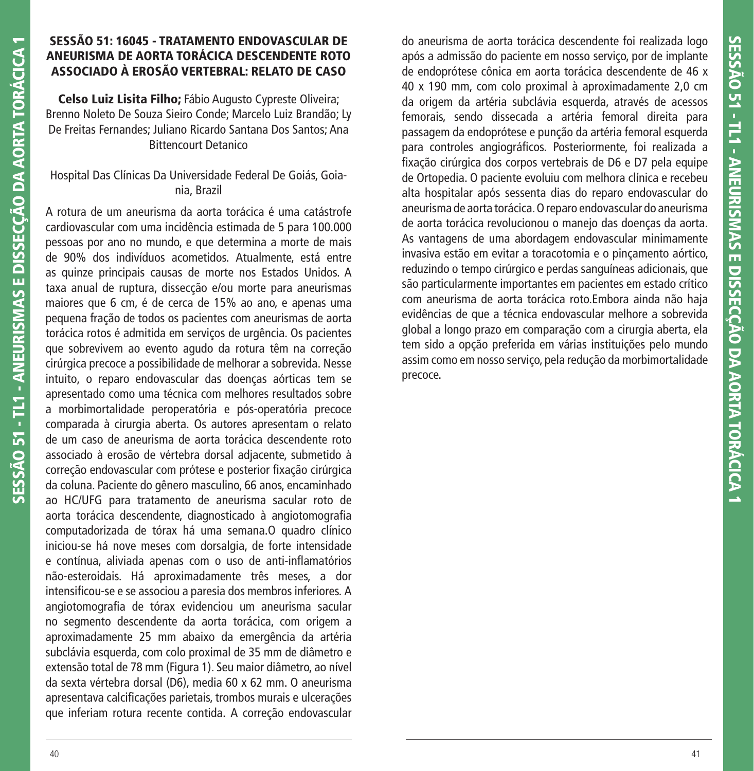## **SESSÃO 51: 16045 - TRATAMENTO ENDOVASCULAR DE ANEURISMA DE AORTA TORÁCICA DESCENDENTE ROTO ASSOCIADO À EROSÃO VERTEBRAL: RELATO DE CASO**

**Celso Luiz Lisita Filho;** Fábio Augusto Cypreste Oliveira; Brenno Noleto De Souza Sieiro Conde; Marcelo Luiz Brandão; Ly De Freitas Fernandes; Juliano Ricardo Santana Dos Santos; Ana Bittencourt Detanico

# Hospital Das Clínicas Da Universidade Federal De Goiás, Goiania, Brazil

A rotura de um aneurisma da aorta torácica é uma catástrofe cardiovascular com uma incidência estimada de 5 para 100.000 pessoas por ano no mundo, e que determina a morte de mais de 90% dos indivíduos acometidos. Atualmente, está entre as quinze principais causas de morte nos Estados Unidos. A taxa anual de ruptura, dissecção e/ou morte para aneurismas maiores que 6 cm, é de cerca de 15% ao ano, e apenas uma pequena fração de todos os pacientes com aneurismas de aorta torácica rotos é admitida em serviços de urgência. Os pacientes que sobrevivem ao evento agudo da rotura têm na correção cirúrgica precoce a possibilidade de melhorar a sobrevida. Nesse intuito, o reparo endovascular das doenças aórticas tem se apresentado como uma técnica com melhores resultados sobre a morbimortalidade peroperatória e pós-operatória precoce comparada à cirurgia aberta. Os autores apresentam o relato de um caso de aneurisma de aorta torácica descendente roto associado à erosão de vértebra dorsal adjacente, submetido à correção endovascular com prótese e posterior fixação cirúrgica da coluna. Paciente do gênero masculino, 66 anos, encaminhado ao HC/UFG para tratamento de aneurisma sacular roto de aorta torácica descendente, diagnosticado à angiotomografia computadorizada de tórax há uma semana.O quadro clínico iniciou-se há nove meses com dorsalgia, de forte intensidade e contínua, aliviada apenas com o uso de anti-inflamatórios não-esteroidais. Há aproximadamente três meses, a dor intensificou-se e se associou a paresia dos membros inferiores. A angiotomografia de tórax evidenciou um aneurisma sacular no segmento descendente da aorta torácica, com origem a aproximadamente 25 mm abaixo da emergência da artéria subclávia esquerda, com colo proximal de 35 mm de diâmetro e extensão total de 78 mm (Figura 1). Seu maior diâmetro, ao nível da sexta vértebra dorsal (D6), media 60 x 62 mm. O aneurisma apresentava calcificações parietais, trombos murais e ulcerações que inferiam rotura recente contida. A correção endovascular

do aneurisma de aorta torácica descendente foi realizada logo após a admissão do paciente em nosso serviço, por de implante de endoprótese cônica em aorta torácica descendente de 46 x 40 x 190 mm, com colo proximal à aproximadamente 2,0 cm da origem da artéria subclávia esquerda, através de acessos femorais, sendo dissecada a artéria femoral direita para passagem da endoprótese e punção da artéria femoral esquerda para controles angiográficos. Posteriormente, foi realizada a fixação cirúrgica dos corpos vertebrais de D6 e D7 pela equipe de Ortopedia. O paciente evoluiu com melhora clínica e recebeu alta hospitalar após sessenta dias do reparo endovascular do aneurisma de aorta torácica. O reparo endovascular do aneurisma de aorta torácica revolucionou o manejo das doenças da aorta. As vantagens de uma abordagem endovascular minimamente invasiva estão em evitar a toracotomia e o pinçamento aórtico, reduzindo o tempo cirúrgico e perdas sanguíneas adicionais, que são particularmente importantes em pacientes em estado crítico com aneurisma de aorta torácica roto.Embora ainda não haja evidências de que a técnica endovascular melhore a sobrevida global a longo prazo em comparação com a cirurgia aberta, ela tem sido a opção preferida em várias instituições pelo mundo assim como em nosso serviço, pela redução da morbimortalidade precoce.

**SESSÃO 51 - TL1 - ANEURISMAS E DISSECÇÃO DA AORTA TORÁCICA 1**

SESSÃO 51 - TL1 - ANEURISMAS E DISSECÇÃO DA AORTA TORÁCICA 1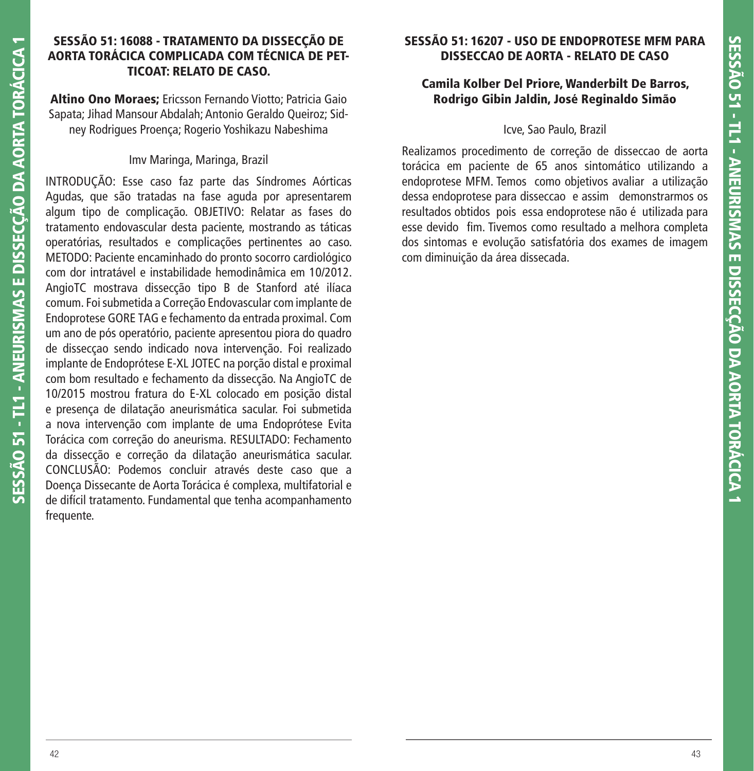## **SESSÃO 51: 16088 - TRATAMENTO DA DISSECÇÃO DE AORTA TORÁCICA COMPLICADA COM TÉCNICA DE PET-TICOAT: RELATO DE CASO.**

**Altino Ono Moraes;** Ericsson Fernando Viotto; Patricia Gaio Sapata; Jihad Mansour Abdalah; Antonio Geraldo Queiroz; Sidney Rodrigues Proença; Rogerio Yoshikazu Nabeshima

## Imv Maringa, Maringa, Brazil

INTRODUÇÃO: Esse caso faz parte das Síndromes Aórticas Agudas, que são tratadas na fase aguda por apresentarem algum tipo de complicação. OBJETIVO: Relatar as fases do tratamento endovascular desta paciente, mostrando as táticas operatórias, resultados e complicações pertinentes ao caso. METODO: Paciente encaminhado do pronto socorro cardiológico com dor intratável e instabilidade hemodinâmica em 10/2012. AngioTC mostrava dissecção tipo B de Stanford até ilíaca comum. Foi submetida a Correção Endovascular com implante de Endoprotese GORE TAG e fechamento da entrada proximal. Com um ano de pós operatório, paciente apresentou piora do quadro de dissecçao sendo indicado nova intervenção. Foi realizado implante de Endoprótese E-XL JOTEC na porção distal e proximal com bom resultado e fechamento da dissecção. Na AngioTC de 10/2015 mostrou fratura do E-XL colocado em posição distal e presença de dilatação aneurismática sacular. Foi submetida a nova intervenção com implante de uma Endoprótese Evita Torácica com correção do aneurisma. RESULTADO: Fechamento da dissecção e correção da dilatação aneurismática sacular. CONCLUSÃO: Podemos concluir através deste caso que a Doença Dissecante de Aorta Torácica é complexa, multifatorial e de difícil tratamento. Fundamental que tenha acompanhamento frequente.

# **SESSÃO 51: 16207 - USO DE ENDOPROTESE MFM PARA DISSECCAO DE AORTA - RELATO DE CASO**

## **Camila Kolber Del Priore, Wanderbilt De Barros, Rodrigo Gibin Jaldin, José Reginaldo Simão**

#### Icve, Sao Paulo, Brazil

Realizamos procedimento de correção de disseccao de aorta torácica em paciente de 65 anos sintomático utilizando a endoprotese MFM. Temos como objetivos avaliar a utilização dessa endoprotese para disseccao e assim demonstrarmos os resultados obtidos pois essa endoprotese não é utilizada para esse devido fim. Tivemos como resultado a melhora completa dos sintomas e evolução satisfatória dos exames de imagem com diminuição da área dissecada.

**SESSÃO 51 - TL1 - ANEURISMAS E DISSECÇÃO DA AORTA TORÁCICA 1**

SESSÃO 51 - TL1 - ANEURISMAS E DISSECCÃO DA AORTA TORÁCICA 1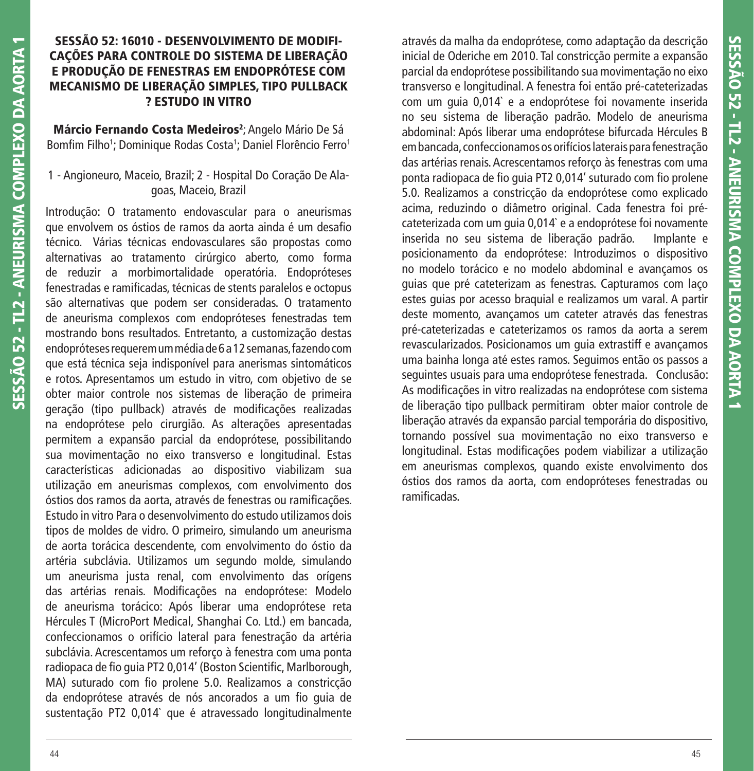# SESSÃO 52 - TL2 - ANEURISMA COMPLEXO DA AORTA 1 **SESSÃO 52 - TL2 - ANEURISMA COMPLEXO DA AORTA 1**

# **SESSÃO 52: 16010 - DESENVOLVIMENTO DE MODIFI-CAÇÕES PARA CONTROLE DO SISTEMA DE LIBERAÇÃO E PRODUÇÃO DE FENESTRAS EM ENDOPRÓTESE COM MECANISMO DE LIBERAÇÃO SIMPLES, TIPO PULLBACK ? ESTUDO IN VITRO**

**Márcio Fernando Costa Medeiros2** ; Angelo Mário De Sá Bomfim Filho1; Dominique Rodas Costa1; Daniel Florêncio Ferro1

# 1 - Angioneuro, Maceio, Brazil; 2 - Hospital Do Coração De Alagoas, Maceio, Brazil

Introdução: O tratamento endovascular para o aneurismas que envolvem os óstios de ramos da aorta ainda é um desafio técnico. Várias técnicas endovasculares são propostas como alternativas ao tratamento cirúrgico aberto, como forma de reduzir a morbimortalidade operatória. Endopróteses fenestradas e ramificadas, técnicas de stents paralelos e octopus são alternativas que podem ser consideradas. O tratamento de aneurisma complexos com endopróteses fenestradas tem mostrando bons resultados. Entretanto, a customização destas endopróteses requerem um média de 6 a 12 semanas, fazendo com que está técnica seja indisponível para anerismas sintomáticos e rotos. Apresentamos um estudo in vitro, com objetivo de se obter maior controle nos sistemas de liberação de primeira geração (tipo pullback) através de modificações realizadas na endoprótese pelo cirurgião. As alterações apresentadas permitem a expansão parcial da endoprótese, possibilitando sua movimentação no eixo transverso e longitudinal. Estas características adicionadas ao dispositivo viabilizam sua utilização em aneurismas complexos, com envolvimento dos óstios dos ramos da aorta, através de fenestras ou ramificações. Estudo in vitro Para o desenvolvimento do estudo utilizamos dois tipos de moldes de vidro. O primeiro, simulando um aneurisma de aorta torácica descendente, com envolvimento do óstio da artéria subclávia. Utilizamos um segundo molde, simulando um aneurisma justa renal, com envolvimento das orígens das artérias renais. Modificações na endoprótese: Modelo de aneurisma torácico: Após liberar uma endoprótese reta Hércules T (MicroPort Medical, Shanghai Co. Ltd.) em bancada, confeccionamos o orifício lateral para fenestração da artéria subclávia. Acrescentamos um reforço à fenestra com uma ponta radiopaca de fio quia PT2 0,014' (Boston Scientific, Marlborough, MA) suturado com fio prolene 5.0. Realizamos a constricção da endoprótese através de nós ancorados a um fio quia de sustentação PT2 0,014` que é atravessado longitudinalmente

através da malha da endoprótese, como adaptação da descrição inicial de Oderiche em 2010. Tal constricção permite a expansão parcial da endoprótese possibilitando sua movimentação no eixo transverso e longitudinal. A fenestra foi então pré-cateterizadas com um guia 0,014` e a endoprótese foi novamente inserida no seu sistema de liberação padrão. Modelo de aneurisma abdominal: Após liberar uma endoprótese bifurcada Hércules B em bancada, confeccionamos os orifícios laterais para fenestração das artérias renais. Acrescentamos reforço às fenestras com uma ponta radiopaca de fio guia PT2 0,014' suturado com fio prolene 5.0. Realizamos a constricção da endoprótese como explicado acima, reduzindo o diâmetro original. Cada fenestra foi précateterizada com um guia 0,014` e a endoprótese foi novamente inserida no seu sistema de liberação padrão. Implante e posicionamento da endoprótese: Introduzimos o dispositivo no modelo torácico e no modelo abdominal e avançamos os guias que pré cateterizam as fenestras. Capturamos com laço estes guias por acesso braquial e realizamos um varal. A partir deste momento, avançamos um cateter através das fenestras pré-cateterizadas e cateterizamos os ramos da aorta a serem revascularizados. Posicionamos um guia extrastiff e avançamos uma bainha longa até estes ramos. Seguimos então os passos a seguintes usuais para uma endoprótese fenestrada. Conclusão: As modificações in vitro realizadas na endoprótese com sistema de liberação tipo pullback permitiram obter maior controle de liberação através da expansão parcial temporária do dispositivo, tornando possível sua movimentação no eixo transverso e longitudinal. Estas modificações podem viabilizar a utilização em aneurismas complexos, quando existe envolvimento dos óstios dos ramos da aorta, com endopróteses fenestradas ou ramificadas.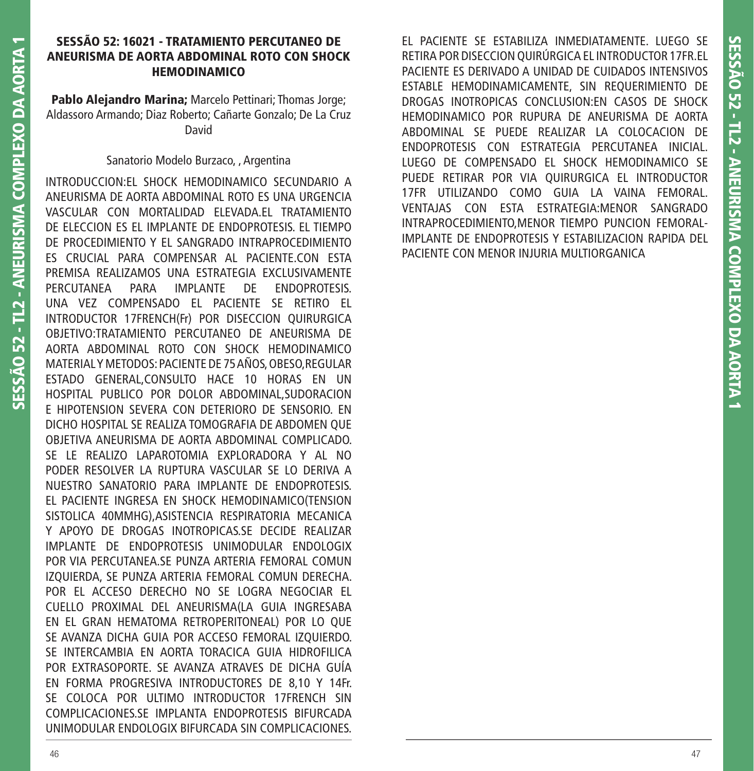## **SESSÃO 52: 16021 - TRATAMIENTO PERCUTANEO DE ANEURISMA DE AORTA ABDOMINAL ROTO CON SHOCK HEMODINAMICO**

**Pablo Alejandro Marina;** Marcelo Pettinari; Thomas Jorge; Aldassoro Armando; Diaz Roberto; Cañarte Gonzalo; De La Cruz David

## Sanatorio Modelo Burzaco, , Argentina

INTRODUCCION:EL SHOCK HEMODINAMICO SECUNDARIO A ANEURISMA DE AORTA ABDOMINAL ROTO ES UNA URGENCIA VASCULAR CON MORTALIDAD ELEVADA.EL TRATAMIENTO DE ELECCION ES EL IMPLANTE DE ENDOPROTESIS. EL TIEMPO DE PROCEDIMIENTO Y EL SANGRADO INTRAPROCEDIMIENTO ES CRUCIAL PARA COMPENSAR AL PACIENTE.CON ESTA PREMISA REALIZAMOS UNA ESTRATEGIA EXCLUSIVAMENTE PERCUTANEA PARA IMPLANTE DE ENDOPROTESIS. UNA VEZ COMPENSADO EL PACIENTE SE RETIRO EL INTRODUCTOR 17FRENCH(Fr) POR DISECCION QUIRURGICA OBJETIVO:TRATAMIENTO PERCUTANEO DE ANEURISMA DE AORTA ABDOMINAL ROTO CON SHOCK HEMODINAMICO MATERIAL Y METODOS: PACIENTE DE 75 AÑOS, OBESO,REGULAR ESTADO GENERAL,CONSULTO HACE 10 HORAS EN UN HOSPITAL PUBLICO POR DOLOR ABDOMINAL,SUDORACION E HIPOTENSION SEVERA CON DETERIORO DE SENSORIO. EN DICHO HOSPITAL SE REALIZA TOMOGRAFIA DE ABDOMEN QUE OBJETIVA ANEURISMA DE AORTA ABDOMINAL COMPLICADO. SE LE REALIZO LAPAROTOMIA EXPLORADORA Y AL NO PODER RESOLVER LA RUPTURA VASCULAR SE LO DERIVA A NUESTRO SANATORIO PARA IMPLANTE DE ENDOPROTESIS. EL PACIENTE INGRESA EN SHOCK HEMODINAMICO(TENSION SISTOLICA 40MMHG),ASISTENCIA RESPIRATORIA MECANICA Y APOYO DE DROGAS INOTROPICAS.SE DECIDE REALIZAR IMPLANTE DE ENDOPROTESIS UNIMODULAR ENDOLOGIX POR VIA PERCUTANEA.SE PUNZA ARTERIA FEMORAL COMUN IZQUIERDA, SE PUNZA ARTERIA FEMORAL COMUN DERECHA. POR EL ACCESO DERECHO NO SE LOGRA NEGOCIAR EL CUELLO PROXIMAL DEL ANEURISMA(LA GUIA INGRESABA EN EL GRAN HEMATOMA RETROPERITONEAL) POR LO QUE SE AVANZA DICHA GUIA POR ACCESO FEMORAL IZQUIERDO. SE INTERCAMBIA EN AORTA TORACICA GUIA HIDROFILICA POR EXTRASOPORTE. SE AVANZA ATRAVES DE DICHA GUÍA EN FORMA PROGRESIVA INTRODUCTORES DE 8,10 Y 14Fr. SE COLOCA POR ULTIMO INTRODUCTOR 17FRENCH SIN COMPLICACIONES.SE IMPLANTA ENDOPROTESIS BIFURCADA UNIMODULAR ENDOLOGIX BIFURCADA SIN COMPLICACIONES.

EL PACIENTE SE ESTABILIZA INMEDIATAMENTE. LUEGO SE RETIRA POR DISECCION QUIRÚRGICA EL INTRODUCTOR 17FR.EL PACIENTE ES DERIVADO A UNIDAD DE CUIDADOS INTENSIVOS ESTABLE HEMODINAMICAMENTE, SIN REQUERIMIENTO DE DROGAS INOTROPICAS CONCLUSION:EN CASOS DE SHOCK HEMODINAMICO POR RUPURA DE ANEURISMA DE AORTA ABDOMINAL SE PUEDE REALIZAR LA COLOCACION DE ENDOPROTESIS CON ESTRATEGIA PERCUTANEA INICIAL. LUEGO DE COMPENSADO EL SHOCK HEMODINAMICO SE PUEDE RETIRAR POR VIA QUIRURGICA EL INTRODUCTOR 17FR UTILIZANDO COMO GUIA LA VAINA FEMORAL. VENTAJAS CON ESTA ESTRATEGIA:MENOR SANGRADO INTRAPROCEDIMIENTO,MENOR TIEMPO PUNCION FEMORAL-IMPLANTE DE ENDOPROTESIS Y ESTABILIZACION RAPIDA DEL PACIENTE CON MENOR INJURIA MULTIORGANICA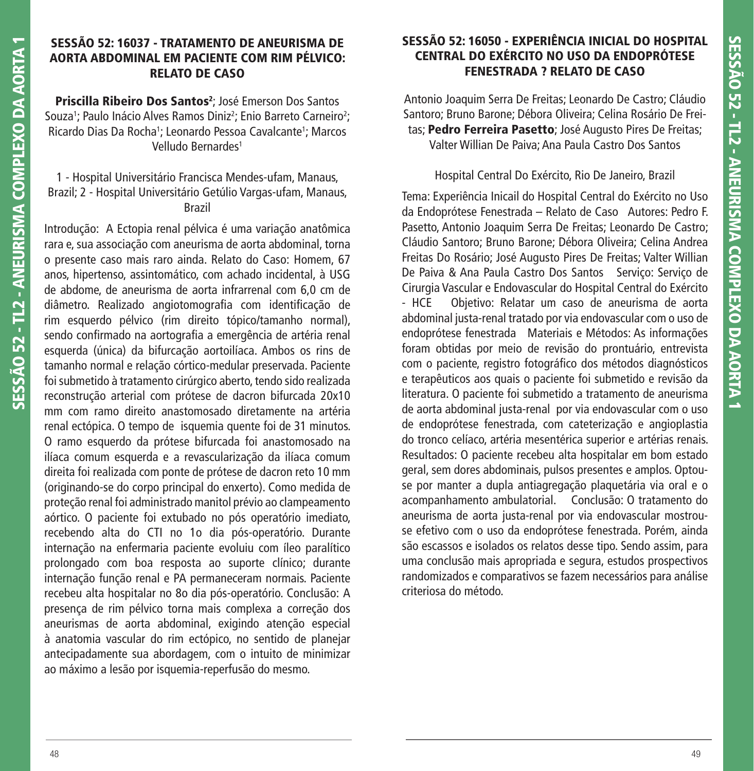## **SESSÃO 52: 16037 - TRATAMENTO DE ANEURISMA DE AORTA ABDOMINAL EM PACIENTE COM RIM PÉLVICO: RELATO DE CASO**

**Priscilla Ribeiro Dos Santos**<sup>2</sup>; José Emerson Dos Santos Souza<sup>1</sup>; Paulo Inácio Alves Ramos Diniz<sup>2</sup>; Enio Barreto Carneiro<sup>2</sup>; Ricardo Dias Da Rocha<sup>1</sup>; Leonardo Pessoa Cavalcante<sup>1</sup>; Marcos Velludo Bernardes1

## 1 - Hospital Universitário Francisca Mendes-ufam, Manaus, Brazil; 2 - Hospital Universitário Getúlio Vargas-ufam, Manaus, Brazil

Introdução: A Ectopia renal pélvica é uma variação anatômica rara e, sua associação com aneurisma de aorta abdominal, torna o presente caso mais raro ainda. Relato do Caso: Homem, 67 anos, hipertenso, assintomático, com achado incidental, à USG de abdome, de aneurisma de aorta infrarrenal com 6,0 cm de diâmetro. Realizado angiotomografia com identificação de rim esquerdo pélvico (rim direito tópico/tamanho normal), sendo confirmado na aortografia a emergência de artéria renal esquerda (única) da bifurcação aortoilíaca. Ambos os rins de tamanho normal e relação córtico-medular preservada. Paciente foi submetido à tratamento cirúrgico aberto, tendo sido realizada reconstrução arterial com prótese de dacron bifurcada 20x10 mm com ramo direito anastomosado diretamente na artéria renal ectópica. O tempo de isquemia quente foi de 31 minutos. O ramo esquerdo da prótese bifurcada foi anastomosado na ilíaca comum esquerda e a revascularização da ilíaca comum direita foi realizada com ponte de prótese de dacron reto 10 mm (originando-se do corpo principal do enxerto). Como medida de proteção renal foi administrado manitol prévio ao clampeamento aórtico. O paciente foi extubado no pós operatório imediato, recebendo alta do CTI no 1o dia pós-operatório. Durante internação na enfermaria paciente evoluiu com íleo paralítico prolongado com boa resposta ao suporte clínico; durante internação função renal e PA permaneceram normais. Paciente recebeu alta hospitalar no 8o dia pós-operatório. Conclusão: A presença de rim pélvico torna mais complexa a correção dos aneurismas de aorta abdominal, exigindo atenção especial à anatomia vascular do rim ectópico, no sentido de planejar antecipadamente sua abordagem, com o intuito de minimizar ao máximo a lesão por isquemia-reperfusão do mesmo.

# **SESSÃO 52: 16050 - EXPERIÊNCIA INICIAL DO HOSPITAL CENTRAL DO EXÉRCITO NO USO DA ENDOPRÓTESE FENESTRADA ? RELATO DE CASO**

Antonio Joaquim Serra De Freitas; Leonardo De Castro; Cláudio Santoro; Bruno Barone; Débora Oliveira; Celina Rosário De Freitas; **Pedro Ferreira Pasetto**; José Augusto Pires De Freitas; Valter Willian De Paiva; Ana Paula Castro Dos Santos

# Hospital Central Do Exército, Rio De Janeiro, Brazil

Tema: Experiência Inicail do Hospital Central do Exército no Uso da Endoprótese Fenestrada – Relato de Caso Autores: Pedro F. Pasetto, Antonio Joaquim Serra De Freitas; Leonardo De Castro; Cláudio Santoro; Bruno Barone; Débora Oliveira; Celina Andrea Freitas Do Rosário; José Augusto Pires De Freitas; Valter Willian De Paiva & Ana Paula Castro Dos Santos Serviço: Serviço de Cirurgia Vascular e Endovascular do Hospital Central do Exército - HCE Objetivo: Relatar um caso de aneurisma de aorta abdominal justa-renal tratado por via endovascular com o uso de endoprótese fenestrada Materiais e Métodos: As informações foram obtidas por meio de revisão do prontuário, entrevista com o paciente, registro fotográfico dos métodos diagnósticos e terapêuticos aos quais o paciente foi submetido e revisão da literatura. O paciente foi submetido a tratamento de aneurisma de aorta abdominal justa-renal por via endovascular com o uso de endoprótese fenestrada, com cateterização e angioplastia do tronco celíaco, artéria mesentérica superior e artérias renais. Resultados: O paciente recebeu alta hospitalar em bom estado geral, sem dores abdominais, pulsos presentes e amplos. Optouse por manter a dupla antiagregação plaquetária via oral e o acompanhamento ambulatorial. Conclusão: O tratamento do aneurisma de aorta justa-renal por via endovascular mostrouse efetivo com o uso da endoprótese fenestrada. Porém, ainda são escassos e isolados os relatos desse tipo. Sendo assim, para uma conclusão mais apropriada e segura, estudos prospectivos randomizados e comparativos se fazem necessários para análise criteriosa do método.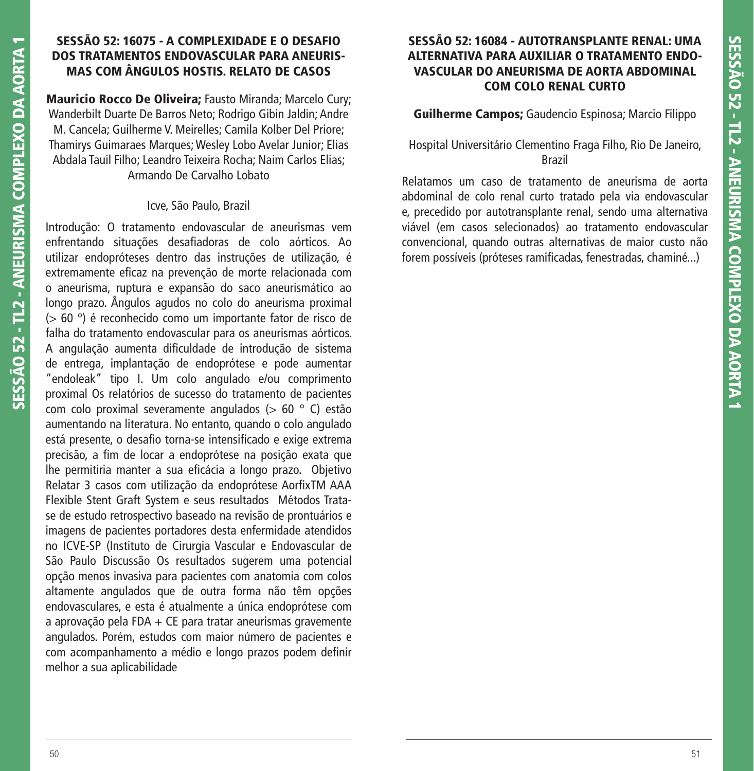## **SESSÃO 52: 16075 - A COMPLEXIDADE E O DESAFIO DOS TRATAMENTOS ENDOVASCULAR PARA ANEURIS-MAS COM ÂNGULOS HOSTIS. RELATO DE CASOS**

**Mauricio Rocco De Oliveira;** Fausto Miranda; Marcelo Cury; Wanderbilt Duarte De Barros Neto; Rodrigo Gibin Jaldin; Andre M. Cancela; Guilherme V. Meirelles; Camila Kolber Del Priore; Thamirys Guimaraes Marques; Wesley Lobo Avelar Junior; Elias Abdala Tauil Filho; Leandro Teixeira Rocha; Naim Carlos Elias; Armando De Carvalho Lobato

#### Icve, São Paulo, Brazil

Introdução: O tratamento endovascular de aneurismas vem enfrentando situações desafiadoras de colo aórticos. Ao utilizar endopróteses dentro das instruções de utilização, é extremamente eficaz na prevenção de morte relacionada com o aneurisma, ruptura e expansão do saco aneurismático ao longo prazo. Ângulos agudos no colo do aneurisma proximal (> 60 °) é reconhecido como um importante fator de risco de falha do tratamento endovascular para os aneurismas aórticos. A angulação aumenta dificuldade de introdução de sistema de entrega, implantação de endoprótese e pode aumentar "endoleak" tipo I. Um colo angulado e/ou comprimento proximal Os relatórios de sucesso do tratamento de pacientes com colo proximal severamente angulados (> 60 ° C) estão aumentando na literatura. No entanto, quando o colo angulado está presente, o desafio torna-se intensificado e exige extrema precisão, a fim de locar a endoprótese na posição exata que lhe permitiria manter a sua eficácia a longo prazo. Objetivo Relatar 3 casos com utilização da endoprótese AorfixTM AAA Flexible Stent Graft System e seus resultados Métodos Tratase de estudo retrospectivo baseado na revisão de prontuários e imagens de pacientes portadores desta enfermidade atendidos no ICVE-SP (Instituto de Cirurgia Vascular e Endovascular de São Paulo Discussão Os resultados sugerem uma potencial opção menos invasiva para pacientes com anatomia com colos altamente angulados que de outra forma não têm opções endovasculares, e esta é atualmente a única endoprótese com a aprovação pela FDA + CE para tratar aneurismas gravemente angulados. Porém, estudos com maior número de pacientes e com acompanhamento a médio e longo prazos podem definir melhor a sua aplicabilidade

# **SESSÃO 52: 16084 - AUTOTRANSPLANTE RENAL: UMA ALTERNATIVA PARA AUXILIAR O TRATAMENTO ENDO-VASCULAR DO ANEURISMA DE AORTA ABDOMINAL COM COLO RENAL CURTO**

## **Guilherme Campos;** Gaudencio Espinosa; Marcio Filippo

## Hospital Universitário Clementino Fraga Filho, Rio De Janeiro, Brazil

Relatamos um caso de tratamento de aneurisma de aorta abdominal de colo renal curto tratado pela via endovascular e, precedido por autotransplante renal, sendo uma alternativa viável (em casos selecionados) ao tratamento endovascular convencional, quando outras alternativas de maior custo não forem possíveis (próteses ramificadas, fenestradas, chaminé...)

**SESSÃO 52 - TL2 - ANEURISMA COMPLEXO DA AORTA 1**

SESSÃO 52 - TL2 - ANEURISMA COMPLEXO DA AORTA 1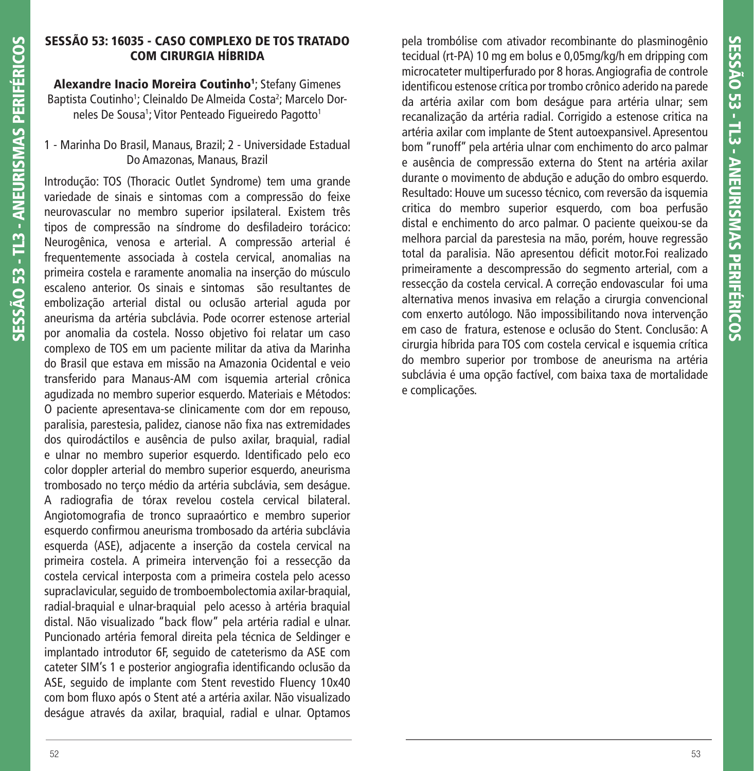# **SESSÃO 53: 16035 - CASO COMPLEXO DE TOS TRATADO COM CIRURGIA HÍBRIDA**

**Alexandre Inacio Moreira Coutinho1** ; Stefany Gimenes Baptista Coutinho<sup>1</sup>; Cleinaldo De Almeida Costa<sup>2</sup>; Marcelo Dorneles De Sousa1; Vitor Penteado Figueiredo Pagotto1

# 1 - Marinha Do Brasil, Manaus, Brazil; 2 - Universidade Estadual Do Amazonas, Manaus, Brazil

Introdução: TOS (Thoracic Outlet Syndrome) tem uma grande variedade de sinais e sintomas com a compressão do feixe neurovascular no membro superior ipsilateral. Existem três tipos de compressão na síndrome do desfiladeiro torácico: Neurogênica, venosa e arterial. A compressão arterial é frequentemente associada à costela cervical, anomalias na primeira costela e raramente anomalia na inserção do músculo escaleno anterior. Os sinais e sintomas são resultantes de embolização arterial distal ou oclusão arterial aguda por aneurisma da artéria subclávia. Pode ocorrer estenose arterial por anomalia da costela. Nosso objetivo foi relatar um caso complexo de TOS em um paciente militar da ativa da Marinha do Brasil que estava em missão na Amazonia Ocidental e veio transferido para Manaus-AM com isquemia arterial crônica agudizada no membro superior esquerdo. Materiais e Métodos: O paciente apresentava-se clinicamente com dor em repouso, paralisia, parestesia, palidez, cianose não fixa nas extremidades dos quirodáctilos e ausência de pulso axilar, braquial, radial e ulnar no membro superior esquerdo. Identificado pelo eco color doppler arterial do membro superior esquerdo, aneurisma trombosado no terço médio da artéria subclávia, sem deságue. A radiografia de tórax revelou costela cervical bilateral. Angiotomografia de tronco supraaórtico e membro superior esquerdo confirmou aneurisma trombosado da artéria subclávia esquerda (ASE), adjacente a inserção da costela cervical na primeira costela. A primeira intervenção foi a ressecção da costela cervical interposta com a primeira costela pelo acesso supraclavicular, seguido de tromboembolectomia axilar-braquial, radial-braquial e ulnar-braquial pelo acesso à artéria braquial distal. Não visualizado "back flow" pela artéria radial e ulnar. Puncionado artéria femoral direita pela técnica de Seldinger e implantado introdutor 6F, seguido de cateterismo da ASE com cateter SIM's 1 e posterior angiografia identificando oclusão da ASE, seguido de implante com Stent revestido Fluency 10x40 com bom fluxo após o Stent até a artéria axilar. Não visualizado deságue através da axilar, braquial, radial e ulnar. Optamos pela trombólise com ativador recombinante do plasminogênio tecidual (rt-PA) 10 mg em bolus e 0,05mg/kg/h em dripping com microcateter multiperfurado por 8 horas. Angiografia de controle identificou estenose crítica por trombo crônico aderido na parede da artéria axilar com bom deságue para artéria ulnar; sem recanalização da artéria radial. Corrigido a estenose critica na artéria axilar com implante de Stent autoexpansivel. Apresentou bom "runoff" pela artéria ulnar com enchimento do arco palmar e ausência de compressão externa do Stent na artéria axilar durante o movimento de abdução e adução do ombro esquerdo. Resultado: Houve um sucesso técnico, com reversão da isquemia critica do membro superior esquerdo, com boa perfusão distal e enchimento do arco palmar. O paciente queixou-se da melhora parcial da parestesia na mão, porém, houve regressão total da paralisia. Não apresentou déficit motor. Foi realizado primeiramente a descompressão do segmento arterial, com a ressecção da costela cervical. A correção endovascular foi uma alternativa menos invasiva em relação a cirurgia convencional com enxerto autólogo. Não impossibilitando nova intervenção em caso de fratura, estenose e oclusão do Stent. Conclusão: A cirurgia híbrida para TOS com costela cervical e isquemia crítica do membro superior por trombose de aneurisma na artéria subclávia é uma opção factível, com baixa taxa de mortalidade e complicações.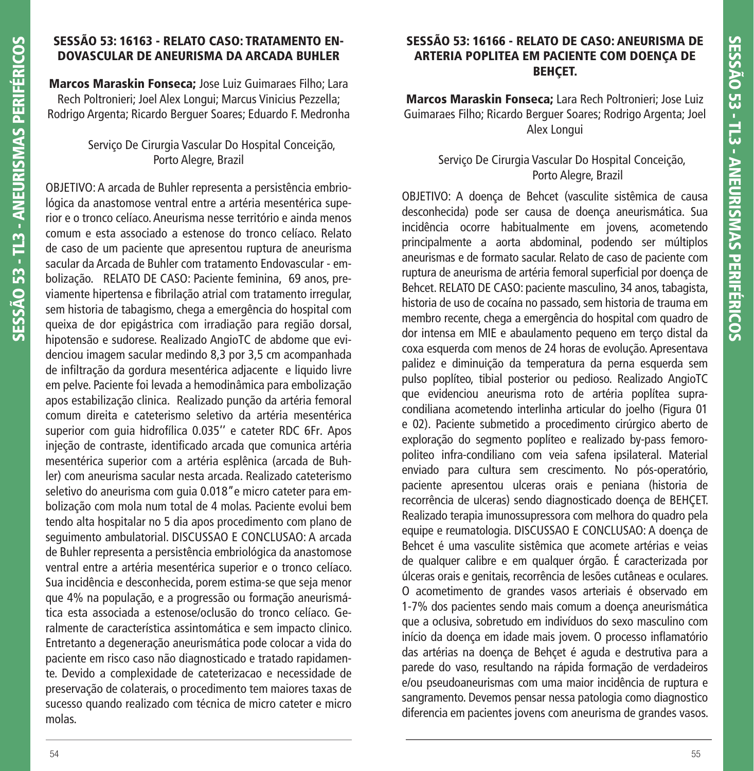## **SESSÃO 53: 16163 - RELATO CASO: TRATAMENTO EN-DOVASCULAR DE ANEURISMA DA ARCADA BUHLER**

**Marcos Maraskin Fonseca;** Jose Luiz Guimaraes Filho; Lara Rech Poltronieri; Joel Alex Longui; Marcus Vinicius Pezzella; Rodrigo Argenta; Ricardo Berguer Soares; Eduardo F. Medronha

## Serviço De Cirurgia Vascular Do Hospital Conceição, Porto Alegre, Brazil

OBJETIVO: A arcada de Buhler representa a persistência embriológica da anastomose ventral entre a artéria mesentérica superior e o tronco celíaco. Aneurisma nesse território e ainda menos comum e esta associado a estenose do tronco celíaco. Relato de caso de um paciente que apresentou ruptura de aneurisma sacular da Arcada de Buhler com tratamento Endovascular - embolização. RELATO DE CASO: Paciente feminina, 69 anos, previamente hipertensa e fibrilação atrial com tratamento irregular, sem historia de tabagismo, chega a emergência do hospital com queixa de dor epigástrica com irradiação para região dorsal, hipotensão e sudorese. Realizado AngioTC de abdome que evidenciou imagem sacular medindo 8,3 por 3,5 cm acompanhada de infiltração da gordura mesentérica adjacente e liquido livre em pelve. Paciente foi levada a hemodinâmica para embolização apos estabilização clinica. Realizado punção da artéria femoral comum direita e cateterismo seletivo da artéria mesentérica superior com guia hidrofílica 0.035'' e cateter RDC 6Fr. Apos injeção de contraste, identificado arcada que comunica artéria mesentérica superior com a artéria esplênica (arcada de Buhler) com aneurisma sacular nesta arcada. Realizado cateterismo seletivo do aneurisma com guia 0.018"e micro cateter para embolização com mola num total de 4 molas. Paciente evolui bem tendo alta hospitalar no 5 dia apos procedimento com plano de seguimento ambulatorial. DISCUSSAO E CONCLUSAO: A arcada de Buhler representa a persistência embriológica da anastomose ventral entre a artéria mesentérica superior e o tronco celíaco. Sua incidência e desconhecida, porem estima-se que seja menor que 4% na população, e a progressão ou formação aneurismática esta associada a estenose/oclusão do tronco celíaco. Geralmente de característica assintomática e sem impacto clinico. Entretanto a degeneração aneurismática pode colocar a vida do paciente em risco caso não diagnosticado e tratado rapidamente. Devido a complexidade de cateterizacao e necessidade de preservação de colaterais, o procedimento tem maiores taxas de sucesso quando realizado com técnica de micro cateter e micro molas.

# **SESSÃO 53: 16166 - RELATO DE CASO: ANEURISMA DE ARTERIA POPLITEA EM PACIENTE COM DOENÇA DE BEHÇET.**

**Marcos Maraskin Fonseca;** Lara Rech Poltronieri; Jose Luiz Guimaraes Filho; Ricardo Berguer Soares; Rodrigo Argenta; Joel Alex Longui

# Serviço De Cirurgia Vascular Do Hospital Conceição, Porto Alegre, Brazil

OBJETIVO: A doença de Behcet (vasculite sistêmica de causa desconhecida) pode ser causa de doença aneurismática. Sua incidência ocorre habitualmente em jovens, acometendo principalmente a aorta abdominal, podendo ser múltiplos aneurismas e de formato sacular. Relato de caso de paciente com ruptura de aneurisma de artéria femoral superficial por doença de Behcet. RELATO DE CASO: paciente masculino, 34 anos, tabagista, historia de uso de cocaína no passado, sem historia de trauma em membro recente, chega a emergência do hospital com quadro de dor intensa em MIE e abaulamento pequeno em terço distal da coxa esquerda com menos de 24 horas de evolução. Apresentava palidez e diminuição da temperatura da perna esquerda sem pulso poplíteo, tibial posterior ou pedioso. Realizado AngioTC que evidenciou aneurisma roto de artéria poplítea supracondiliana acometendo interlinha articular do joelho (Figura 01 e 02). Paciente submetido a procedimento cirúrgico aberto de exploração do segmento poplíteo e realizado by-pass femoropoliteo infra-condiliano com veia safena ipsilateral. Material enviado para cultura sem crescimento. No pós-operatório, paciente apresentou ulceras orais e peniana (historia de recorrência de ulceras) sendo diagnosticado doença de BEHÇET. Realizado terapia imunossupressora com melhora do quadro pela equipe e reumatologia. DISCUSSAO E CONCLUSAO: A doença de Behcet é uma vasculite sistêmica que acomete artérias e veias de qualquer calibre e em qualquer órgão. É caracterizada por úlceras orais e genitais, recorrência de lesões cutâneas e oculares. O acometimento de grandes vasos arteriais é observado em 1-7% dos pacientes sendo mais comum a doença aneurismática que a oclusiva, sobretudo em indivíduos do sexo masculino com início da doença em idade mais jovem. O processo inflamatório das artérias na doença de Behçet é aguda e destrutiva para a parede do vaso, resultando na rápida formação de verdadeiros e/ou pseudoaneurismas com uma maior incidência de ruptura e sangramento. Devemos pensar nessa patologia como diagnostico diferencia em pacientes jovens com aneurisma de grandes vasos.

**SESSÃO 53 - TL3 - ANEURISMAS PERIFÉRICOS**

SESSÃO 53 - TL3 - ANEURISMAS PERIFÉRICOS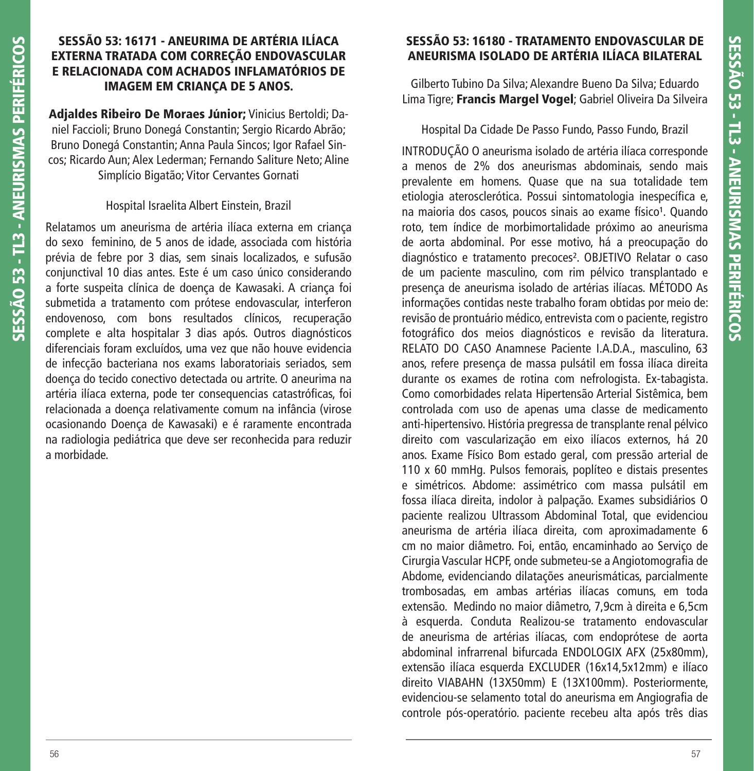# **SESSÃO 53: 16171 - ANEURIMA DE ARTÉRIA ILÍACA EXTERNA TRATADA COM CORREÇÃO ENDOVASCULAR E RELACIONADA COM ACHADOS INFLAMATÓRIOS DE IMAGEM EM CRIANÇA DE 5 ANOS.**

**Adjaldes Ribeiro De Moraes Júnior;** Vinicius Bertoldi; Daniel Faccioli; Bruno Donegá Constantin; Sergio Ricardo Abrão; Bruno Donegá Constantin; Anna Paula Sincos; Igor Rafael Sincos; Ricardo Aun; Alex Lederman; Fernando Saliture Neto; Aline Simplício Bigatão; Vitor Cervantes Gornati

#### Hospital Israelita Albert Einstein, Brazil

Relatamos um aneurisma de artéria ilíaca externa em criança do sexo feminino, de 5 anos de idade, associada com história prévia de febre por 3 dias, sem sinais localizados, e sufusão conjunctival 10 dias antes. Este é um caso único considerando a forte suspeita clínica de doença de Kawasaki. A criança foi submetida a tratamento com prótese endovascular, interferon endovenoso, com bons resultados clínicos, recuperação complete e alta hospitalar 3 dias após. Outros diagnósticos diferenciais foram excluídos, uma vez que não houve evidencia de infecção bacteriana nos exams laboratoriais seriados, sem doença do tecido conectivo detectada ou artrite. O aneurima na artéria ilíaca externa, pode ter consequencias catastróficas, foi relacionada a doença relativamente comum na infância (virose ocasionando Doença de Kawasaki) e é raramente encontrada na radiologia pediátrica que deve ser reconhecida para reduzir a morbidade.

# **SESSÃO 53: 16180 - TRATAMENTO ENDOVASCULAR DE ANEURISMA ISOLADO DE ARTÉRIA ILÍACA BILATERAL**

Gilberto Tubino Da Silva; Alexandre Bueno Da Silva; Eduardo Lima Tigre; **Francis Margel Vogel**; Gabriel Oliveira Da Silveira

Hospital Da Cidade De Passo Fundo, Passo Fundo, Brazil

INTRODUÇÃO O aneurisma isolado de artéria ilíaca corresponde a menos de 2% dos aneurismas abdominais, sendo mais prevalente em homens. Quase que na sua totalidade tem etiologia aterosclerótica. Possui sintomatologia inespecífica e, na maioria dos casos, poucos sinais ao exame físico<sup>1</sup>. Quando roto, tem índice de morbimortalidade próximo ao aneurisma de aorta abdominal. Por esse motivo, há a preocupação do diagnóstico e tratamento precoces². OBJETIVO Relatar o caso de um paciente masculino, com rim pélvico transplantado e presença de aneurisma isolado de artérias ilíacas. MÉTODO As informações contidas neste trabalho foram obtidas por meio de: revisão de prontuário médico, entrevista com o paciente, registro fotográfico dos meios diagnósticos e revisão da literatura. RELATO DO CASO Anamnese Paciente I.A.D.A., masculino, 63 anos, refere presença de massa pulsátil em fossa ilíaca direita durante os exames de rotina com nefrologista. Ex-tabagista. Como comorbidades relata Hipertensão Arterial Sistêmica, bem controlada com uso de apenas uma classe de medicamento anti-hipertensivo. História pregressa de transplante renal pélvico direito com vascularização em eixo ilíacos externos, há 20 anos. Exame Físico Bom estado geral, com pressão arterial de 110 x 60 mmHg. Pulsos femorais, poplíteo e distais presentes e simétricos. Abdome: assimétrico com massa pulsátil em fossa ilíaca direita, indolor à palpação. Exames subsidiários O paciente realizou Ultrassom Abdominal Total, que evidenciou aneurisma de artéria ilíaca direita, com aproximadamente 6 cm no maior diâmetro. Foi, então, encaminhado ao Serviço de Cirurgia Vascular HCPF, onde submeteu-se a Angiotomografia de Abdome, evidenciando dilatações aneurismáticas, parcialmente trombosadas, em ambas artérias ilíacas comuns, em toda extensão. Medindo no maior diâmetro, 7,9cm à direita e 6,5cm à esquerda. Conduta Realizou-se tratamento endovascular de aneurisma de artérias ilíacas, com endoprótese de aorta abdominal infrarrenal bifurcada ENDOLOGIX AFX (25x80mm), extensão ilíaca esquerda EXCLUDER (16x14,5x12mm) e ilíaco direito VIABAHN (13X50mm) E (13X100mm). Posteriormente, evidenciou-se selamento total do aneurisma em Angiografia de controle pós-operatório. paciente recebeu alta após três dias

**SESSÃO 53 - TL3 - ANEURISMAS PERIFÉRICOS**

SESSÃO 53 - TL3 - ANEURISMAS PERIFÉRICOS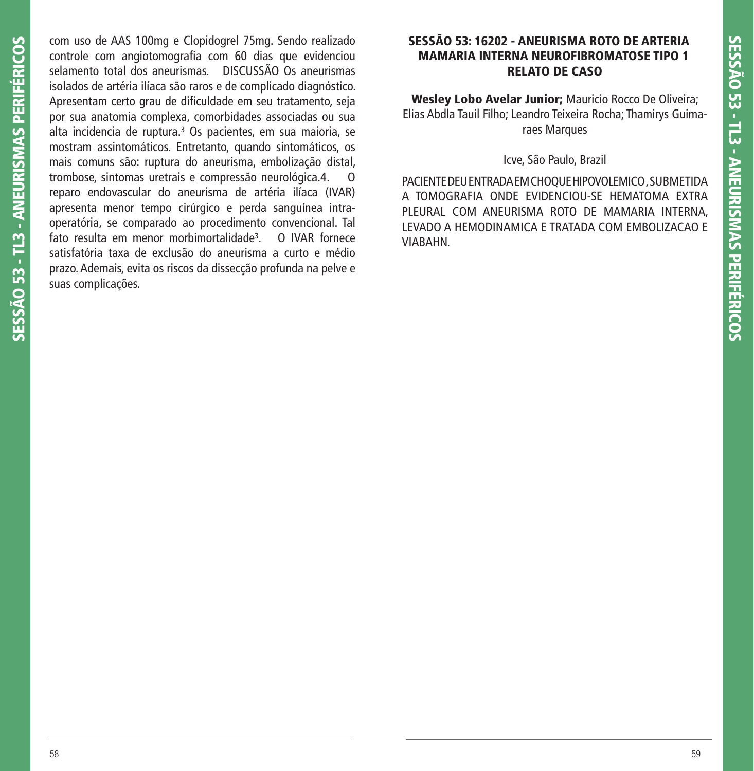com uso de AAS 100mg e Clopidogrel 75mg. Sendo realizado controle com angiotomografia com 60 dias que evidenciou selamento total dos aneurismas. DISCUSSÃO Os aneurismas isolados de artéria ilíaca são raros e de complicado diagnóstico. Apresentam certo grau de dificuldade em seu tratamento, seja por sua anatomia complexa, comorbidades associadas ou sua alta incidencia de ruptura.<sup>3</sup> Os pacientes, em sua maioria, se mostram assintomáticos. Entretanto, quando sintomáticos, os mais comuns são: ruptura do aneurisma, embolização distal, trombose, sintomas uretrais e compressão neurológica.4. reparo endovascular do aneurisma de artéria ilíaca (IVAR) apresenta menor tempo cirúrgico e perda sanguínea intraoperatória, se comparado ao procedimento convencional. Tal fato resulta em menor morbimortalidade<sup>3</sup>. O IVAR fornece satisfatória taxa de exclusão do aneurisma a curto e médio prazo. Ademais, evita os riscos da dissecção profunda na pelve e suas complicações.

## **SESSÃO 53: 16202 - ANEURISMA ROTO DE ARTERIA MAMARIA INTERNA NEUROFIBROMATOSE TIPO 1 RELATO DE CASO**

**Wesley Lobo Avelar Junior;** Mauricio Rocco De Oliveira; Elias Abdla Tauil Filho; Leandro Teixeira Rocha; Thamirys Guimaraes Marques

Icve, São Paulo, Brazil

PACIENTE DEU ENTRADA EM CHOQUE HIPOVOLEMICO , SUBMETIDA A TOMOGRAFIA ONDE EVIDENCIOU-SE HEMATOMA EXTRA PLEURAL COM ANEURISMA ROTO DE MAMARIA INTERNA, LEVADO A HEMODINAMICA E TRATADA COM EMBOLIZACAO E VIABAHN.

**SESSÃO 53 - TL3 - ANEURISMAS PERIFÉRICOS**

SESSÃO 53 - TL3 - ANEURISMAS PERIFÉRICOS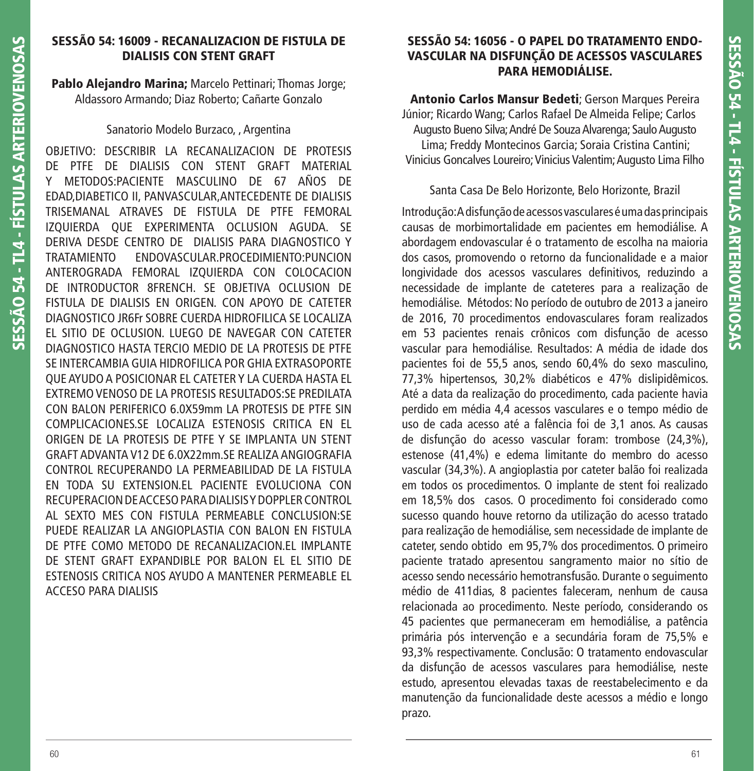# **SESSÃO 54: 16009 - RECANALIZACION DE FISTULA DE DIALISIS CON STENT GRAFT**

**Pablo Alejandro Marina;** Marcelo Pettinari; Thomas Jorge; Aldassoro Armando; Diaz Roberto; Cañarte Gonzalo

#### Sanatorio Modelo Burzaco, , Argentina

OBJETIVO: DESCRIBIR LA RECANALIZACION DE PROTESIS DE PTFE DE DIALISIS CON STENT GRAFT MATERIAL Y METODOS:PACIENTE MASCULINO DE 67 AÑOS DE EDAD,DIABETICO II, PANVASCULAR,ANTECEDENTE DE DIALISIS TRISEMANAL ATRAVES DE FISTULA DE PTFE FEMORAL IZQUIERDA QUE EXPERIMENTA OCLUSION AGUDA. SE DERIVA DESDE CENTRO DE DIALISIS PARA DIAGNOSTICO Y TRATAMIENTO ENDOVASCULAR.PROCEDIMIENTO:PUNCION ANTEROGRADA FEMORAL IZQUIERDA CON COLOCACION DE INTRODUCTOR 8FRENCH. SE OBJETIVA OCLUSION DE FISTULA DE DIALISIS EN ORIGEN. CON APOYO DE CATETER DIAGNOSTICO JR6Fr SOBRE CUERDA HIDROFILICA SE LOCALIZA EL SITIO DE OCLUSION. LUEGO DE NAVEGAR CON CATETER DIAGNOSTICO HASTA TERCIO MEDIO DE LA PROTESIS DE PTFE SE INTERCAMBIA GUIA HIDROFILICA POR GHIA EXTRASOPORTE QUE AYUDO A POSICIONAR EL CATETER Y LA CUERDA HASTA EL EXTREMO VENOSO DE LA PROTESIS RESULTADOS:SE PREDILATA CON BALON PERIFERICO 6.0X59mm LA PROTESIS DE PTFE SIN COMPLICACIONES.SE LOCALIZA ESTENOSIS CRITICA EN EL ORIGEN DE LA PROTESIS DE PTFE Y SE IMPLANTA UN STENT GRAFT ADVANTA V12 DE 6.0X22mm.SE REALIZA ANGIOGRAFIA CONTROL RECUPERANDO LA PERMEABILIDAD DE LA FISTULA EN TODA SU EXTENSION.EL PACIENTE EVOLUCIONA CON RECUPERACION DE ACCESO PARA DIALISIS Y DOPPLER CONTROL AL SEXTO MES CON FISTULA PERMEABLE CONCLUSION:SE PUEDE REALIZAR LA ANGIOPLASTIA CON BALON EN FISTULA DE PTFE COMO METODO DE RECANALIZACION.EL IMPLANTE DE STENT GRAFT EXPANDIBLE POR BALON EL EL SITIO DE ESTENOSIS CRITICA NOS AYUDO A MANTENER PERMEABLE EL ACCESO PARA DIALISIS

# **SESSÃO 54: 16056 - O PAPEL DO TRATAMENTO ENDO-VASCULAR NA DISFUNÇÃO DE ACESSOS VASCULARES PARA HEMODIÁLISE.**

**Antonio Carlos Mansur Bedeti**; Gerson Marques Pereira Júnior; Ricardo Wang; Carlos Rafael De Almeida Felipe; Carlos Augusto Bueno Silva; André De Souza Alvarenga; Saulo Augusto Lima; Freddy Montecinos Garcia; Soraia Cristina Cantini; Vinicius Goncalves Loureiro; Vinicius Valentim; Augusto Lima Filho

# Santa Casa De Belo Horizonte, Belo Horizonte, Brazil

Introdução: A disfunção de acessos vasculares é uma das principais causas de morbimortalidade em pacientes em hemodiálise. A abordagem endovascular é o tratamento de escolha na maioria dos casos, promovendo o retorno da funcionalidade e a maior longividade dos acessos vasculares definitivos, reduzindo a necessidade de implante de cateteres para a realização de hemodiálise. Métodos: No período de outubro de 2013 a janeiro de 2016, 70 procedimentos endovasculares foram realizados em 53 pacientes renais crônicos com disfunção de acesso vascular para hemodiálise. Resultados: A média de idade dos pacientes foi de 55,5 anos, sendo 60,4% do sexo masculino, 77,3% hipertensos, 30,2% diabéticos e 47% dislipidêmicos. Até a data da realização do procedimento, cada paciente havia perdido em média 4,4 acessos vasculares e o tempo médio de uso de cada acesso até a falência foi de 3,1 anos. As causas de disfunção do acesso vascular foram: trombose (24,3%), estenose (41,4%) e edema limitante do membro do acesso vascular (34,3%). A angioplastia por cateter balão foi realizada em todos os procedimentos. O implante de stent foi realizado em 18,5% dos casos. O procedimento foi considerado como sucesso quando houve retorno da utilização do acesso tratado para realização de hemodiálise, sem necessidade de implante de cateter, sendo obtido em 95,7% dos procedimentos. O primeiro paciente tratado apresentou sangramento maior no sítio de acesso sendo necessário hemotransfusão. Durante o seguimento médio de 411dias, 8 pacientes faleceram, nenhum de causa relacionada ao procedimento. Neste período, considerando os 45 pacientes que permaneceram em hemodiálise, a patência primária pós intervenção e a secundária foram de 75,5% e 93,3% respectivamente. Conclusão: O tratamento endovascular da disfunção de acessos vasculares para hemodiálise, neste estudo, apresentou elevadas taxas de reestabelecimento e da manutenção da funcionalidade deste acessos a médio e longo prazo.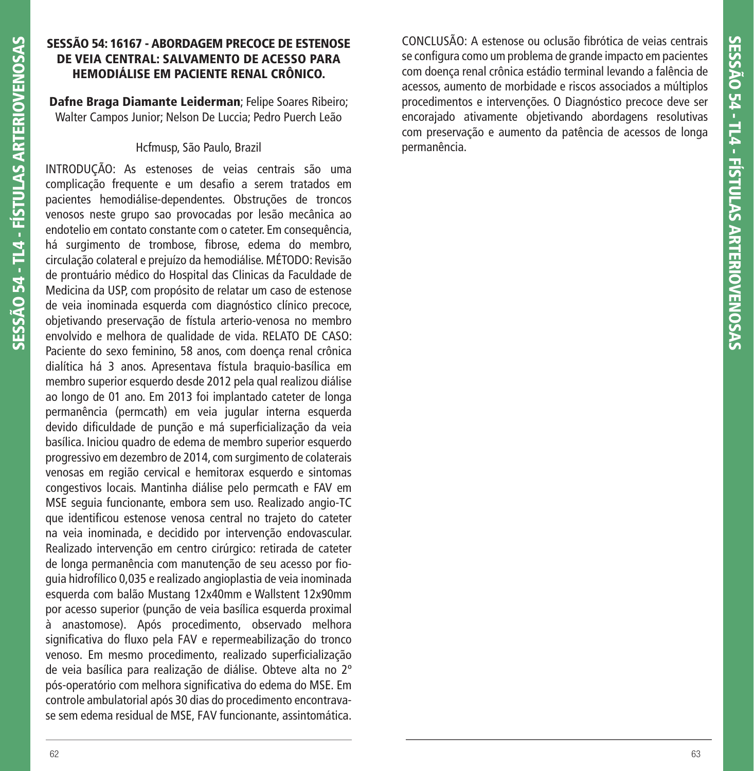## **SESSÃO 54: 16167 - ABORDAGEM PRECOCE DE ESTENOSE DE VEIA CENTRAL: SALVAMENTO DE ACESSO PARA HEMODIÁLISE EM PACIENTE RENAL CRÔNICO.**

**Dafne Braga Diamante Leiderman**; Felipe Soares Ribeiro; Walter Campos Junior; Nelson De Luccia; Pedro Puerch Leão

#### Hcfmusp, São Paulo, Brazil

INTRODUÇÃO: As estenoses de veias centrais são uma complicação frequente e um desafio a serem tratados em pacientes hemodiálise-dependentes. Obstruções de troncos venosos neste grupo sao provocadas por lesão mecânica ao endotelio em contato constante com o cateter. Em consequência, há surgimento de trombose, fibrose, edema do membro, circulação colateral e prejuízo da hemodiálise. MÉTODO: Revisão de prontuário médico do Hospital das Clinicas da Faculdade de Medicina da USP, com propósito de relatar um caso de estenose de veia inominada esquerda com diagnóstico clínico precoce, objetivando preservação de fístula arterio-venosa no membro envolvido e melhora de qualidade de vida. RELATO DE CASO: Paciente do sexo feminino, 58 anos, com doença renal crônica dialítica há 3 anos. Apresentava fístula braquio-basílica em membro superior esquerdo desde 2012 pela qual realizou diálise ao longo de 01 ano. Em 2013 foi implantado cateter de longa permanência (permcath) em veia jugular interna esquerda devido dificuldade de punção e má superficialização da veia basílica. Iniciou quadro de edema de membro superior esquerdo progressivo em dezembro de 2014, com surgimento de colaterais venosas em região cervical e hemitorax esquerdo e sintomas congestivos locais. Mantinha diálise pelo permcath e FAV em MSE seguia funcionante, embora sem uso. Realizado angio-TC que identificou estenose venosa central no trajeto do cateter na veia inominada, e decidido por intervenção endovascular. Realizado intervenção em centro cirúrgico: retirada de cateter de longa permanência com manutenção de seu acesso por fioguia hidrofílico 0,035 e realizado angioplastia de veia inominada esquerda com balão Mustang 12x40mm e Wallstent 12x90mm por acesso superior (punção de veia basílica esquerda proximal à anastomose). Após procedimento, observado melhora significativa do fluxo pela FAV e repermeabilização do tronco venoso. Em mesmo procedimento, realizado superficialização de veia basílica para realização de diálise. Obteve alta no 2º pós-operatório com melhora significativa do edema do MSE. Em controle ambulatorial após 30 dias do procedimento encontravase sem edema residual de MSE, FAV funcionante, assintomática.

CONCLUSÃO: A estenose ou oclusão fibrótica de veias centrais se configura como um problema de grande impacto em pacientes com doença renal crônica estádio terminal levando a falência de acessos, aumento de morbidade e riscos associados a múltiplos procedimentos e intervenções. O Diagnóstico precoce deve ser encorajado ativamente objetivando abordagens resolutivas com preservação e aumento da patência de acessos de longa permanência.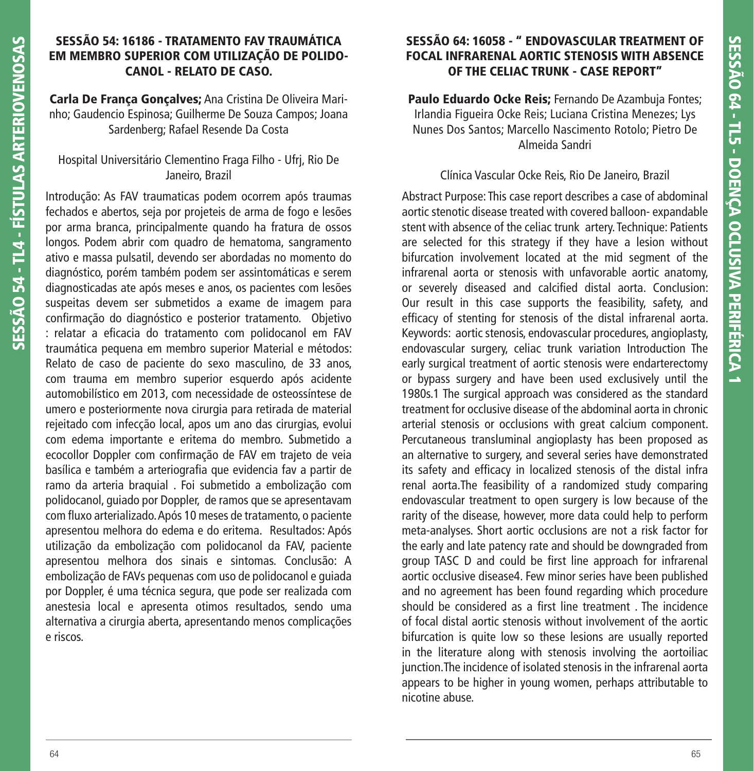# **SESSÃO 54: 16186 - TRATAMENTO FAV TRAUMÁTICA EM MEMBRO SUPERIOR COM UTILIZAÇÃO DE POLIDO-CANOL - RELATO DE CASO.**

**Carla De França Gonçalves;** Ana Cristina De Oliveira Marinho; Gaudencio Espinosa; Guilherme De Souza Campos; Joana Sardenberg; Rafael Resende Da Costa

## Hospital Universitário Clementino Fraga Filho - Ufrj, Rio De Janeiro, Brazil

Introdução: As FAV traumaticas podem ocorrem após traumas fechados e abertos, seja por projeteis de arma de fogo e lesões por arma branca, principalmente quando ha fratura de ossos longos. Podem abrir com quadro de hematoma, sangramento ativo e massa pulsatil, devendo ser abordadas no momento do diagnóstico, porém também podem ser assintomáticas e serem diagnosticadas ate após meses e anos, os pacientes com lesões suspeitas devem ser submetidos a exame de imagem para confirmação do diagnóstico e posterior tratamento. Objetivo : relatar a eficacia do tratamento com polidocanol em FAV traumática pequena em membro superior Material e métodos: Relato de caso de paciente do sexo masculino, de 33 anos, com trauma em membro superior esquerdo após acidente automobilístico em 2013, com necessidade de osteossíntese de umero e posteriormente nova cirurgia para retirada de material rejeitado com infecção local, apos um ano das cirurgias, evolui com edema importante e eritema do membro. Submetido a ecocollor Doppler com confirmação de FAV em trajeto de veia basílica e também a arteriografia que evidencia fav a partir de ramo da arteria braquial . Foi submetido a embolização com polidocanol, guiado por Doppler, de ramos que se apresentavam com fluxo arterializado. Após 10 meses de tratamento, o paciente apresentou melhora do edema e do eritema. Resultados: Após utilização da embolização com polidocanol da FAV, paciente apresentou melhora dos sinais e sintomas. Conclusão: A embolização de FAVs pequenas com uso de polidocanol e guiada por Doppler, é uma técnica segura, que pode ser realizada com anestesia local e apresenta otimos resultados, sendo uma alternativa a cirurgia aberta, apresentando menos complicações e riscos.

# **SESSÃO 64: 16058 - " ENDOVASCULAR TREATMENT OF FOCAL INFRARENAL AORTIC STENOSIS WITH ABSENCE OF THE CELIAC TRUNK - CASE REPORT"**

**Paulo Eduardo Ocke Reis;** Fernando De Azambuja Fontes; Irlandia Figueira Ocke Reis; Luciana Cristina Menezes; Lys Nunes Dos Santos; Marcello Nascimento Rotolo; Pietro De Almeida Sandri

## Clínica Vascular Ocke Reis, Rio De Janeiro, Brazil

Abstract Purpose: This case report describes a case of abdominal aortic stenotic disease treated with covered balloon- expandable stent with absence of the celiac trunk artery. Technique: Patients are selected for this strategy if they have a lesion without bifurcation involvement located at the mid segment of the infrarenal aorta or stenosis with unfavorable aortic anatomy, or severely diseased and calcified distal aorta. Conclusion: Our result in this case supports the feasibility, safety, and efficacy of stenting for stenosis of the distal infrarenal aorta. Keywords: aortic stenosis, endovascular procedures, angioplasty, endovascular surgery, celiac trunk variation Introduction The early surgical treatment of aortic stenosis were endarterectomy or bypass surgery and have been used exclusively until the 1980s.1 The surgical approach was considered as the standard treatment for occlusive disease of the abdominal aorta in chronic arterial stenosis or occlusions with great calcium component. Percutaneous transluminal angioplasty has been proposed as an alternative to surgery, and several series have demonstrated its safety and efficacy in localized stenosis of the distal infra renal aorta.The feasibility of a randomized study comparing endovascular treatment to open surgery is low because of the rarity of the disease, however, more data could help to perform meta-analyses. Short aortic occlusions are not a risk factor for the early and late patency rate and should be downgraded from group TASC D and could be first line approach for infrarenal aortic occlusive disease4. Few minor series have been published and no agreement has been found regarding which procedure should be considered as a first line treatment. The incidence of focal distal aortic stenosis without involvement of the aortic bifurcation is quite low so these lesions are usually reported in the literature along with stenosis involving the aortoiliac junction.The incidence of isolated stenosis in the infrarenal aorta appears to be higher in young women, perhaps attributable to nicotine abuse.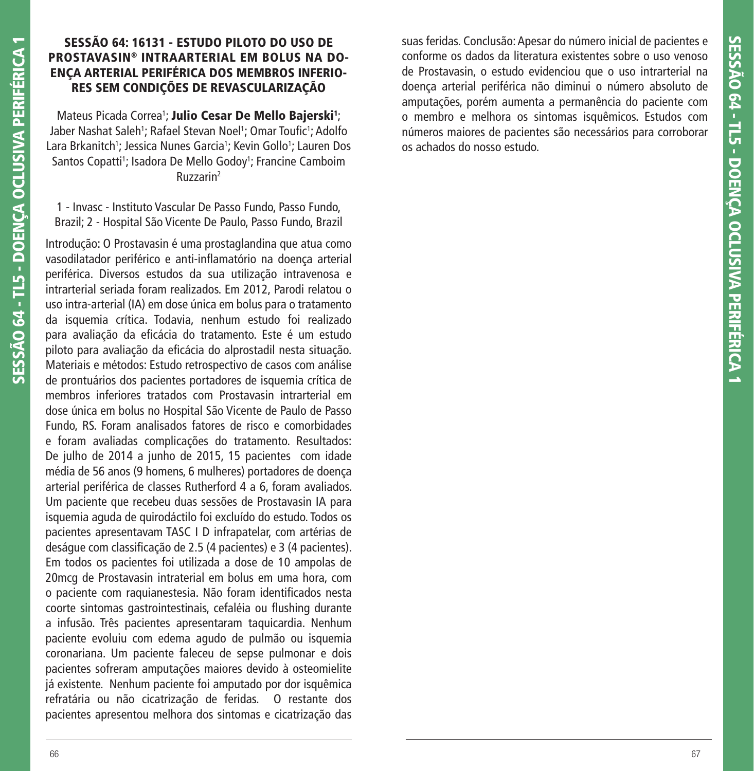# **SESSÃO 64: 16131 - ESTUDO PILOTO DO USO DE PROSTAVASIN® INTRAARTERIAL EM BOLUS NA DO-ENÇA ARTERIAL PERIFÉRICA DOS MEMBROS INFERIO-RES SEM CONDIÇÕES DE REVASCULARIZAÇÃO**

Mateus Picada Correa<sup>1</sup>; Julio Cesar De Mello Bajerski<sup>1</sup>; Jaber Nashat Saleh<sup>1</sup>; Rafael Stevan Noel<sup>1</sup>; Omar Toufic<sup>1</sup>; Adolfo Lara Brkanitch<sup>1</sup>; Jessica Nunes Garcia<sup>1</sup>; Kevin Gollo<sup>1</sup>; Lauren Dos Santos Copatti<sup>1</sup>; Isadora De Mello Godoy<sup>1</sup>; Francine Camboim Ruzzarin2

1 - Invasc - Instituto Vascular De Passo Fundo, Passo Fundo, Brazil; 2 - Hospital São Vicente De Paulo, Passo Fundo, Brazil

Introdução: O Prostavasin é uma prostaglandina que atua como vasodilatador periférico e anti-inflamatório na doença arterial periférica. Diversos estudos da sua utilização intravenosa e intrarterial seriada foram realizados. Em 2012, Parodi relatou o uso intra-arterial (IA) em dose única em bolus para o tratamento da isquemia crítica. Todavia, nenhum estudo foi realizado para avaliação da eficácia do tratamento. Este é um estudo piloto para avaliação da eficácia do alprostadil nesta situação. Materiais e métodos: Estudo retrospectivo de casos com análise de prontuários dos pacientes portadores de isquemia crítica de membros inferiores tratados com Prostavasin intrarterial em dose única em bolus no Hospital São Vicente de Paulo de Passo Fundo, RS. Foram analisados fatores de risco e comorbidades e foram avaliadas complicações do tratamento. Resultados: De julho de 2014 a junho de 2015, 15 pacientes com idade média de 56 anos (9 homens, 6 mulheres) portadores de doença arterial periférica de classes Rutherford 4 a 6, foram avaliados. Um paciente que recebeu duas sessões de Prostavasin IA para isquemia aguda de quirodáctilo foi excluído do estudo. Todos os pacientes apresentavam TASC I D infrapatelar, com artérias de deságue com classificação de 2.5 (4 pacientes) e 3 (4 pacientes). Em todos os pacientes foi utilizada a dose de 10 ampolas de 20mcg de Prostavasin intraterial em bolus em uma hora, com o paciente com raquianestesia. Não foram identificados nesta coorte sintomas gastrointestinais, cefaléia ou flushing durante a infusão. Três pacientes apresentaram taquicardia. Nenhum paciente evoluiu com edema agudo de pulmão ou isquemia coronariana. Um paciente faleceu de sepse pulmonar e dois pacientes sofreram amputações maiores devido à osteomielite já existente. Nenhum paciente foi amputado por dor isquêmica refratária ou não cicatrização de feridas. O restante dos pacientes apresentou melhora dos sintomas e cicatrização das

suas feridas. Conclusão: Apesar do número inicial de pacientes e conforme os dados da literatura existentes sobre o uso venoso de Prostavasin, o estudo evidenciou que o uso intrarterial na doença arterial periférica não diminui o número absoluto de amputações, porém aumenta a permanência do paciente com o membro e melhora os sintomas isquêmicos. Estudos com números maiores de pacientes são necessários para corroborar os achados do nosso estudo.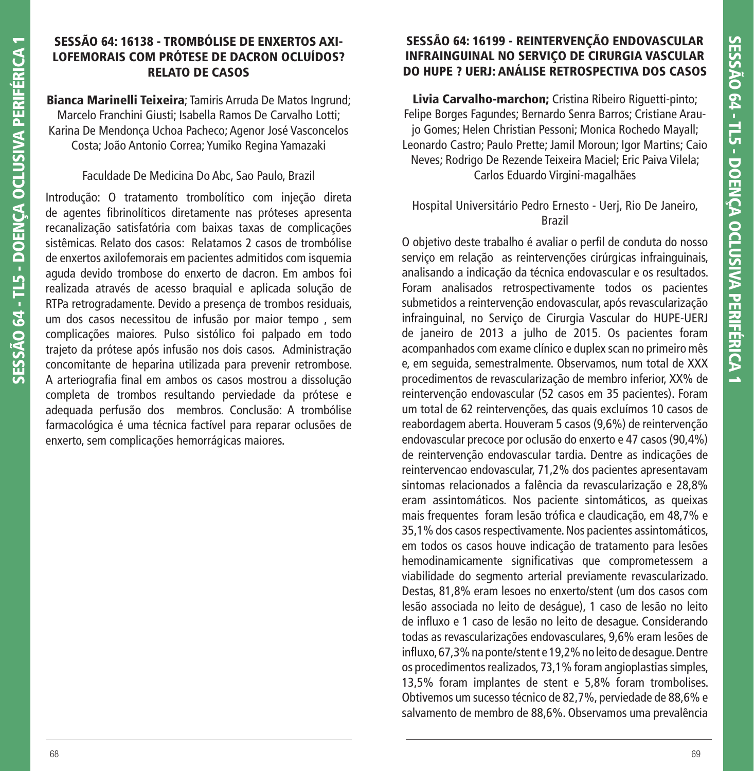## **SESSÃO 64: 16138 - TROMBÓLISE DE ENXERTOS AXI-LOFEMORAIS COM PRÓTESE DE DACRON OCLUÍDOS? RELATO DE CASOS**

**Bianca Marinelli Teixeira**; Tamiris Arruda De Matos Ingrund; Marcelo Franchini Giusti; Isabella Ramos De Carvalho Lotti; Karina De Mendonça Uchoa Pacheco; Agenor José Vasconcelos Costa; João Antonio Correa; Yumiko Regina Yamazaki

## Faculdade De Medicina Do Abc, Sao Paulo, Brazil

Introdução: O tratamento trombolítico com injeção direta de agentes fibrinolíticos diretamente nas próteses apresenta recanalização satisfatória com baixas taxas de complicações sistêmicas. Relato dos casos: Relatamos 2 casos de trombólise de enxertos axilofemorais em pacientes admitidos com isquemia aguda devido trombose do enxerto de dacron. Em ambos foi realizada através de acesso braquial e aplicada solução de RTPa retrogradamente. Devido a presença de trombos residuais, um dos casos necessitou de infusão por maior tempo , sem complicações maiores. Pulso sistólico foi palpado em todo trajeto da prótese após infusão nos dois casos. Administração concomitante de heparina utilizada para prevenir retrombose. A arteriografia final em ambos os casos mostrou a dissolução completa de trombos resultando perviedade da prótese e adequada perfusão dos membros. Conclusão: A trombólise farmacológica é uma técnica factível para reparar oclusões de enxerto, sem complicações hemorrágicas maiores.

# **SESSÃO 64: 16199 - REINTERVENÇÃO ENDOVASCULAR INFRAINGUINAL NO SERVIÇO DE CIRURGIA VASCULAR DO HUPE ? UERJ: ANÁLISE RETROSPECTIVA DOS CASOS**

**Livia Carvalho-marchon;** Cristina Ribeiro Riguetti-pinto; Felipe Borges Fagundes; Bernardo Senra Barros; Cristiane Araujo Gomes; Helen Christian Pessoni; Monica Rochedo Mayall; Leonardo Castro; Paulo Prette; Jamil Moroun; Igor Martins; Caio Neves; Rodrigo De Rezende Teixeira Maciel; Eric Paiva Vilela; Carlos Eduardo Virgini-magalhães

# Hospital Universitário Pedro Ernesto - Uerj, Rio De Janeiro, Brazil

O objetivo deste trabalho é avaliar o perfi l de conduta do nosso serviço em relação as reintervenções cirúrgicas infrainguinais, analisando a indicação da técnica endovascular e os resultados. Foram analisados retrospectivamente todos os pacientes submetidos a reintervenção endovascular, após revascularização infrainguinal, no Serviço de Cirurgia Vascular do HUPE-UERJ de janeiro de 2013 a julho de 2015. Os pacientes foram acompanhados com exame clínico e duplex scan no primeiro mês e, em seguida, semestralmente. Observamos, num total de XXX procedimentos de revascularização de membro inferior, XX% de reintervenção endovascular (52 casos em 35 pacientes). Foram um total de 62 reintervenções, das quais excluímos 10 casos de reabordagem aberta. Houveram 5 casos (9,6%) de reintervenção endovascular precoce por oclusão do enxerto e 47 casos (90,4%) de reintervenção endovascular tardia. Dentre as indicações de reintervencao endovascular, 71,2% dos pacientes apresentavam sintomas relacionados a falência da revascularização e 28,8% eram assintomáticos. Nos paciente sintomáticos, as queixas mais frequentes foram lesão trófica e claudicação, em 48,7% e 35,1% dos casos respectivamente. Nos pacientes assintomáticos, em todos os casos houve indicação de tratamento para lesões hemodinamicamente significativas que comprometessem a viabilidade do segmento arterial previamente revascularizado. Destas, 81,8% eram lesoes no enxerto/stent (um dos casos com lesão associada no leito de deságue), 1 caso de lesão no leito de influxo e 1 caso de lesão no leito de desague. Considerando todas as revascularizações endovasculares, 9,6% eram lesões de influxo, 67,3% na ponte/stent e 19,2% no leito de desague. Dentre os procedimentos realizados, 73,1% foram angioplastias simples, 13,5% foram implantes de stent e 5,8% foram trombolises. Obtivemos um sucesso técnico de 82,7%, perviedade de 88,6% e salvamento de membro de 88,6%. Observamos uma prevalência

**SESSÃO 64 - TL5 - DOENÇA OCLUSIVA PERIFÉRICA 1**

SESSÃO 64 - TL5 - DOENCA OCLUSIVA PERIFÉRICA 1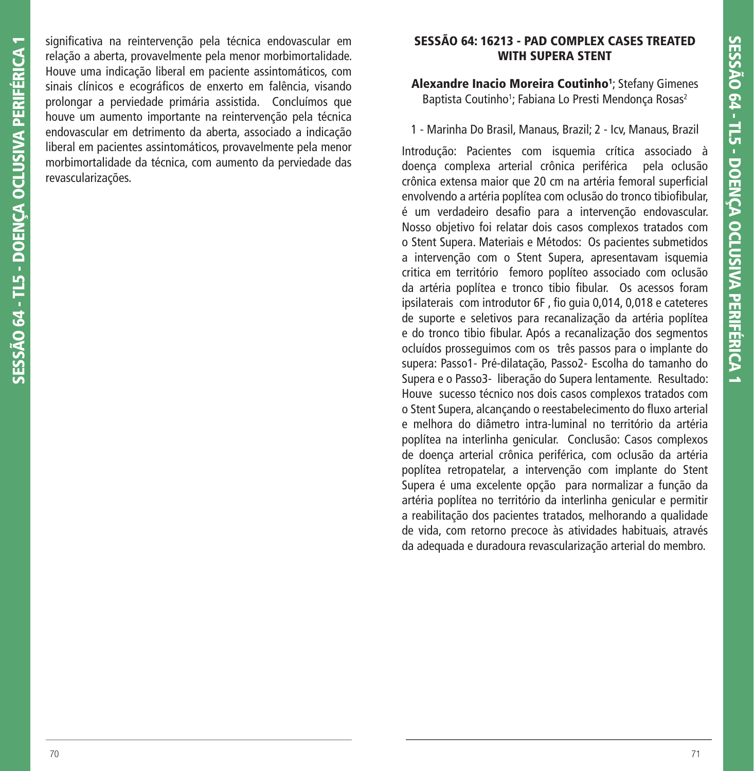significativa na reintervenção pela técnica endovascular em relação a aberta, provavelmente pela menor morbimortalidade. Houve uma indicação liberal em paciente assintomáticos, com sinais clínicos e ecográficos de enxerto em falência, visando prolongar a perviedade primária assistida. Concluímos que houve um aumento importante na reintervenção pela técnica endovascular em detrimento da aberta, associado a indicação liberal em pacientes assintomáticos, provavelmente pela menor morbimortalidade da técnica, com aumento da perviedade das revascularizações.

## **SESSÃO 64: 16213 - PAD COMPLEX CASES TREATED WITH SUPERA STENT**

**Alexandre Inacio Moreira Coutinho1** ; Stefany Gimenes Baptista Coutinho<sup>1</sup>; Fabiana Lo Presti Mendonça Rosas<sup>2</sup>

1 - Marinha Do Brasil, Manaus, Brazil; 2 - Icv, Manaus, Brazil

Introdução: Pacientes com isquemia crítica associado à doença complexa arterial crônica periférica pela oclusão crônica extensa maior que 20 cm na artéria femoral superficial envolvendo a artéria poplítea com oclusão do tronco tibiofibular, é um verdadeiro desafio para a intervenção endovascular. Nosso objetivo foi relatar dois casos complexos tratados com o Stent Supera. Materiais e Métodos: Os pacientes submetidos a intervenção com o Stent Supera, apresentavam isquemia critica em território femoro poplíteo associado com oclusão da artéria poplítea e tronco tibio fibular. Os acessos foram ipsilaterais com introdutor 6F, fio quia 0,014, 0,018 e cateteres de suporte e seletivos para recanalização da artéria poplítea e do tronco tibio fibular. Após a recanalização dos segmentos ocluídos prosseguimos com os três passos para o implante do supera: Passo1- Pré-dilatação, Passo2- Escolha do tamanho do Supera e o Passo3- liberação do Supera lentamente. Resultado: Houve sucesso técnico nos dois casos complexos tratados com o Stent Supera, alcançando o reestabelecimento do fluxo arterial e melhora do diâmetro intra-luminal no território da artéria poplítea na interlinha genicular. Conclusão: Casos complexos de doença arterial crônica periférica, com oclusão da artéria poplítea retropatelar, a intervenção com implante do Stent Supera é uma excelente opção para normalizar a função da artéria poplítea no território da interlinha genicular e permitir a reabilitação dos pacientes tratados, melhorando a qualidade de vida, com retorno precoce às atividades habituais, através da adequada e duradoura revascularização arterial do membro.

**SESSÃO 64 - TL5 - DOENÇA OCLUSIVA PERIFÉRICA 1**

SESSÃO 64 - TL5 - DOENCA OCLUSIVA PERIFÉRICA 1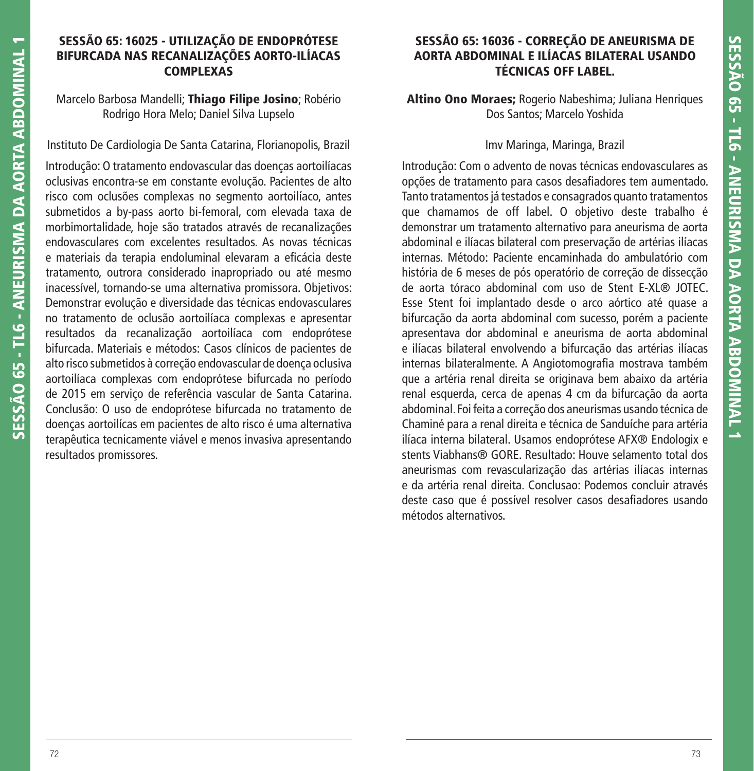### **SESSÃO 65: 16025 - UTILIZAÇÃO DE ENDOPRÓTESE BIFURCADA NAS RECANALIZAÇÕES AORTO-ILÍACAS COMPLEXAS**

### Marcelo Barbosa Mandelli; **Thiago Filipe Josino**; Robério Rodrigo Hora Melo; Daniel Silva Lupselo

Instituto De Cardiologia De Santa Catarina, Florianopolis, Brazil

Introdução: O tratamento endovascular das doenças aortoilíacas oclusivas encontra-se em constante evolução. Pacientes de alto risco com oclusões complexas no segmento aortoilíaco, antes submetidos a by-pass aorto bi-femoral, com elevada taxa de morbimortalidade, hoje são tratados através de recanalizações endovasculares com excelentes resultados. As novas técnicas e materiais da terapia endoluminal elevaram a eficácia deste tratamento, outrora considerado inapropriado ou até mesmo inacessível, tornando-se uma alternativa promissora. Objetivos: Demonstrar evolução e diversidade das técnicas endovasculares no tratamento de oclusão aortoilíaca complexas e apresentar resultados da recanalização aortoilíaca com endoprótese bifurcada. Materiais e métodos: Casos clínicos de pacientes de alto risco submetidos à correção endovascular de doença oclusiva aortoilíaca complexas com endoprótese bifurcada no período de 2015 em serviço de referência vascular de Santa Catarina. Conclusão: O uso de endoprótese bifurcada no tratamento de doenças aortoilícas em pacientes de alto risco é uma alternativa terapêutica tecnicamente viável e menos invasiva apresentando resultados promissores.

## **SESSÃO 65: 16036 - CORREÇÃO DE ANEURISMA DE AORTA ABDOMINAL E ILÍACAS BILATERAL USANDO TÉCNICAS OFF LABEL.**

**Altino Ono Moraes;** Rogerio Nabeshima; Juliana Henriques Dos Santos; Marcelo Yoshida

## Imv Maringa, Maringa, Brazil

Introdução: Com o advento de novas técnicas endovasculares as opções de tratamento para casos desafiadores tem aumentado. Tanto tratamentos já testados e consagrados quanto tratamentos que chamamos de off label. O objetivo deste trabalho é demonstrar um tratamento alternativo para aneurisma de aorta abdominal e ilíacas bilateral com preservação de artérias ilíacas internas. Método: Paciente encaminhada do ambulatório com história de 6 meses de pós operatório de correção de dissecção de aorta tóraco abdominal com uso de Stent E-XL® JOTEC. Esse Stent foi implantado desde o arco aórtico até quase a bifurcação da aorta abdominal com sucesso, porém a paciente apresentava dor abdominal e aneurisma de aorta abdominal e ilíacas bilateral envolvendo a bifurcação das artérias ilíacas internas bilateralmente. A Angiotomografia mostrava também que a artéria renal direita se originava bem abaixo da artéria renal esquerda, cerca de apenas 4 cm da bifurcação da aorta abdominal. Foi feita a correção dos aneurismas usando técnica de Chaminé para a renal direita e técnica de Sanduíche para artéria ilíaca interna bilateral. Usamos endoprótese AFX® Endologix e stents Viabhans® GORE. Resultado: Houve selamento total dos aneurismas com revascularização das artérias ilíacas internas e da artéria renal direita. Conclusao: Podemos concluir através deste caso que é possível resolver casos desafiadores usando métodos alternativos.

**SESSÃO 65 - TL6 - ANEURISMA DA AORTA ABDOMINAL 1**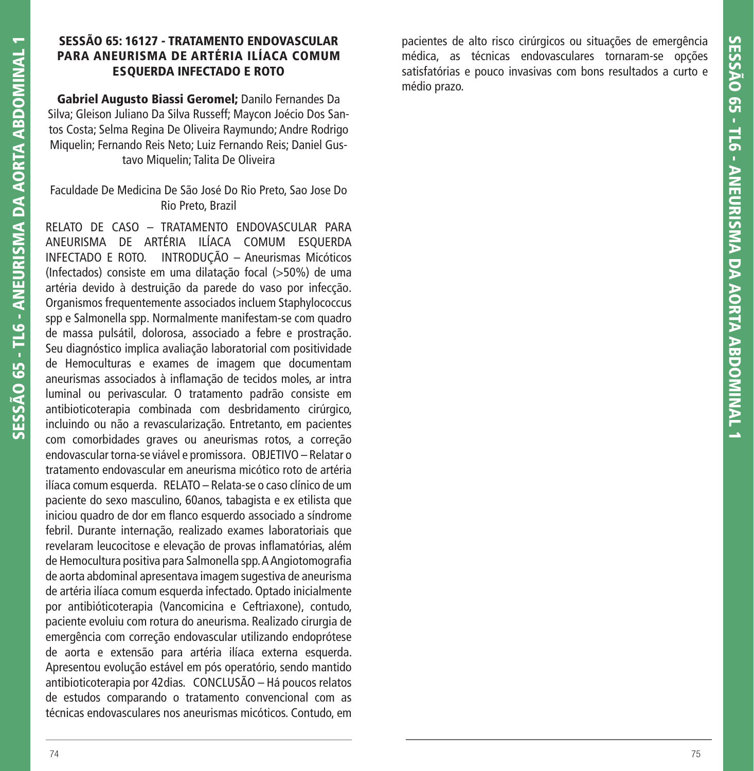### **SESSÃO 65: 16127 - TRATAMENTO ENDOVASCULAR PARA ANEURISMA DE ARTÉRIA ILÍACA COMUM ESQUERDA INFECTADO E ROTO**

**Gabriel Augusto Biassi Geromel;** Danilo Fernandes Da Silva; Gleison Juliano Da Silva Russeff; Maycon Joécio Dos Santos Costa; Selma Regina De Oliveira Raymundo; Andre Rodrigo Miquelin; Fernando Reis Neto; Luiz Fernando Reis; Daniel Gustavo Miquelin; Talita De Oliveira

Faculdade De Medicina De São José Do Rio Preto, Sao Jose Do Rio Preto, Brazil

RELATO DE CASO – TRATAMENTO ENDOVASCULAR PARA ANEURISMA DE ARTÉRIA ILÍACA COMUM ESQUERDA INFECTADO E ROTO. INTRODUÇÃO – Aneurismas Micóticos (Infectados) consiste em uma dilatação focal (>50%) de uma artéria devido à destruição da parede do vaso por infecção. Organismos frequentemente associados incluem Staphylococcus spp e Salmonella spp. Normalmente manifestam-se com quadro de massa pulsátil, dolorosa, associado a febre e prostração. Seu diagnóstico implica avaliação laboratorial com positividade de Hemoculturas e exames de imagem que documentam aneurismas associados à inflamação de tecidos moles, ar intra luminal ou perivascular. O tratamento padrão consiste em antibioticoterapia combinada com desbridamento cirúrgico, incluindo ou não a revascularização. Entretanto, em pacientes com comorbidades graves ou aneurismas rotos, a correção endovascular torna-se viável e promissora. OBJETIVO – Relatar o tratamento endovascular em aneurisma micótico roto de artéria ilíaca comum esquerda. RELATO – Relata-se o caso clínico de um paciente do sexo masculino, 60anos, tabagista e ex etilista que iniciou quadro de dor em flanco esquerdo associado a síndrome febril. Durante internação, realizado exames laboratoriais que revelaram leucocitose e elevação de provas inflamatórias, além de Hemocultura positiva para Salmonella spp. A Angiotomografia de aorta abdominal apresentava imagem sugestiva de aneurisma de artéria ilíaca comum esquerda infectado. Optado inicialmente por antibióticoterapia (Vancomicina e Ceftriaxone), contudo, paciente evoluiu com rotura do aneurisma. Realizado cirurgia de emergência com correção endovascular utilizando endoprótese de aorta e extensão para artéria ilíaca externa esquerda. Apresentou evolução estável em pós operatório, sendo mantido antibioticoterapia por 42dias. CONCLUSÃO – Há poucos relatos de estudos comparando o tratamento convencional com as técnicas endovasculares nos aneurismas micóticos. Contudo, em

pacientes de alto risco cirúrgicos ou situações de emergência médica, as técnicas endovasculares tornaram-se opções satisfatórias e pouco invasivas com bons resultados a curto e médio prazo.

**SESSÃO 65 - TL6 - ANEURISMA DA AORTA ABDOMINAL 1**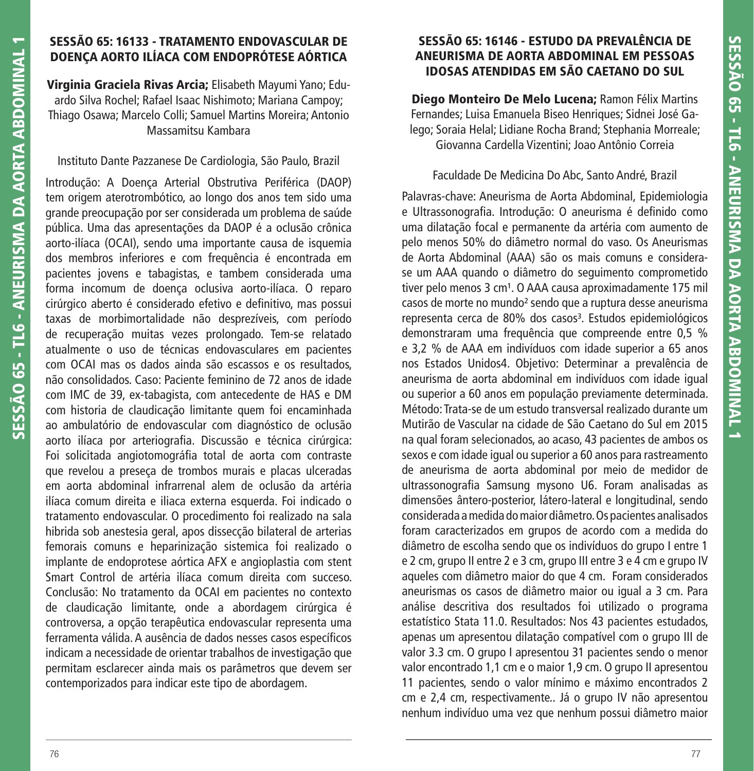## **SESSÃO 65: 16133 - TRATAMENTO ENDOVASCULAR DE DOENÇA AORTO ILÍACA COM ENDOPRÓTESE AÓRTICA**

**Virginia Graciela Rivas Arcia;** Elisabeth Mayumi Yano; Eduardo Silva Rochel; Rafael Isaac Nishimoto; Mariana Campoy; Thiago Osawa; Marcelo Colli; Samuel Martins Moreira; Antonio Massamitsu Kambara

#### Instituto Dante Pazzanese De Cardiologia, São Paulo, Brazil

Introdução: A Doença Arterial Obstrutiva Periférica (DAOP) tem origem aterotrombótico, ao longo dos anos tem sido uma grande preocupação por ser considerada um problema de saúde pública. Uma das apresentações da DAOP é a oclusão crônica aorto-ilíaca (OCAI), sendo uma importante causa de isquemia dos membros inferiores e com frequência é encontrada em pacientes jovens e tabagistas, e tambem considerada uma forma incomum de doença oclusiva aorto-ilíaca. O reparo cirúrgico aberto é considerado efetivo e definitivo, mas possui taxas de morbimortalidade não desprezíveis, com período de recuperação muitas vezes prolongado. Tem-se relatado atualmente o uso de técnicas endovasculares em pacientes com OCAI mas os dados ainda são escassos e os resultados, não consolidados. Caso: Paciente feminino de 72 anos de idade com IMC de 39, ex-tabagista, com antecedente de HAS e DM com historia de claudicação limitante quem foi encaminhada ao ambulatório de endovascular com diagnóstico de oclusão aorto ilíaca por arteriografia. Discussão e técnica cirúrgica: Foi solicitada angiotomográfia total de aorta com contraste que revelou a preseça de trombos murais e placas ulceradas em aorta abdominal infrarrenal alem de oclusão da artéria ilíaca comum direita e iliaca externa esquerda. Foi indicado o tratamento endovascular. O procedimento foi realizado na sala hibrida sob anestesia geral, apos dissecção bilateral de arterias femorais comuns e heparinização sistemica foi realizado o implante de endoprotese aórtica AFX e angioplastia com stent Smart Control de artéria ilíaca comum direita com succeso. Conclusão: No tratamento da OCAI em pacientes no contexto de claudicação limitante, onde a abordagem cirúrgica é controversa, a opção terapêutica endovascular representa uma ferramenta válida. A ausência de dados nesses casos específicos indicam a necessidade de orientar trabalhos de investigação que permitam esclarecer ainda mais os parâmetros que devem ser contemporizados para indicar este tipo de abordagem.

### **SESSÃO 65: 16146 - ESTUDO DA PREVALÊNCIA DE ANEURISMA DE AORTA ABDOMINAL EM PESSOAS IDOSAS ATENDIDAS EM SÃO CAETANO DO SUL**

**Diego Monteiro De Melo Lucena;** Ramon Félix Martins Fernandes; Luisa Emanuela Biseo Henriques; Sidnei José Galego; Soraia Helal; Lidiane Rocha Brand; Stephania Morreale; Giovanna Cardella Vizentini; Joao Antônio Correia

#### Faculdade De Medicina Do Abc, Santo André, Brazil

Palavras-chave: Aneurisma de Aorta Abdominal, Epidemiologia e Ultrassonografia. Introdução: O aneurisma é definido como uma dilatação focal e permanente da artéria com aumento de pelo menos 50% do diâmetro normal do vaso. Os Aneurismas de Aorta Abdominal (AAA) são os mais comuns e considerase um AAA quando o diâmetro do seguimento comprometido tiver pelo menos 3 cm<sup>1</sup>. O AAA causa aproximadamente 175 mil casos de morte no mundo² sendo que a ruptura desse aneurisma representa cerca de 80% dos casos<sup>3</sup>. Estudos epidemiológicos demonstraram uma frequência que compreende entre 0,5 % e 3,2 % de AAA em indivíduos com idade superior a 65 anos nos Estados Unidos4. Objetivo: Determinar a prevalência de aneurisma de aorta abdominal em indivíduos com idade igual ou superior a 60 anos em população previamente determinada. Método: Trata-se de um estudo transversal realizado durante um Mutirão de Vascular na cidade de São Caetano do Sul em 2015 na qual foram selecionados, ao acaso, 43 pacientes de ambos os sexos e com idade igual ou superior a 60 anos para rastreamento de aneurisma de aorta abdominal por meio de medidor de ultrassonografia Samsung mysono U6. Foram analisadas as dimensões ântero-posterior, látero-lateral e longitudinal, sendo considerada a medida do maior diâmetro. Os pacientes analisados foram caracterizados em grupos de acordo com a medida do diâmetro de escolha sendo que os indivíduos do grupo I entre 1 e 2 cm, grupo II entre 2 e 3 cm, grupo III entre 3 e 4 cm e grupo IV aqueles com diâmetro maior do que 4 cm. Foram considerados aneurismas os casos de diâmetro maior ou igual a 3 cm. Para análise descritiva dos resultados foi utilizado o programa estatístico Stata 11.0. Resultados: Nos 43 pacientes estudados, apenas um apresentou dilatação compatível com o grupo III de valor 3.3 cm. O grupo I apresentou 31 pacientes sendo o menor valor encontrado 1,1 cm e o maior 1,9 cm. O grupo II apresentou 11 pacientes, sendo o valor mínimo e máximo encontrados 2 cm e 2,4 cm, respectivamente.. Já o grupo IV não apresentou nenhum indivíduo uma vez que nenhum possui diâmetro maior

**SESSÃO 65 - TL6 - ANEURISMA DA AORTA ABDOMINAL 1**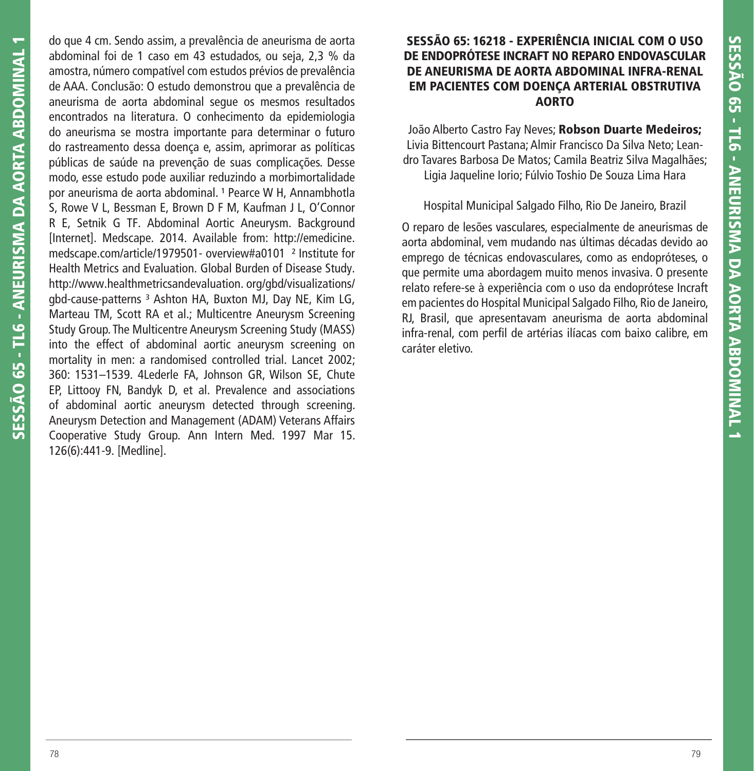do que 4 cm. Sendo assim, a prevalência de aneurisma de aorta abdominal foi de 1 caso em 43 estudados, ou seja, 2,3 % da amostra, número compatível com estudos prévios de prevalência de AAA. Conclusão: O estudo demonstrou que a prevalência de aneurisma de aorta abdominal segue os mesmos resultados encontrados na literatura. O conhecimento da epidemiologia do aneurisma se mostra importante para determinar o futuro do rastreamento dessa doença e, assim, aprimorar as políticas públicas de saúde na prevenção de suas complicações. Desse modo, esse estudo pode auxiliar reduzindo a morbimortalidade por aneurisma de aorta abdominal.<sup>1</sup> Pearce W H, Annambhotla S, Rowe V L, Bessman E, Brown D F M, Kaufman J L, O'Connor R E, Setnik G TF. Abdominal Aortic Aneurysm. Background [Internet]. Medscape. 2014. Available from: http://emedicine. medscape.com/article/1979501- overview#a0101 ² Institute for Health Metrics and Evaluation. Global Burden of Disease Study. http://www.healthmetricsandevaluation. org/gbd/visualizations/ gbd-cause-patterns<sup>3</sup> Ashton HA, Buxton MJ, Day NE, Kim LG, Marteau TM, Scott RA et al.; Multicentre Aneurysm Screening Study Group. The Multicentre Aneurysm Screening Study (MASS) into the effect of abdominal aortic aneurysm screening on mortality in men: a randomised controlled trial. Lancet 2002; 360: 1531–1539. 4Lederle FA, Johnson GR, Wilson SE, Chute EP, Littooy FN, Bandyk D, et al. Prevalence and associations of abdominal aortic aneurysm detected through screening. Aneurysm Detection and Management (ADAM) Veterans Affairs Cooperative Study Group. Ann Intern Med. 1997 Mar 15. 126(6):441-9. [Medline].

### **SESSÃO 65: 16218 - EXPERIÊNCIA INICIAL COM O USO DE ENDOPRÓTESE INCRAFT NO REPARO ENDOVASCULAR DE ANEURISMA DE AORTA ABDOMINAL INFRA-RENAL EM PACIENTES COM DOENÇA ARTERIAL OBSTRUTIVA AORTO**

João Alberto Castro Fay Neves; **Robson Duarte Medeiros;** Livia Bittencourt Pastana; Almir Francisco Da Silva Neto; Leandro Tavares Barbosa De Matos; Camila Beatriz Silva Magalhães; Ligia Jaqueline Iorio; Fúlvio Toshio De Souza Lima Hara

### Hospital Municipal Salgado Filho, Rio De Janeiro, Brazil

O reparo de lesões vasculares, especialmente de aneurismas de aorta abdominal, vem mudando nas últimas décadas devido ao emprego de técnicas endovasculares, como as endopróteses, o que permite uma abordagem muito menos invasiva. O presente relato refere-se à experiência com o uso da endoprótese Incraft em pacientes do Hospital Municipal Salgado Filho, Rio de Janeiro, RJ, Brasil, que apresentavam aneurisma de aorta abdominal infra-renal, com perfil de artérias ilíacas com baixo calibre, em caráter eletivo.

**SESSÃO 65 - TL6 - ANEURISMA DA AORTA ABDOMINAL 1**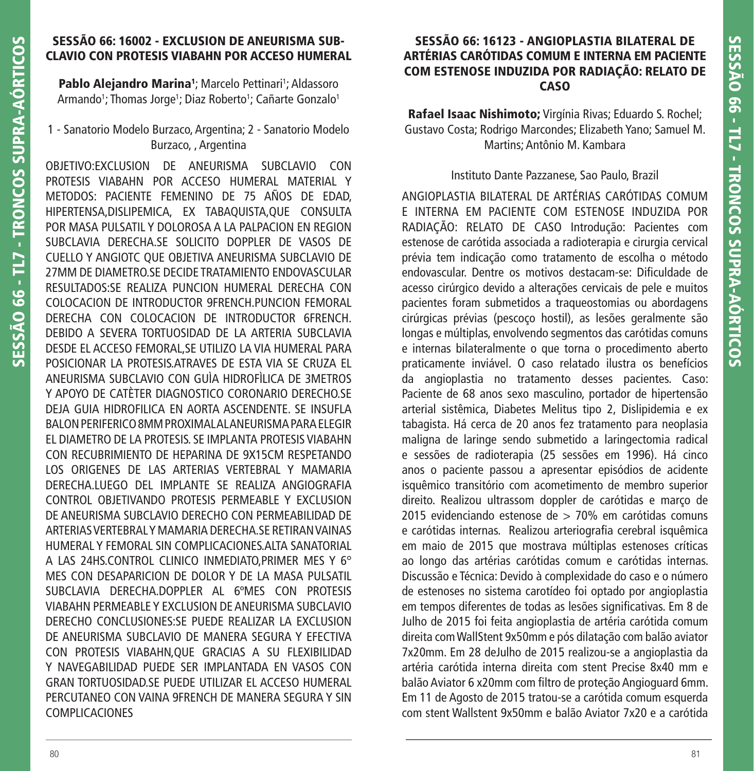## **SESSÃO 66: 16002 - EXCLUSION DE ANEURISMA SUB-CLAVIO CON PROTESIS VIABAHN POR ACCESO HUMERAL**

**Pablo Alejandro Marina**<sup>1</sup>; Marcelo Pettinari<sup>1</sup>; Aldassoro Armando1; Thomas Jorge1; Diaz Roberto1; Cañarte Gonzalo1

### 1 - Sanatorio Modelo Burzaco, Argentina; 2 - Sanatorio Modelo Burzaco, , Argentina

OBJETIVO:EXCLUSION DE ANEURISMA SUBCLAVIO CON PROTESIS VIABAHN POR ACCESO HUMERAL MATERIAL Y METODOS: PACIENTE FEMENINO DE 75 AÑOS DE EDAD, HIPERTENSA,DISLIPEMICA, EX TABAQUISTA,QUE CONSULTA POR MASA PULSATIL Y DOLOROSA A LA PALPACION EN REGION SUBCLAVIA DERECHA.SE SOLICITO DOPPLER DE VASOS DE CUELLO Y ANGIOTC QUE OBJETIVA ANEURISMA SUBCLAVIO DE 27MM DE DIAMETRO.SE DECIDE TRATAMIENTO ENDOVASCULAR RESULTADOS:SE REALIZA PUNCION HUMERAL DERECHA CON COLOCACION DE INTRODUCTOR 9FRENCH.PUNCION FEMORAL DERECHA CON COLOCACION DE INTRODUCTOR 6FRENCH. DEBIDO A SEVERA TORTUOSIDAD DE LA ARTERIA SUBCLAVIA DESDE EL ACCESO FEMORAL,SE UTILIZO LA VIA HUMERAL PARA POSICIONAR LA PROTESIS.ATRAVES DE ESTA VIA SE CRUZA EL ANEURISMA SUBCLAVIO CON GUÌA HIDROFÌLICA DE 3METROS Y APOYO DE CATÈTER DIAGNOSTICO CORONARIO DERECHO.SE DEJA GUIA HIDROFILICA EN AORTA ASCENDENTE. SE INSUFLA BALON PERIFERICO 8MM PROXIMAL AL ANEURISMA PARA ELEGIR EL DIAMETRO DE LA PROTESIS. SE IMPLANTA PROTESIS VIABAHN CON RECUBRIMIENTO DE HEPARINA DE 9X15CM RESPETANDO LOS ORIGENES DE LAS ARTERIAS VERTEBRAL Y MAMARIA DERECHA.LUEGO DEL IMPLANTE SE REALIZA ANGIOGRAFIA CONTROL OBJETIVANDO PROTESIS PERMEABLE Y EXCLUSION DE ANEURISMA SUBCLAVIO DERECHO CON PERMEABILIDAD DE ARTERIAS VERTEBRAL Y MAMARIA DERECHA.SE RETIRAN VAINAS HUMERAL Y FEMORAL SIN COMPLICACIONES.ALTA SANATORIAL A LAS 24HS.CONTROL CLINICO INMEDIATO,PRIMER MES Y 6° MES CON DESAPARICION DE DOLOR Y DE LA MASA PULSATIL SUBCLAVIA DERECHA.DOPPLER AL 6ºMES CON PROTESIS VIABAHN PERMEABLE Y EXCLUSION DE ANEURISMA SUBCLAVIO DERECHO CONCLUSIONES:SE PUEDE REALIZAR LA EXCLUSION DE ANEURISMA SUBCLAVIO DE MANERA SEGURA Y EFECTIVA CON PROTESIS VIABAHN,QUE GRACIAS A SU FLEXIBILIDAD Y NAVEGABILIDAD PUEDE SER IMPLANTADA EN VASOS CON GRAN TORTUOSIDAD.SE PUEDE UTILIZAR EL ACCESO HUMERAL PERCUTANEO CON VAINA 9FRENCH DE MANERA SEGURA Y SIN COMPLICACIONES

### **SESSÃO 66: 16123 - ANGIOPLASTIA BILATERAL DE ARTÉRIAS CARÓTIDAS COMUM E INTERNA EM PACIENTE COM ESTENOSE INDUZIDA POR RADIAÇÃO: RELATO DE CASO**

**Rafael Isaac Nishimoto;** Virgínia Rivas; Eduardo S. Rochel; Gustavo Costa; Rodrigo Marcondes; Elizabeth Yano; Samuel M. Martins; Antônio M. Kambara

#### Instituto Dante Pazzanese, Sao Paulo, Brazil

ANGIOPLASTIA BILATERAL DE ARTÉRIAS CARÓTIDAS COMUM E INTERNA EM PACIENTE COM ESTENOSE INDUZIDA POR RADIAÇÃO: RELATO DE CASO Introdução: Pacientes com estenose de carótida associada a radioterapia e cirurgia cervical prévia tem indicação como tratamento de escolha o método endovascular. Dentre os motivos destacam-se: Dificuldade de acesso cirúrgico devido a alterações cervicais de pele e muitos pacientes foram submetidos a traqueostomias ou abordagens cirúrgicas prévias (pescoço hostil), as lesões geralmente são longas e múltiplas, envolvendo segmentos das carótidas comuns e internas bilateralmente o que torna o procedimento aberto praticamente inviável. O caso relatado ilustra os benefícios da angioplastia no tratamento desses pacientes. Caso: Paciente de 68 anos sexo masculino, portador de hipertensão arterial sistêmica, Diabetes Melitus tipo 2, Dislipidemia e ex tabagista. Há cerca de 20 anos fez tratamento para neoplasia maligna de laringe sendo submetido a laringectomia radical e sessões de radioterapia (25 sessões em 1996). Há cinco anos o paciente passou a apresentar episódios de acidente isquêmico transitório com acometimento de membro superior direito. Realizou ultrassom doppler de carótidas e março de 2015 evidenciando estenose de  $>$  70% em carótidas comuns e carótidas internas. Realizou arteriografia cerebral isquêmica em maio de 2015 que mostrava múltiplas estenoses críticas ao longo das artérias carótidas comum e carótidas internas. Discussão e Técnica: Devido à complexidade do caso e o número de estenoses no sistema carotídeo foi optado por angioplastia em tempos diferentes de todas as lesões significativas. Em 8 de Julho de 2015 foi feita angioplastia de artéria carótida comum direita com WallStent 9x50mm e pós dilatação com balão aviator 7x20mm. Em 28 deJulho de 2015 realizou-se a angioplastia da artéria carótida interna direita com stent Precise 8x40 mm e balão Aviator 6 x20mm com filtro de proteção Angioguard 6mm. Em 11 de Agosto de 2015 tratou-se a carótida comum esquerda com stent Wallstent 9x50mm e balão Aviator 7x20 e a carótida

**SESSÃO 66 - TL7 - TRONCOS SUPRA-AÓRTICOS**

SESSÃO 66 - TL7

- TRONCOS SUPRA-AÓRTICOS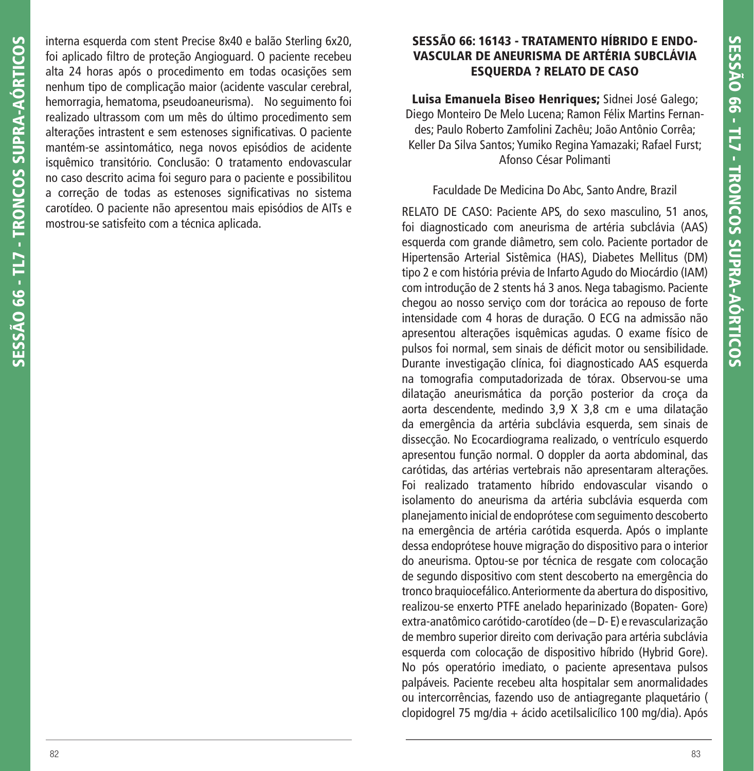interna esquerda com stent Precise 8x40 e balão Sterling 6x20, foi aplicado filtro de proteção Angioguard. O paciente recebeu alta 24 horas após o procedimento em todas ocasições sem nenhum tipo de complicação maior (acidente vascular cerebral, hemorragia, hematoma, pseudoaneurisma). No seguimento foi realizado ultrassom com um mês do último procedimento sem alterações intrastent e sem estenoses significativas. O paciente mantém-se assintomático, nega novos episódios de acidente isquêmico transitório. Conclusão: O tratamento endovascular no caso descrito acima foi seguro para o paciente e possibilitou a correção de todas as estenoses significativas no sistema carotídeo. O paciente não apresentou mais episódios de AITs e mostrou-se satisfeito com a técnica aplicada.

# **SESSÃO 66: 16143 - TRATAMENTO HÍBRIDO E ENDO-VASCULAR DE ANEURISMA DE ARTÉRIA SUBCLÁVIA ESQUERDA ? RELATO DE CASO**

**Luisa Emanuela Biseo Henriques;** Sidnei José Galego; Diego Monteiro De Melo Lucena; Ramon Félix Martins Fernandes; Paulo Roberto Zamfolini Zachêu; João Antônio Corrêa; Keller Da Silva Santos; Yumiko Regina Yamazaki; Rafael Furst; Afonso César Polimanti

## Faculdade De Medicina Do Abc, Santo Andre, Brazil

RELATO DE CASO: Paciente APS, do sexo masculino, 51 anos, foi diagnosticado com aneurisma de artéria subclávia (AAS) esquerda com grande diâmetro, sem colo. Paciente portador de Hipertensão Arterial Sistêmica (HAS), Diabetes Mellitus (DM) tipo 2 e com história prévia de Infarto Agudo do Miocárdio (IAM) com introdução de 2 stents há 3 anos. Nega tabagismo. Paciente chegou ao nosso serviço com dor torácica ao repouso de forte intensidade com 4 horas de duração. O ECG na admissão não apresentou alterações isquêmicas agudas. O exame físico de pulsos foi normal, sem sinais de déficit motor ou sensibilidade. Durante investigação clínica, foi diagnosticado AAS esquerda na tomografia computadorizada de tórax. Observou-se uma dilatação aneurismática da porção posterior da croça da aorta descendente, medindo 3,9 X 3,8 cm e uma dilatação da emergência da artéria subclávia esquerda, sem sinais de dissecção. No Ecocardiograma realizado, o ventrículo esquerdo apresentou função normal. O doppler da aorta abdominal, das carótidas, das artérias vertebrais não apresentaram alterações. Foi realizado tratamento híbrido endovascular visando o isolamento do aneurisma da artéria subclávia esquerda com planejamento inicial de endoprótese com seguimento descoberto na emergência de artéria carótida esquerda. Após o implante dessa endoprótese houve migração do dispositivo para o interior do aneurisma. Optou-se por técnica de resgate com colocação de segundo dispositivo com stent descoberto na emergência do tronco braquiocefálico. Anteriormente da abertura do dispositivo, realizou-se enxerto PTFE anelado heparinizado (Bopaten- Gore) extra-anatômico carótido-carotídeo (de – D- E) e revascularização de membro superior direito com derivação para artéria subclávia esquerda com colocação de dispositivo híbrido (Hybrid Gore). No pós operatório imediato, o paciente apresentava pulsos palpáveis. Paciente recebeu alta hospitalar sem anormalidades ou intercorrências, fazendo uso de antiagregante plaquetário ( clopidogrel 75 mg/dia + ácido acetilsalicílico 100 mg/dia). Após

**SESSÃO 66 - TL7 - TRONCOS SUPRA-AÓRTICOS**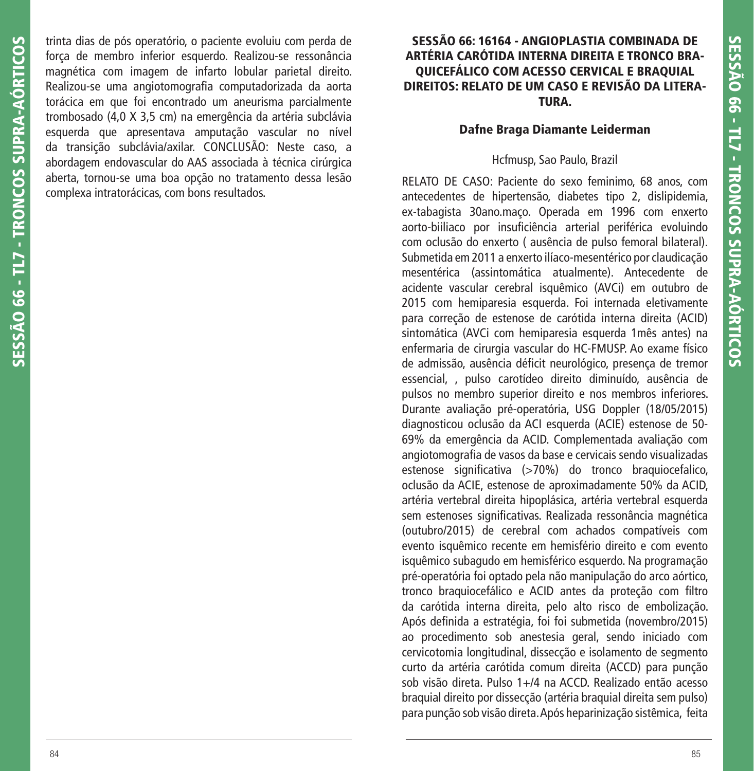trinta dias de pós operatório, o paciente evoluiu com perda de força de membro inferior esquerdo. Realizou-se ressonância magnética com imagem de infarto lobular parietal direito. Realizou-se uma angiotomografia computadorizada da aorta torácica em que foi encontrado um aneurisma parcialmente trombosado (4,0 X 3,5 cm) na emergência da artéria subclávia esquerda que apresentava amputação vascular no nível da transição subclávia/axilar. CONCLUSÃO: Neste caso, a abordagem endovascular do AAS associada à técnica cirúrgica aberta, tornou-se uma boa opção no tratamento dessa lesão complexa intratorácicas, com bons resultados.

### **SESSÃO 66: 16164 - ANGIOPLASTIA COMBINADA DE ARTÉRIA CARÓTIDA INTERNA DIREITA E TRONCO BRA-QUICEFÁLICO COM ACESSO CERVICAL E BRAQUIAL DIREITOS: RELATO DE UM CASO E REVISÃO DA LITERA-TURA.**

#### **Dafne Braga Diamante Leiderman**

#### Hcfmusp, Sao Paulo, Brazil

RELATO DE CASO: Paciente do sexo feminimo, 68 anos, com antecedentes de hipertensão, diabetes tipo 2, dislipidemia, ex-tabagista 30ano.maço. Operada em 1996 com enxerto aorto-biiliaco por insuficiência arterial periférica evoluindo com oclusão do enxerto ( ausência de pulso femoral bilateral). Submetida em 2011 a enxerto ilíaco-mesentérico por claudicação mesentérica (assintomática atualmente). Antecedente de acidente vascular cerebral isquêmico (AVCi) em outubro de 2015 com hemiparesia esquerda. Foi internada eletivamente para correção de estenose de carótida interna direita (ACID) sintomática (AVCi com hemiparesia esquerda 1mês antes) na enfermaria de cirurgia vascular do HC-FMUSP. Ao exame físico de admissão, ausência déficit neurológico, presença de tremor essencial, , pulso carotídeo direito diminuído, ausência de pulsos no membro superior direito e nos membros inferiores. Durante avaliação pré-operatória, USG Doppler (18/05/2015) diagnosticou oclusão da ACI esquerda (ACIE) estenose de 50- 69% da emergência da ACID. Complementada avaliação com angiotomografia de vasos da base e cervicais sendo visualizadas estenose significativa (>70%) do tronco braguiocefalico, oclusão da ACIE, estenose de aproximadamente 50% da ACID, artéria vertebral direita hipoplásica, artéria vertebral esquerda sem estenoses significativas. Realizada ressonância magnética (outubro/2015) de cerebral com achados compatíveis com evento isquêmico recente em hemisfério direito e com evento isquêmico subagudo em hemisférico esquerdo. Na programação pré-operatória foi optado pela não manipulação do arco aórtico, tronco braquiocefálico e ACID antes da proteção com filtro da carótida interna direita, pelo alto risco de embolização. Após definida a estratégia, foi foi submetida (novembro/2015) ao procedimento sob anestesia geral, sendo iniciado com cervicotomia longitudinal, dissecção e isolamento de segmento curto da artéria carótida comum direita (ACCD) para punção sob visão direta. Pulso 1+/4 na ACCD. Realizado então acesso braquial direito por dissecção (artéria braquial direita sem pulso) para punção sob visão direta. Após heparinização sistêmica, feita

**SESSÃO 66 - TL7 - TRONCOS SUPRA-AÓRTICOS**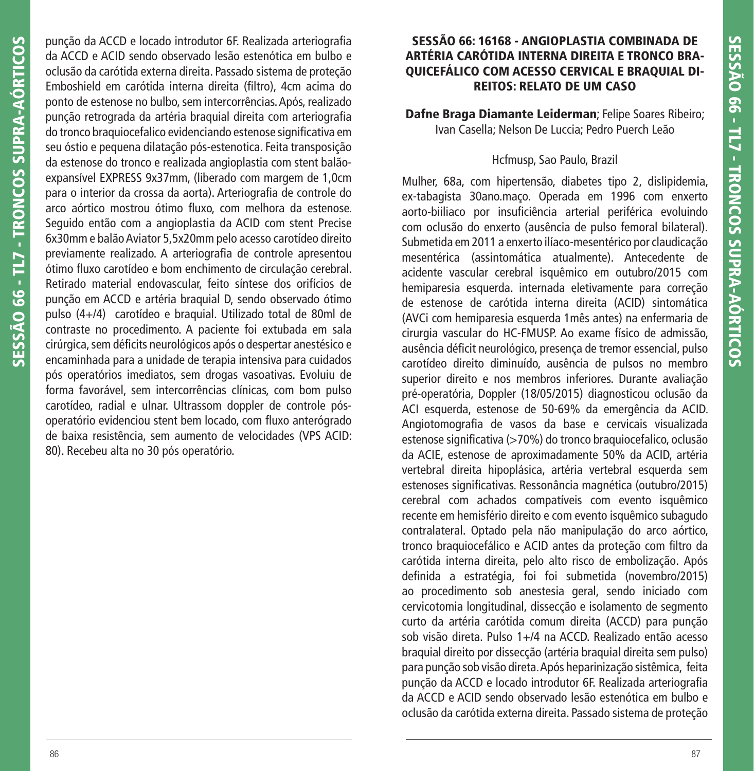punção da ACCD e locado introdutor 6F. Realizada arteriografia da ACCD e ACID sendo observado lesão estenótica em bulbo e oclusão da carótida externa direita. Passado sistema de proteção Emboshield em carótida interna direita (filtro), 4cm acima do ponto de estenose no bulbo, sem intercorrências. Após, realizado punção retrograda da artéria braquial direita com arteriografia do tronco braquiocefalico evidenciando estenose significativa em seu óstio e pequena dilatação pós-estenotica. Feita transposição da estenose do tronco e realizada angioplastia com stent balãoexpansível EXPRESS 9x37mm, (liberado com margem de 1,0cm para o interior da crossa da aorta). Arteriografia de controle do arco aórtico mostrou ótimo fluxo, com melhora da estenose. Seguido então com a angioplastia da ACID com stent Precise 6x30mm e balão Aviator 5,5x20mm pelo acesso carotídeo direito previamente realizado. A arteriografia de controle apresentou ótimo fluxo carotídeo e bom enchimento de circulação cerebral. Retirado material endovascular, feito síntese dos orifícios de punção em ACCD e artéria braquial D, sendo observado ótimo pulso (4+/4) carotídeo e braquial. Utilizado total de 80ml de contraste no procedimento. A paciente foi extubada em sala cirúrgica, sem déficits neurológicos após o despertar anestésico e encaminhada para a unidade de terapia intensiva para cuidados pós operatórios imediatos, sem drogas vasoativas. Evoluiu de forma favorável, sem intercorrências clínicas, com bom pulso carotídeo, radial e ulnar. Ultrassom doppler de controle pósoperatório evidenciou stent bem locado, com fluxo anterógrado de baixa resistência, sem aumento de velocidades (VPS ACID: 80). Recebeu alta no 30 pós operatório.

## **SESSÃO 66: 16168 - ANGIOPLASTIA COMBINADA DE ARTÉRIA CARÓTIDA INTERNA DIREITA E TRONCO BRA-QUICEFÁLICO COM ACESSO CERVICAL E BRAQUIAL DI-REITOS: RELATO DE UM CASO**

**Dafne Braga Diamante Leiderman**; Felipe Soares Ribeiro; Ivan Casella; Nelson De Luccia; Pedro Puerch Leão

### Hcfmusp, Sao Paulo, Brazil

Mulher, 68a, com hipertensão, diabetes tipo 2, dislipidemia, ex-tabagista 30ano.maço. Operada em 1996 com enxerto aorto-biiliaco por insuficiência arterial periférica evoluindo com oclusão do enxerto (ausência de pulso femoral bilateral). Submetida em 2011 a enxerto ilíaco-mesentérico por claudicação mesentérica (assintomática atualmente). Antecedente de acidente vascular cerebral isquêmico em outubro/2015 com hemiparesia esquerda. internada eletivamente para correção de estenose de carótida interna direita (ACID) sintomática (AVCi com hemiparesia esquerda 1mês antes) na enfermaria de cirurgia vascular do HC-FMUSP. Ao exame físico de admissão, ausência déficit neurológico, presença de tremor essencial, pulso carotídeo direito diminuído, ausência de pulsos no membro superior direito e nos membros inferiores. Durante avaliação pré-operatória, Doppler (18/05/2015) diagnosticou oclusão da ACI esquerda, estenose de 50-69% da emergência da ACID. Angiotomografia de vasos da base e cervicais visualizada estenose significativa (>70%) do tronco braquiocefalico, oclusão da ACIE, estenose de aproximadamente 50% da ACID, artéria vertebral direita hipoplásica, artéria vertebral esquerda sem estenoses significativas. Ressonância magnética (outubro/2015) cerebral com achados compatíveis com evento isquêmico recente em hemisfério direito e com evento isquêmico subagudo contralateral. Optado pela não manipulação do arco aórtico, tronco braquiocefálico e ACID antes da proteção com filtro da carótida interna direita, pelo alto risco de embolização. Após definida a estratégia, foi foi submetida (novembro/2015) ao procedimento sob anestesia geral, sendo iniciado com cervicotomia longitudinal, dissecção e isolamento de segmento curto da artéria carótida comum direita (ACCD) para punção sob visão direta. Pulso 1+/4 na ACCD. Realizado então acesso braquial direito por dissecção (artéria braquial direita sem pulso) para punção sob visão direta. Após heparinização sistêmica, feita punção da ACCD e locado introdutor 6F. Realizada arteriografia da ACCD e ACID sendo observado lesão estenótica em bulbo e oclusão da carótida externa direita. Passado sistema de proteção

**SESSÃO 66 - TL7 - TRONCOS SUPRA-AÓRTICOS**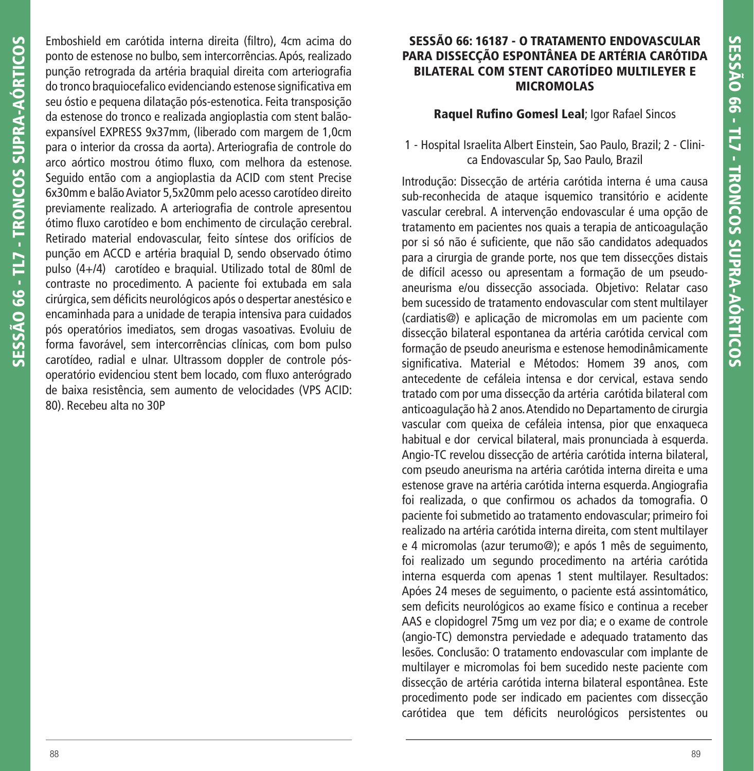Emboshield em carótida interna direita (filtro), 4cm acima do ponto de estenose no bulbo, sem intercorrências. Após, realizado punção retrograda da artéria braquial direita com arteriografia do tronco braquiocefalico evidenciando estenose significativa em seu óstio e pequena dilatação pós-estenotica. Feita transposição da estenose do tronco e realizada angioplastia com stent balãoexpansível EXPRESS 9x37mm, (liberado com margem de 1,0cm para o interior da crossa da aorta). Arteriografia de controle do arco aórtico mostrou ótimo fluxo, com melhora da estenose. Seguido então com a angioplastia da ACID com stent Precise 6x30mm e balão Aviator 5,5x20mm pelo acesso carotídeo direito previamente realizado. A arteriografia de controle apresentou ótimo fluxo carotídeo e bom enchimento de circulação cerebral. Retirado material endovascular, feito síntese dos orifícios de punção em ACCD e artéria braquial D, sendo observado ótimo pulso (4+/4) carotídeo e braquial. Utilizado total de 80ml de contraste no procedimento. A paciente foi extubada em sala cirúrgica, sem déficits neurológicos após o despertar anestésico e encaminhada para a unidade de terapia intensiva para cuidados pós operatórios imediatos, sem drogas vasoativas. Evoluiu de forma favorável, sem intercorrências clínicas, com bom pulso carotídeo, radial e ulnar. Ultrassom doppler de controle pósoperatório evidenciou stent bem locado, com fluxo anterógrado de baixa resistência, sem aumento de velocidades (VPS ACID: 80). Recebeu alta no 30P

## **SESSÃO 66: 16187 - O TRATAMENTO ENDOVASCULAR PARA DISSECÇÃO ESPONTÂNEA DE ARTÉRIA CARÓTIDA BILATERAL COM STENT CAROTÍDEO MULTILEYER E MICROMOLAS**

## **Raquel Rufino Gomesl Leal**; Igor Rafael Sincos

1 - Hospital Israelita Albert Einstein, Sao Paulo, Brazil; 2 - Clinica Endovascular Sp, Sao Paulo, Brazil

Introdução: Dissecção de artéria carótida interna é uma causa sub-reconhecida de ataque isquemico transitório e acidente vascular cerebral. A intervenção endovascular é uma opção de tratamento em pacientes nos quais a terapia de anticoagulação por si só não é suficiente, que não são candidatos adequados para a cirurgia de grande porte, nos que tem dissecções distais de difícil acesso ou apresentam a formação de um pseudoaneurisma e/ou dissecção associada. Objetivo: Relatar caso bem sucessido de tratamento endovascular com stent multilayer (cardiatis@) e aplicação de micromolas em um paciente com dissecção bilateral espontanea da artéria carótida cervical com formação de pseudo aneurisma e estenose hemodinâmicamente signifi cativa. Material e Métodos: Homem 39 anos, com antecedente de cefáleia intensa e dor cervical, estava sendo tratado com por uma dissecção da artéria carótida bilateral com anticoagulação hà 2 anos. Atendido no Departamento de cirurgia vascular com queixa de cefáleia intensa, pior que enxaqueca habitual e dor cervical bilateral, mais pronunciada à esquerda. Angio-TC revelou dissecção de artéria carótida interna bilateral, com pseudo aneurisma na artéria carótida interna direita e uma estenose grave na artéria carótida interna esquerda. Angiografia foi realizada, o que confirmou os achados da tomografia. O paciente foi submetido ao tratamento endovascular; primeiro foi realizado na artéria carótida interna direita, com stent multilayer e 4 micromolas (azur terumo@); e após 1 mês de seguimento, foi realizado um segundo procedimento na artéria carótida interna esquerda com apenas 1 stent multilayer. Resultados: Apóes 24 meses de seguimento, o paciente está assintomático, sem deficits neurológicos ao exame físico e continua a receber AAS e clopidogrel 75mg um vez por dia; e o exame de controle (angio-TC) demonstra perviedade e adequado tratamento das lesões. Conclusão: O tratamento endovascular com implante de multilayer e micromolas foi bem sucedido neste paciente com dissecção de artéria carótida interna bilateral espontânea. Este procedimento pode ser indicado em pacientes com dissecção carótidea que tem déficits neurológicos persistentes ou

**SESSÃO 66 - TL7 - TRONCOS SUPRA-AÓRTICOS**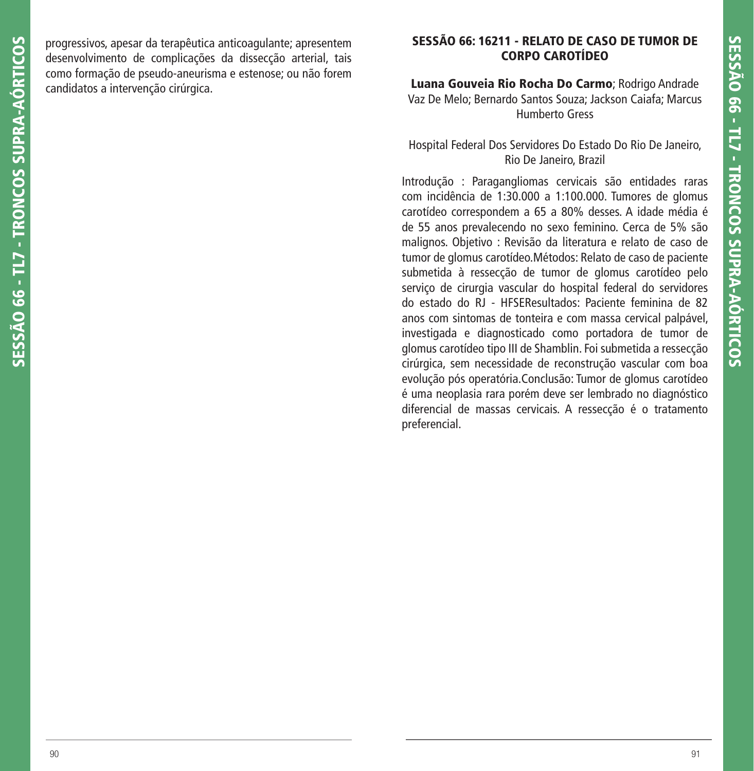progressivos, apesar da terapêutica anticoagulante; apresentem desenvolvimento de complicações da dissecção arterial, tais como formação de pseudo-aneurisma e estenose; ou não forem candidatos a intervenção cirúrgica.

### **SESSÃO 66: 16211 - RELATO DE CASO DE TUMOR DE CORPO CAROTÍDEO**

**Luana Gouveia Rio Rocha Do Carmo**; Rodrigo Andrade Vaz De Melo; Bernardo Santos Souza; Jackson Caiafa; Marcus Humberto Gress

Hospital Federal Dos Servidores Do Estado Do Rio De Janeiro, Rio De Janeiro, Brazil

Introdução : Paragangliomas cervicais são entidades raras com incidência de 1:30.000 a 1:100.000. Tumores de glomus carotídeo correspondem a 65 a 80% desses. A idade média é de 55 anos prevalecendo no sexo feminino. Cerca de 5% são malignos. Objetivo : Revisão da literatura e relato de caso de tumor de glomus carotídeo.Métodos: Relato de caso de paciente submetida à ressecção de tumor de glomus carotídeo pelo serviço de cirurgia vascular do hospital federal do servidores do estado do RJ - HFSEResultados: Paciente feminina de 82 anos com sintomas de tonteira e com massa cervical palpável, investigada e diagnosticado como portadora de tumor de glomus carotídeo tipo III de Shamblin. Foi submetida a ressecção cirúrgica, sem necessidade de reconstrução vascular com boa evolução pós operatória.Conclusão: Tumor de glomus carotídeo é uma neoplasia rara porém deve ser lembrado no diagnóstico diferencial de massas cervicais. A ressecção é o tratamento preferencial.

**SESSÃO 66 - TL7 - TRONCOS SUPRA-AÓRTICOS**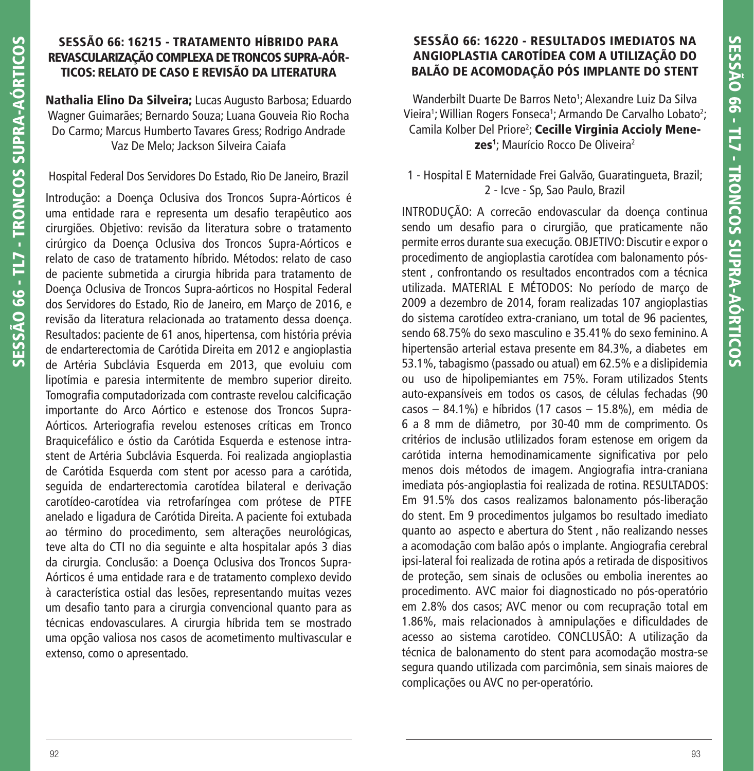## **SESSÃO 66: 16215 - TRATAMENTO HÍBRIDO PARA REVASCULARIZAÇÃO COMPLEXA DE TRONCOS SUPRA-AÓR-TICOS: RELATO DE CASO E REVISÃO DA LITERATURA**

**Nathalia Elino Da Silveira;** Lucas Augusto Barbosa; Eduardo Wagner Guimarães; Bernardo Souza; Luana Gouveia Rio Rocha Do Carmo; Marcus Humberto Tavares Gress; Rodrigo Andrade Vaz De Melo; Jackson Silveira Caiafa

Hospital Federal Dos Servidores Do Estado, Rio De Janeiro, Brazil

Introdução: a Doença Oclusiva dos Troncos Supra-Aórticos é uma entidade rara e representa um desafio terapêutico aos cirurgiões. Objetivo: revisão da literatura sobre o tratamento cirúrgico da Doença Oclusiva dos Troncos Supra-Aórticos e relato de caso de tratamento híbrido. Métodos: relato de caso de paciente submetida a cirurgia híbrida para tratamento de Doença Oclusiva de Troncos Supra-aórticos no Hospital Federal dos Servidores do Estado, Rio de Janeiro, em Março de 2016, e revisão da literatura relacionada ao tratamento dessa doença. Resultados: paciente de 61 anos, hipertensa, com história prévia de endarterectomia de Carótida Direita em 2012 e angioplastia de Artéria Subclávia Esquerda em 2013, que evoluiu com lipotímia e paresia intermitente de membro superior direito. Tomografia computadorizada com contraste revelou calcificação importante do Arco Aórtico e estenose dos Troncos Supra-Aórticos. Arteriografia revelou estenoses críticas em Tronco Braquicefálico e óstio da Carótida Esquerda e estenose intrastent de Artéria Subclávia Esquerda. Foi realizada angioplastia de Carótida Esquerda com stent por acesso para a carótida, seguida de endarterectomia carotídea bilateral e derivação carotídeo-carotídea via retrofaríngea com prótese de PTFE anelado e ligadura de Carótida Direita. A paciente foi extubada ao término do procedimento, sem alterações neurológicas, teve alta do CTI no dia seguinte e alta hospitalar após 3 dias da cirurgia. Conclusão: a Doença Oclusiva dos Troncos Supra-Aórticos é uma entidade rara e de tratamento complexo devido à característica ostial das lesões, representando muitas vezes um desafio tanto para a cirurgia convencional quanto para as técnicas endovasculares. A cirurgia híbrida tem se mostrado uma opção valiosa nos casos de acometimento multivascular e extenso, como o apresentado.

## **SESSÃO 66: 16220 - RESULTADOS IMEDIATOS NA ANGIOPLASTIA CAROTÍDEA COM A UTILIZAÇÃO DO BALÃO DE ACOMODAÇÃO PÓS IMPLANTE DO STENT**

Wanderbilt Duarte De Barros Neto<sup>1</sup>; Alexandre Luiz Da Silva Vieira<sup>1</sup>; Willian Rogers Fonseca<sup>1</sup>; Armando De Carvalho Lobato<sup>2</sup>; Camila Kolber Del Priore2 ; **Cecille Virginia Accioly Menezes<sup>1</sup>;** Maurício Rocco De Oliveira<sup>2</sup>

## 1 - Hospital E Maternidade Frei Galvão, Guaratingueta, Brazil; 2 - Icve - Sp, Sao Paulo, Brazil

INTRODUÇÃO: A correcão endovascular da doença continua sendo um desafio para o cirurgião, que praticamente não permite erros durante sua execução. OBJETIVO: Discutir e expor o procedimento de angioplastia carotídea com balonamento pósstent , confrontando os resultados encontrados com a técnica utilizada. MATERIAL E MÉTODOS: No período de março de 2009 a dezembro de 2014, foram realizadas 107 angioplastias do sistema carotídeo extra-craniano, um total de 96 pacientes, sendo 68.75% do sexo masculino e 35.41% do sexo feminino. A hipertensão arterial estava presente em 84.3%, a diabetes em 53.1%, tabagismo (passado ou atual) em 62.5% e a dislipidemia ou uso de hipolipemiantes em 75%. Foram utilizados Stents auto-expansíveis em todos os casos, de células fechadas (90 casos – 84.1%) e híbridos (17 casos – 15.8%), em média de 6 a 8 mm de diâmetro, por 30-40 mm de comprimento. Os critérios de inclusão utlilizados foram estenose em origem da carótida interna hemodinamicamente significativa por pelo menos dois métodos de imagem. Angiografia intra-craniana imediata pós-angioplastia foi realizada de rotina. RESULTADOS: Em 91.5% dos casos realizamos balonamento pós-liberação do stent. Em 9 procedimentos julgamos bo resultado imediato quanto ao aspecto e abertura do Stent , não realizando nesses a acomodação com balão após o implante. Angiografia cerebral ipsi-lateral foi realizada de rotina após a retirada de dispositivos de proteção, sem sinais de oclusões ou embolia inerentes ao procedimento. AVC maior foi diagnosticado no pós-operatório em 2.8% dos casos; AVC menor ou com recupração total em 1.86%, mais relacionados à amnipulações e dificuldades de acesso ao sistema carotídeo. CONCLUSÃO: A utilização da técnica de balonamento do stent para acomodação mostra-se segura quando utilizada com parcimônia, sem sinais maiores de complicações ou AVC no per-operatório.

**SESSÃO 66 - TL7 - TRONCOS SUPRA-AÓRTICOS**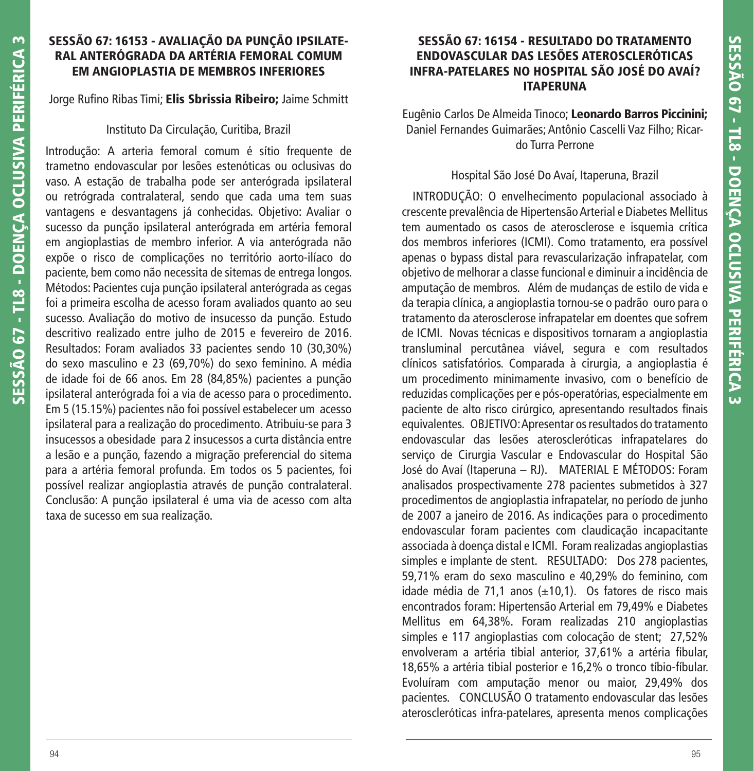## **SESSÃO 67: 16153 - AVALIAÇÃO DA PUNÇÃO IPSILATE-RAL ANTERÓGRADA DA ARTÉRIA FEMORAL COMUM EM ANGIOPLASTIA DE MEMBROS INFERIORES**

Jorge Rufino Ribas Timi; **Elis Sbrissia Ribeiro;** Jaime Schmitt

### Instituto Da Circulação, Curitiba, Brazil

Introdução: A arteria femoral comum é sítio frequente de trametno endovascular por lesões estenóticas ou oclusivas do vaso. A estação de trabalha pode ser anterógrada ipsilateral ou retrógrada contralateral, sendo que cada uma tem suas vantagens e desvantagens já conhecidas. Objetivo: Avaliar o sucesso da punção ipsilateral anterógrada em artéria femoral em angioplastias de membro inferior. A via anterógrada não expõe o risco de complicações no território aorto-ilíaco do paciente, bem como não necessita de sitemas de entrega longos. Métodos: Pacientes cuja punção ipsilateral anterógrada as cegas foi a primeira escolha de acesso foram avaliados quanto ao seu sucesso. Avaliação do motivo de insucesso da punção. Estudo descritivo realizado entre julho de 2015 e fevereiro de 2016. Resultados: Foram avaliados 33 pacientes sendo 10 (30,30%) do sexo masculino e 23 (69,70%) do sexo feminino. A média de idade foi de 66 anos. Em 28 (84,85%) pacientes a punção ipsilateral anterógrada foi a via de acesso para o procedimento. Em 5 (15.15%) pacientes não foi possível estabelecer um acesso ipsilateral para a realização do procedimento. Atribuiu-se para 3 insucessos a obesidade para 2 insucessos a curta distância entre a lesão e a punção, fazendo a migração preferencial do sitema para a artéria femoral profunda. Em todos os 5 pacientes, foi possível realizar angioplastia através de punção contralateral. Conclusão: A punção ipsilateral é uma via de acesso com alta taxa de sucesso em sua realização.

## **SESSÃO 67: 16154 - RESULTADO DO TRATAMENTO ENDOVASCULAR DAS LESÕES ATEROSCLERÓTICAS INFRA-PATELARES NO HOSPITAL SÃO JOSÉ DO AVAÍ? ITAPERUNA**

Eugênio Carlos De Almeida Tinoco; **Leonardo Barros Piccinini;** Daniel Fernandes Guimarães; Antônio Cascelli Vaz Filho; Ricardo Turra Perrone

### Hospital São José Do Avaí, Itaperuna, Brazil

 INTRODUÇÃO: O envelhecimento populacional associado à crescente prevalência de Hipertensão Arterial e Diabetes Mellitus tem aumentado os casos de aterosclerose e isquemia crítica dos membros inferiores (ICMI). Como tratamento, era possível apenas o bypass distal para revascularização infrapatelar, com objetivo de melhorar a classe funcional e diminuir a incidência de amputação de membros. Além de mudanças de estilo de vida e da terapia clínica, a angioplastia tornou-se o padrão ouro para o tratamento da aterosclerose infrapatelar em doentes que sofrem de ICMI. Novas técnicas e dispositivos tornaram a angioplastia transluminal percutânea viável, segura e com resultados clínicos satisfatórios. Comparada à cirurgia, a angioplastia é um procedimento minimamente invasivo, com o benefício de reduzidas complicações per e pós-operatórias, especialmente em paciente de alto risco cirúrgico, apresentando resultados finais equivalentes. OBJETIVO: Apresentar os resultados do tratamento endovascular das lesões ateroscleróticas infrapatelares do serviço de Cirurgia Vascular e Endovascular do Hospital São José do Avaí (Itaperuna – RJ). MATERIAL E MÉTODOS: Foram analisados prospectivamente 278 pacientes submetidos à 327 procedimentos de angioplastia infrapatelar, no período de junho de 2007 a janeiro de 2016. As indicações para o procedimento endovascular foram pacientes com claudicação incapacitante associada à doença distal e ICMI. Foram realizadas angioplastias simples e implante de stent. RESULTADO: Dos 278 pacientes, 59,71% eram do sexo masculino e 40,29% do feminino, com idade média de 71,1 anos  $(\pm 10,1)$ . Os fatores de risco mais encontrados foram: Hipertensão Arterial em 79,49% e Diabetes Mellitus em 64,38%. Foram realizadas 210 angioplastias simples e 117 angioplastias com colocação de stent; 27,52% envolveram a artéria tibial anterior, 37,61% a artéria fibular, 18,65% a artéria tibial posterior e 16,2% o tronco tíbio-fíbular. Evoluíram com amputação menor ou maior, 29,49% dos pacientes. CONCLUSÃO O tratamento endovascular das lesões ateroscleróticas infra-patelares, apresenta menos complicações

**SESSÃO 67 - TL8 - DOENÇA OCLUSIVA PERIFÉRICA 3**

**SESSÃO 67 - TL8 - DOENÇA OCLUSIVA PERIFÉRICA** 

 $\sim$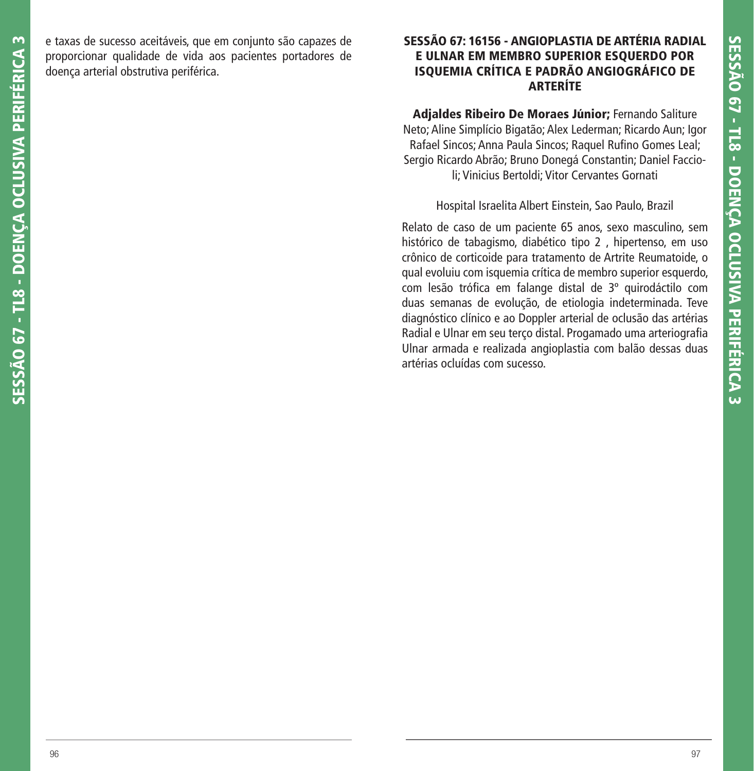e taxas de sucesso aceitáveis, que em conjunto são capazes de proporcionar qualidade de vida aos pacientes portadores de doença arterial obstrutiva periférica.

## **SESSÃO 67: 16156 - ANGIOPLASTIA DE ARTÉRIA RADIAL E ULNAR EM MEMBRO SUPERIOR ESQUERDO POR ISQUEMIA CRÍTICA E PADRÃO ANGIOGRÁFICO DE ARTERÍTE**

**Adjaldes Ribeiro De Moraes Júnior;** Fernando Saliture Neto; Aline Simplício Bigatão; Alex Lederman; Ricardo Aun; Igor Rafael Sincos; Anna Paula Sincos; Raquel Rufino Gomes Leal; Sergio Ricardo Abrão; Bruno Donegá Constantin; Daniel Faccioli; Vinicius Bertoldi; Vitor Cervantes Gornati

Hospital Israelita Albert Einstein, Sao Paulo, Brazil

Relato de caso de um paciente 65 anos, sexo masculino, sem histórico de tabagismo, diabético tipo 2 , hipertenso, em uso crônico de corticoide para tratamento de Artrite Reumatoide, o qual evoluiu com isquemia crítica de membro superior esquerdo, com lesão trófica em falange distal de 3º quirodáctilo com duas semanas de evolução, de etiologia indeterminada. Teve diagnóstico clínico e ao Doppler arterial de oclusão das artérias Radial e Ulnar em seu terço distal. Progamado uma arteriografia Ulnar armada e realizada angioplastia com balão dessas duas artérias ocluídas com sucesso.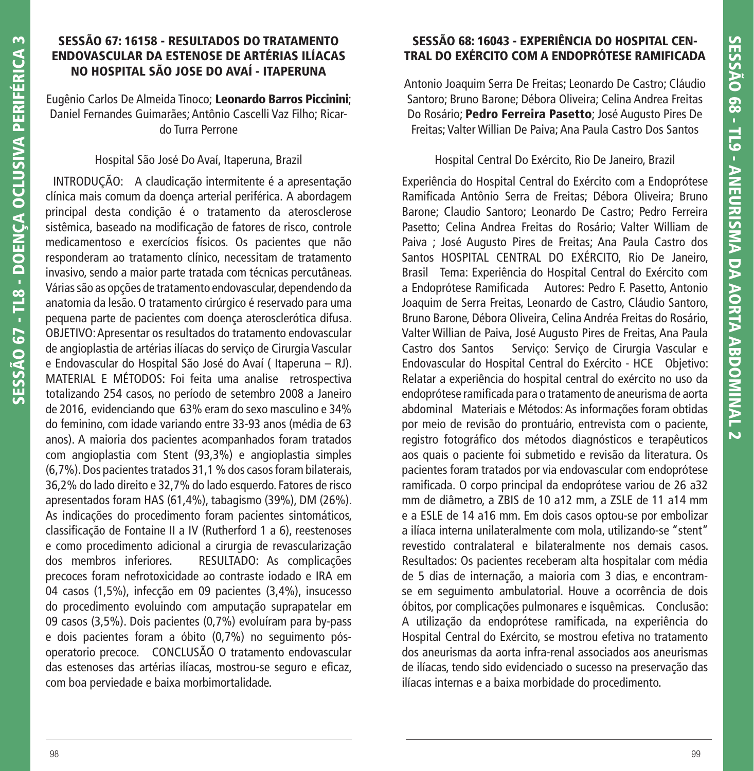### **SESSÃO 67: 16158 - RESULTADOS DO TRATAMENTO ENDOVASCULAR DA ESTENOSE DE ARTÉRIAS ILÍACAS NO HOSPITAL SÃO JOSE DO AVAÍ - ITAPERUNA**

Eugênio Carlos De Almeida Tinoco; **Leonardo Barros Piccinini**; Daniel Fernandes Guimarães; Antônio Cascelli Vaz Filho; Ricardo Turra Perrone

### Hospital São José Do Avaí, Itaperuna, Brazil

 INTRODUÇÃO: A claudicação intermitente é a apresentação clínica mais comum da doença arterial periférica. A abordagem principal desta condição é o tratamento da aterosclerose sistêmica, baseado na modificação de fatores de risco, controle medicamentoso e exercícios físicos. Os pacientes que não responderam ao tratamento clínico, necessitam de tratamento invasivo, sendo a maior parte tratada com técnicas percutâneas. Várias são as opções de tratamento endovascular, dependendo da anatomia da lesão. O tratamento cirúrgico é reservado para uma pequena parte de pacientes com doença aterosclerótica difusa. OBJETIVO: Apresentar os resultados do tratamento endovascular de angioplastia de artérias ilíacas do serviço de Cirurgia Vascular e Endovascular do Hospital São José do Avaí ( Itaperuna – RJ). MATERIAL E MÉTODOS: Foi feita uma analise retrospectiva totalizando 254 casos, no período de setembro 2008 a Janeiro de 2016, evidenciando que 63% eram do sexo masculino e 34% do feminino, com idade variando entre 33-93 anos (média de 63 anos). A maioria dos pacientes acompanhados foram tratados com angioplastia com Stent (93,3%) e angioplastia simples (6,7%). Dos pacientes tratados 31,1 % dos casos foram bilaterais, 36,2% do lado direito e 32,7% do lado esquerdo. Fatores de risco apresentados foram HAS (61,4%), tabagismo (39%), DM (26%). As indicações do procedimento foram pacientes sintomáticos, classifi cação de Fontaine II a IV (Rutherford 1 a 6), reestenoses e como procedimento adicional a cirurgia de revascularização dos membros inferiores. RESULTADO: As complicações precoces foram nefrotoxicidade ao contraste iodado e IRA em 04 casos (1,5%), infecção em 09 pacientes (3,4%), insucesso do procedimento evoluindo com amputação suprapatelar em 09 casos (3,5%). Dois pacientes (0,7%) evoluíram para by-pass e dois pacientes foram a óbito (0,7%) no seguimento pósoperatorio precoce. CONCLUSÃO O tratamento endovascular das estenoses das artérias ilíacas, mostrou-se seguro e eficaz, com boa perviedade e baixa morbimortalidade.

## **SESSÃO 68: 16043 - EXPERIÊNCIA DO HOSPITAL CEN-TRAL DO EXÉRCITO COM A ENDOPRÓTESE RAMIFICADA**

Antonio Joaquim Serra De Freitas; Leonardo De Castro; Cláudio Santoro; Bruno Barone; Débora Oliveira; Celina Andrea Freitas Do Rosário; **Pedro Ferreira Pasetto**; José Augusto Pires De Freitas; Valter Willian De Paiva; Ana Paula Castro Dos Santos

## Hospital Central Do Exército, Rio De Janeiro, Brazil

Experiência do Hospital Central do Exército com a Endoprótese Ramificada Antônio Serra de Freitas; Débora Oliveira; Bruno Barone; Claudio Santoro; Leonardo De Castro; Pedro Ferreira Pasetto; Celina Andrea Freitas do Rosário; Valter William de Paiva ; José Augusto Pires de Freitas; Ana Paula Castro dos Santos HOSPITAL CENTRAL DO EXÉRCITO, Rio De Janeiro, Brasil Tema: Experiência do Hospital Central do Exército com a Endoprótese Ramificada Autores: Pedro F. Pasetto, Antonio Joaquim de Serra Freitas, Leonardo de Castro, Cláudio Santoro, Bruno Barone, Débora Oliveira, Celina Andréa Freitas do Rosário, Valter Willian de Paiva, José Augusto Pires de Freitas, Ana Paula Castro dos Santos Serviço: Serviço de Cirurgia Vascular e Endovascular do Hospital Central do Exército - HCE Objetivo: Relatar a experiência do hospital central do exército no uso da endoprótese ramificada para o tratamento de aneurisma de aorta abdominal Materiais e Métodos: As informações foram obtidas por meio de revisão do prontuário, entrevista com o paciente, registro fotográfico dos métodos diagnósticos e terapêuticos aos quais o paciente foi submetido e revisão da literatura. Os pacientes foram tratados por via endovascular com endoprótese ramificada. O corpo principal da endoprótese variou de 26 a32 mm de diâmetro, a ZBIS de 10 a12 mm, a ZSLE de 11 a14 mm e a ESLE de 14 a16 mm. Em dois casos optou-se por embolizar a ilíaca interna unilateralmente com mola, utilizando-se "stent" revestido contralateral e bilateralmente nos demais casos. Resultados: Os pacientes receberam alta hospitalar com média de 5 dias de internação, a maioria com 3 dias, e encontramse em seguimento ambulatorial. Houve a ocorrência de dois óbitos, por complicações pulmonares e isquêmicas. Conclusão: A utilização da endoprótese ramificada, na experiência do Hospital Central do Exército, se mostrou efetiva no tratamento dos aneurismas da aorta infra-renal associados aos aneurismas de ilíacas, tendo sido evidenciado o sucesso na preservação das ilíacas internas e a baixa morbidade do procedimento.

**SESSÃO 67 - TL8 - DOENÇA OCLUSIVA PERIFÉRICA 3**

**SESSÃO 67 - TL8 - DOENCA OCLUSIVA PERIFÉRICA** 

 $\sim$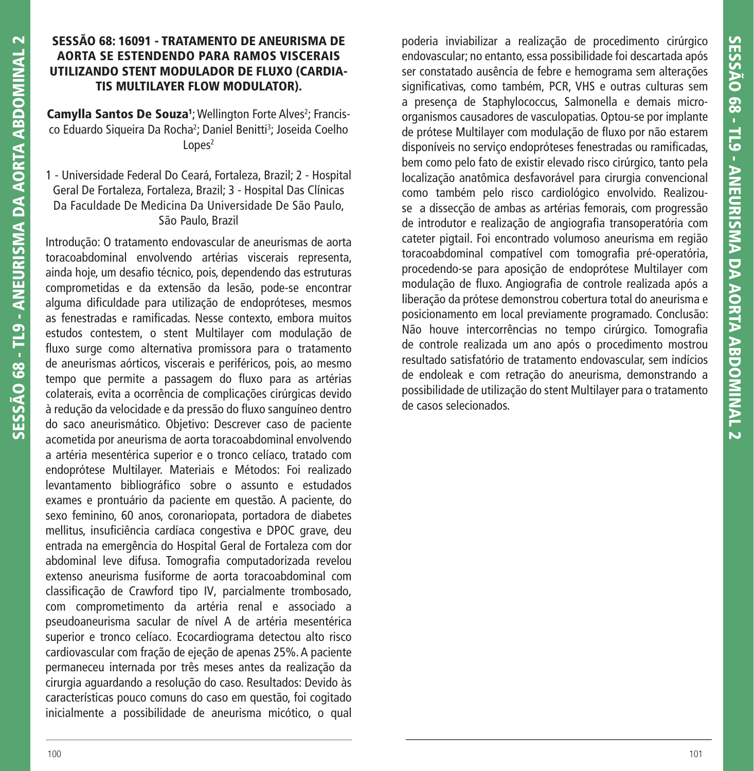## **SESSÃO 68: 16091 - TRATAMENTO DE ANEURISMA DE AORTA SE ESTENDENDO PARA RAMOS VISCERAIS UTILIZANDO STENT MODULADOR DE FLUXO (CARDIA-TIS MULTILAYER FLOW MODULATOR).**

**Camylla Santos De Souza<sup>1</sup>; Wellington Forte Alves<sup>2</sup>; Francis**co Eduardo Siqueira Da Rocha<sup>2</sup>; Daniel Benitti<sup>3</sup>; Joseida Coelho  $L$ opes<sup>2</sup>

1 - Universidade Federal Do Ceará, Fortaleza, Brazil; 2 - Hospital Geral De Fortaleza, Fortaleza, Brazil; 3 - Hospital Das Clínicas Da Faculdade De Medicina Da Universidade De São Paulo, São Paulo, Brazil

Introdução: O tratamento endovascular de aneurismas de aorta toracoabdominal envolvendo artérias viscerais representa, ainda hoje, um desafio técnico, pois, dependendo das estruturas comprometidas e da extensão da lesão, pode-se encontrar alguma dificuldade para utilização de endopróteses, mesmos as fenestradas e ramificadas. Nesse contexto, embora muitos estudos contestem, o stent Multilayer com modulação de fluxo surge como alternativa promissora para o tratamento de aneurismas aórticos, viscerais e periféricos, pois, ao mesmo tempo que permite a passagem do fluxo para as artérias colaterais, evita a ocorrência de complicações cirúrgicas devido à redução da velocidade e da pressão do fluxo sanguíneo dentro do saco aneurismático. Objetivo: Descrever caso de paciente acometida por aneurisma de aorta toracoabdominal envolvendo a artéria mesentérica superior e o tronco celíaco, tratado com endoprótese Multilayer. Materiais e Métodos: Foi realizado levantamento bibliográfico sobre o assunto e estudados exames e prontuário da paciente em questão. A paciente, do sexo feminino, 60 anos, coronariopata, portadora de diabetes mellitus, insuficiência cardíaca congestiva e DPOC grave, deu entrada na emergência do Hospital Geral de Fortaleza com dor abdominal leve difusa. Tomografia computadorizada revelou extenso aneurisma fusiforme de aorta toracoabdominal com classificação de Crawford tipo IV, parcialmente trombosado, com comprometimento da artéria renal e associado a pseudoaneurisma sacular de nível A de artéria mesentérica superior e tronco celíaco. Ecocardiograma detectou alto risco cardiovascular com fração de ejeção de apenas 25%. A paciente permaneceu internada por três meses antes da realização da cirurgia aguardando a resolução do caso. Resultados: Devido às características pouco comuns do caso em questão, foi cogitado inicialmente a possibilidade de aneurisma micótico, o qual

poderia inviabilizar a realização de procedimento cirúrgico endovascular; no entanto, essa possibilidade foi descartada após ser constatado ausência de febre e hemograma sem alterações significativas, como também, PCR, VHS e outras culturas sem a presença de Staphylococcus, Salmonella e demais microorganismos causadores de vasculopatias. Optou-se por implante de prótese Multilayer com modulação de fluxo por não estarem disponíveis no serviço endopróteses fenestradas ou ramificadas, bem como pelo fato de existir elevado risco cirúrgico, tanto pela localização anatômica desfavorável para cirurgia convencional como também pelo risco cardiológico envolvido. Realizouse a dissecção de ambas as artérias femorais, com progressão de introdutor e realização de angiografia transoperatória com cateter pigtail. Foi encontrado volumoso aneurisma em região toracoabdominal compatível com tomografia pré-operatória, procedendo-se para aposição de endoprótese Multilayer com modulação de fluxo. Angiografia de controle realizada após a liberação da prótese demonstrou cobertura total do aneurisma e posicionamento em local previamente programado. Conclusão: Não houve intercorrências no tempo cirúrgico. Tomografia de controle realizada um ano após o procedimento mostrou resultado satisfatório de tratamento endovascular, sem indícios de endoleak e com retração do aneurisma, demonstrando a possibilidade de utilização do stent Multilayer para o tratamento de casos selecionados.

**SESSÃO 68 - TL9 - ANEURISMA DA AORTA ABDOMINAL 2**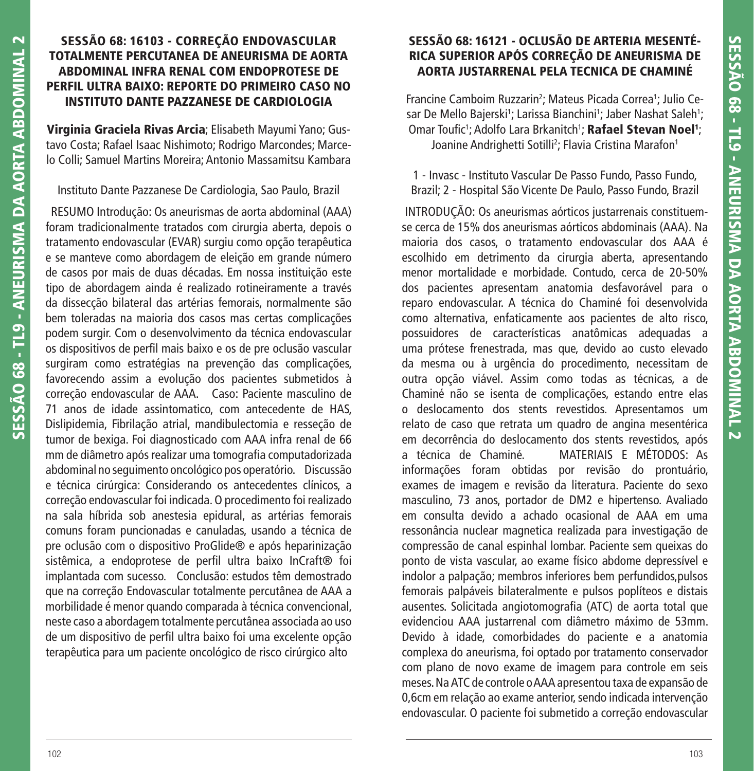## **SESSÃO 68: 16103 - CORREÇÃO ENDOVASCULAR TOTALMENTE PERCUTANEA DE ANEURISMA DE AORTA ABDOMINAL INFRA RENAL COM ENDOPROTESE DE PERFIL ULTRA BAIXO: REPORTE DO PRIMEIRO CASO NO INSTITUTO DANTE PAZZANESE DE CARDIOLOGIA**

**Virginia Graciela Rivas Arcia**; Elisabeth Mayumi Yano; Gustavo Costa; Rafael Isaac Nishimoto; Rodrigo Marcondes; Marcelo Colli; Samuel Martins Moreira; Antonio Massamitsu Kambara

## Instituto Dante Pazzanese De Cardiologia, Sao Paulo, Brazil

 RESUMO Introdução: Os aneurismas de aorta abdominal (AAA) foram tradicionalmente tratados com cirurgia aberta, depois o tratamento endovascular (EVAR) surgiu como opção terapêutica e se manteve como abordagem de eleição em grande número de casos por mais de duas décadas. Em nossa instituição este tipo de abordagem ainda é realizado rotineiramente a través da dissecção bilateral das artérias femorais, normalmente são bem toleradas na maioria dos casos mas certas complicações podem surgir. Com o desenvolvimento da técnica endovascular os dispositivos de perfil mais baixo e os de pre oclusão vascular surgiram como estratégias na prevenção das complicações, favorecendo assim a evolução dos pacientes submetidos à correção endovascular de AAA. Caso: Paciente masculino de 71 anos de idade assintomatico, com antecedente de HAS, Dislipidemia, Fibrilação atrial, mandibulectomia e resseção de tumor de bexiga. Foi diagnosticado com AAA infra renal de 66 mm de diâmetro após realizar uma tomografia computadorizada abdominal no seguimento oncológico pos operatório. Discussão e técnica cirúrgica: Considerando os antecedentes clínicos, a correção endovascular foi indicada. O procedimento foi realizado na sala híbrida sob anestesia epidural, as artérias femorais comuns foram puncionadas e canuladas, usando a técnica de pre oclusão com o dispositivo ProGlide® e após heparinização sistêmica, a endoprotese de perfil ultra baixo InCraft® foi implantada com sucesso. Conclusão: estudos têm demostrado que na correção Endovascular totalmente percutânea de AAA a morbilidade é menor quando comparada à técnica convencional, neste caso a abordagem totalmente percutânea associada ao uso de um dispositivo de perfil ultra baixo foi uma excelente opção terapêutica para um paciente oncológico de risco cirúrgico alto

## **SESSÃO 68: 16121 - OCLUSÃO DE ARTERIA MESENTÉ-RICA SUPERIOR APÓS CORREÇÃO DE ANEURISMA DE AORTA JUSTARRENAL PELA TECNICA DE CHAMINÉ**

Francine Camboim Ruzzarin<sup>2</sup>; Mateus Picada Correa<sup>1</sup>; Julio Cesar De Mello Bajerski<sup>1</sup>; Larissa Bianchini<sup>1</sup>; Jaber Nashat Saleh<sup>1</sup>; Omar Toufic<sup>1</sup>; Adolfo Lara Brkanitch<sup>1</sup>; **Rafael Stevan Noel<sup>1</sup>;** Joanine Andrighetti Sotilli<sup>2</sup>; Flavia Cristina Marafon<sup>1</sup>

1 - Invasc - Instituto Vascular De Passo Fundo, Passo Fundo, Brazil; 2 - Hospital São Vicente De Paulo, Passo Fundo, Brazil

 INTRODUÇÃO: Os aneurismas aórticos justarrenais constituemse cerca de 15% dos aneurismas aórticos abdominais (AAA). Na maioria dos casos, o tratamento endovascular dos AAA é escolhido em detrimento da cirurgia aberta, apresentando menor mortalidade e morbidade. Contudo, cerca de 20-50% dos pacientes apresentam anatomia desfavorável para o reparo endovascular. A técnica do Chaminé foi desenvolvida como alternativa, enfaticamente aos pacientes de alto risco, possuidores de características anatômicas adequadas a uma prótese frenestrada, mas que, devido ao custo elevado da mesma ou à urgência do procedimento, necessitam de outra opção viável. Assim como todas as técnicas, a de Chaminé não se isenta de complicações, estando entre elas o deslocamento dos stents revestidos. Apresentamos um relato de caso que retrata um quadro de angina mesentérica em decorrência do deslocamento dos stents revestidos, após a técnica de Chaminé. MATERIAIS E MÉTODOS: As informações foram obtidas por revisão do prontuário, exames de imagem e revisão da literatura. Paciente do sexo masculino, 73 anos, portador de DM2 e hipertenso. Avaliado em consulta devido a achado ocasional de AAA em uma ressonância nuclear magnetica realizada para investigação de compressão de canal espinhal lombar. Paciente sem queixas do ponto de vista vascular, ao exame físico abdome depressível e indolor a palpação; membros inferiores bem perfundidos,pulsos femorais palpáveis bilateralmente e pulsos poplíteos e distais ausentes. Solicitada angiotomografia (ATC) de aorta total que evidenciou AAA justarrenal com diâmetro máximo de 53mm. Devido à idade, comorbidades do paciente e a anatomia complexa do aneurisma, foi optado por tratamento conservador com plano de novo exame de imagem para controle em seis meses. Na ATC de controle o AAA apresentou taxa de expansão de 0,6cm em relação ao exame anterior, sendo indicada intervenção endovascular. O paciente foi submetido a correção endovascular

**SESSÃO 68 - TL9 - ANEURISMA DA AORTA ABDOMINAL 2**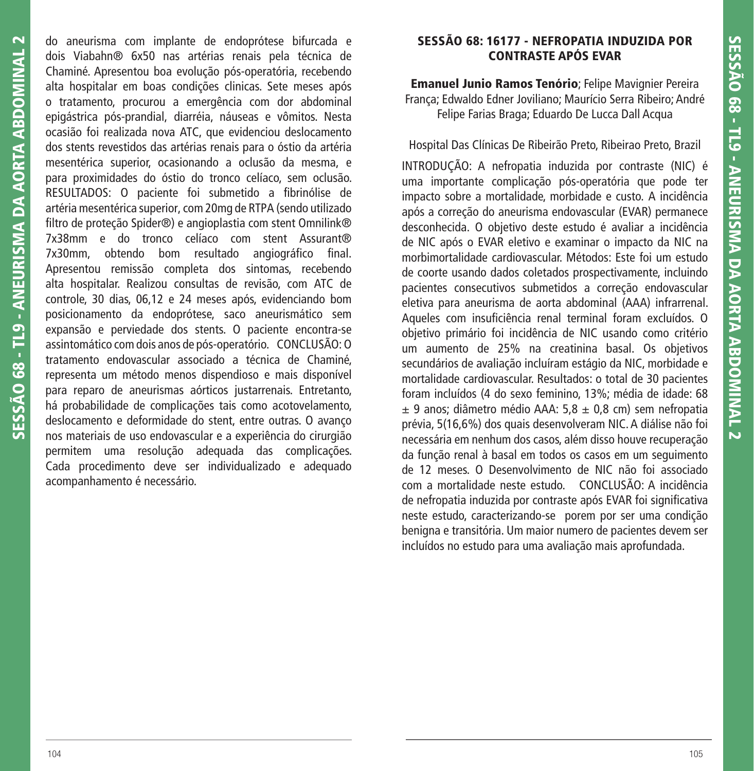do aneurisma com implante de endoprótese bifurcada e dois Viabahn® 6x50 nas artérias renais pela técnica de Chaminé. Apresentou boa evolução pós-operatória, recebendo alta hospitalar em boas condições clinicas. Sete meses após o tratamento, procurou a emergência com dor abdominal epigástrica pós-prandial, diarréia, náuseas e vômitos. Nesta ocasião foi realizada nova ATC, que evidenciou deslocamento dos stents revestidos das artérias renais para o óstio da artéria mesentérica superior, ocasionando a oclusão da mesma, e para proximidades do óstio do tronco celíaco, sem oclusão. RESULTADOS: O paciente foi submetido a fibrinólise de artéria mesentérica superior, com 20mg de RTPA (sendo utilizado filtro de proteção Spider®) e angioplastia com stent Omnilink® 7x38mm e do tronco celíaco com stent Assurant® 7x30mm, obtendo bom resultado angiográfico final. Apresentou remissão completa dos sintomas, recebendo alta hospitalar. Realizou consultas de revisão, com ATC de controle, 30 dias, 06,12 e 24 meses após, evidenciando bom posicionamento da endoprótese, saco aneurismático sem expansão e perviedade dos stents. O paciente encontra-se assintomático com dois anos de pós-operatório. CONCLUSÃO: O tratamento endovascular associado a técnica de Chaminé, representa um método menos dispendioso e mais disponível para reparo de aneurismas aórticos justarrenais. Entretanto, há probabilidade de complicações tais como acotovelamento, deslocamento e deformidade do stent, entre outras. O avanço nos materiais de uso endovascular e a experiência do cirurgião permitem uma resolução adequada das complicações. Cada procedimento deve ser individualizado e adequado acompanhamento é necessário.

## **SESSÃO 68: 16177 - NEFROPATIA INDUZIDA POR CONTRASTE APÓS EVAR**

**Emanuel Junio Ramos Tenório**; Felipe Mavignier Pereira França; Edwaldo Edner Joviliano; Maurício Serra Ribeiro; André Felipe Farias Braga; Eduardo De Lucca Dall Acqua

Hospital Das Clínicas De Ribeirão Preto, Ribeirao Preto, Brazil

INTRODUÇÃO: A nefropatia induzida por contraste (NIC) é uma importante complicação pós-operatória que pode ter impacto sobre a mortalidade, morbidade e custo. A incidência após a correção do aneurisma endovascular (EVAR) permanece desconhecida. O objetivo deste estudo é avaliar a incidência de NIC após o EVAR eletivo e examinar o impacto da NIC na morbimortalidade cardiovascular. Métodos: Este foi um estudo de coorte usando dados coletados prospectivamente, incluindo pacientes consecutivos submetidos a correção endovascular eletiva para aneurisma de aorta abdominal (AAA) infrarrenal. Aqueles com insuficiência renal terminal foram excluídos. O objetivo primário foi incidência de NIC usando como critério um aumento de 25% na creatinina basal. Os objetivos secundários de avaliação incluíram estágio da NIC, morbidade e mortalidade cardiovascular. Resultados: o total de 30 pacientes foram incluídos (4 do sexo feminino, 13%; média de idade: 68  $\pm$  9 anos; diâmetro médio AAA: 5,8  $\pm$  0,8 cm) sem nefropatia prévia, 5(16,6%) dos quais desenvolveram NIC. A diálise não foi necessária em nenhum dos casos, além disso houve recuperação da função renal à basal em todos os casos em um seguimento de 12 meses. O Desenvolvimento de NIC não foi associado com a mortalidade neste estudo. CONCLUSÃO: A incidência de nefropatia induzida por contraste após EVAR foi significativa neste estudo, caracterizando-se porem por ser uma condição benigna e transitória. Um maior numero de pacientes devem ser incluídos no estudo para uma avaliação mais aprofundada.

**SESSÃO 68 - TL9 - ANEURISMA DA AORTA ABDOMINAL 2**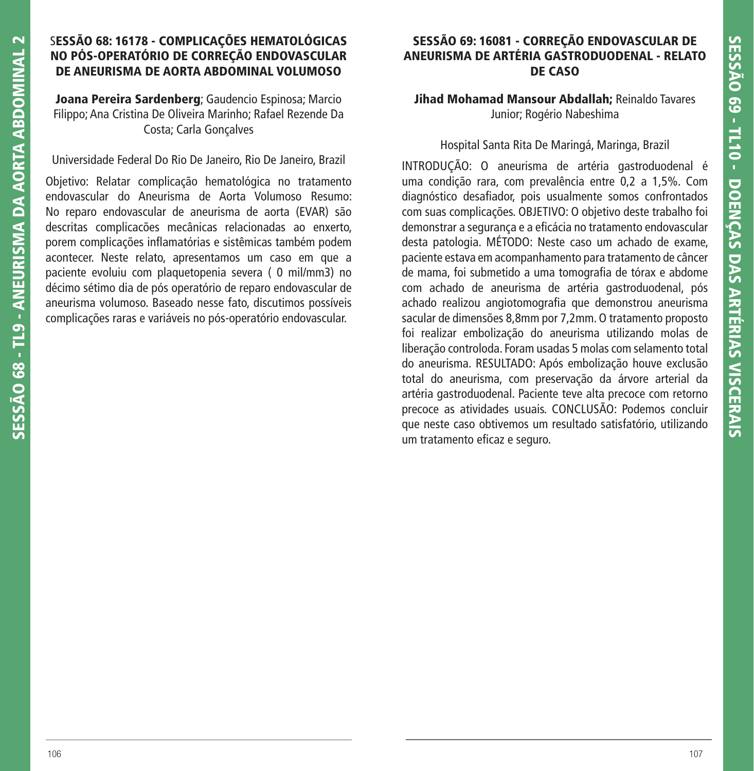### S**ESSÃO 68: 16178 - COMPLICAÇÕES HEMATOLÓGICAS NO PÓS-OPERATÓRIO DE CORREÇÃO ENDOVASCULAR DE ANEURISMA DE AORTA ABDOMINAL VOLUMOSO**

**Joana Pereira Sardenberg**; Gaudencio Espinosa; Marcio Filippo; Ana Cristina De Oliveira Marinho; Rafael Rezende Da Costa; Carla Gonçalves

Universidade Federal Do Rio De Janeiro, Rio De Janeiro, Brazil

Objetivo: Relatar complicação hematológica no tratamento endovascular do Aneurisma de Aorta Volumoso Resumo: No reparo endovascular de aneurisma de aorta (EVAR) são descritas complicacões mecânicas relacionadas ao enxerto, porem complicações inflamatórias e sistêmicas também podem acontecer. Neste relato, apresentamos um caso em que a paciente evoluiu com plaquetopenia severa ( 0 mil/mm3) no décimo sétimo dia de pós operatório de reparo endovascular de aneurisma volumoso. Baseado nesse fato, discutimos possíveis complicações raras e variáveis no pós-operatório endovascular.

## **SESSÃO 69: 16081 - CORREÇÃO ENDOVASCULAR DE ANEURISMA DE ARTÉRIA GASTRODUODENAL - RELATO DE CASO**

**Jihad Mohamad Mansour Abdallah;** Reinaldo Tavares Junior; Rogério Nabeshima

Hospital Santa Rita De Maringá, Maringa, Brazil

INTRODUÇÃO: O aneurisma de artéria gastroduodenal é uma condição rara, com prevalência entre 0,2 a 1,5%. Com diagnóstico desafiador, pois usualmente somos confrontados com suas complicações. OBJETIVO: O objetivo deste trabalho foi demonstrar a segurança e a eficácia no tratamento endovascular desta patologia. MÉTODO: Neste caso um achado de exame, paciente estava em acompanhamento para tratamento de câncer de mama, foi submetido a uma tomografia de tórax e abdome com achado de aneurisma de artéria gastroduodenal, pós achado realizou angiotomografia que demonstrou aneurisma sacular de dimensões 8,8mm por 7,2mm. O tratamento proposto foi realizar embolização do aneurisma utilizando molas de liberação controloda. Foram usadas 5 molas com selamento total do aneurisma. RESULTADO: Após embolização houve exclusão total do aneurisma, com preservação da árvore arterial da artéria gastroduodenal. Paciente teve alta precoce com retorno precoce as atividades usuais. CONCLUSÃO: Podemos concluir que neste caso obtivemos um resultado satisfatório, utilizando um tratamento eficaz e seguro.

**SESSÃO 68 - TL9 - ANEURISMA DA AORTA ABDOMINAL 2**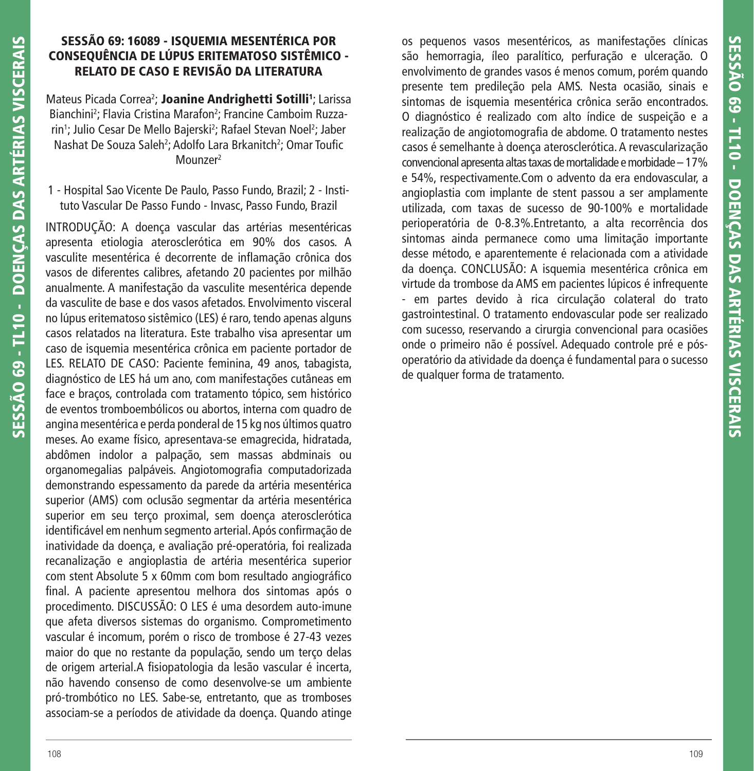### **SESSÃO 69: 16089 - ISQUEMIA MESENTÉRICA POR CONSEQUÊNCIA DE LÚPUS ERITEMATOSO SISTÊMICO - RELATO DE CASO E REVISÃO DA LITERATURA**

Mateus Picada Correa<sup>2</sup>; **Joanine Andrighetti Sotilli<sup>1</sup>;** Larissa Bianchini<sup>2</sup>; Flavia Cristina Marafon<sup>2</sup>; Francine Camboim Ruzzarin'; Julio Cesar De Mello Bajerski<sup>2</sup>; Rafael Stevan Noel<sup>2</sup>; Jaber Nashat De Souza Saleh<sup>2</sup>; Adolfo Lara Brkanitch<sup>2</sup>; Omar Toufic Mounzer<sup>2</sup>

1 - Hospital Sao Vicente De Paulo, Passo Fundo, Brazil; 2 - Instituto Vascular De Passo Fundo - Invasc, Passo Fundo, Brazil

INTRODUÇÃO: A doença vascular das artérias mesentéricas apresenta etiologia aterosclerótica em 90% dos casos. A vasculite mesentérica é decorrente de inflamação crônica dos vasos de diferentes calibres, afetando 20 pacientes por milhão anualmente. A manifestação da vasculite mesentérica depende da vasculite de base e dos vasos afetados. Envolvimento visceral no lúpus eritematoso sistêmico (LES) é raro, tendo apenas alguns casos relatados na literatura. Este trabalho visa apresentar um caso de isquemia mesentérica crônica em paciente portador de LES. RELATO DE CASO: Paciente feminina, 49 anos, tabagista, diagnóstico de LES há um ano, com manifestações cutâneas em face e braços, controlada com tratamento tópico, sem histórico de eventos tromboembólicos ou abortos, interna com quadro de angina mesentérica e perda ponderal de 15 kg nos últimos quatro meses. Ao exame físico, apresentava-se emagrecida, hidratada, abdômen indolor a palpação, sem massas abdminais ou organomegalias palpáveis. Angiotomografia computadorizada demonstrando espessamento da parede da artéria mesentérica superior (AMS) com oclusão segmentar da artéria mesentérica superior em seu terço proximal, sem doença aterosclerótica identificável em nenhum segmento arterial. Após confirmação de inatividade da doença, e avaliação pré-operatória, foi realizada recanalização e angioplastia de artéria mesentérica superior com stent Absolute 5 x 60mm com bom resultado angiográfico final. A paciente apresentou melhora dos sintomas após o procedimento. DISCUSSÃO: O LES é uma desordem auto-imune que afeta diversos sistemas do organismo. Comprometimento vascular é incomum, porém o risco de trombose é 27-43 vezes maior do que no restante da população, sendo um terço delas de origem arterial. A fisiopatologia da lesão vascular é incerta, não havendo consenso de como desenvolve-se um ambiente pró-trombótico no LES. Sabe-se, entretanto, que as tromboses associam-se a períodos de atividade da doença. Quando atinge

os pequenos vasos mesentéricos, as manifestações clínicas são hemorragia, íleo paralítico, perfuração e ulceração. O envolvimento de grandes vasos é menos comum, porém quando presente tem predileção pela AMS. Nesta ocasião, sinais e sintomas de isquemia mesentérica crônica serão encontrados. O diagnóstico é realizado com alto índice de suspeição e a realização de angiotomografia de abdome. O tratamento nestes casos é semelhante à doença aterosclerótica. A revascularização convencional apresenta altas taxas de mortalidade e morbidade – 17% e 54%, respectivamente.Com o advento da era endovascular, a angioplastia com implante de stent passou a ser amplamente utilizada, com taxas de sucesso de 90-100% e mortalidade perioperatória de 0-8.3%.Entretanto, a alta recorrência dos sintomas ainda permanece como uma limitação importante desse método, e aparentemente é relacionada com a atividade da doença. CONCLUSÃO: A isquemia mesentérica crônica em virtude da trombose da AMS em pacientes lúpicos é infrequente - em partes devido à rica circulação colateral do trato gastrointestinal. O tratamento endovascular pode ser realizado com sucesso, reservando a cirurgia convencional para ocasiões onde o primeiro não é possível. Adequado controle pré e pósoperatório da atividade da doença é fundamental para o sucesso de qualquer forma de tratamento.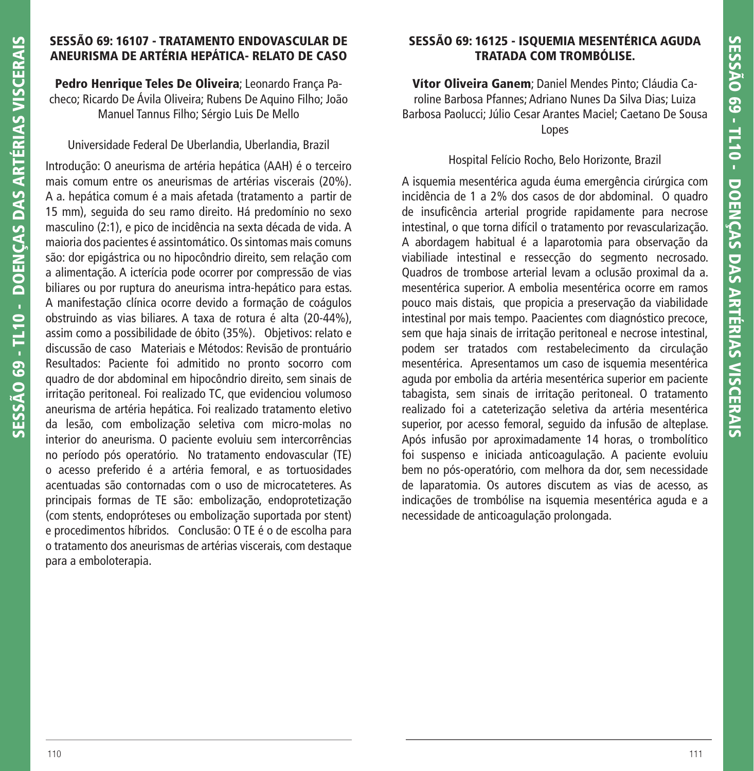# **SESSÃO 69: 16107 - TRATAMENTO ENDOVASCULAR DE ANEURISMA DE ARTÉRIA HEPÁTICA- RELATO DE CASO**

**Pedro Henrique Teles De Oliveira**; Leonardo França Pacheco; Ricardo De Ávila Oliveira; Rubens De Aquino Filho; João Manuel Tannus Filho; Sérgio Luis De Mello

Universidade Federal De Uberlandia, Uberlandia, Brazil

Introdução: O aneurisma de artéria hepática (AAH) é o terceiro mais comum entre os aneurismas de artérias viscerais (20%). A a. hepática comum é a mais afetada (tratamento a partir de 15 mm), seguida do seu ramo direito. Há predomínio no sexo masculino (2:1), e pico de incidência na sexta década de vida. A maioria dos pacientes é assintomático. Os sintomas mais comuns são: dor epigástrica ou no hipocôndrio direito, sem relação com a alimentação. A icterícia pode ocorrer por compressão de vias biliares ou por ruptura do aneurisma intra-hepático para estas. A manifestação clínica ocorre devido a formação de coágulos obstruindo as vias biliares. A taxa de rotura é alta (20-44%), assim como a possibilidade de óbito (35%). Objetivos: relato e discussão de caso Materiais e Métodos: Revisão de prontuário Resultados: Paciente foi admitido no pronto socorro com quadro de dor abdominal em hipocôndrio direito, sem sinais de irritação peritoneal. Foi realizado TC, que evidenciou volumoso aneurisma de artéria hepática. Foi realizado tratamento eletivo da lesão, com embolização seletiva com micro-molas no interior do aneurisma. O paciente evoluiu sem intercorrências no período pós operatório. No tratamento endovascular (TE) o acesso preferido é a artéria femoral, e as tortuosidades acentuadas são contornadas com o uso de microcateteres. As principais formas de TE são: embolização, endoprotetização (com stents, endopróteses ou embolização suportada por stent) e procedimentos híbridos. Conclusão: O TE é o de escolha para o tratamento dos aneurismas de artérias viscerais, com destaque para a emboloterapia.

# **SESSÃO 69: 16125 - ISQUEMIA MESENTÉRICA AGUDA TRATADA COM TROMBÓLISE.**

**Vítor Oliveira Ganem**; Daniel Mendes Pinto; Cláudia Caroline Barbosa Pfannes; Adriano Nunes Da Silva Dias; Luiza Barbosa Paolucci; Júlio Cesar Arantes Maciel; Caetano De Sousa Lopes

# Hospital Felício Rocho, Belo Horizonte, Brazil

A isquemia mesentérica aguda éuma emergência cirúrgica com incidência de 1 a 2% dos casos de dor abdominal. O quadro de insuficência arterial progride rapidamente para necrose intestinal, o que torna difícil o tratamento por revascularização. A abordagem habitual é a laparotomia para observação da viabiliade intestinal e ressecção do segmento necrosado. Quadros de trombose arterial levam a oclusão proximal da a. mesentérica superior. A embolia mesentérica ocorre em ramos pouco mais distais, que propicia a preservação da viabilidade intestinal por mais tempo. Paacientes com diagnóstico precoce, sem que haja sinais de irritação peritoneal e necrose intestinal, podem ser tratados com restabelecimento da circulação mesentérica. Apresentamos um caso de isquemia mesentérica aguda por embolia da artéria mesentérica superior em paciente tabagista, sem sinais de irritação peritoneal. O tratamento realizado foi a cateterização seletiva da artéria mesentérica superior, por acesso femoral, seguido da infusão de alteplase. Após infusão por aproximadamente 14 horas, o trombolítico foi suspenso e iniciada anticoagulação. A paciente evoluiu bem no pós-operatório, com melhora da dor, sem necessidade de laparatomia. Os autores discutem as vias de acesso, as indicações de trombólise na isquemia mesentérica aguda e a necessidade de anticoagulação prolongada.

**SESSÃO 69 - TL10 - DOENÇAS DAS ARTÉRIAS VISCERAIS**

SESSÃO 69 - TL10 - DOENCAS DAS ARTÉRIAS VISCERAIS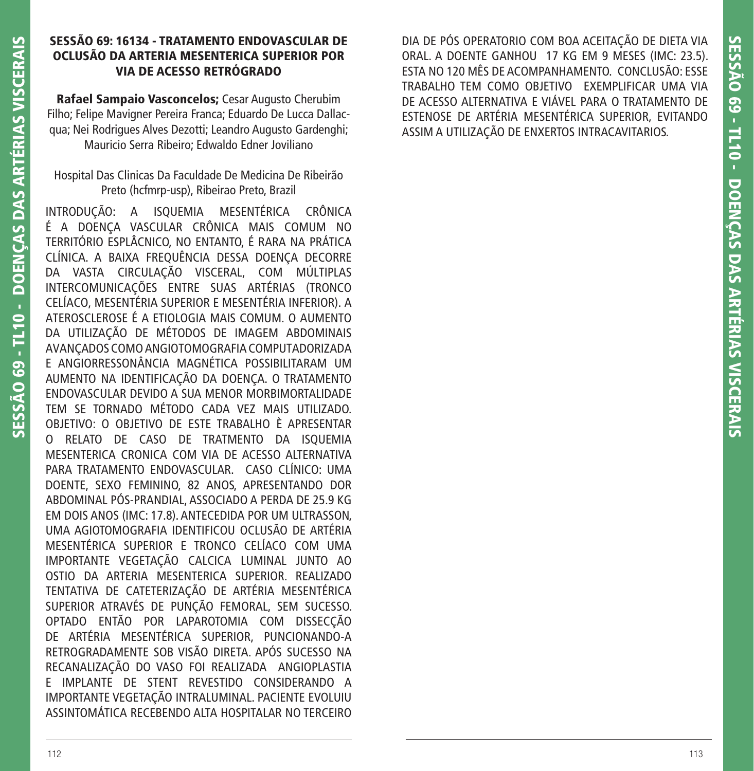### **SESSÃO 69: 16134 - TRATAMENTO ENDOVASCULAR DE OCLUSÃO DA ARTERIA MESENTERICA SUPERIOR POR VIA DE ACESSO RETRÓGRADO**

**Rafael Sampaio Vasconcelos;** Cesar Augusto Cherubim Filho; Felipe Mavigner Pereira Franca; Eduardo De Lucca Dallacqua; Nei Rodrigues Alves Dezotti; Leandro Augusto Gardenghi; Mauricio Serra Ribeiro; Edwaldo Edner Joviliano

Hospital Das Clinicas Da Faculdade De Medicina De Ribeirão Preto (hcfmrp-usp), Ribeirao Preto, Brazil

INTRODUÇÃO: A ISQUEMIA MESENTÉRICA CRÔNICA É A DOENÇA VASCULAR CRÔNICA MAIS COMUM NO TERRITÓRIO ESPLÂCNICO, NO ENTANTO, É RARA NA PRÁTICA CLÍNICA. A BAIXA FREQUÊNCIA DESSA DOENÇA DECORRE DA VASTA CIRCULAÇÃO VISCERAL, COM MÚLTIPLAS INTERCOMUNICAÇÕES ENTRE SUAS ARTÉRIAS (TRONCO CELÍACO, MESENTÉRIA SUPERIOR E MESENTÉRIA INFERIOR). A ATEROSCLEROSE É A ETIOLOGIA MAIS COMUM. O AUMENTO DA UTILIZAÇÃO DE MÉTODOS DE IMAGEM ABDOMINAIS AVANÇADOS COMO ANGIOTOMOGRAFIA COMPUTADORIZADA E ANGIORRESSONÂNCIA MAGNÉTICA POSSIBILITARAM UM AUMENTO NA IDENTIFICAÇÃO DA DOENÇA. O TRATAMENTO ENDOVASCULAR DEVIDO A SUA MENOR MORBIMORTALIDADE TEM SE TORNADO MÉTODO CADA VEZ MAIS UTILIZADO. OBJETIVO: O OBJETIVO DE ESTE TRABALHO È APRESENTAR O RELATO DE CASO DE TRATMENTO DA ISQUEMIA MESENTERICA CRONICA COM VIA DE ACESSO ALTERNATIVA PARA TRATAMENTO ENDOVASCULAR. CASO CLÍNICO: UMA DOENTE, SEXO FEMININO, 82 ANOS, APRESENTANDO DOR ABDOMINAL PÓS-PRANDIAL, ASSOCIADO A PERDA DE 25.9 KG EM DOIS ANOS (IMC: 17.8). ANTECEDIDA POR UM ULTRASSON, UMA AGIOTOMOGRAFIA IDENTIFICOU OCLUSÃO DE ARTÉRIA MESENTÉRICA SUPERIOR E TRONCO CELÍACO COM UMA IMPORTANTE VEGETAÇÃO CALCICA LUMINAL JUNTO AO OSTIO DA ARTERIA MESENTERICA SUPERIOR. REALIZADO TENTATIVA DE CATETERIZAÇÃO DE ARTÉRIA MESENTÉRICA SUPERIOR ATRAVÉS DE PUNÇÃO FEMORAL, SEM SUCESSO. OPTADO ENTÃO POR LAPAROTOMIA COM DISSECÇÃO DE ARTÉRIA MESENTÉRICA SUPERIOR, PUNCIONANDO-A RETROGRADAMENTE SOB VISÃO DIRETA. APÓS SUCESSO NA RECANALIZAÇÃO DO VASO FOI REALIZADA ANGIOPLASTIA E IMPLANTE DE STENT REVESTIDO CONSIDERANDO A IMPORTANTE VEGETAÇÃO INTRALUMINAL. PACIENTE EVOLUIU ASSINTOMÁTICA RECEBENDO ALTA HOSPITALAR NO TERCEIRO

DIA DE PÓS OPERATORIO COM BOA ACEITAÇÃO DE DIETA VIA ORAL. A DOENTE GANHOU 17 KG EM 9 MESES (IMC: 23.5). ESTA NO 120 MÊS DE ACOMPANHAMENTO. CONCLUSÃO: ESSE TRABALHO TEM COMO OBJETIVO EXEMPLIFICAR UMA VIA DE ACESSO ALTERNATIVA E VIÁVEL PARA O TRATAMENTO DE ESTENOSE DE ARTÉRIA MESENTÉRICA SUPERIOR, EVITANDO ASSIM A UTILIZAÇÃO DE ENXERTOS INTRACAVITARIOS.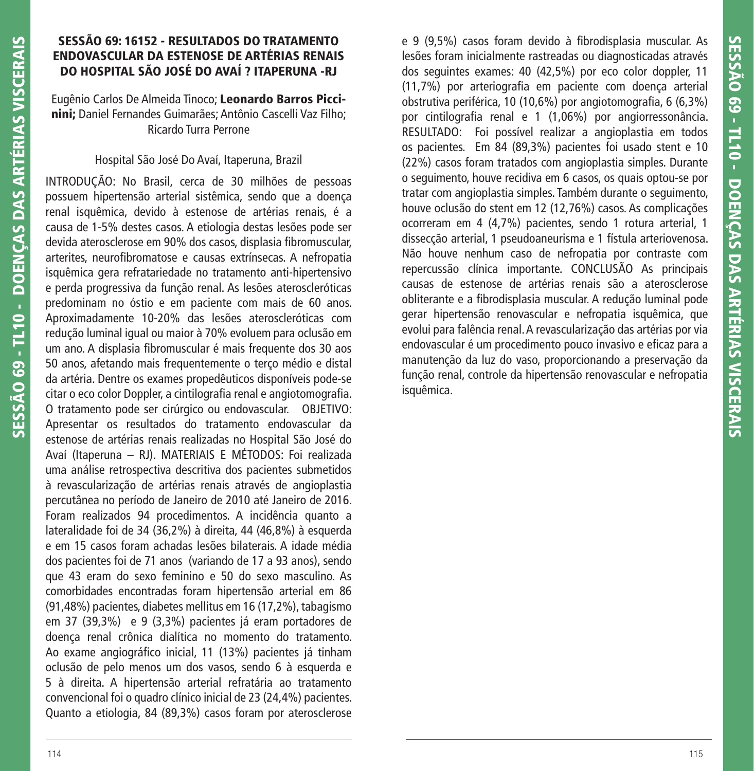### **SESSÃO 69: 16152 - RESULTADOS DO TRATAMENTO ENDOVASCULAR DA ESTENOSE DE ARTÉRIAS RENAIS DO HOSPITAL SÃO JOSÉ DO AVAÍ ? ITAPERUNA -RJ**

Eugênio Carlos De Almeida Tinoco; **Leonardo Barros Piccinini;** Daniel Fernandes Guimarães; Antônio Cascelli Vaz Filho; Ricardo Turra Perrone

### Hospital São José Do Avaí, Itaperuna, Brazil

INTRODUÇÃO: No Brasil, cerca de 30 milhões de pessoas possuem hipertensão arterial sistêmica, sendo que a doença renal isquêmica, devido à estenose de artérias renais, é a causa de 1-5% destes casos. A etiologia destas lesões pode ser devida aterosclerose em 90% dos casos, displasia fibromuscular, arterites, neurofibromatose e causas extrínsecas. A nefropatia isquêmica gera refratariedade no tratamento anti-hipertensivo e perda progressiva da função renal. As lesões ateroscleróticas predominam no óstio e em paciente com mais de 60 anos. Aproximadamente 10-20% das lesões ateroscleróticas com redução luminal igual ou maior à 70% evoluem para oclusão em um ano. A displasia fibromuscular é mais frequente dos 30 aos 50 anos, afetando mais frequentemente o terço médio e distal da artéria. Dentre os exames propedêuticos disponíveis pode-se citar o eco color Doppler, a cintilografia renal e angiotomografia. O tratamento pode ser cirúrgico ou endovascular. OBJETIVO: Apresentar os resultados do tratamento endovascular da estenose de artérias renais realizadas no Hospital São José do Avaí (Itaperuna – RJ). MATERIAIS E MÉTODOS: Foi realizada uma análise retrospectiva descritiva dos pacientes submetidos à revascularização de artérias renais através de angioplastia percutânea no período de Janeiro de 2010 até Janeiro de 2016. Foram realizados 94 procedimentos. A incidência quanto a lateralidade foi de 34 (36,2%) à direita, 44 (46,8%) à esquerda e em 15 casos foram achadas lesões bilaterais. A idade média dos pacientes foi de 71 anos (variando de 17 a 93 anos), sendo que 43 eram do sexo feminino e 50 do sexo masculino. As comorbidades encontradas foram hipertensão arterial em 86 (91,48%) pacientes, diabetes mellitus em 16 (17,2%), tabagismo em 37 (39,3%) e 9 (3,3%) pacientes já eram portadores de doença renal crônica dialítica no momento do tratamento. Ao exame angiográfico inicial, 11 (13%) pacientes já tinham oclusão de pelo menos um dos vasos, sendo 6 à esquerda e 5 à direita. A hipertensão arterial refratária ao tratamento convencional foi o quadro clínico inicial de 23 (24,4%) pacientes. Quanto a etiologia, 84 (89,3%) casos foram por aterosclerose

e 9 (9,5%) casos foram devido à fibrodisplasia muscular. As lesões foram inicialmente rastreadas ou diagnosticadas através dos seguintes exames: 40 (42,5%) por eco color doppler, 11 (11,7%) por arteriografia em paciente com doença arterial obstrutiva periférica, 10 (10,6%) por angiotomografia, 6 (6,3%) por cintilografia renal e 1 (1,06%) por angiorressonância. RESULTADO: Foi possível realizar a angioplastia em todos os pacientes. Em 84 (89,3%) pacientes foi usado stent e 10 (22%) casos foram tratados com angioplastia simples. Durante o seguimento, houve recidiva em 6 casos, os quais optou-se por tratar com angioplastia simples. Também durante o seguimento, houve oclusão do stent em 12 (12,76%) casos. As complicações ocorreram em 4 (4,7%) pacientes, sendo 1 rotura arterial, 1 dissecção arterial, 1 pseudoaneurisma e 1 fístula arteriovenosa. Não houve nenhum caso de nefropatia por contraste com repercussão clínica importante. CONCLUSÃO As principais causas de estenose de artérias renais são a aterosclerose obliterante e a fibrodisplasia muscular. A redução luminal pode gerar hipertensão renovascular e nefropatia isquêmica, que evolui para falência renal. A revascularização das artérias por via endovascular é um procedimento pouco invasivo e eficaz para a manutenção da luz do vaso, proporcionando a preservação da função renal, controle da hipertensão renovascular e nefropatia isquêmica.

**SESSÃO 69 - TL10 - DOENÇAS DAS ARTÉRIAS VISCERAIS**

SESSÃO 69 - TL10 - DOENÇAS DAS ARTÉRIAS VISCERAIS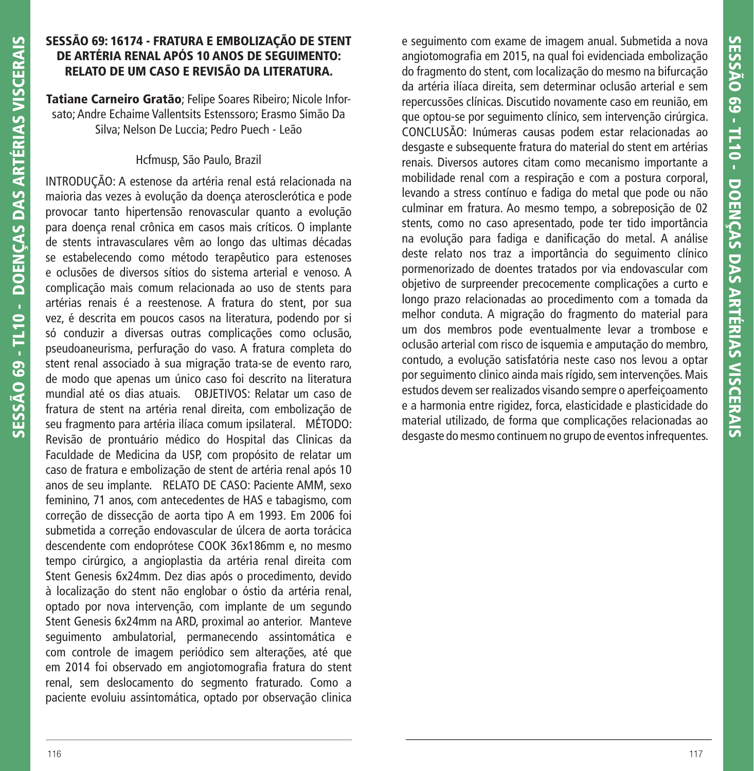### **SESSÃO 69: 16174 - FRATURA E EMBOLIZAÇÃO DE STENT DE ARTÉRIA RENAL APÓS 10 ANOS DE SEGUIMENTO: RELATO DE UM CASO E REVISÃO DA LITERATURA.**

**Tatiane Carneiro Gratão**; Felipe Soares Ribeiro; Nicole Inforsato; Andre Echaime Vallentsits Estenssoro; Erasmo Simão Da Silva; Nelson De Luccia; Pedro Puech - Leão

### Hcfmusp, São Paulo, Brazil

INTRODUÇÃO: A estenose da artéria renal está relacionada na maioria das vezes à evolução da doença aterosclerótica e pode provocar tanto hipertensão renovascular quanto a evolução para doença renal crônica em casos mais críticos. O implante de stents intravasculares vêm ao longo das ultimas décadas se estabelecendo como método terapêutico para estenoses e oclusões de diversos sítios do sistema arterial e venoso. A complicação mais comum relacionada ao uso de stents para artérias renais é a reestenose. A fratura do stent, por sua vez, é descrita em poucos casos na literatura, podendo por si só conduzir a diversas outras complicações como oclusão, pseudoaneurisma, perfuração do vaso. A fratura completa do stent renal associado à sua migração trata-se de evento raro, de modo que apenas um único caso foi descrito na literatura mundial até os dias atuais. OBJETIVOS: Relatar um caso de fratura de stent na artéria renal direita, com embolização de seu fragmento para artéria ilíaca comum ipsilateral. MÉTODO: Revisão de prontuário médico do Hospital das Clinicas da Faculdade de Medicina da USP, com propósito de relatar um caso de fratura e embolização de stent de artéria renal após 10 anos de seu implante. RELATO DE CASO: Paciente AMM, sexo feminino, 71 anos, com antecedentes de HAS e tabagismo, com correção de dissecção de aorta tipo A em 1993. Em 2006 foi submetida a correção endovascular de úlcera de aorta torácica descendente com endoprótese COOK 36x186mm e, no mesmo tempo cirúrgico, a angioplastia da artéria renal direita com Stent Genesis 6x24mm. Dez dias após o procedimento, devido à localização do stent não englobar o óstio da artéria renal, optado por nova intervenção, com implante de um segundo Stent Genesis 6x24mm na ARD, proximal ao anterior. Manteve seguimento ambulatorial, permanecendo assintomática e com controle de imagem periódico sem alterações, até que em 2014 foi observado em angiotomografia fratura do stent renal, sem deslocamento do segmento fraturado. Como a paciente evoluiu assintomática, optado por observação clinica e seguimento com exame de imagem anual. Submetida a nova angiotomografia em 2015, na qual foi evidenciada embolização do fragmento do stent, com localização do mesmo na bifurcação da artéria ilíaca direita, sem determinar oclusão arterial e sem repercussões clínicas. Discutido novamente caso em reunião, em que optou-se por seguimento clínico, sem intervenção cirúrgica. CONCLUSÃO: Inúmeras causas podem estar relacionadas ao desgaste e subsequente fratura do material do stent em artérias renais. Diversos autores citam como mecanismo importante a mobilidade renal com a respiração e com a postura corporal, levando a stress contínuo e fadiga do metal que pode ou não culminar em fratura. Ao mesmo tempo, a sobreposição de 02 stents, como no caso apresentado, pode ter tido importância na evolução para fadiga e danificação do metal. A análise deste relato nos traz a importância do seguimento clínico pormenorizado de doentes tratados por via endovascular com objetivo de surpreender precocemente complicações a curto e longo prazo relacionadas ao procedimento com a tomada da melhor conduta. A migração do fragmento do material para um dos membros pode eventualmente levar a trombose e oclusão arterial com risco de isquemia e amputação do membro, contudo, a evolução satisfatória neste caso nos levou a optar por seguimento clinico ainda mais rígido, sem intervenções. Mais estudos devem ser realizados visando sempre o aperfeiçoamento e a harmonia entre rigidez, forca, elasticidade e plasticidade do material utilizado, de forma que complicações relacionadas ao desgaste do mesmo continuem no grupo de eventos infrequentes.

**SESSÃO 69 - TL10 - DOENÇAS DAS ARTÉRIAS VISCERAIS**

SESSÃO 69 - TL10 - DOENCAS DAS ARTÉRIAS VISCERAIS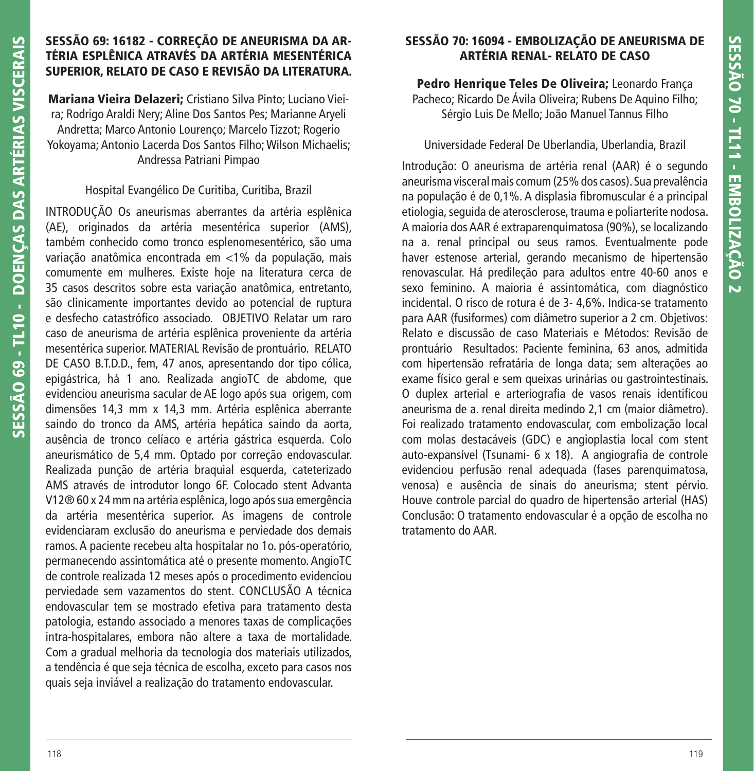## **SESSÃO 69: 16182 - CORREÇÃO DE ANEURISMA DA AR-TÉRIA ESPLÊNICA ATRAVÉS DA ARTÉRIA MESENTÉRICA SUPERIOR, RELATO DE CASO E REVISÃO DA LITERATURA.**

**Mariana Vieira Delazeri;** Cristiano Silva Pinto; Luciano Vieira; Rodrigo Araldi Nery; Aline Dos Santos Pes; Marianne Aryeli Andretta; Marco Antonio Lourenço; Marcelo Tizzot; Rogerio Yokoyama; Antonio Lacerda Dos Santos Filho; Wilson Michaelis; Andressa Patriani Pimpao

### Hospital Evangélico De Curitiba, Curitiba, Brazil

INTRODUÇÃO Os aneurismas aberrantes da artéria esplênica (AE), originados da artéria mesentérica superior (AMS), também conhecido como tronco esplenomesentérico, são uma variação anatômica encontrada em <1% da população, mais comumente em mulheres. Existe hoje na literatura cerca de 35 casos descritos sobre esta variação anatômica, entretanto, são clinicamente importantes devido ao potencial de ruptura e desfecho catastrófico associado. OBJETIVO Relatar um raro caso de aneurisma de artéria esplênica proveniente da artéria mesentérica superior. MATERIAL Revisão de prontuário. RELATO DE CASO B.T.D.D., fem, 47 anos, apresentando dor tipo cólica, epigástrica, há 1 ano. Realizada angioTC de abdome, que evidenciou aneurisma sacular de AE logo após sua origem, com dimensões 14,3 mm x 14,3 mm. Artéria esplênica aberrante saindo do tronco da AMS, artéria hepática saindo da aorta, ausência de tronco celíaco e artéria gástrica esquerda. Colo aneurismático de 5,4 mm. Optado por correção endovascular. Realizada punção de artéria braquial esquerda, cateterizado AMS através de introdutor longo 6F. Colocado stent Advanta V12® 60 x 24 mm na artéria esplênica, logo após sua emergência da artéria mesentérica superior. As imagens de controle evidenciaram exclusão do aneurisma e perviedade dos demais ramos. A paciente recebeu alta hospitalar no 1o. pós-operatório, permanecendo assintomática até o presente momento. AngioTC de controle realizada 12 meses após o procedimento evidenciou perviedade sem vazamentos do stent. CONCLUSÃO A técnica endovascular tem se mostrado efetiva para tratamento desta patologia, estando associado a menores taxas de complicações intra-hospitalares, embora não altere a taxa de mortalidade. Com a gradual melhoria da tecnologia dos materiais utilizados, a tendência é que seja técnica de escolha, exceto para casos nos quais seja inviável a realização do tratamento endovascular.

# **SESSÃO 70: 16094 - EMBOLIZAÇÃO DE ANEURISMA DE ARTÉRIA RENAL- RELATO DE CASO**

**Pedro Henrique Teles De Oliveira;** Leonardo França Pacheco; Ricardo De Ávila Oliveira; Rubens De Aquino Filho; Sérgio Luis De Mello; João Manuel Tannus Filho

# Universidade Federal De Uberlandia, Uberlandia, Brazil

Introdução: O aneurisma de artéria renal (AAR) é o segundo aneurisma visceral mais comum (25% dos casos). Sua prevalência na população é de 0,1%. A displasia fibromuscular é a principal etiologia, seguida de aterosclerose, trauma e poliarterite nodosa. A maioria dos AAR é extraparenquimatosa (90%), se localizando na a. renal principal ou seus ramos. Eventualmente pode haver estenose arterial, gerando mecanismo de hipertensão renovascular. Há predileção para adultos entre 40-60 anos e sexo feminino. A maioria é assintomática, com diagnóstico incidental. O risco de rotura é de 3- 4,6%. Indica-se tratamento para AAR (fusiformes) com diâmetro superior a 2 cm. Objetivos: Relato e discussão de caso Materiais e Métodos: Revisão de prontuário Resultados: Paciente feminina, 63 anos, admitida com hipertensão refratária de longa data; sem alterações ao exame físico geral e sem queixas urinárias ou gastrointestinais. O duplex arterial e arteriografia de vasos renais identificou aneurisma de a. renal direita medindo 2,1 cm (maior diâmetro). Foi realizado tratamento endovascular, com embolização local com molas destacáveis (GDC) e angioplastia local com stent auto-expansível (Tsunami- 6 x 18). A angiografia de controle evidenciou perfusão renal adequada (fases parenquimatosa, venosa) e ausência de sinais do aneurisma; stent pérvio. Houve controle parcial do quadro de hipertensão arterial (HAS) Conclusão: O tratamento endovascular é a opção de escolha no tratamento do AAR.

**SESSÃO 69 - TL10 - DOENÇAS DAS ARTÉRIAS VISCERAIS**

SESSÃO 69 - TL10 - DOENCAS DAS ARTÉRIAS VISCERAIS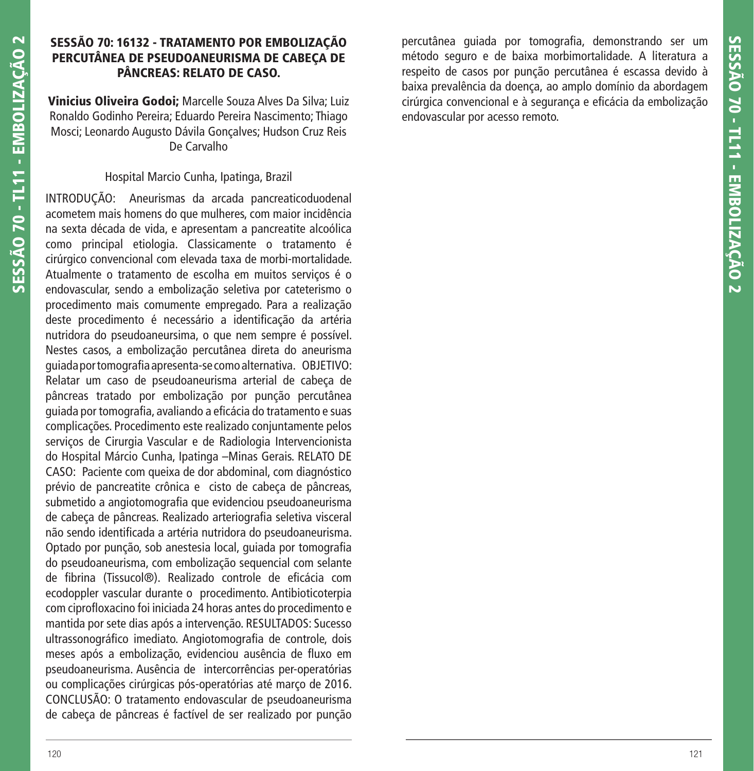## **SESSÃO 70: 16132 - TRATAMENTO POR EMBOLIZAÇÃO PERCUTÂNEA DE PSEUDOANEURISMA DE CABEÇA DE PÂNCREAS: RELATO DE CASO.**

**Vinicius Oliveira Godoi;** Marcelle Souza Alves Da Silva; Luiz Ronaldo Godinho Pereira; Eduardo Pereira Nascimento; Thiago Mosci; Leonardo Augusto Dávila Gonçalves; Hudson Cruz Reis De Carvalho

#### Hospital Marcio Cunha, Ipatinga, Brazil

INTRODUÇÃO: Aneurismas da arcada pancreaticoduodenal acometem mais homens do que mulheres, com maior incidência na sexta década de vida, e apresentam a pancreatite alcoólica como principal etiologia. Classicamente o tratamento é cirúrgico convencional com elevada taxa de morbi-mortalidade. Atualmente o tratamento de escolha em muitos serviços é o endovascular, sendo a embolização seletiva por cateterismo o procedimento mais comumente empregado. Para a realização deste procedimento é necessário a identificação da artéria nutridora do pseudoaneursima, o que nem sempre é possível. Nestes casos, a embolização percutânea direta do aneurisma guiada por tomografi a apresenta-se como alternativa. OBJETIVO: Relatar um caso de pseudoaneurisma arterial de cabeça de pâncreas tratado por embolização por punção percutânea guiada por tomografia, avaliando a eficácia do tratamento e suas complicações. Procedimento este realizado conjuntamente pelos serviços de Cirurgia Vascular e de Radiologia Intervencionista do Hospital Márcio Cunha, Ipatinga –Minas Gerais. RELATO DE CASO: Paciente com queixa de dor abdominal, com diagnóstico prévio de pancreatite crônica e cisto de cabeça de pâncreas, submetido a angiotomografia que evidenciou pseudoaneurisma de cabeça de pâncreas. Realizado arteriografia seletiva visceral não sendo identificada a artéria nutridora do pseudoaneurisma. Optado por punção, sob anestesia local, quiada por tomografia do pseudoaneurisma, com embolização sequencial com selante de fibrina (Tissucol®). Realizado controle de eficácia com ecodoppler vascular durante o procedimento. Antibioticoterpia com ciprofloxacino foi iniciada 24 horas antes do procedimento e mantida por sete dias após a intervenção. RESULTADOS: Sucesso ultrassonográfico imediato. Angiotomografia de controle, dois meses após a embolização, evidenciou ausência de fluxo em pseudoaneurisma. Ausência de intercorrências per-operatórias ou complicações cirúrgicas pós-operatórias até março de 2016. CONCLUSÃO: O tratamento endovascular de pseudoaneurisma de cabeça de pâncreas é factível de ser realizado por punção percutânea quiada por tomografia, demonstrando ser um método seguro e de baixa morbimortalidade. A literatura a respeito de casos por punção percutânea é escassa devido à baixa prevalência da doença, ao amplo domínio da abordagem cirúrgica convencional e à segurança e eficácia da embolização endovascular por acesso remoto.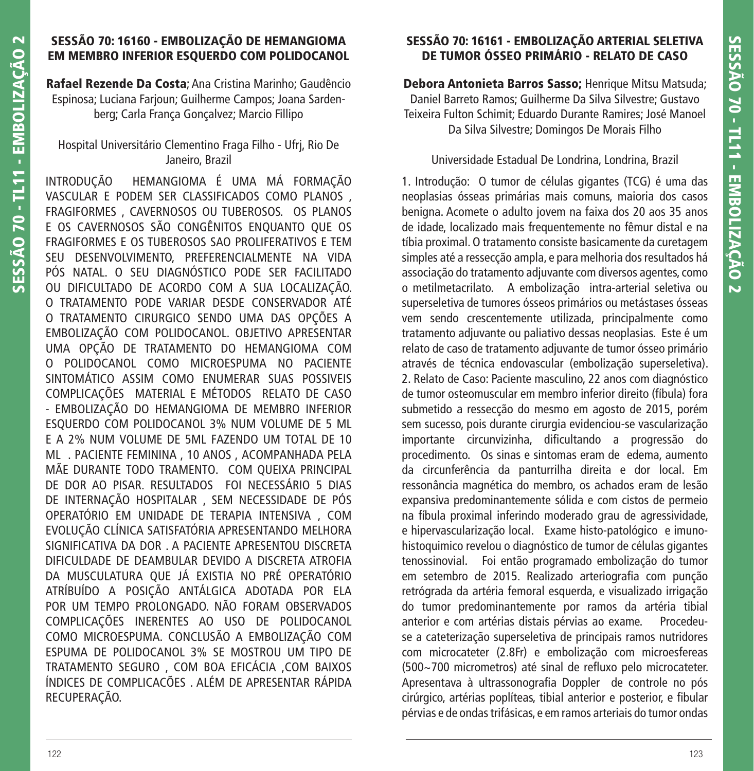## **SESSÃO 70: 16160 - EMBOLIZAÇÃO DE HEMANGIOMA EM MEMBRO INFERIOR ESQUERDO COM POLIDOCANOL**

**Rafael Rezende Da Costa**; Ana Cristina Marinho; Gaudêncio Espinosa; Luciana Farjoun; Guilherme Campos; Joana Sardenberg; Carla França Gonçalvez; Marcio Fillipo

### Hospital Universitário Clementino Fraga Filho - Ufrj, Rio De Janeiro, Brazil

INTRODUÇÃO HEMANGIOMA É UMA MÁ FORMAÇÃO VASCULAR E PODEM SER CLASSIFICADOS COMO PLANOS , FRAGIFORMES , CAVERNOSOS OU TUBEROSOS. OS PLANOS E OS CAVERNOSOS SÃO CONGÊNITOS ENQUANTO QUE OS FRAGIFORMES E OS TUBEROSOS SAO PROLIFERATIVOS E TEM SEU DESENVOLVIMENTO, PREFERENCIALMENTE NA VIDA PÓS NATAL. O SEU DIAGNÓSTICO PODE SER FACILITADO OU DIFICULTADO DE ACORDO COM A SUA LOCALIZAÇÃO. O TRATAMENTO PODE VARIAR DESDE CONSERVADOR ATÉ O TRATAMENTO CIRURGICO SENDO UMA DAS OPÇÕES A EMBOLIZAÇÃO COM POLIDOCANOL. OBJETIVO APRESENTAR UMA OPÇÃO DE TRATAMENTO DO HEMANGIOMA COM O POLIDOCANOL COMO MICROESPUMA NO PACIENTE SINTOMÁTICO ASSIM COMO ENUMERAR SUAS POSSIVEIS COMPLICAÇÕES MATERIAL E MÉTODOS RELATO DE CASO - EMBOLIZAÇÃO DO HEMANGIOMA DE MEMBRO INFERIOR ESQUERDO COM POLIDOCANOL 3% NUM VOLUME DE 5 ML E A 2% NUM VOLUME DE 5ML FAZENDO UM TOTAL DE 10 ML . PACIENTE FEMININA , 10 ANOS , ACOMPANHADA PELA MÃE DURANTE TODO TRAMENTO. COM QUEIXA PRINCIPAL DE DOR AO PISAR. RESULTADOS FOI NECESSÁRIO 5 DIAS DE INTERNAÇÃO HOSPITALAR , SEM NECESSIDADE DE PÓS OPERATÓRIO EM UNIDADE DE TERAPIA INTENSIVA , COM EVOLUÇÃO CLÍNICA SATISFATÓRIA APRESENTANDO MELHORA SIGNIFICATIVA DA DOR . A PACIENTE APRESENTOU DISCRETA DIFICULDADE DE DEAMBULAR DEVIDO A DISCRETA ATROFIA DA MUSCULATURA QUE JÁ EXISTIA NO PRÉ OPERATÓRIO ATRÍBUÍDO A POSIÇÃO ANTÁLGICA ADOTADA POR ELA POR UM TEMPO PROLONGADO. NÃO FORAM OBSERVADOS COMPLICAÇÕES INERENTES AO USO DE POLIDOCANOL COMO MICROESPUMA. CONCLUSÃO A EMBOLIZAÇÃO COM ESPUMA DE POLIDOCANOL 3% SE MOSTROU UM TIPO DE TRATAMENTO SEGURO , COM BOA EFICÁCIA ,COM BAIXOS ÍNDICES DE COMPLICACÕES . ALÉM DE APRESENTAR RÁPIDA RECUPERAÇÃO.

## **SESSÃO 70: 16161 - EMBOLIZAÇÃO ARTERIAL SELETIVA DE TUMOR ÓSSEO PRIMÁRIO - RELATO DE CASO**

**Debora Antonieta Barros Sasso;** Henrique Mitsu Matsuda; Daniel Barreto Ramos; Guilherme Da Silva Silvestre; Gustavo Teixeira Fulton Schimit; Eduardo Durante Ramires; José Manoel Da Silva Silvestre; Domingos De Morais Filho

#### Universidade Estadual De Londrina, Londrina, Brazil

1. Introdução: O tumor de células gigantes (TCG) é uma das neoplasias ósseas primárias mais comuns, maioria dos casos benigna. Acomete o adulto jovem na faixa dos 20 aos 35 anos de idade, localizado mais frequentemente no fêmur distal e na tíbia proximal. O tratamento consiste basicamente da curetagem simples até a ressecção ampla, e para melhoria dos resultados há associação do tratamento adjuvante com diversos agentes, como o metilmetacrilato. A embolização intra-arterial seletiva ou superseletiva de tumores ósseos primários ou metástases ósseas vem sendo crescentemente utilizada, principalmente como tratamento adjuvante ou paliativo dessas neoplasias. Este é um relato de caso de tratamento adjuvante de tumor ósseo primário através de técnica endovascular (embolização superseletiva). 2. Relato de Caso: Paciente masculino, 22 anos com diagnóstico de tumor osteomuscular em membro inferior direito (fíbula) fora submetido a ressecção do mesmo em agosto de 2015, porém sem sucesso, pois durante cirurgia evidenciou-se vascularização importante circunvizinha, dificultando a progressão do procedimento. Os sinas e sintomas eram de edema, aumento da circunferência da panturrilha direita e dor local. Em ressonância magnética do membro, os achados eram de lesão expansiva predominantemente sólida e com cistos de permeio na fíbula proximal inferindo moderado grau de agressividade, e hipervascularização local. Exame histo-patológico e imunohistoquimico revelou o diagnóstico de tumor de células gigantes tenossinovial. Foi então programado embolização do tumor em setembro de 2015. Realizado arteriografia com punção retrógrada da artéria femoral esquerda, e visualizado irrigação do tumor predominantemente por ramos da artéria tibial anterior e com artérias distais pérvias ao exame. Procedeuse a cateterização superseletiva de principais ramos nutridores com microcateter (2.8Fr) e embolização com microesfereas (500~700 micrometros) até sinal de refluxo pelo microcateter. Apresentava à ultrassonografia Doppler de controle no pós cirúrgico, artérias poplíteas, tibial anterior e posterior, e fibular pérvias e de ondas trifásicas, e em ramos arteriais do tumor ondas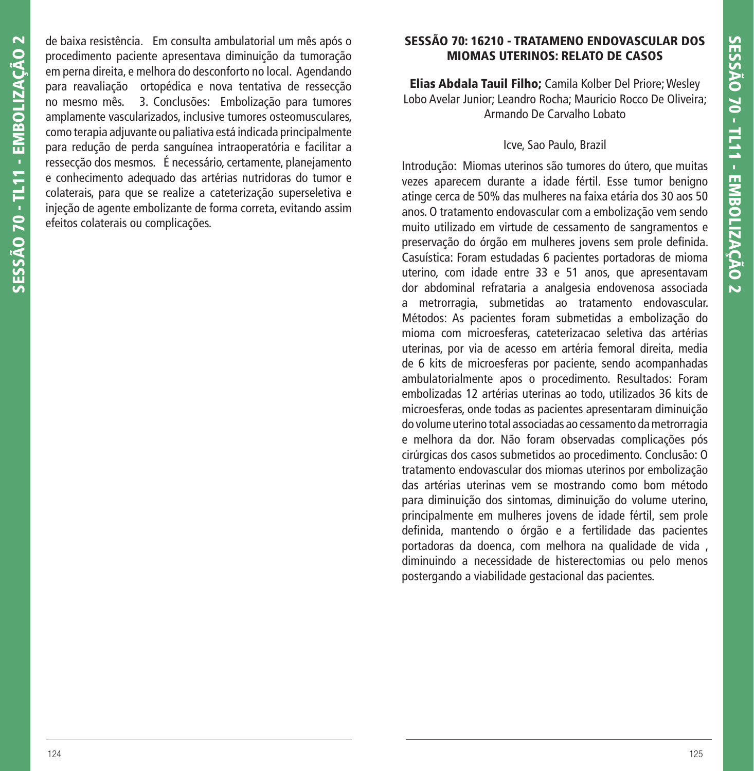de baixa resistência. Em consulta ambulatorial um mês após o procedimento paciente apresentava diminuição da tumoração em perna direita, e melhora do desconforto no local. Agendando para reavaliação ortopédica e nova tentativa de ressecção no mesmo mês. 3. Conclusões: Embolização para tumores amplamente vascularizados, inclusive tumores osteomusculares, como terapia adjuvante ou paliativa está indicada principalmente para redução de perda sanguínea intraoperatória e facilitar a ressecção dos mesmos. É necessário, certamente, planejamento e conhecimento adequado das artérias nutridoras do tumor e colaterais, para que se realize a cateterização superseletiva e injeção de agente embolizante de forma correta, evitando assim efeitos colaterais ou complicações.

## **SESSÃO 70: 16210 - TRATAMENO ENDOVASCULAR DOS MIOMAS UTERINOS: RELATO DE CASOS**

**Elias Abdala Tauil Filho;** Camila Kolber Del Priore; Wesley Lobo Avelar Junior; Leandro Rocha; Mauricio Rocco De Oliveira; Armando De Carvalho Lobato

## Icve, Sao Paulo, Brazil

Introdução: Miomas uterinos são tumores do útero, que muitas vezes aparecem durante a idade fértil. Esse tumor benigno atinge cerca de 50% das mulheres na faixa etária dos 30 aos 50 anos. O tratamento endovascular com a embolização vem sendo muito utilizado em virtude de cessamento de sangramentos e preservação do órgão em mulheres jovens sem prole definida. Casuística: Foram estudadas 6 pacientes portadoras de mioma uterino, com idade entre 33 e 51 anos, que apresentavam dor abdominal refrataria a analgesia endovenosa associada a metrorragia, submetidas ao tratamento endovascular. Métodos: As pacientes foram submetidas a embolização do mioma com microesferas, cateterizacao seletiva das artérias uterinas, por via de acesso em artéria femoral direita, media de 6 kits de microesferas por paciente, sendo acompanhadas ambulatorialmente apos o procedimento. Resultados: Foram embolizadas 12 artérias uterinas ao todo, utilizados 36 kits de microesferas, onde todas as pacientes apresentaram diminuição do volume uterino total associadas ao cessamento da metrorragia e melhora da dor. Não foram observadas complicações pós cirúrgicas dos casos submetidos ao procedimento. Conclusão: O tratamento endovascular dos miomas uterinos por embolização das artérias uterinas vem se mostrando como bom método para diminuição dos sintomas, diminuição do volume uterino, principalmente em mulheres jovens de idade fértil, sem prole definida, mantendo o órgão e a fertilidade das pacientes portadoras da doenca, com melhora na qualidade de vida , diminuindo a necessidade de histerectomias ou pelo menos postergando a viabilidade gestacional das pacientes.

**SESSÃO 70 - TL11 - EMBOLIZAÇÃO 2**

SESSÃO 70 - TL11 - EMBOLIZAÇÃO 2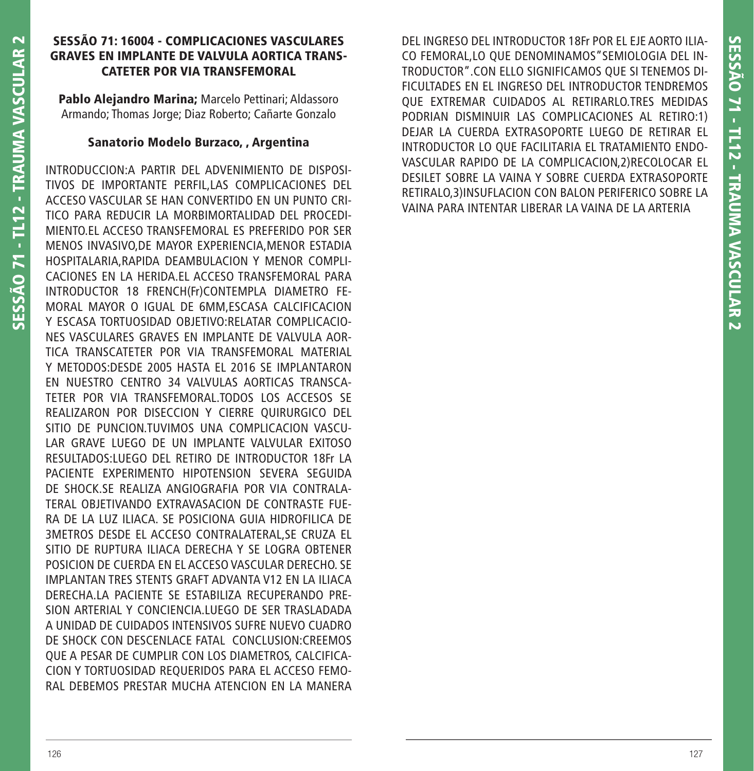### **SESSÃO 71: 16004 - COMPLICACIONES VASCULARES GRAVES EN IMPLANTE DE VALVULA AORTICA TRANS-CATETER POR VIA TRANSFEMORAL**

**Pablo Alejandro Marina;** Marcelo Pettinari; Aldassoro Armando; Thomas Jorge; Diaz Roberto; Cañarte Gonzalo

### **Sanatorio Modelo Burzaco, , Argentina**

INTRODUCCION:A PARTIR DEL ADVENIMIENTO DE DISPOSI-TIVOS DE IMPORTANTE PERFIL,LAS COMPLICACIONES DEL ACCESO VASCULAR SE HAN CONVERTIDO EN UN PUNTO CRI-TICO PARA REDUCIR LA MORBIMORTALIDAD DEL PROCEDI-MIENTO.EL ACCESO TRANSFEMORAL ES PREFERIDO POR SER MENOS INVASIVO,DE MAYOR EXPERIENCIA,MENOR ESTADIA HOSPITALARIA,RAPIDA DEAMBULACION Y MENOR COMPLI-CACIONES EN LA HERIDA.EL ACCESO TRANSFEMORAL PARA INTRODUCTOR 18 FRENCH(Fr)CONTEMPLA DIAMETRO FE-MORAL MAYOR O IGUAL DE 6MM,ESCASA CALCIFICACION Y ESCASA TORTUOSIDAD OBJETIVO:RELATAR COMPLICACIO-NES VASCULARES GRAVES EN IMPLANTE DE VALVULA AOR-TICA TRANSCATETER POR VIA TRANSFEMORAL MATERIAL Y METODOS:DESDE 2005 HASTA EL 2016 SE IMPLANTARON EN NUESTRO CENTRO 34 VALVULAS AORTICAS TRANSCA-TETER POR VIA TRANSFEMORAL.TODOS LOS ACCESOS SE REALIZARON POR DISECCION Y CIERRE QUIRURGICO DEL SITIO DE PUNCION.TUVIMOS UNA COMPLICACION VASCU-LAR GRAVE LUEGO DE UN IMPLANTE VALVULAR EXITOSO RESULTADOS:LUEGO DEL RETIRO DE INTRODUCTOR 18Fr LA PACIENTE EXPERIMENTO HIPOTENSION SEVERA SEGUIDA DE SHOCK.SE REALIZA ANGIOGRAFIA POR VIA CONTRALA-TERAL OBJETIVANDO EXTRAVASACION DE CONTRASTE FUE-RA DE LA LUZ ILIACA. SE POSICIONA GUIA HIDROFILICA DE 3METROS DESDE EL ACCESO CONTRALATERAL,SE CRUZA EL SITIO DE RUPTURA ILIACA DERECHA Y SE LOGRA OBTENER POSICION DE CUERDA EN EL ACCESO VASCULAR DERECHO. SE IMPLANTAN TRES STENTS GRAFT ADVANTA V12 EN LA ILIACA DERECHA.LA PACIENTE SE ESTABILIZA RECUPERANDO PRE-SION ARTERIAL Y CONCIENCIA.LUEGO DE SER TRASLADADA A UNIDAD DE CUIDADOS INTENSIVOS SUFRE NUEVO CUADRO DE SHOCK CON DESCENLACE FATAL CONCLUSION:CREEMOS QUE A PESAR DE CUMPLIR CON LOS DIAMETROS, CALCIFICA-CION Y TORTUOSIDAD REQUERIDOS PARA EL ACCESO FEMO-RAL DEBEMOS PRESTAR MUCHA ATENCION EN LA MANERA DEL INGRESO DEL INTRODUCTOR 18Fr POR EL EJE AORTO ILIA-CO FEMORAL,LO QUE DENOMINAMOS"SEMIOLOGIA DEL IN-TRODUCTOR".CON ELLO SIGNIFICAMOS QUE SI TENEMOS DI-FICULTADES EN EL INGRESO DEL INTRODUCTOR TENDREMOS QUE EXTREMAR CUIDADOS AL RETIRARLO.TRES MEDIDAS PODRIAN DISMINUIR LAS COMPLICACIONES AL RETIRO:1) DEJAR LA CUERDA EXTRASOPORTE LUEGO DE RETIRAR EL INTRODUCTOR LO QUE FACILITARIA EL TRATAMIENTO ENDO-VASCULAR RAPIDO DE LA COMPLICACION,2)RECOLOCAR EL DESILET SOBRE LA VAINA Y SOBRE CUERDA EXTRASOPORTE RETIRALO,3)INSUFLACION CON BALON PERIFERICO SOBRE LA VAINA PARA INTENTAR LIBERAR LA VAINA DE LA ARTERIA

**SESSÃO 71 - TL12 - TRAUMA VASCULAR 2**

**SESSÃO 71 - TL12 - TRAUMA VASCULAR 2**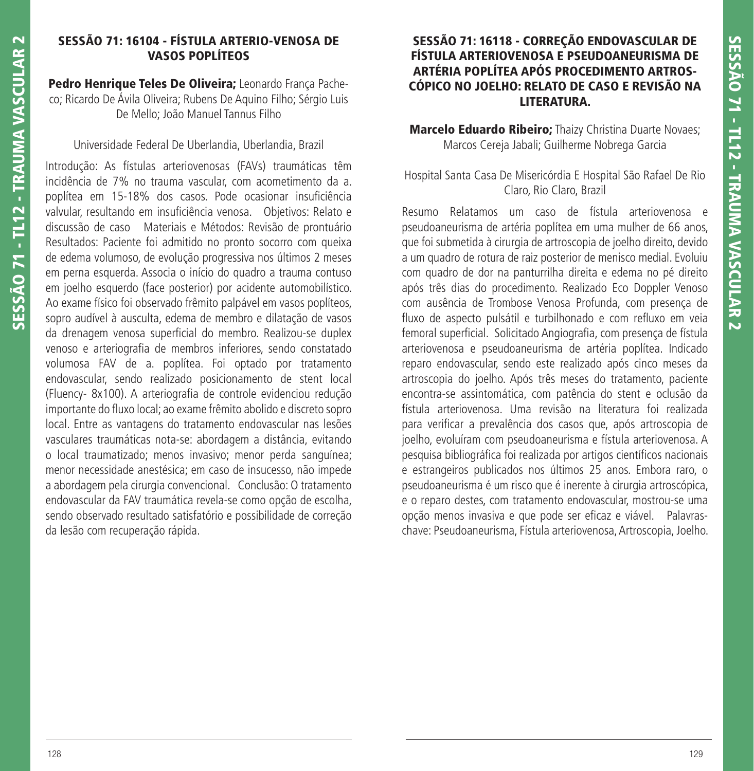# **SESSÃO 71: 16104 - FÍSTULA ARTERIO-VENOSA DE VASOS POPLÍTEOS**

**Pedro Henrique Teles De Oliveira;** Leonardo França Pacheco; Ricardo De Ávila Oliveira; Rubens De Aquino Filho; Sérgio Luis De Mello; João Manuel Tannus Filho

## Universidade Federal De Uberlandia, Uberlandia, Brazil

Introdução: As fístulas arteriovenosas (FAVs) traumáticas têm incidência de 7% no trauma vascular, com acometimento da a. poplítea em 15-18% dos casos. Pode ocasionar insuficiência valvular, resultando em insuficiência venosa. Objetivos: Relato e discussão de caso Materiais e Métodos: Revisão de prontuário Resultados: Paciente foi admitido no pronto socorro com queixa de edema volumoso, de evolução progressiva nos últimos 2 meses em perna esquerda. Associa o início do quadro a trauma contuso em joelho esquerdo (face posterior) por acidente automobilístico. Ao exame físico foi observado frêmito palpável em vasos poplíteos, sopro audível à ausculta, edema de membro e dilatação de vasos da drenagem venosa superficial do membro. Realizou-se duplex venoso e arteriografia de membros inferiores, sendo constatado volumosa FAV de a. poplítea. Foi optado por tratamento endovascular, sendo realizado posicionamento de stent local (Fluency- 8x100). A arteriografia de controle evidenciou redução importante do fluxo local; ao exame frêmito abolido e discreto sopro local. Entre as vantagens do tratamento endovascular nas lesões vasculares traumáticas nota-se: abordagem a distância, evitando o local traumatizado; menos invasivo; menor perda sanguínea; menor necessidade anestésica; em caso de insucesso, não impede a abordagem pela cirurgia convencional. Conclusão: O tratamento endovascular da FAV traumática revela-se como opção de escolha, sendo observado resultado satisfatório e possibilidade de correção da lesão com recuperação rápida.

## **SESSÃO 71: 16118 - CORREÇÃO ENDOVASCULAR DE FÍSTULA ARTERIOVENOSA E PSEUDOANEURISMA DE ARTÉRIA POPLÍTEA APÓS PROCEDIMENTO ARTROS-CÓPICO NO JOELHO: RELATO DE CASO E REVISÃO NA LITERATURA.**

**Marcelo Eduardo Ribeiro;** Thaizy Christina Duarte Novaes; Marcos Cereja Jabali; Guilherme Nobrega Garcia

# Hospital Santa Casa De Misericórdia E Hospital São Rafael De Rio Claro, Rio Claro, Brazil

Resumo Relatamos um caso de fístula arteriovenosa e pseudoaneurisma de artéria poplítea em uma mulher de 66 anos, que foi submetida à cirurgia de artroscopia de joelho direito, devido a um quadro de rotura de raiz posterior de menisco medial. Evoluiu com quadro de dor na panturrilha direita e edema no pé direito após três dias do procedimento. Realizado Eco Doppler Venoso com ausência de Trombose Venosa Profunda, com presença de fluxo de aspecto pulsátil e turbilhonado e com refluxo em veia femoral superficial. Solicitado Angiografia, com presença de fístula arteriovenosa e pseudoaneurisma de artéria poplítea. Indicado reparo endovascular, sendo este realizado após cinco meses da artroscopia do joelho. Após três meses do tratamento, paciente encontra-se assintomática, com patência do stent e oclusão da fístula arteriovenosa. Uma revisão na literatura foi realizada para verificar a prevalência dos casos que, após artroscopia de joelho, evoluíram com pseudoaneurisma e fístula arteriovenosa. A pesquisa bibliográfica foi realizada por artigos científicos nacionais e estrangeiros publicados nos últimos 25 anos. Embora raro, o pseudoaneurisma é um risco que é inerente à cirurgia artroscópica, e o reparo destes, com tratamento endovascular, mostrou-se uma opção menos invasiva e que pode ser eficaz e viável. Palavraschave: Pseudoaneurisma, Fístula arteriovenosa, Artroscopia, Joelho.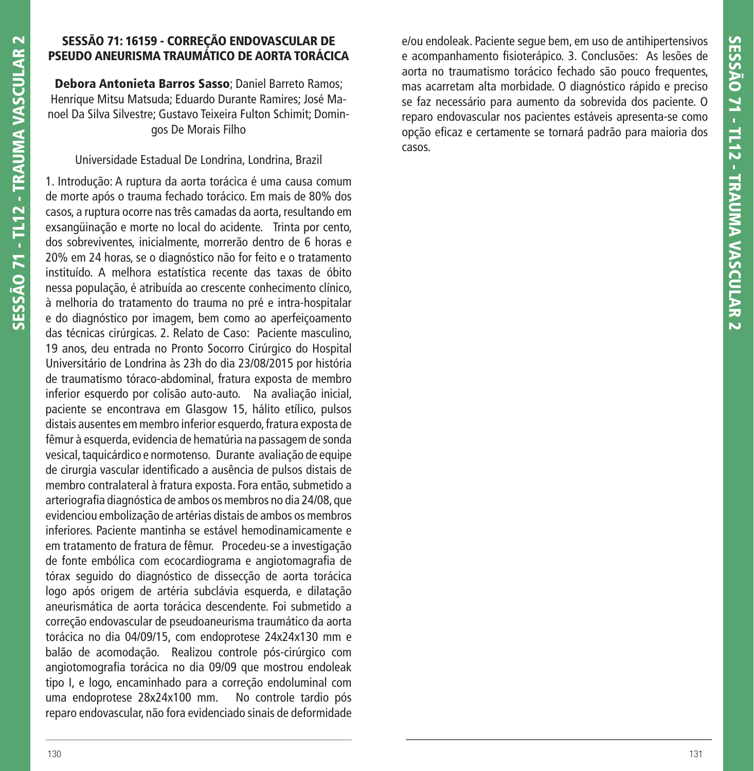## **SESSÃO 71: 16159 - CORREÇÃO ENDOVASCULAR DE PSEUDO ANEURISMA TRAUMÁTICO DE AORTA TORÁCICA**

**Debora Antonieta Barros Sasso**; Daniel Barreto Ramos; Henrique Mitsu Matsuda; Eduardo Durante Ramires; José Manoel Da Silva Silvestre; Gustavo Teixeira Fulton Schimit; Domingos De Morais Filho

### Universidade Estadual De Londrina, Londrina, Brazil

1. Introdução: A ruptura da aorta torácica é uma causa comum de morte após o trauma fechado torácico. Em mais de 80% dos casos, a ruptura ocorre nas três camadas da aorta, resultando em exsangüinação e morte no local do acidente. Trinta por cento, dos sobreviventes, inicialmente, morrerão dentro de 6 horas e 20% em 24 horas, se o diagnóstico não for feito e o tratamento instituído. A melhora estatística recente das taxas de óbito nessa população, é atribuída ao crescente conhecimento clínico, à melhoria do tratamento do trauma no pré e intra-hospitalar e do diagnóstico por imagem, bem como ao aperfeiçoamento das técnicas cirúrgicas. 2. Relato de Caso: Paciente masculino, 19 anos, deu entrada no Pronto Socorro Cirúrgico do Hospital Universitário de Londrina às 23h do dia 23/08/2015 por história de traumatismo tóraco-abdominal, fratura exposta de membro inferior esquerdo por colisão auto-auto. Na avaliação inicial, paciente se encontrava em Glasgow 15, hálito etílico, pulsos distais ausentes em membro inferior esquerdo, fratura exposta de fêmur à esquerda, evidencia de hematúria na passagem de sonda vesical, taquicárdico e normotenso. Durante avaliação de equipe de cirurgia vascular identificado a ausência de pulsos distais de membro contralateral à fratura exposta. Fora então, submetido a arteriografia diagnóstica de ambos os membros no dia 24/08, que evidenciou embolização de artérias distais de ambos os membros inferiores. Paciente mantinha se estável hemodinamicamente e em tratamento de fratura de fêmur. Procedeu-se a investigação de fonte embólica com ecocardiograma e angiotomagrafia de tórax seguido do diagnóstico de dissecção de aorta torácica logo após origem de artéria subclávia esquerda, e dilatação aneurismática de aorta torácica descendente. Foi submetido a correção endovascular de pseudoaneurisma traumático da aorta torácica no dia 04/09/15, com endoprotese 24x24x130 mm e balão de acomodação. Realizou controle pós-cirúrgico com angiotomografia torácica no dia 09/09 que mostrou endoleak tipo I, e logo, encaminhado para a correção endoluminal com uma endoprotese 28x24x100 mm. No controle tardio pós reparo endovascular, não fora evidenciado sinais de deformidade

e/ou endoleak. Paciente segue bem, em uso de antihipertensivos e acompanhamento fisioterápico. 3. Conclusões: As lesões de aorta no traumatismo torácico fechado são pouco frequentes, mas acarretam alta morbidade. O diagnóstico rápido e preciso se faz necessário para aumento da sobrevida dos paciente. O reparo endovascular nos pacientes estáveis apresenta-se como opção eficaz e certamente se tornará padrão para maioria dos casos.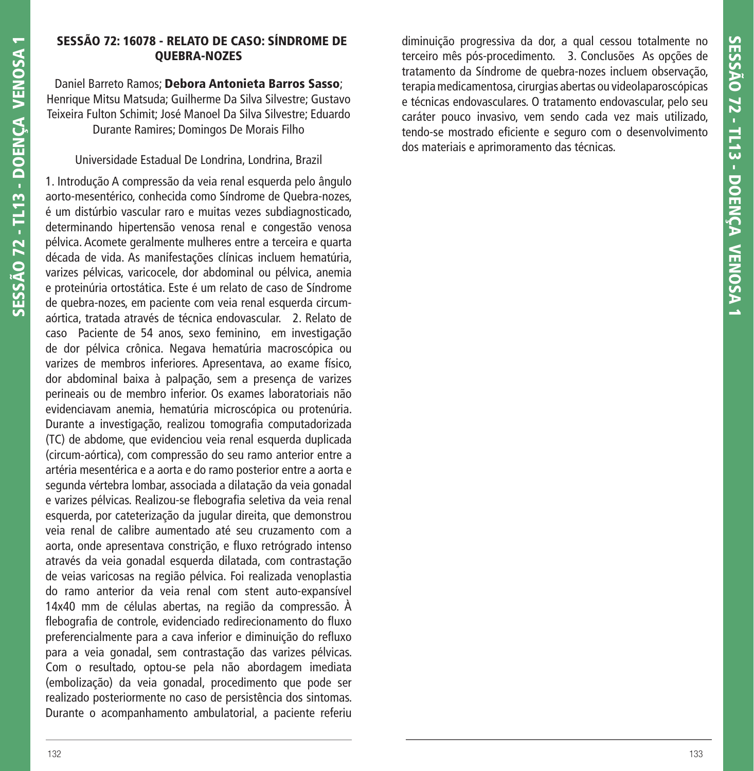### **SESSÃO 72: 16078 - RELATO DE CASO: SÍNDROME DE QUEBRA-NOZES**

Daniel Barreto Ramos; **Debora Antonieta Barros Sasso**; Henrique Mitsu Matsuda; Guilherme Da Silva Silvestre; Gustavo Teixeira Fulton Schimit; José Manoel Da Silva Silvestre; Eduardo Durante Ramires; Domingos De Morais Filho

Universidade Estadual De Londrina, Londrina, Brazil

1. Introdução A compressão da veia renal esquerda pelo ângulo aorto-mesentérico, conhecida como Síndrome de Quebra-nozes, é um distúrbio vascular raro e muitas vezes subdiagnosticado, determinando hipertensão venosa renal e congestão venosa pélvica. Acomete geralmente mulheres entre a terceira e quarta década de vida. As manifestações clínicas incluem hematúria, varizes pélvicas, varicocele, dor abdominal ou pélvica, anemia e proteinúria ortostática. Este é um relato de caso de Síndrome de quebra-nozes, em paciente com veia renal esquerda circumaórtica, tratada através de técnica endovascular. 2. Relato de caso Paciente de 54 anos, sexo feminino, em investigação de dor pélvica crônica. Negava hematúria macroscópica ou varizes de membros inferiores. Apresentava, ao exame físico, dor abdominal baixa à palpação, sem a presença de varizes perineais ou de membro inferior. Os exames laboratoriais não evidenciavam anemia, hematúria microscópica ou protenúria. Durante a investigação, realizou tomografia computadorizada (TC) de abdome, que evidenciou veia renal esquerda duplicada (circum-aórtica), com compressão do seu ramo anterior entre a artéria mesentérica e a aorta e do ramo posterior entre a aorta e segunda vértebra lombar, associada a dilatação da veia gonadal e varizes pélvicas. Realizou-se flebografia seletiva da veia renal esquerda, por cateterização da jugular direita, que demonstrou veia renal de calibre aumentado até seu cruzamento com a aorta, onde apresentava constrição, e fluxo retrógrado intenso através da veia gonadal esquerda dilatada, com contrastação de veias varicosas na região pélvica. Foi realizada venoplastia do ramo anterior da veia renal com stent auto-expansível 14x40 mm de células abertas, na região da compressão. À flebografia de controle, evidenciado redirecionamento do fluxo preferencialmente para a cava inferior e diminuição do refluxo para a veia gonadal, sem contrastação das varizes pélvicas. Com o resultado, optou-se pela não abordagem imediata (embolização) da veia gonadal, procedimento que pode ser realizado posteriormente no caso de persistência dos sintomas. Durante o acompanhamento ambulatorial, a paciente referiu

diminuição progressiva da dor, a qual cessou totalmente no terceiro mês pós-procedimento. 3. Conclusões As opções de tratamento da Síndrome de quebra-nozes incluem observação, terapia medicamentosa, cirurgias abertas ou videolaparoscópicas e técnicas endovasculares. O tratamento endovascular, pelo seu caráter pouco invasivo, vem sendo cada vez mais utilizado, tendo-se mostrado eficiente e seguro com o desenvolvimento dos materiais e aprimoramento das técnicas.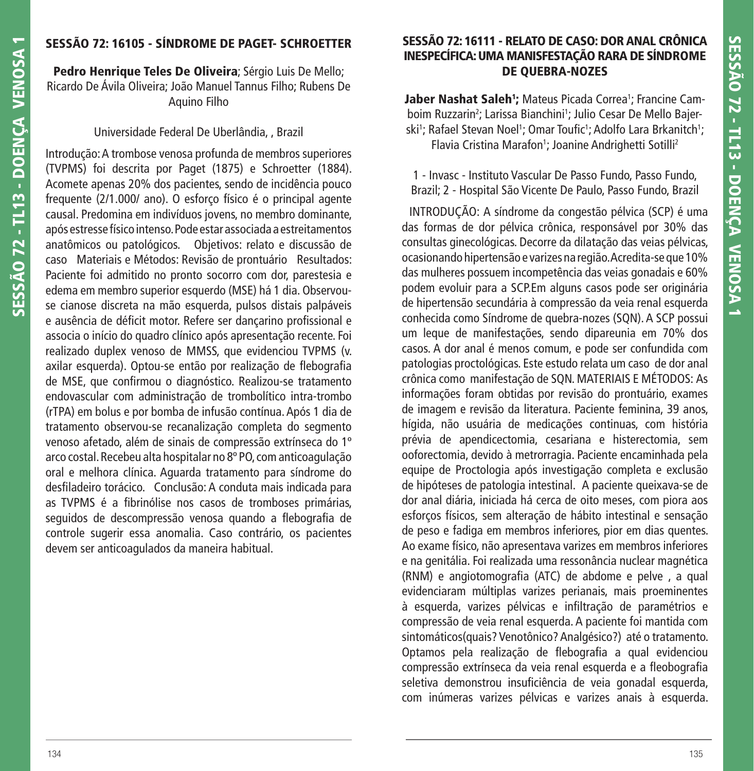## **SESSÃO 72: 16105 - SÍNDROME DE PAGET- SCHROETTER**

**Pedro Henrique Teles De Oliveira**; Sérgio Luis De Mello; Ricardo De Ávila Oliveira; João Manuel Tannus Filho; Rubens De Aquino Filho

## Universidade Federal De Uberlândia, , Brazil

Introdução: A trombose venosa profunda de membros superiores (TVPMS) foi descrita por Paget (1875) e Schroetter (1884). Acomete apenas 20% dos pacientes, sendo de incidência pouco frequente (2/1.000/ ano). O esforço físico é o principal agente causal. Predomina em indivíduos jovens, no membro dominante, após estresse físico intenso. Pode estar associada a estreitamentos anatômicos ou patológicos. Objetivos: relato e discussão de caso Materiais e Métodos: Revisão de prontuário Resultados: Paciente foi admitido no pronto socorro com dor, parestesia e edema em membro superior esquerdo (MSE) há 1 dia. Observouse cianose discreta na mão esquerda, pulsos distais palpáveis e ausência de déficit motor. Refere ser dançarino profissional e associa o início do quadro clínico após apresentação recente. Foi realizado duplex venoso de MMSS, que evidenciou TVPMS (v. axilar esquerda). Optou-se então por realização de flebografia de MSE, que confirmou o diagnóstico. Realizou-se tratamento endovascular com administração de trombolítico intra-trombo (rTPA) em bolus e por bomba de infusão contínua. Após 1 dia de tratamento observou-se recanalização completa do segmento venoso afetado, além de sinais de compressão extrínseca do 1º arco costal. Recebeu alta hospitalar no 8º PO, com anticoagulação oral e melhora clínica. Aguarda tratamento para síndrome do desfiladeiro torácico. Conclusão: A conduta mais indicada para as TVPMS é a fibrinólise nos casos de tromboses primárias, seguidos de descompressão venosa quando a flebografia de controle sugerir essa anomalia. Caso contrário, os pacientes devem ser anticoagulados da maneira habitual.

### **SESSÃO 72: 16111 - RELATO DE CASO: DOR ANAL CRÔNICA INESPECÍFICA: UMA MANISFESTAÇÃO RARA DE SÍNDROME DE QUEBRA-NOZES**

**Jaber Nashat Saleh<sup>1</sup>;** Mateus Picada Correa<sup>1</sup>; Francine Camboim Ruzzarin<sup>2</sup>; Larissa Bianchini<sup>1</sup>; Julio Cesar De Mello Bajerski<sup>1</sup>; Rafael Stevan Noel<sup>1</sup>; Omar Toufic<sup>1</sup>; Adolfo Lara Brkanitch<sup>1</sup>; Flavia Cristina Marafon<sup>1</sup>; Joanine Andrighetti Sotilli<sup>2</sup>

1 - Invasc - Instituto Vascular De Passo Fundo, Passo Fundo, Brazil; 2 - Hospital São Vicente De Paulo, Passo Fundo, Brazil

 INTRODUÇÃO: A síndrome da congestão pélvica (SCP) é uma das formas de dor pélvica crônica, responsável por 30% das consultas ginecológicas. Decorre da dilatação das veias pélvicas, ocasionando hipertensão e varizes na região. Acredita-se que 10% das mulheres possuem incompetência das veias gonadais e 60% podem evoluir para a SCP.Em alguns casos pode ser originária de hipertensão secundária à compressão da veia renal esquerda conhecida como Síndrome de quebra-nozes (SQN). A SCP possui um leque de manifestações, sendo dipareunia em 70% dos casos. A dor anal é menos comum, e pode ser confundida com patologias proctológicas. Este estudo relata um caso de dor anal crônica como manifestação de SQN. MATERIAIS E MÉTODOS: As informações foram obtidas por revisão do prontuário, exames de imagem e revisão da literatura. Paciente feminina, 39 anos, hígida, não usuária de medicações continuas, com história prévia de apendicectomia, cesariana e histerectomia, sem ooforectomia, devido à metrorragia. Paciente encaminhada pela equipe de Proctologia após investigação completa e exclusão de hipóteses de patologia intestinal. A paciente queixava-se de dor anal diária, iniciada há cerca de oito meses, com piora aos esforços físicos, sem alteração de hábito intestinal e sensação de peso e fadiga em membros inferiores, pior em dias quentes. Ao exame físico, não apresentava varizes em membros inferiores e na genitália. Foi realizada uma ressonância nuclear magnética (RNM) e angiotomografia (ATC) de abdome e pelve , a qual evidenciaram múltiplas varizes perianais, mais proeminentes à esquerda, varizes pélvicas e infiltração de paramétrios e compressão de veia renal esquerda. A paciente foi mantida com sintomáticos(quais? Venotônico? Analgésico?) até o tratamento. Optamos pela realização de flebografia a qual evidenciou compressão extrínseca da veia renal esquerda e a fleobografia seletiva demonstrou insuficiência de veia gonadal esquerda, com inúmeras varizes pélvicas e varizes anais à esquerda.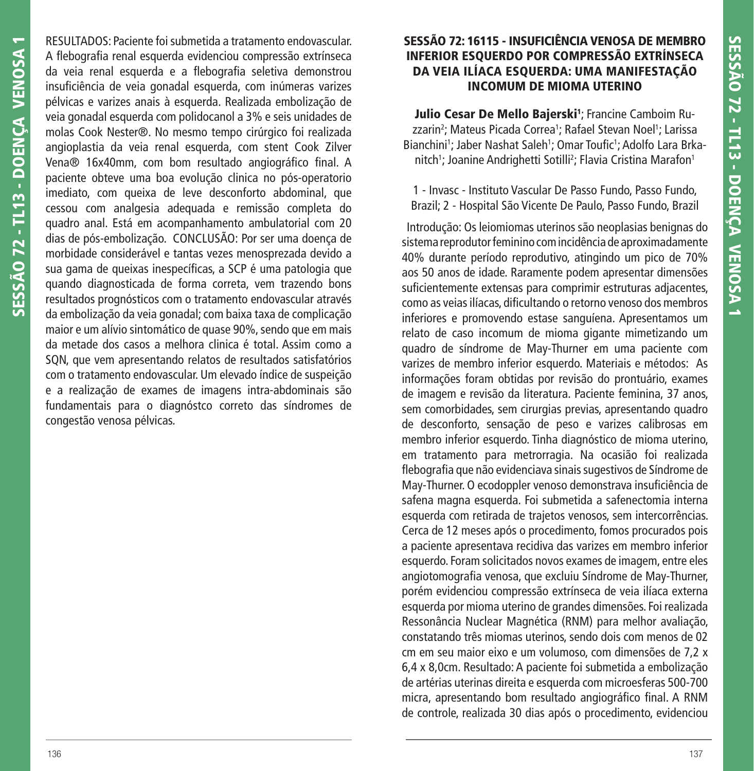RESULTADOS: Paciente foi submetida a tratamento endovascular. A flebografia renal esquerda evidenciou compressão extrínseca da veia renal esquerda e a flebografia seletiva demonstrou insuficiência de veia gonadal esquerda, com inúmeras varizes pélvicas e varizes anais à esquerda. Realizada embolização de veia gonadal esquerda com polidocanol a 3% e seis unidades de molas Cook Nester®. No mesmo tempo cirúrgico foi realizada angioplastia da veia renal esquerda, com stent Cook Zilver Vena® 16x40mm, com bom resultado angiográfico final. A paciente obteve uma boa evolução clinica no pós-operatorio imediato, com queixa de leve desconforto abdominal, que cessou com analgesia adequada e remissão completa do quadro anal. Está em acompanhamento ambulatorial com 20 dias de pós-embolização. CONCLUSÃO: Por ser uma doença de morbidade considerável e tantas vezes menosprezada devido a sua gama de queixas inespecíficas, a SCP é uma patologia que quando diagnosticada de forma correta, vem trazendo bons resultados prognósticos com o tratamento endovascular através da embolização da veia gonadal; com baixa taxa de complicação maior e um alívio sintomático de quase 90%, sendo que em mais da metade dos casos a melhora clinica é total. Assim como a SQN, que vem apresentando relatos de resultados satisfatórios com o tratamento endovascular. Um elevado índice de suspeição e a realização de exames de imagens intra-abdominais são fundamentais para o diagnóstco correto das síndromes de congestão venosa pélvicas.

### **SESSÃO 72: 16115 - INSUFICIÊNCIA VENOSA DE MEMBRO INFERIOR ESQUERDO POR COMPRESSÃO EXTRÍNSECA DA VEIA ILÍACA ESQUERDA: UMA MANIFESTAÇÃO INCOMUM DE MIOMA UTERINO**

**Julio Cesar De Mello Bajerski1** ; Francine Camboim Ruzzarin<sup>2</sup>; Mateus Picada Correa<sup>1</sup>; Rafael Stevan Noel<sup>1</sup>; Larissa Bianchini<sup>1</sup>; Jaber Nashat Saleh<sup>1</sup>; Omar Toufic<sup>1</sup>; Adolfo Lara Brkanitch<sup>1</sup>; Joanine Andrighetti Sotilli<sup>2</sup>; Flavia Cristina Marafon<sup>1</sup>

1 - Invasc - Instituto Vascular De Passo Fundo, Passo Fundo, Brazil; 2 - Hospital São Vicente De Paulo, Passo Fundo, Brazil

 Introdução: Os leiomiomas uterinos são neoplasias benignas do sistema reprodutor feminino com incidência de aproximadamente 40% durante período reprodutivo, atingindo um pico de 70% aos 50 anos de idade. Raramente podem apresentar dimensões suficientemente extensas para comprimir estruturas adjacentes, como as veias ilíacas, dificultando o retorno venoso dos membros inferiores e promovendo estase sanguíena. Apresentamos um relato de caso incomum de mioma gigante mimetizando um quadro de síndrome de May-Thurner em uma paciente com varizes de membro inferior esquerdo. Materiais e métodos: As informações foram obtidas por revisão do prontuário, exames de imagem e revisão da literatura. Paciente feminina, 37 anos, sem comorbidades, sem cirurgias previas, apresentando quadro de desconforto, sensação de peso e varizes calibrosas em membro inferior esquerdo. Tinha diagnóstico de mioma uterino, em tratamento para metrorragia. Na ocasião foi realizada flebografia que não evidenciava sinais sugestivos de Síndrome de May-Thurner. O ecodoppler venoso demonstrava insuficiência de safena magna esquerda. Foi submetida a safenectomia interna esquerda com retirada de trajetos venosos, sem intercorrências. Cerca de 12 meses após o procedimento, fomos procurados pois a paciente apresentava recidiva das varizes em membro inferior esquerdo. Foram solicitados novos exames de imagem, entre eles angiotomografia venosa, que excluiu Síndrome de May-Thurner, porém evidenciou compressão extrínseca de veia ilíaca externa esquerda por mioma uterino de grandes dimensões. Foi realizada Ressonância Nuclear Magnética (RNM) para melhor avaliação, constatando três miomas uterinos, sendo dois com menos de 02 cm em seu maior eixo e um volumoso, com dimensões de 7,2 x 6,4 x 8,0cm. Resultado: A paciente foi submetida a embolização de artérias uterinas direita e esquerda com microesferas 500-700 micra, apresentando bom resultado angiográfico final. A RNM de controle, realizada 30 dias após o procedimento, evidenciou

**SESSÃO 72 - TL13 - DOENÇA VENOSA 1**

SESSÃO 72 - TL13 - DOENÇA VENOSA 1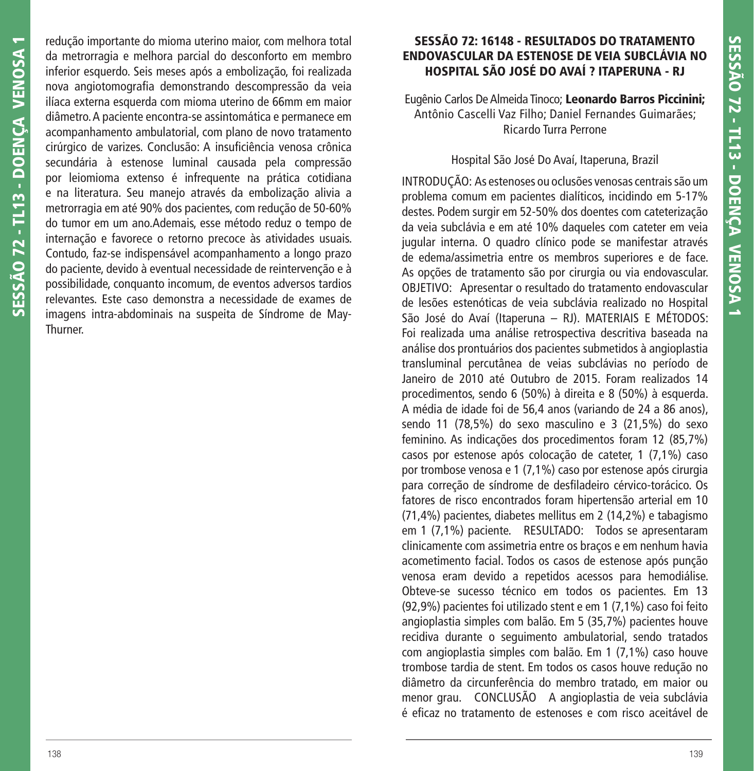redução importante do mioma uterino maior, com melhora total da metrorragia e melhora parcial do desconforto em membro inferior esquerdo. Seis meses após a embolização, foi realizada nova angiotomografia demonstrando descompressão da veia ilíaca externa esquerda com mioma uterino de 66mm em maior diâmetro. A paciente encontra-se assintomática e permanece em acompanhamento ambulatorial, com plano de novo tratamento cirúrgico de varizes. Conclusão: A insuficiência venosa crônica secundária à estenose luminal causada pela compressão por leiomioma extenso é infrequente na prática cotidiana e na literatura. Seu manejo através da embolização alivia a metrorragia em até 90% dos pacientes, com redução de 50-60% do tumor em um ano.Ademais, esse método reduz o tempo de internação e favorece o retorno precoce às atividades usuais. Contudo, faz-se indispensável acompanhamento a longo prazo do paciente, devido à eventual necessidade de reintervenção e à possibilidade, conquanto incomum, de eventos adversos tardios relevantes. Este caso demonstra a necessidade de exames de imagens intra-abdominais na suspeita de Síndrome de May-Thurner.

### **SESSÃO 72: 16148 - RESULTADOS DO TRATAMENTO ENDOVASCULAR DA ESTENOSE DE VEIA SUBCLÁVIA NO HOSPITAL SÃO JOSÉ DO AVAÍ ? ITAPERUNA - RJ**

Eugênio Carlos De Almeida Tinoco; **Leonardo Barros Piccinini;** Antônio Cascelli Vaz Filho; Daniel Fernandes Guimarães; Ricardo Turra Perrone

#### Hospital São José Do Avaí, Itaperuna, Brazil

INTRODUÇÃO: As estenoses ou oclusões venosas centrais são um problema comum em pacientes dialíticos, incidindo em 5-17% destes. Podem surgir em 52-50% dos doentes com cateterização da veia subclávia e em até 10% daqueles com cateter em veia jugular interna. O quadro clínico pode se manifestar através de edema/assimetria entre os membros superiores e de face. As opções de tratamento são por cirurgia ou via endovascular. OBJETIVO: Apresentar o resultado do tratamento endovascular de lesões estenóticas de veia subclávia realizado no Hospital São José do Avaí (Itaperuna – RJ). MATERIAIS E MÉTODOS: Foi realizada uma análise retrospectiva descritiva baseada na análise dos prontuários dos pacientes submetidos à angioplastia transluminal percutânea de veias subclávias no período de Janeiro de 2010 até Outubro de 2015. Foram realizados 14 procedimentos, sendo 6 (50%) à direita e 8 (50%) à esquerda. A média de idade foi de 56,4 anos (variando de 24 a 86 anos), sendo 11 (78,5%) do sexo masculino e 3 (21,5%) do sexo feminino. As indicações dos procedimentos foram 12 (85,7%) casos por estenose após colocação de cateter, 1 (7,1%) caso por trombose venosa e 1 (7,1%) caso por estenose após cirurgia para correção de síndrome de desfiladeiro cérvico-torácico. Os fatores de risco encontrados foram hipertensão arterial em 10 (71,4%) pacientes, diabetes mellitus em 2 (14,2%) e tabagismo em 1 (7,1%) paciente. RESULTADO: Todos se apresentaram clinicamente com assimetria entre os braços e em nenhum havia acometimento facial. Todos os casos de estenose após punção venosa eram devido a repetidos acessos para hemodiálise. Obteve-se sucesso técnico em todos os pacientes. Em 13 (92,9%) pacientes foi utilizado stent e em 1 (7,1%) caso foi feito angioplastia simples com balão. Em 5 (35,7%) pacientes houve recidiva durante o seguimento ambulatorial, sendo tratados com angioplastia simples com balão. Em 1 (7,1%) caso houve trombose tardia de stent. Em todos os casos houve redução no diâmetro da circunferência do membro tratado, em maior ou menor grau. CONCLUSÃO A angioplastia de veia subclávia é efi caz no tratamento de estenoses e com risco aceitável de

**SESSÃO 72 - TL13 - DOENÇA VENOSA 1**

SESSÃO 72 - TL13 - DOENCA VENOSA 1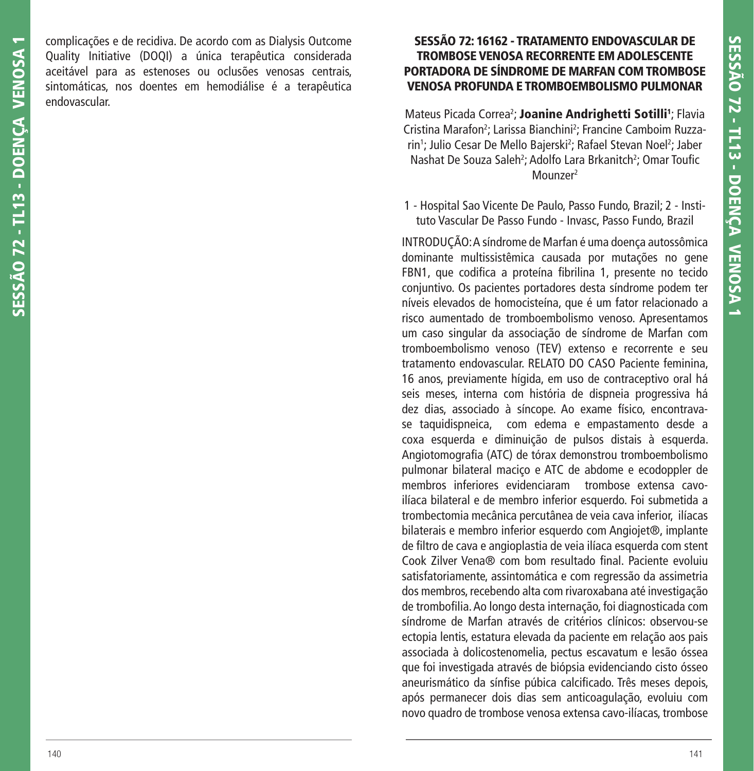complicações e de recidiva. De acordo com as Dialysis Outcome Quality Initiative (DOQI) a única terapêutica considerada aceitável para as estenoses ou oclusões venosas centrais, sintomáticas, nos doentes em hemodiálise é a terapêutica endovascular.

## **SESSÃO 72: 16162 - TRATAMENTO ENDOVASCULAR DE TROMBOSE VENOSA RECORRENTE EM ADOLESCENTE PORTADORA DE SÍNDROME DE MARFAN COM TROMBOSE VENOSA PROFUNDA E TROMBOEMBOLISMO PULMONAR**

Mateus Picada Correa<sup>2</sup>; **Joanine Andrighetti Sotilli**<sup>1</sup>; Flavia Cristina Marafon<sup>2</sup>; Larissa Bianchini<sup>2</sup>; Francine Camboim Ruzzarin<sup>1</sup>; Julio Cesar De Mello Bajerski<sup>2</sup>; Rafael Stevan Noel<sup>2</sup>; Jaber Nashat De Souza Saleh<sup>2</sup>; Adolfo Lara Brkanitch<sup>2</sup>; Omar Toufic Mounzer2

1 - Hospital Sao Vicente De Paulo, Passo Fundo, Brazil; 2 - Instituto Vascular De Passo Fundo - Invasc, Passo Fundo, Brazil

INTRODUÇÃO: A síndrome de Marfan é uma doença autossômica dominante multissistêmica causada por mutações no gene FBN1, que codifica a proteína fibrilina 1, presente no tecido conjuntivo. Os pacientes portadores desta síndrome podem ter níveis elevados de homocisteína, que é um fator relacionado a risco aumentado de tromboembolismo venoso. Apresentamos um caso singular da associação de síndrome de Marfan com tromboembolismo venoso (TEV) extenso e recorrente e seu tratamento endovascular. RELATO DO CASO Paciente feminina, 16 anos, previamente hígida, em uso de contraceptivo oral há seis meses, interna com história de dispneia progressiva há dez dias, associado à síncope. Ao exame físico, encontravase taquidispneica, com edema e empastamento desde a coxa esquerda e diminuição de pulsos distais à esquerda. Angiotomografia (ATC) de tórax demonstrou tromboembolismo pulmonar bilateral maciço e ATC de abdome e ecodoppler de membros inferiores evidenciaram trombose extensa cavoilíaca bilateral e de membro inferior esquerdo. Foi submetida a trombectomia mecânica percutânea de veia cava inferior, ilíacas bilaterais e membro inferior esquerdo com Angiojet®, implante de filtro de cava e angioplastia de veia ilíaca esquerda com stent Cook Zilver Vena® com bom resultado final. Paciente evoluiu satisfatoriamente, assintomática e com regressão da assimetria dos membros, recebendo alta com rivaroxabana até investigação de trombofilia. Ao longo desta internação, foi diagnosticada com síndrome de Marfan através de critérios clínicos: observou-se ectopia lentis, estatura elevada da paciente em relação aos pais associada à dolicostenomelia, pectus escavatum e lesão óssea que foi investigada através de biópsia evidenciando cisto ósseo aneurismático da sínfise púbica calcificado. Três meses depois, após permanecer dois dias sem anticoagulação, evoluiu com novo quadro de trombose venosa extensa cavo-ilíacas, trombose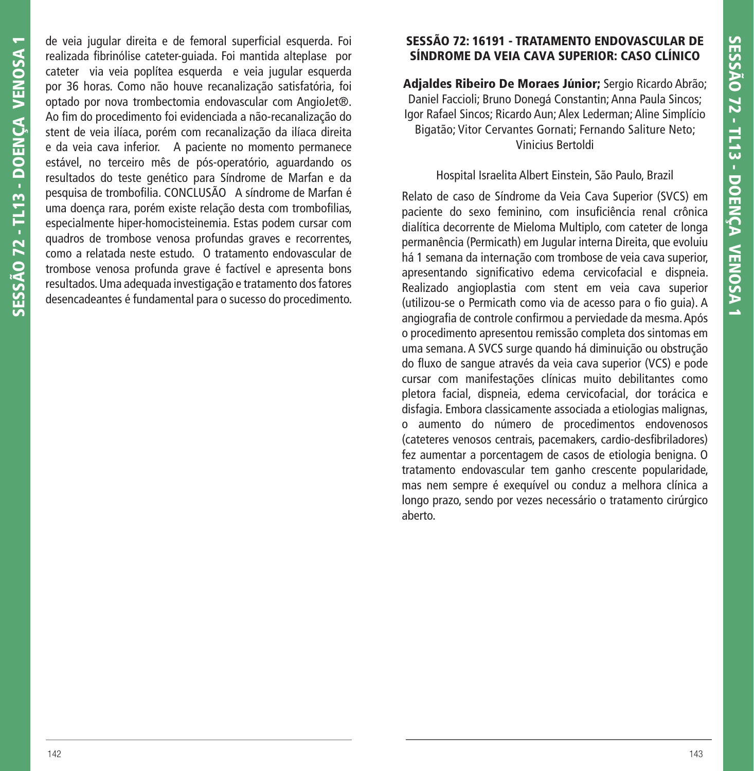de veia jugular direita e de femoral superficial esquerda. Foi realizada fibrinólise cateter-quiada. Foi mantida alteplase por cateter via veia poplítea esquerda e veia jugular esquerda por 36 horas. Como não houve recanalização satisfatória, foi optado por nova trombectomia endovascular com AngioJet®. Ao fim do procedimento foi evidenciada a não-recanalização do stent de veia ilíaca, porém com recanalização da ilíaca direita e da veia cava inferior. A paciente no momento permanece estável, no terceiro mês de pós-operatório, aguardando os resultados do teste genético para Síndrome de Marfan e da pesquisa de trombofilia. CONCLUSÃO A síndrome de Marfan é uma doença rara, porém existe relação desta com trombofilias, especialmente hiper-homocisteinemia. Estas podem cursar com quadros de trombose venosa profundas graves e recorrentes, como a relatada neste estudo. O tratamento endovascular de trombose venosa profunda grave é factível e apresenta bons resultados. Uma adequada investigação e tratamento dos fatores desencadeantes é fundamental para o sucesso do procedimento.

# **SESSÃO 72: 16191 - TRATAMENTO ENDOVASCULAR DE SÍNDROME DA VEIA CAVA SUPERIOR: CASO CLÍNICO**

**Adjaldes Ribeiro De Moraes Júnior;** Sergio Ricardo Abrão; Daniel Faccioli; Bruno Donegá Constantin; Anna Paula Sincos; Igor Rafael Sincos; Ricardo Aun; Alex Lederman; Aline Simplício Bigatão; Vitor Cervantes Gornati; Fernando Saliture Neto; Vinicius Bertoldi

### Hospital Israelita Albert Einstein, São Paulo, Brazil

Relato de caso de Síndrome da Veia Cava Superior (SVCS) em paciente do sexo feminino, com insuficiência renal crônica dialítica decorrente de Mieloma Multiplo, com cateter de longa permanência (Permicath) em Jugular interna Direita, que evoluiu há 1 semana da internação com trombose de veia cava superior, apresentando significativo edema cervicofacial e dispneia. Realizado angioplastia com stent em veia cava superior (utilizou-se o Permicath como via de acesso para o fio quia). A angiografia de controle confirmou a perviedade da mesma. Após o procedimento apresentou remissão completa dos sintomas em uma semana. A SVCS surge quando há diminuição ou obstrução do fluxo de sangue através da veia cava superior (VCS) e pode cursar com manifestações clínicas muito debilitantes como pletora facial, dispneia, edema cervicofacial, dor torácica e disfagia. Embora classicamente associada a etiologias malignas, o aumento do número de procedimentos endovenosos (cateteres venosos centrais, pacemakers, cardio-desfibriladores) fez aumentar a porcentagem de casos de etiologia benigna. O tratamento endovascular tem ganho crescente popularidade, mas nem sempre é exequível ou conduz a melhora clínica a longo prazo, sendo por vezes necessário o tratamento cirúrgico aberto.

**SESSÃO 72 - TL13 - DOENÇA VENOSA 1**

SESSÃO 72 - TL13 - DOENCA VENOSA 1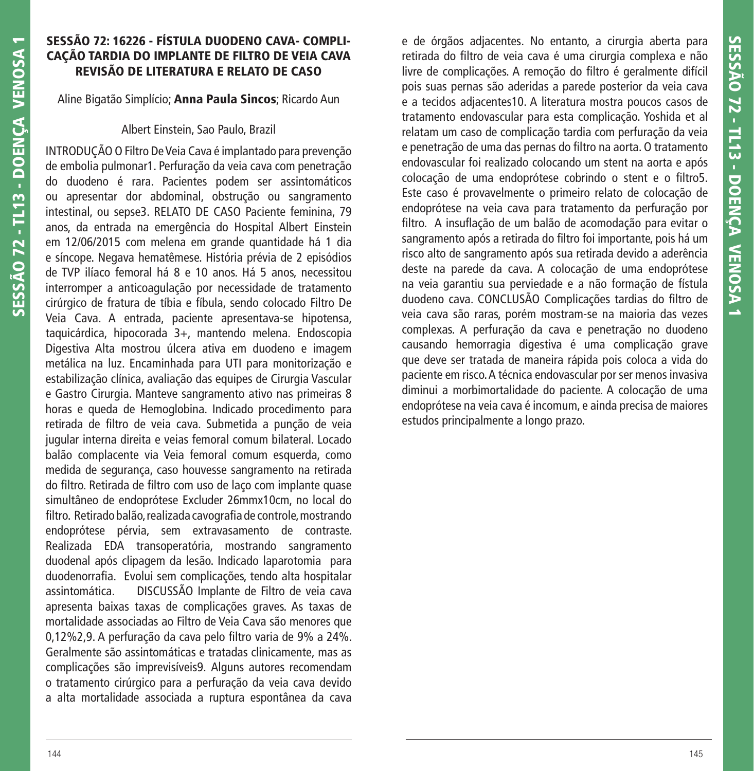### **SESSÃO 72: 16226 - FÍSTULA DUODENO CAVA- COMPLI-CAÇÃO TARDIA DO IMPLANTE DE FILTRO DE VEIA CAVA REVISÃO DE LITERATURA E RELATO DE CASO**

Aline Bigatão Simplício; **Anna Paula Sincos**; Ricardo Aun

#### Albert Einstein, Sao Paulo, Brazil

INTRODUÇÃO O Filtro De Veia Cava é implantado para prevenção de embolia pulmonar1. Perfuração da veia cava com penetração do duodeno é rara. Pacientes podem ser assintomáticos ou apresentar dor abdominal, obstrução ou sangramento intestinal, ou sepse3. RELATO DE CASO Paciente feminina, 79 anos, da entrada na emergência do Hospital Albert Einstein em 12/06/2015 com melena em grande quantidade há 1 dia e síncope. Negava hematêmese. História prévia de 2 episódios de TVP ilíaco femoral há 8 e 10 anos. Há 5 anos, necessitou interromper a anticoagulação por necessidade de tratamento cirúrgico de fratura de tíbia e fíbula, sendo colocado Filtro De Veia Cava. A entrada, paciente apresentava-se hipotensa, taquicárdica, hipocorada 3+, mantendo melena. Endoscopia Digestiva Alta mostrou úlcera ativa em duodeno e imagem metálica na luz. Encaminhada para UTI para monitorização e estabilização clínica, avaliação das equipes de Cirurgia Vascular e Gastro Cirurgia. Manteve sangramento ativo nas primeiras 8 horas e queda de Hemoglobina. Indicado procedimento para retirada de filtro de veia cava. Submetida a punção de veia jugular interna direita e veias femoral comum bilateral. Locado balão complacente via Veia femoral comum esquerda, como medida de segurança, caso houvesse sangramento na retirada do filtro. Retirada de filtro com uso de laço com implante quase simultâneo de endoprótese Excluder 26mmx10cm, no local do filtro. Retirado balão, realizada cavografia de controle, mostrando endoprótese pérvia, sem extravasamento de contraste. Realizada EDA transoperatória, mostrando sangramento duodenal após clipagem da lesão. Indicado laparotomia para duodenorrafia. Evolui sem complicações, tendo alta hospitalar assintomática. DISCUSSÃO Implante de Filtro de veia cava apresenta baixas taxas de complicações graves. As taxas de mortalidade associadas ao Filtro de Veia Cava são menores que 0,12%2,9. A perfuração da cava pelo filtro varia de 9% a 24%. Geralmente são assintomáticas e tratadas clinicamente, mas as complicações são imprevisíveis9. Alguns autores recomendam o tratamento cirúrgico para a perfuração da veia cava devido a alta mortalidade associada a ruptura espontânea da cava

e de órgãos adjacentes. No entanto, a cirurgia aberta para retirada do filtro de veia cava é uma cirurgia complexa e não livre de complicações. A remoção do filtro é geralmente difícil pois suas pernas são aderidas a parede posterior da veia cava e a tecidos adjacentes10. A literatura mostra poucos casos de tratamento endovascular para esta complicação. Yoshida et al relatam um caso de complicação tardia com perfuração da veia e penetração de uma das pernas do filtro na aorta. O tratamento endovascular foi realizado colocando um stent na aorta e após colocação de uma endoprótese cobrindo o stent e o filtro5. Este caso é provavelmente o primeiro relato de colocação de endoprótese na veia cava para tratamento da perfuração por filtro. A insuflação de um balão de acomodação para evitar o sangramento após a retirada do filtro foi importante, pois há um risco alto de sangramento após sua retirada devido a aderência deste na parede da cava. A colocação de uma endoprótese na veia garantiu sua perviedade e a não formação de fístula duodeno cava. CONCLUSÃO Complicações tardias do filtro de veia cava são raras, porém mostram-se na maioria das vezes complexas. A perfuração da cava e penetração no duodeno causando hemorragia digestiva é uma complicação grave que deve ser tratada de maneira rápida pois coloca a vida do paciente em risco. A técnica endovascular por ser menos invasiva diminui a morbimortalidade do paciente. A colocação de uma endoprótese na veia cava é incomum, e ainda precisa de maiores estudos principalmente a longo prazo.

**SESSÃO 72 - TL13 - DOENÇA VENOSA 1**

**SESSÃO 72 - TL13 - DOENÇA VENOSA 1**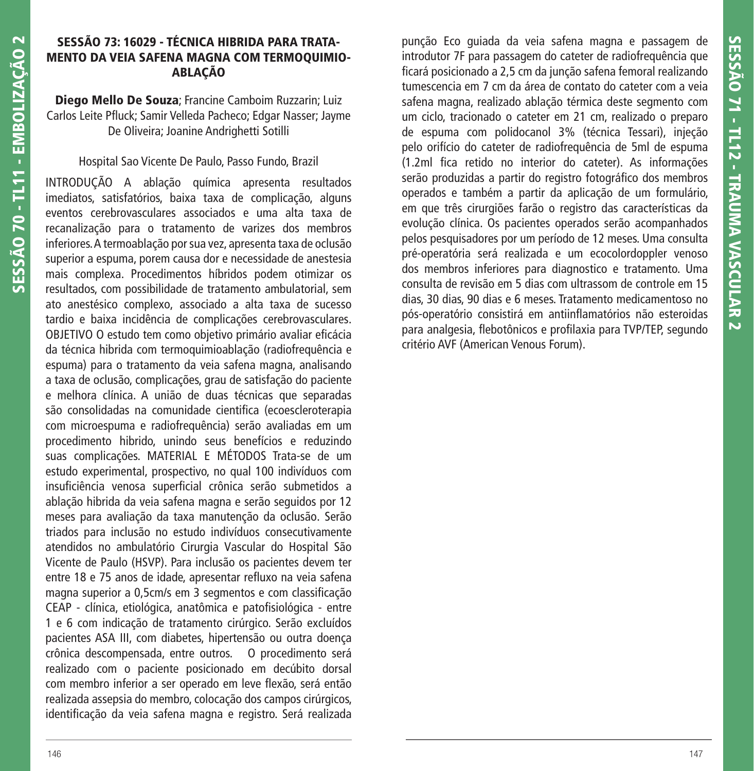#### **SESSÃO 73: 16029 - TÉCNICA HIBRIDA PARA TRATA-MENTO DA VEIA SAFENA MAGNA COM TERMOQUIMIO-ABLAÇÃO**

**Diego Mello De Souza**; Francine Camboim Ruzzarin; Luiz Carlos Leite Pfluck; Samir Velleda Pacheco; Edgar Nasser; Jayme De Oliveira; Joanine Andrighetti Sotilli

# Hospital Sao Vicente De Paulo, Passo Fundo, Brazil

INTRODUÇÃO A ablação química apresenta resultados imediatos, satisfatórios, baixa taxa de complicação, alguns eventos cerebrovasculares associados e uma alta taxa de recanalização para o tratamento de varizes dos membros inferiores. A termoablação por sua vez, apresenta taxa de oclusão superior a espuma, porem causa dor e necessidade de anestesia mais complexa. Procedimentos híbridos podem otimizar os resultados, com possibilidade de tratamento ambulatorial, sem ato anestésico complexo, associado a alta taxa de sucesso tardio e baixa incidência de complicações cerebrovasculares. OBJETIVO O estudo tem como objetivo primário avaliar eficácia da técnica hibrida com termoquimioablação (radiofrequência e espuma) para o tratamento da veia safena magna, analisando a taxa de oclusão, complicações, grau de satisfação do paciente e melhora clínica. A união de duas técnicas que separadas são consolidadas na comunidade cientifica (ecoescleroterapia com microespuma e radiofrequência) serão avaliadas em um procedimento hibrido, unindo seus benefícios e reduzindo suas complicações. MATERIAL E MÉTODOS Trata-se de um estudo experimental, prospectivo, no qual 100 indivíduos com insuficiência venosa superficial crônica serão submetidos a ablação hibrida da veia safena magna e serão seguidos por 12 meses para avaliação da taxa manutenção da oclusão. Serão triados para inclusão no estudo indivíduos consecutivamente atendidos no ambulatório Cirurgia Vascular do Hospital São Vicente de Paulo (HSVP). Para inclusão os pacientes devem ter entre 18 e 75 anos de idade, apresentar refluxo na veia safena magna superior a 0,5cm/s em 3 segmentos e com classificação CEAP - clínica, etiológica, anatômica e patofisiológica - entre 1 e 6 com indicação de tratamento cirúrgico. Serão excluídos pacientes ASA III, com diabetes, hipertensão ou outra doença crônica descompensada, entre outros. O procedimento será realizado com o paciente posicionado em decúbito dorsal com membro inferior a ser operado em leve flexão, será então realizada assepsia do membro, colocação dos campos cirúrgicos, identificação da veia safena magna e registro. Será realizada

punção Eco guiada da veia safena magna e passagem de introdutor 7F para passagem do cateter de radiofrequência que ficará posicionado a 2,5 cm da junção safena femoral realizando tumescencia em 7 cm da área de contato do cateter com a veia safena magna, realizado ablação térmica deste segmento com um ciclo, tracionado o cateter em 21 cm, realizado o preparo de espuma com polidocanol 3% (técnica Tessari), injeção pelo orifício do cateter de radiofrequência de 5ml de espuma (1.2ml fica retido no interior do cateter). As informações serão produzidas a partir do registro fotográfico dos membros operados e também a partir da aplicação de um formulário, em que três cirurgiões farão o registro das características da evolução clínica. Os pacientes operados serão acompanhados pelos pesquisadores por um período de 12 meses. Uma consulta pré-operatória será realizada e um ecocolordoppler venoso dos membros inferiores para diagnostico e tratamento. Uma consulta de revisão em 5 dias com ultrassom de controle em 15 dias, 30 dias, 90 dias e 6 meses. Tratamento medicamentoso no pós-operatório consistirá em antiinflamatórios não esteroidas para analgesia, flebotônicos e profilaxia para TVP/TEP, segundo critério AVF (American Venous Forum).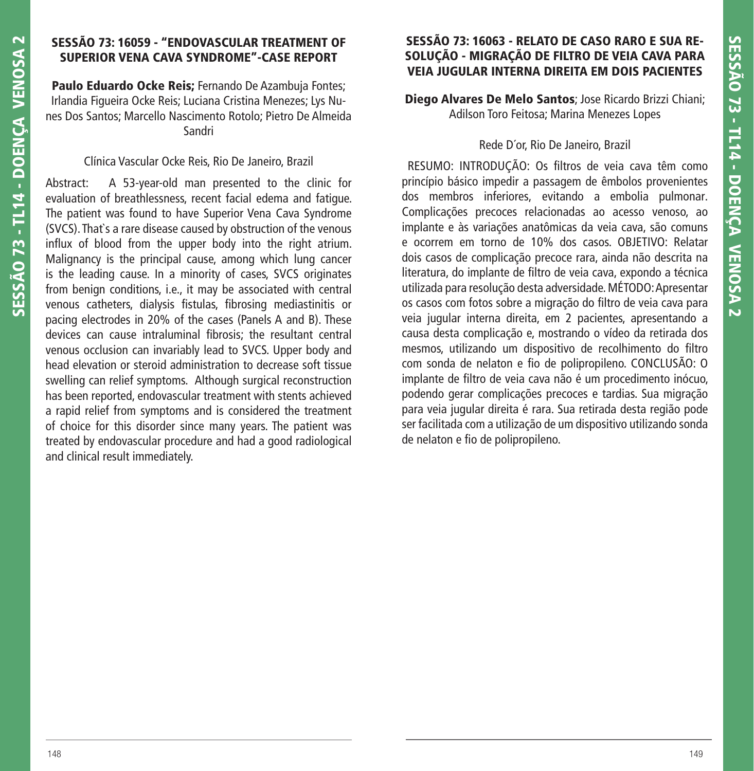# **SESSÃO 73: 16059 - "ENDOVASCULAR TREATMENT OF SUPERIOR VENA CAVA SYNDROME"-CASE REPORT**

**Paulo Eduardo Ocke Reis;** Fernando De Azambuja Fontes; Irlandia Figueira Ocke Reis; Luciana Cristina Menezes; Lys Nunes Dos Santos; Marcello Nascimento Rotolo; Pietro De Almeida Sandri

## Clínica Vascular Ocke Reis, Rio De Janeiro, Brazil

Abstract: A 53-year-old man presented to the clinic for evaluation of breathlessness, recent facial edema and fatigue. The patient was found to have Superior Vena Cava Syndrome (SVCS). That`s a rare disease caused by obstruction of the venous influx of blood from the upper body into the right atrium. Malignancy is the principal cause, among which lung cancer is the leading cause. In a minority of cases, SVCS originates from benign conditions, i.e., it may be associated with central venous catheters, dialysis fistulas, fibrosing mediastinitis or pacing electrodes in 20% of the cases (Panels A and B). These devices can cause intraluminal fibrosis; the resultant central venous occlusion can invariably lead to SVCS. Upper body and head elevation or steroid administration to decrease soft tissue swelling can relief symptoms. Although surgical reconstruction has been reported, endovascular treatment with stents achieved a rapid relief from symptoms and is considered the treatment of choice for this disorder since many years. The patient was treated by endovascular procedure and had a good radiological and clinical result immediately.

# **SESSÃO 73: 16063 - RELATO DE CASO RARO E SUA RE-SOLUÇÃO - MIGRAÇÃO DE FILTRO DE VEIA CAVA PARA VEIA JUGULAR INTERNA DIREITA EM DOIS PACIENTES**

**Diego Alvares De Melo Santos**; Jose Ricardo Brizzi Chiani; Adilson Toro Feitosa; Marina Menezes Lopes

# Rede D´or, Rio De Janeiro, Brazil

 RESUMO: INTRODUÇÃO: Os filtros de veia cava têm como princípio básico impedir a passagem de êmbolos provenientes dos membros inferiores, evitando a embolia pulmonar. Complicações precoces relacionadas ao acesso venoso, ao implante e às variações anatômicas da veia cava, são comuns e ocorrem em torno de 10% dos casos. OBJETIVO: Relatar dois casos de complicação precoce rara, ainda não descrita na literatura, do implante de filtro de veia cava, expondo a técnica utilizada para resolução desta adversidade. MÉTODO: Apresentar os casos com fotos sobre a migração do filtro de veia cava para veia jugular interna direita, em 2 pacientes, apresentando a causa desta complicação e, mostrando o vídeo da retirada dos mesmos, utilizando um dispositivo de recolhimento do filtro com sonda de nelaton e fio de polipropileno. CONCLUSÃO: O implante de filtro de veia cava não é um procedimento inócuo, podendo gerar complicações precoces e tardias. Sua migração para veia jugular direita é rara. Sua retirada desta região pode ser facilitada com a utilização de um dispositivo utilizando sonda de nelaton e fio de polipropileno.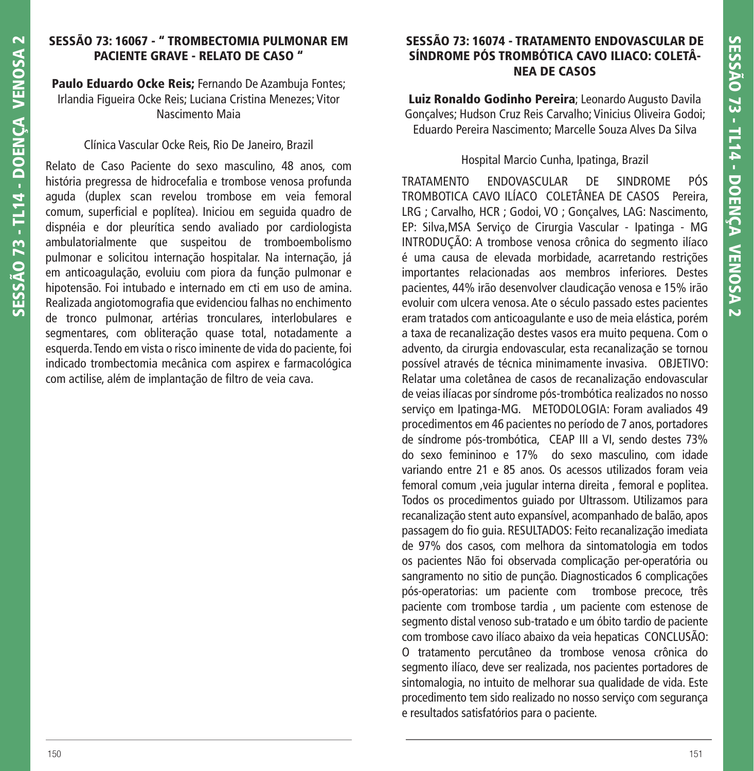# **SESSÃO 73: 16067 - " TROMBECTOMIA PULMONAR EM PACIENTE GRAVE - RELATO DE CASO "**

**Paulo Eduardo Ocke Reis;** Fernando De Azambuja Fontes; Irlandia Figueira Ocke Reis; Luciana Cristina Menezes; Vitor Nascimento Maia

#### Clínica Vascular Ocke Reis, Rio De Janeiro, Brazil

Relato de Caso Paciente do sexo masculino, 48 anos, com história pregressa de hidrocefalia e trombose venosa profunda aguda (duplex scan revelou trombose em veia femoral comum, superficial e poplítea). Iniciou em seguida quadro de dispnéia e dor pleurítica sendo avaliado por cardiologista ambulatorialmente que suspeitou de tromboembolismo pulmonar e solicitou internação hospitalar. Na internação, já em anticoagulação, evoluiu com piora da função pulmonar e hipotensão. Foi intubado e internado em cti em uso de amina. Realizada angiotomografia que evidenciou falhas no enchimento de tronco pulmonar, artérias tronculares, interlobulares e segmentares, com obliteração quase total, notadamente a esquerda. Tendo em vista o risco iminente de vida do paciente, foi indicado trombectomia mecânica com aspirex e farmacológica com actilise, além de implantação de filtro de veia cava.

## **SESSÃO 73: 16074 - TRATAMENTO ENDOVASCULAR DE SÍNDROME PÓS TROMBÓTICA CAVO ILIACO: COLETÂ-NEA DE CASOS**

**Luiz Ronaldo Godinho Pereira**; Leonardo Augusto Davila Gonçalves; Hudson Cruz Reis Carvalho; Vinicius Oliveira Godoi; Eduardo Pereira Nascimento; Marcelle Souza Alves Da Silva

#### Hospital Marcio Cunha, Ipatinga, Brazil

TRATAMENTO ENDOVASCULAR DE SINDROME PÓS TROMBOTICA CAVO ILÍACO COLETÂNEA DE CASOS Pereira, LRG ; Carvalho, HCR ; Godoi, VO ; Gonçalves, LAG: Nascimento, EP: Silva,MSA Serviço de Cirurgia Vascular - Ipatinga - MG INTRODUÇÃO: A trombose venosa crônica do segmento ilíaco é uma causa de elevada morbidade, acarretando restrições importantes relacionadas aos membros inferiores. Destes pacientes, 44% irão desenvolver claudicação venosa e 15% irão evoluir com ulcera venosa. Ate o século passado estes pacientes eram tratados com anticoagulante e uso de meia elástica, porém a taxa de recanalização destes vasos era muito pequena. Com o advento, da cirurgia endovascular, esta recanalização se tornou possível através de técnica minimamente invasiva. OBJETIVO: Relatar uma coletânea de casos de recanalização endovascular de veias ilíacas por síndrome pós-trombótica realizados no nosso serviço em Ipatinga-MG. METODOLOGIA: Foram avaliados 49 procedimentos em 46 pacientes no período de 7 anos, portadores de síndrome pós-trombótica, CEAP III a VI, sendo destes 73% do sexo femininoo e 17% do sexo masculino, com idade variando entre 21 e 85 anos. Os acessos utilizados foram veia femoral comum ,veia jugular interna direita , femoral e poplitea. Todos os procedimentos guiado por Ultrassom. Utilizamos para recanalização stent auto expansível, acompanhado de balão, apos passagem do fio quia. RESULTADOS: Feito recanalização imediata de 97% dos casos, com melhora da sintomatologia em todos os pacientes Não foi observada complicação per-operatória ou sangramento no sitio de punção. Diagnosticados 6 complicações pós-operatorias: um paciente com trombose precoce, três paciente com trombose tardia , um paciente com estenose de segmento distal venoso sub-tratado e um óbito tardio de paciente com trombose cavo ilíaco abaixo da veia hepaticas CONCLUSÃO: O tratamento percutâneo da trombose venosa crônica do segmento ilíaco, deve ser realizada, nos pacientes portadores de sintomalogia, no intuito de melhorar sua qualidade de vida. Este procedimento tem sido realizado no nosso serviço com segurança e resultados satisfatórios para o paciente.

**SESSÃO 73 - TL14 - DOENÇA VENOSA 2**

SESSÃO 73 - TL14 - DOENCA VENOSA

 $\overline{\mathbf{C}}$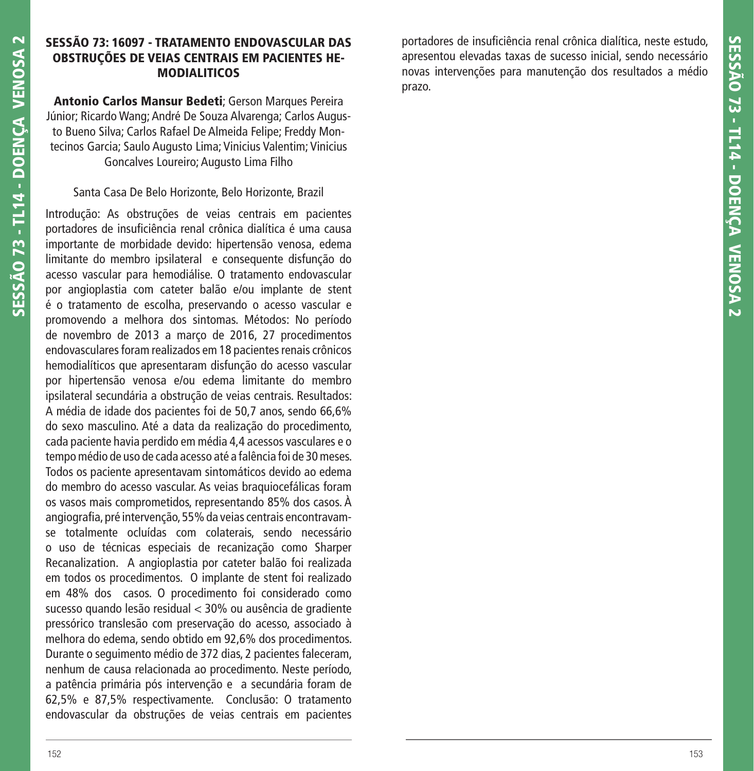#### **SESSÃO 73: 16097 - TRATAMENTO ENDOVASCULAR DAS OBSTRUÇÕES DE VEIAS CENTRAIS EM PACIENTES HE-MODIALITICOS**

**Antonio Carlos Mansur Bedeti**; Gerson Marques Pereira Júnior; Ricardo Wang; André De Souza Alvarenga; Carlos Augusto Bueno Silva; Carlos Rafael De Almeida Felipe; Freddy Montecinos Garcia; Saulo Augusto Lima; Vinicius Valentim; Vinicius Goncalves Loureiro; Augusto Lima Filho

## Santa Casa De Belo Horizonte, Belo Horizonte, Brazil

Introdução: As obstruções de veias centrais em pacientes portadores de insuficiência renal crônica dialítica é uma causa importante de morbidade devido: hipertensão venosa, edema limitante do membro ipsilateral e consequente disfunção do acesso vascular para hemodiálise. O tratamento endovascular por angioplastia com cateter balão e/ou implante de stent é o tratamento de escolha, preservando o acesso vascular e promovendo a melhora dos sintomas. Métodos: No período de novembro de 2013 a março de 2016, 27 procedimentos endovasculares foram realizados em 18 pacientes renais crônicos hemodialíticos que apresentaram disfunção do acesso vascular por hipertensão venosa e/ou edema limitante do membro ipsilateral secundária a obstrução de veias centrais. Resultados: A média de idade dos pacientes foi de 50,7 anos, sendo 66,6% do sexo masculino. Até a data da realização do procedimento, cada paciente havia perdido em média 4,4 acessos vasculares e o tempo médio de uso de cada acesso até a falência foi de 30 meses. Todos os paciente apresentavam sintomáticos devido ao edema do membro do acesso vascular. As veias braquiocefálicas foram os vasos mais comprometidos, representando 85% dos casos. À angiografia, pré intervenção, 55% da veias centrais encontravamse totalmente ocluídas com colaterais, sendo necessário o uso de técnicas especiais de recanização como Sharper Recanalization. A angioplastia por cateter balão foi realizada em todos os procedimentos. O implante de stent foi realizado em 48% dos casos. O procedimento foi considerado como sucesso quando lesão residual < 30% ou ausência de gradiente pressórico translesão com preservação do acesso, associado à melhora do edema, sendo obtido em 92,6% dos procedimentos. Durante o seguimento médio de 372 dias, 2 pacientes faleceram, nenhum de causa relacionada ao procedimento. Neste período, a patência primária pós intervenção e a secundária foram de 62,5% e 87,5% respectivamente. Conclusão: O tratamento endovascular da obstruções de veias centrais em pacientes

portadores de insuficiência renal crônica dialítica, neste estudo, apresentou elevadas taxas de sucesso inicial, sendo necessário novas intervenções para manutenção dos resultados a médio prazo.

**SESSÃO 73 - TL14 - DOENÇA VENOSA 2**

SESSÃO 73 - TL14 - DOENCA VENOSA 2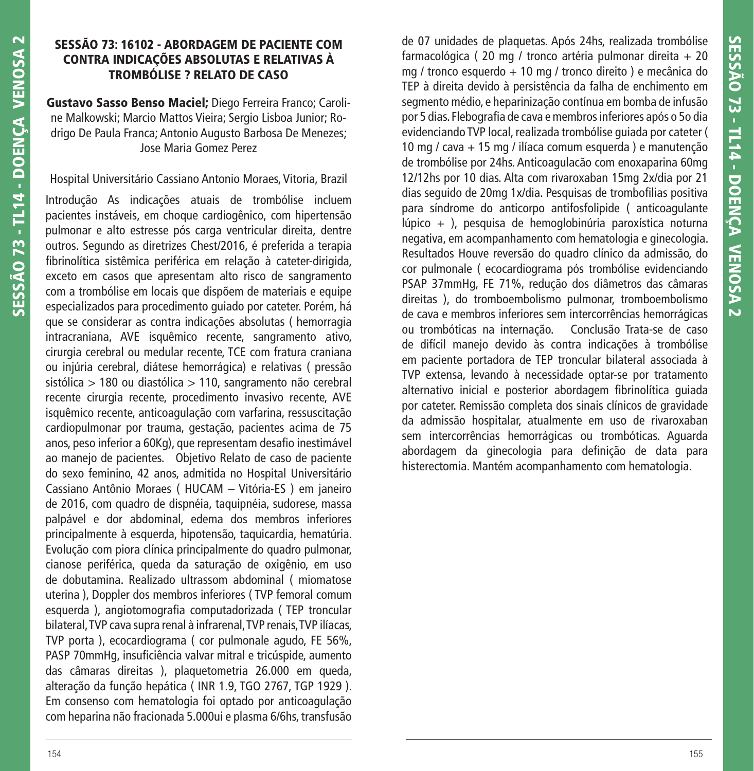# **SESSÃO 73: 16102 - ABORDAGEM DE PACIENTE COM CONTRA INDICAÇÕES ABSOLUTAS E RELATIVAS À TROMBÓLISE ? RELATO DE CASO**

**Gustavo Sasso Benso Maciel;** Diego Ferreira Franco; Caroline Malkowski; Marcio Mattos Vieira; Sergio Lisboa Junior; Rodrigo De Paula Franca; Antonio Augusto Barbosa De Menezes; Jose Maria Gomez Perez

## Hospital Universitário Cassiano Antonio Moraes, Vitoria, Brazil

Introdução As indicações atuais de trombólise incluem pacientes instáveis, em choque cardiogênico, com hipertensão pulmonar e alto estresse pós carga ventricular direita, dentre outros. Segundo as diretrizes Chest/2016, é preferida a terapia fibrinolítica sistêmica periférica em relação à cateter-dirigida, exceto em casos que apresentam alto risco de sangramento com a trombólise em locais que dispõem de materiais e equipe especializados para procedimento guiado por cateter. Porém, há que se considerar as contra indicações absolutas ( hemorragia intracraniana, AVE isquêmico recente, sangramento ativo, cirurgia cerebral ou medular recente, TCE com fratura craniana ou injúria cerebral, diátese hemorrágica) e relativas ( pressão sistólica > 180 ou diastólica > 110, sangramento não cerebral recente cirurgia recente, procedimento invasivo recente, AVE isquêmico recente, anticoagulação com varfarina, ressuscitação cardiopulmonar por trauma, gestação, pacientes acima de 75 anos, peso inferior a 60Kg), que representam desafio inestimável ao manejo de pacientes. Objetivo Relato de caso de paciente do sexo feminino, 42 anos, admitida no Hospital Universitário Cassiano Antônio Moraes ( HUCAM – Vitória-ES ) em janeiro de 2016, com quadro de dispnéia, taquipnéia, sudorese, massa palpável e dor abdominal, edema dos membros inferiores principalmente à esquerda, hipotensão, taquicardia, hematúria. Evolução com piora clínica principalmente do quadro pulmonar, cianose periférica, queda da saturação de oxigênio, em uso de dobutamina. Realizado ultrassom abdominal ( miomatose uterina ), Doppler dos membros inferiores ( TVP femoral comum esquerda), angiotomografia computadorizada (TEP troncular bilateral, TVP cava supra renal à infrarenal, TVP renais, TVP ilíacas, TVP porta ), ecocardiograma ( cor pulmonale agudo, FE 56%, PASP 70mmHg, insuficiência valvar mitral e tricúspide, aumento das câmaras direitas ), plaquetometria 26.000 em queda, alteração da função hepática ( INR 1.9, TGO 2767, TGP 1929 ). Em consenso com hematologia foi optado por anticoagulação com heparina não fracionada 5.000ui e plasma 6/6hs, transfusão

de 07 unidades de plaquetas. Após 24hs, realizada trombólise farmacológica ( 20 mg / tronco artéria pulmonar direita + 20 mg / tronco esquerdo + 10 mg / tronco direito ) e mecânica do TEP à direita devido à persistência da falha de enchimento em segmento médio, e heparinização contínua em bomba de infusão por 5 dias. Flebografia de cava e membros inferiores após o 50 dia evidenciando TVP local, realizada trombólise guiada por cateter ( 10 mg / cava + 15 mg / ilíaca comum esquerda ) e manutenção de trombólise por 24hs. Anticoagulacão com enoxaparina 60mg 12/12hs por 10 dias. Alta com rivaroxaban 15mg 2x/dia por 21 dias seguido de 20mg 1x/dia. Pesquisas de trombofilias positiva para síndrome do anticorpo antifosfolipide ( anticoagulante lúpico + ), pesquisa de hemoglobinúria paroxística noturna negativa, em acompanhamento com hematologia e ginecologia. Resultados Houve reversão do quadro clínico da admissão, do cor pulmonale ( ecocardiograma pós trombólise evidenciando PSAP 37mmHg, FE 71%, redução dos diâmetros das câmaras direitas ), do tromboembolismo pulmonar, tromboembolismo de cava e membros inferiores sem intercorrências hemorrágicas ou trombóticas na internação. Conclusão Trata-se de caso de difícil manejo devido às contra indicações à trombólise em paciente portadora de TEP troncular bilateral associada à TVP extensa, levando à necessidade optar-se por tratamento alternativo inicial e posterior abordagem fibrinolítica quiada por cateter. Remissão completa dos sinais clínicos de gravidade da admissão hospitalar, atualmente em uso de rivaroxaban sem intercorrências hemorrágicas ou trombóticas. Aguarda abordagem da ginecologia para definição de data para histerectomia. Mantém acompanhamento com hematologia.

**SESSÃO 73 - TL14 - DOENÇA VENOSA 2**

**SESSÃO 73 - TL14 - DOENÇA VENOSA 2**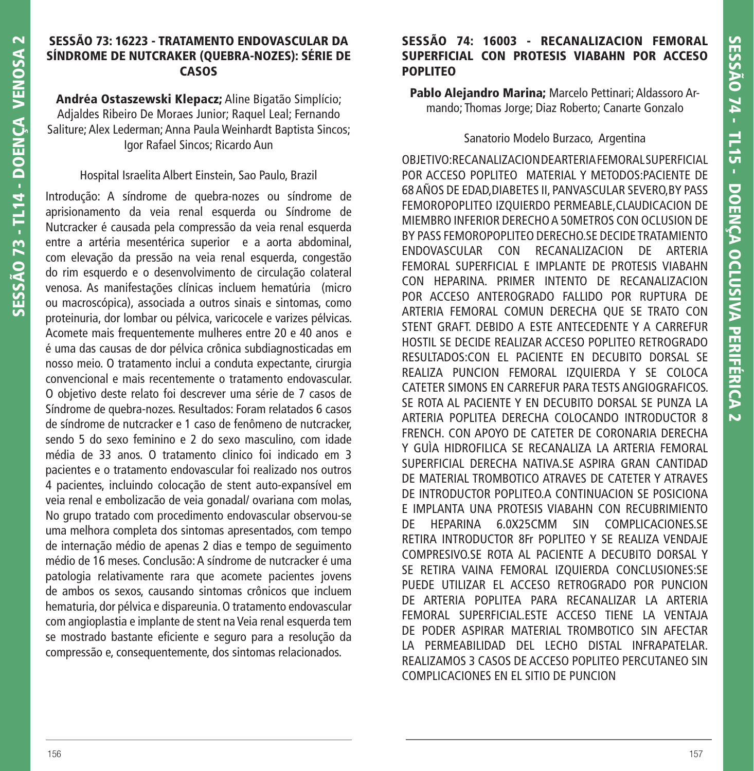#### **SESSÃO 73: 16223 - TRATAMENTO ENDOVASCULAR DA SÍNDROME DE NUTCRAKER (QUEBRA-NOZES): SÉRIE DE CASOS**

**Andréa Ostaszewski Klepacz;** Aline Bigatão Simplício; Adjaldes Ribeiro De Moraes Junior; Raquel Leal; Fernando Saliture; Alex Lederman; Anna Paula Weinhardt Baptista Sincos; Igor Rafael Sincos; Ricardo Aun

#### Hospital Israelita Albert Einstein, Sao Paulo, Brazil

Introdução: A síndrome de quebra-nozes ou síndrome de aprisionamento da veia renal esquerda ou Síndrome de Nutcracker é causada pela compressão da veia renal esquerda entre a artéria mesentérica superior e a aorta abdominal, com elevação da pressão na veia renal esquerda, congestão do rim esquerdo e o desenvolvimento de circulação colateral venosa. As manifestações clínicas incluem hematúria (micro ou macroscópica), associada a outros sinais e sintomas, como proteinuria, dor lombar ou pélvica, varicocele e varizes pélvicas. Acomete mais frequentemente mulheres entre 20 e 40 anos e é uma das causas de dor pélvica crônica subdiagnosticadas em nosso meio. O tratamento inclui a conduta expectante, cirurgia convencional e mais recentemente o tratamento endovascular. O objetivo deste relato foi descrever uma série de 7 casos de Síndrome de quebra-nozes. Resultados: Foram relatados 6 casos de síndrome de nutcracker e 1 caso de fenômeno de nutcracker, sendo 5 do sexo feminino e 2 do sexo masculino, com idade média de 33 anos. O tratamento clinico foi indicado em 3 pacientes e o tratamento endovascular foi realizado nos outros 4 pacientes, incluindo colocação de stent auto-expansível em veia renal e embolizacão de veia gonadal/ ovariana com molas, No grupo tratado com procedimento endovascular observou-se uma melhora completa dos sintomas apresentados, com tempo de internação médio de apenas 2 dias e tempo de seguimento médio de 16 meses. Conclusão: A síndrome de nutcracker é uma patologia relativamente rara que acomete pacientes jovens de ambos os sexos, causando sintomas crônicos que incluem hematuria, dor pélvica e dispareunia. O tratamento endovascular com angioplastia e implante de stent na Veia renal esquerda tem se mostrado bastante eficiente e seguro para a resolução da compressão e, consequentemente, dos sintomas relacionados.

#### **SESSÃO 74: 16003 - RECANALIZACION FEMORAL SUPERFICIAL CON PROTESIS VIABAHN POR ACCESO POPLITEO**

**Pablo Alejandro Marina;** Marcelo Pettinari; Aldassoro Armando; Thomas Jorge; Diaz Roberto; Canarte Gonzalo

#### Sanatorio Modelo Burzaco, Argentina

OBJETIVO:RECANALIZACION DE ARTERIA FEMORAL SUPERFICIAL POR ACCESO POPLITEO MATERIAL Y METODOS:PACIENTE DE 68 AÑOS DE EDAD,DIABETES II, PANVASCULAR SEVERO,BY PASS FEMOROPOPLITEO IZQUIERDO PERMEABLE,CLAUDICACION DE MIEMBRO INFERIOR DERECHO A 50METROS CON OCLUSION DE BY PASS FEMOROPOPLITEO DERECHO.SE DECIDE TRATAMIENTO ENDOVASCULAR CON RECANALIZACION DE ARTERIA FEMORAL SUPERFICIAL E IMPLANTE DE PROTESIS VIABAHN CON HEPARINA. PRIMER INTENTO DE RECANALIZACION POR ACCESO ANTEROGRADO FALLIDO POR RUPTURA DE ARTERIA FEMORAL COMUN DERECHA QUE SE TRATO CON STENT GRAFT. DEBIDO A ESTE ANTECEDENTE Y A CARREFUR HOSTIL SE DECIDE REALIZAR ACCESO POPLITEO RETROGRADO RESULTADOS:CON EL PACIENTE EN DECUBITO DORSAL SE REALIZA PUNCION FEMORAL IZQUIERDA Y SE COLOCA CATETER SIMONS EN CARREFUR PARA TESTS ANGIOGRAFICOS. SE ROTA AL PACIENTE Y EN DECUBITO DORSAL SE PUNZA LA ARTERIA POPLITEA DERECHA COLOCANDO INTRODUCTOR 8 FRENCH. CON APOYO DE CATETER DE CORONARIA DERECHA Y GUÌA HIDROFILICA SE RECANALIZA LA ARTERIA FEMORAL SUPERFICIAL DERECHA NATIVA.SE ASPIRA GRAN CANTIDAD DE MATERIAL TROMBOTICO ATRAVES DE CATETER Y ATRAVES DE INTRODUCTOR POPLITEO.A CONTINUACION SE POSICIONA E IMPLANTA UNA PROTESIS VIABAHN CON RECUBRIMIENTO DE HEPARINA 6.0X25CMM SIN COMPLICACIONES.SE RETIRA INTRODUCTOR 8Fr POPLITEO Y SE REALIZA VENDAJE COMPRESIVO.SE ROTA AL PACIENTE A DECUBITO DORSAL Y SE RETIRA VAINA FEMORAL IZQUIERDA CONCLUSIONES:SE PUEDE UTILIZAR EL ACCESO RETROGRADO POR PUNCION DE ARTERIA POPLITEA PARA RECANALIZAR LA ARTERIA FEMORAL SUPERFICIAL.ESTE ACCESO TIENE LA VENTAJA DE PODER ASPIRAR MATERIAL TROMBOTICO SIN AFECTAR LA PERMEABILIDAD DEL LECHO DISTAL INFRAPATELAR. REALIZAMOS 3 CASOS DE ACCESO POPLITEO PERCUTANEO SIN COMPLICACIONES EN EL SITIO DE PUNCION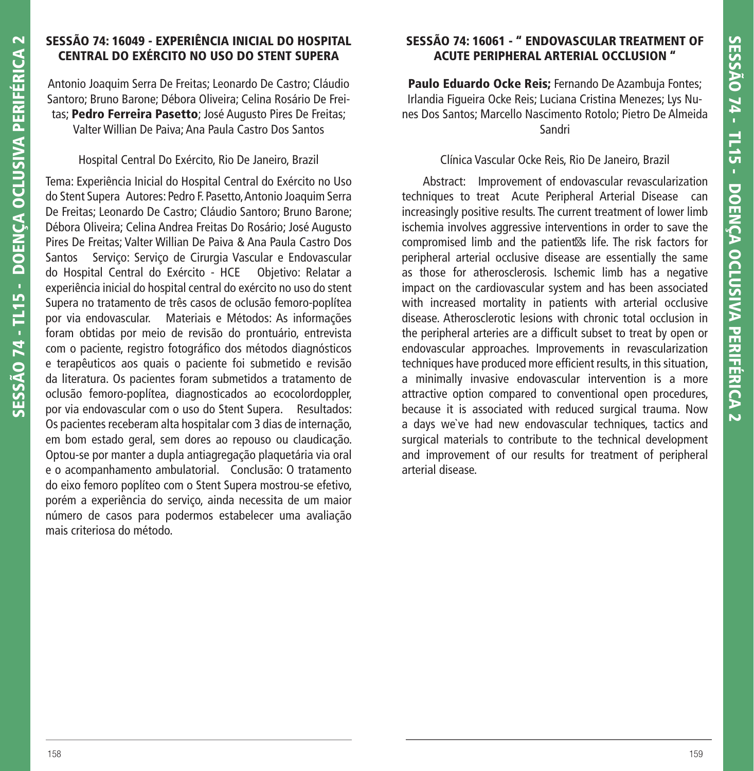# **SESSÃO 74: 16049 - EXPERIÊNCIA INICIAL DO HOSPITAL CENTRAL DO EXÉRCITO NO USO DO STENT SUPERA**

Antonio Joaquim Serra De Freitas; Leonardo De Castro; Cláudio Santoro; Bruno Barone; Débora Oliveira; Celina Rosário De Freitas; **Pedro Ferreira Pasetto**; José Augusto Pires De Freitas; Valter Willian De Paiva; Ana Paula Castro Dos Santos

# Hospital Central Do Exército, Rio De Janeiro, Brazil

Tema: Experiência Inicial do Hospital Central do Exército no Uso do Stent Supera Autores: Pedro F. Pasetto, Antonio Joaquim Serra De Freitas; Leonardo De Castro; Cláudio Santoro; Bruno Barone; Débora Oliveira; Celina Andrea Freitas Do Rosário; José Augusto Pires De Freitas; Valter Willian De Paiva & Ana Paula Castro Dos Santos Serviço: Serviço de Cirurgia Vascular e Endovascular do Hospital Central do Exército - HCE Objetivo: Relatar a experiência inicial do hospital central do exército no uso do stent Supera no tratamento de três casos de oclusão femoro-poplítea por via endovascular. Materiais e Métodos: As informações foram obtidas por meio de revisão do prontuário, entrevista com o paciente, registro fotográfico dos métodos diagnósticos e terapêuticos aos quais o paciente foi submetido e revisão da literatura. Os pacientes foram submetidos a tratamento de oclusão femoro-poplítea, diagnosticados ao ecocolordoppler, por via endovascular com o uso do Stent Supera. Resultados: Os pacientes receberam alta hospitalar com 3 dias de internação, em bom estado geral, sem dores ao repouso ou claudicação. Optou-se por manter a dupla antiagregação plaquetária via oral e o acompanhamento ambulatorial. Conclusão: O tratamento do eixo femoro poplíteo com o Stent Supera mostrou-se efetivo, porém a experiência do serviço, ainda necessita de um maior número de casos para podermos estabelecer uma avaliação mais criteriosa do método.

# **SESSÃO 74: 16061 - " ENDOVASCULAR TREATMENT OF ACUTE PERIPHERAL ARTERIAL OCCLUSION "**

**Paulo Eduardo Ocke Reis;** Fernando De Azambuja Fontes; Irlandia Figueira Ocke Reis; Luciana Cristina Menezes; Lys Nunes Dos Santos; Marcello Nascimento Rotolo; Pietro De Almeida Sandri

#### Clínica Vascular Ocke Reis, Rio De Janeiro, Brazil

 Abstract: Improvement of endovascular revascularization techniques to treat Acute Peripheral Arterial Disease can increasingly positive results. The current treatment of lower limb ischemia involves aggressive interventions in order to save the compromised limb and the patient $\boxtimes$ s life. The risk factors for peripheral arterial occlusive disease are essentially the same as those for atherosclerosis. Ischemic limb has a negative impact on the cardiovascular system and has been associated with increased mortality in patients with arterial occlusive disease. Atherosclerotic lesions with chronic total occlusion in the peripheral arteries are a difficult subset to treat by open or endovascular approaches. Improvements in revascularization techniques have produced more efficient results, in this situation, a minimally invasive endovascular intervention is a more attractive option compared to conventional open procedures, because it is associated with reduced surgical trauma. Now a days we`ve had new endovascular techniques, tactics and surgical materials to contribute to the technical development and improvement of our results for treatment of peripheral arterial disease.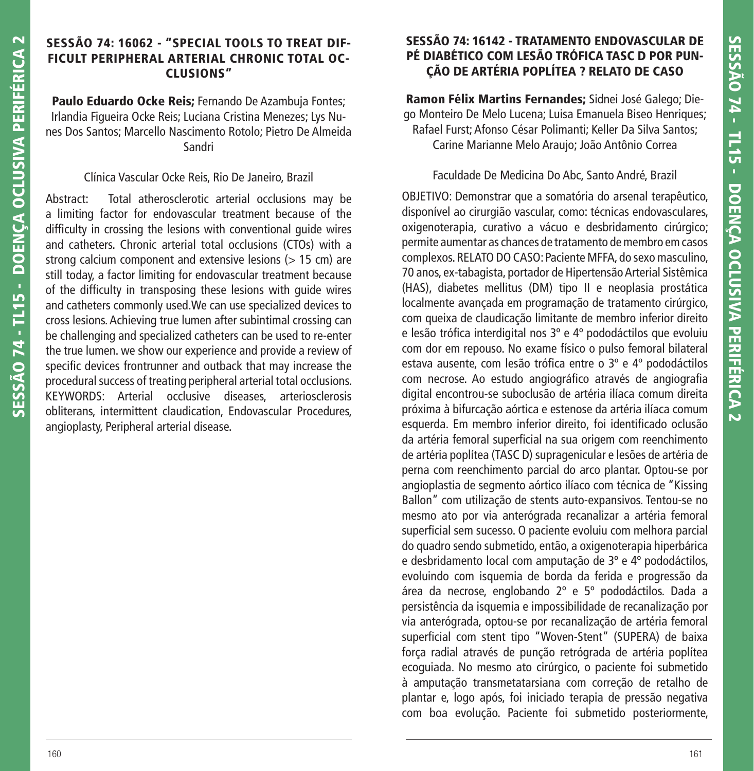#### **SESSÃO 74: 16062 - "SPECIAL TOOLS TO TREAT DIF-FICULT PERIPHERAL ARTERIAL CHRONIC TOTAL OC-CLUSIONS"**

Paulo Eduardo Ocke Reis; Fernando De Azambuja Fontes; Irlandia Figueira Ocke Reis; Luciana Cristina Menezes; Lys Nunes Dos Santos; Marcello Nascimento Rotolo; Pietro De Almeida Sandri

## Clínica Vascular Ocke Reis, Rio De Janeiro, Brazil

Abstract: Total atherosclerotic arterial occlusions may be a limiting factor for endovascular treatment because of the difficulty in crossing the lesions with conventional guide wires and catheters. Chronic arterial total occlusions (CTOs) with a strong calcium component and extensive lesions (> 15 cm) are still today, a factor limiting for endovascular treatment because of the difficulty in transposing these lesions with guide wires and catheters commonly used.We can use specialized devices to cross lesions. Achieving true lumen after subintimal crossing can be challenging and specialized catheters can be used to re-enter the true lumen. we show our experience and provide a review of specific devices frontrunner and outback that may increase the procedural success of treating peripheral arterial total occlusions. KEYWORDS: Arterial occlusive diseases, arteriosclerosis obliterans, intermittent claudication, Endovascular Procedures, angioplasty, Peripheral arterial disease.

# **SESSÃO 74: 16142 - TRATAMENTO ENDOVASCULAR DE PÉ DIABÉTICO COM LESÃO TRÓFICA TASC D POR PUN-ÇÃO DE ARTÉRIA POPLÍTEA ? RELATO DE CASO**

**Ramon Félix Martins Fernandes;** Sidnei José Galego; Diego Monteiro De Melo Lucena; Luisa Emanuela Biseo Henriques; Rafael Furst; Afonso César Polimanti; Keller Da Silva Santos; Carine Marianne Melo Araujo; João Antônio Correa

#### Faculdade De Medicina Do Abc, Santo André, Brazil

OBJETIVO: Demonstrar que a somatória do arsenal terapêutico, disponível ao cirurgião vascular, como: técnicas endovasculares, oxigenoterapia, curativo a vácuo e desbridamento cirúrgico; permite aumentar as chances de tratamento de membro em casos complexos. RELATO DO CASO: Paciente MFFA, do sexo masculino, 70 anos, ex-tabagista, portador de Hipertensão Arterial Sistêmica (HAS), diabetes mellitus (DM) tipo II e neoplasia prostática localmente avançada em programação de tratamento cirúrgico, com queixa de claudicação limitante de membro inferior direito e lesão trófica interdigital nos 3º e 4º pododáctilos que evoluiu com dor em repouso. No exame físico o pulso femoral bilateral estava ausente, com lesão trófica entre o 3º e 4º pododáctilos com necrose. Ao estudo angiográfico através de angiografia digital encontrou-se suboclusão de artéria ilíaca comum direita próxima à bifurcação aórtica e estenose da artéria ilíaca comum esquerda. Em membro inferior direito, foi identificado oclusão da artéria femoral superficial na sua origem com reenchimento de artéria poplítea (TASC D) supragenicular e lesões de artéria de perna com reenchimento parcial do arco plantar. Optou-se por angioplastia de segmento aórtico ilíaco com técnica de "Kissing Ballon" com utilização de stents auto-expansivos. Tentou-se no mesmo ato por via anterógrada recanalizar a artéria femoral superficial sem sucesso. O paciente evoluiu com melhora parcial do quadro sendo submetido, então, a oxigenoterapia hiperbárica e desbridamento local com amputação de 3º e 4º pododáctilos, evoluindo com isquemia de borda da ferida e progressão da área da necrose, englobando 2º e 5º pododáctilos. Dada a persistência da isquemia e impossibilidade de recanalização por via anterógrada, optou-se por recanalização de artéria femoral superficial com stent tipo "Woven-Stent" (SUPERA) de baixa força radial através de punção retrógrada de artéria poplítea ecoguiada. No mesmo ato cirúrgico, o paciente foi submetido à amputação transmetatarsiana com correção de retalho de plantar e, logo após, foi iniciado terapia de pressão negativa com boa evolução. Paciente foi submetido posteriormente,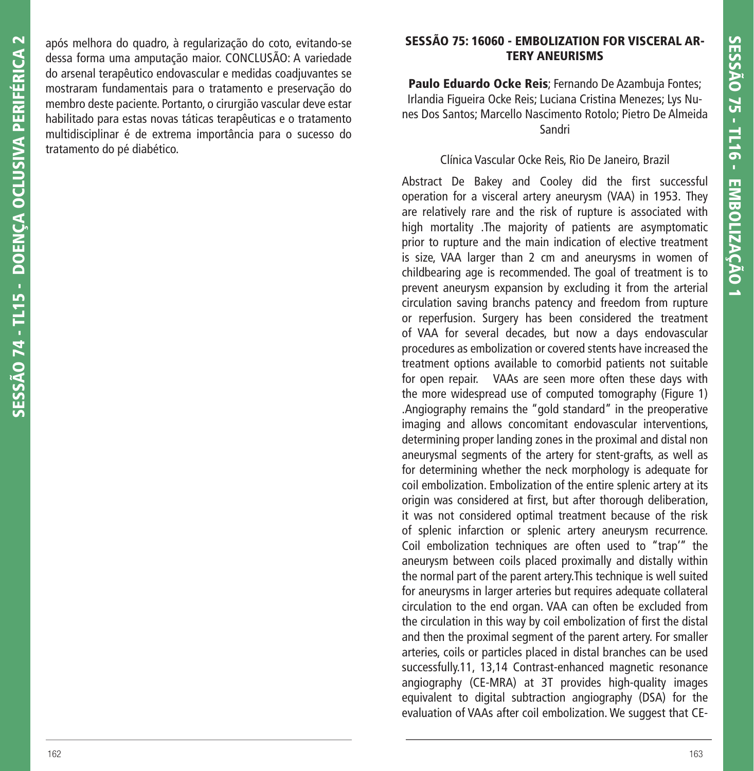após melhora do quadro, à regularização do coto, evitando-se dessa forma uma amputação maior. CONCLUSÃO: A variedade do arsenal terapêutico endovascular e medidas coadjuvantes se mostraram fundamentais para o tratamento e preservação do membro deste paciente. Portanto, o cirurgião vascular deve estar habilitado para estas novas táticas terapêuticas e o tratamento multidisciplinar é de extrema importância para o sucesso do tratamento do pé diabético.

# **SESSÃO 75: 16060 - EMBOLIZATION FOR VISCERAL AR-TERY ANEURISMS**

**Paulo Eduardo Ocke Reis**; Fernando De Azambuja Fontes; Irlandia Figueira Ocke Reis; Luciana Cristina Menezes; Lys Nunes Dos Santos; Marcello Nascimento Rotolo; Pietro De Almeida Sandri

#### Clínica Vascular Ocke Reis, Rio De Janeiro, Brazil

Abstract De Bakey and Cooley did the first successful operation for a visceral artery aneurysm (VAA) in 1953. They are relatively rare and the risk of rupture is associated with high mortality .The majority of patients are asymptomatic prior to rupture and the main indication of elective treatment is size, VAA larger than 2 cm and aneurysms in women of childbearing age is recommended. The goal of treatment is to prevent aneurysm expansion by excluding it from the arterial circulation saving branchs patency and freedom from rupture or reperfusion. Surgery has been considered the treatment of VAA for several decades, but now a days endovascular procedures as embolization or covered stents have increased the treatment options available to comorbid patients not suitable for open repair. VAAs are seen more often these days with the more widespread use of computed tomography (Figure 1) .Angiography remains the "gold standard" in the preoperative imaging and allows concomitant endovascular interventions, determining proper landing zones in the proximal and distal non aneurysmal segments of the artery for stent-grafts, as well as for determining whether the neck morphology is adequate for coil embolization. Embolization of the entire splenic artery at its origin was considered at first, but after thorough deliberation, it was not considered optimal treatment because of the risk of splenic infarction or splenic artery aneurysm recurrence. Coil embolization techniques are often used to "trap'" the aneurysm between coils placed proximally and distally within the normal part of the parent artery.This technique is well suited for aneurysms in larger arteries but requires adequate collateral circulation to the end organ. VAA can often be excluded from the circulation in this way by coil embolization of first the distal and then the proximal segment of the parent artery. For smaller arteries, coils or particles placed in distal branches can be used successfully.11, 13,14 Contrast-enhanced magnetic resonance angiography (CE-MRA) at 3T provides high-quality images equivalent to digital subtraction angiography (DSA) for the evaluation of VAAs after coil embolization. We suggest that CE-

**SESSÃO 74 - TL15 - DOENÇA OCLUSIVA PERIFÉRICA 2**

SESSÃO 74 - TL15 - DOENCA OCLUSIVA PERIFÉRICA 2

163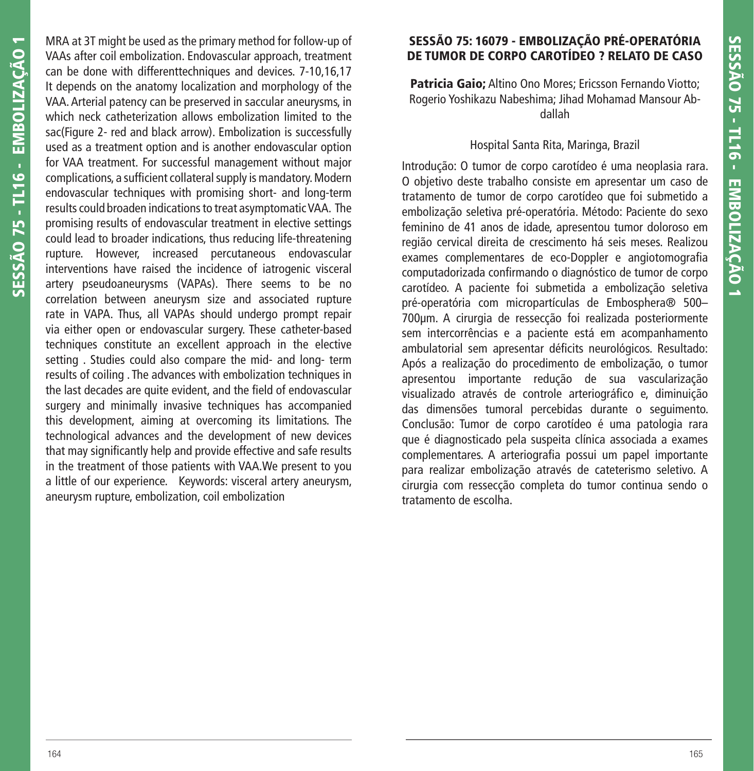MRA at 3T might be used as the primary method for follow-up of VAAs after coil embolization. Endovascular approach, treatment can be done with differenttechniques and devices. 7-10,16,17 It depends on the anatomy localization and morphology of the VAA. Arterial patency can be preserved in saccular aneurysms, in which neck catheterization allows embolization limited to the sac(Figure 2- red and black arrow). Embolization is successfully used as a treatment option and is another endovascular option for VAA treatment. For successful management without major complications, a sufficient collateral supply is mandatory. Modern endovascular techniques with promising short- and long-term results could broaden indications to treat asymptomatic VAA. The promising results of endovascular treatment in elective settings could lead to broader indications, thus reducing life-threatening rupture. However, increased percutaneous endovascular interventions have raised the incidence of iatrogenic visceral artery pseudoaneurysms (VAPAs). There seems to be no correlation between aneurysm size and associated rupture rate in VAPA. Thus, all VAPAs should undergo prompt repair via either open or endovascular surgery. These catheter-based techniques constitute an excellent approach in the elective setting . Studies could also compare the mid- and long- term results of coiling . The advances with embolization techniques in the last decades are quite evident, and the field of endovascular surgery and minimally invasive techniques has accompanied this development, aiming at overcoming its limitations. The technological advances and the development of new devices that may significantly help and provide effective and safe results in the treatment of those patients with VAA.We present to you a little of our experience. Keywords: visceral artery aneurysm, aneurysm rupture, embolization, coil embolization

# **SESSÃO 75: 16079 - EMBOLIZAÇÃO PRÉ-OPERATÓRIA DE TUMOR DE CORPO CAROTÍDEO ? RELATO DE CASO**

**Patricia Gaio;** Altino Ono Mores; Ericsson Fernando Viotto; Rogerio Yoshikazu Nabeshima; Jihad Mohamad Mansour Abdallah

#### Hospital Santa Rita, Maringa, Brazil

Introdução: O tumor de corpo carotídeo é uma neoplasia rara. O objetivo deste trabalho consiste em apresentar um caso de tratamento de tumor de corpo carotídeo que foi submetido a embolização seletiva pré-operatória. Método: Paciente do sexo feminino de 41 anos de idade, apresentou tumor doloroso em região cervical direita de crescimento há seis meses. Realizou exames complementares de eco-Doppler e angiotomografia computadorizada confirmando o diagnóstico de tumor de corpo carotídeo. A paciente foi submetida a embolização seletiva pré-operatória com micropartículas de Embosphera® 500– 700μm. A cirurgia de ressecção foi realizada posteriormente sem intercorrências e a paciente está em acompanhamento ambulatorial sem apresentar déficits neurológicos. Resultado: Após a realização do procedimento de embolização, o tumor apresentou importante redução de sua vascularização visualizado através de controle arteriográfico e, diminuição das dimensões tumoral percebidas durante o seguimento. Conclusão: Tumor de corpo carotídeo é uma patologia rara que é diagnosticado pela suspeita clínica associada a exames complementares. A arteriografia possui um papel importante para realizar embolização através de cateterismo seletivo. A cirurgia com ressecção completa do tumor continua sendo o tratamento de escolha.

**SESSÃO 75 - TL16 - EMBOLIZAÇÃO 1**

SESSÃO 75 - TL16 - EMBOLIZAÇÃO 1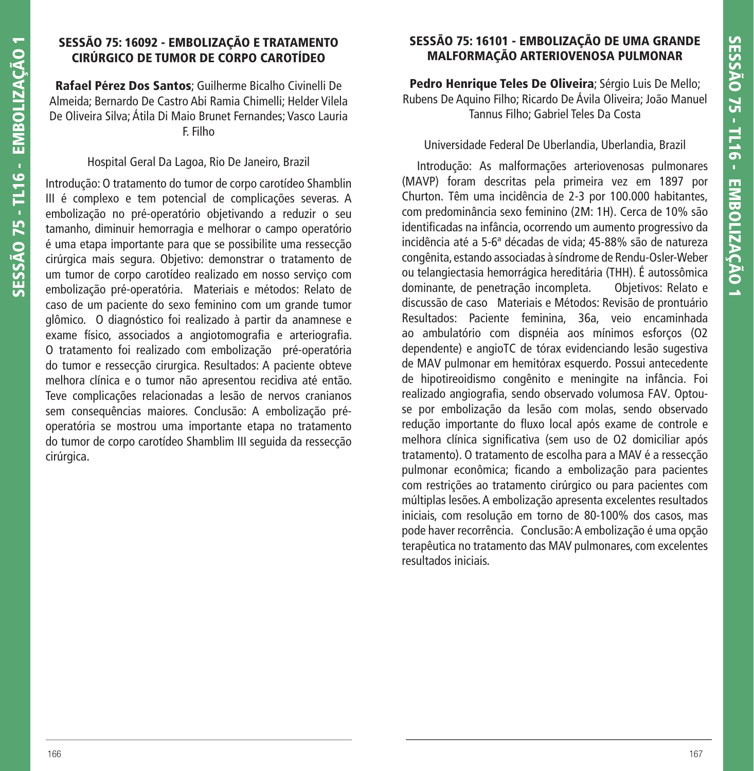# **SESSÃO 75: 16092 - EMBOLIZAÇÃO E TRATAMENTO CIRÚRGICO DE TUMOR DE CORPO CAROTÍDEO**

**Rafael Pérez Dos Santos**; Guilherme Bicalho Civinelli De Almeida; Bernardo De Castro Abi Ramia Chimelli; Helder Vilela De Oliveira Silva; Átila Di Maio Brunet Fernandes; Vasco Lauria F. Filho

## Hospital Geral Da Lagoa, Rio De Janeiro, Brazil

Introdução: O tratamento do tumor de corpo carotídeo Shamblin III é complexo e tem potencial de complicações severas. A embolização no pré-operatório objetivando a reduzir o seu tamanho, diminuir hemorragia e melhorar o campo operatório é uma etapa importante para que se possibilite uma ressecção cirúrgica mais segura. Objetivo: demonstrar o tratamento de um tumor de corpo carotídeo realizado em nosso serviço com embolização pré-operatória. Materiais e métodos: Relato de caso de um paciente do sexo feminino com um grande tumor glômico. O diagnóstico foi realizado à partir da anamnese e exame físico, associados a angiotomografia e arteriografia. O tratamento foi realizado com embolização pré-operatória do tumor e ressecção cirurgica. Resultados: A paciente obteve melhora clínica e o tumor não apresentou recidiva até então. Teve complicações relacionadas a lesão de nervos cranianos sem consequências maiores. Conclusão: A embolização préoperatória se mostrou uma importante etapa no tratamento do tumor de corpo carotídeo Shamblim III seguida da ressecção cirúrgica.

# **SESSÃO 75: 16101 - EMBOLIZAÇÃO DE UMA GRANDE MALFORMAÇÃO ARTERIOVENOSA PULMONAR**

**Pedro Henrique Teles De Oliveira**; Sérgio Luis De Mello; Rubens De Aquino Filho; Ricardo De Ávila Oliveira; João Manuel Tannus Filho; Gabriel Teles Da Costa

#### Universidade Federal De Uberlandia, Uberlandia, Brazil

 Introdução: As malformações arteriovenosas pulmonares (MAVP) foram descritas pela primeira vez em 1897 por Churton. Têm uma incidência de 2-3 por 100.000 habitantes, com predominância sexo feminino (2M: 1H). Cerca de 10% são identificadas na infância, ocorrendo um aumento progressivo da incidência até a 5-6ª décadas de vida; 45-88% são de natureza congênita, estando associadas à síndrome de Rendu-Osler-Weber ou telangiectasia hemorrágica hereditária (THH). É autossômica dominante, de penetração incompleta. Objetivos: Relato e discussão de caso Materiais e Métodos: Revisão de prontuário Resultados: Paciente feminina, 36a, veio encaminhada ao ambulatório com dispnéia aos mínimos esforços (O2 dependente) e angioTC de tórax evidenciando lesão sugestiva de MAV pulmonar em hemitórax esquerdo. Possui antecedente de hipotireoidismo congênito e meningite na infância. Foi realizado angiografia, sendo observado volumosa FAV. Optouse por embolização da lesão com molas, sendo observado redução importante do fluxo local após exame de controle e melhora clínica significativa (sem uso de O2 domiciliar após tratamento). O tratamento de escolha para a MAV é a ressecção pulmonar econômica; ficando a embolização para pacientes com restrições ao tratamento cirúrgico ou para pacientes com múltiplas lesões. A embolização apresenta excelentes resultados iniciais, com resolução em torno de 80-100% dos casos, mas pode haver recorrência. Conclusão: A embolização é uma opção terapêutica no tratamento das MAV pulmonares, com excelentes resultados iniciais.

**SESSÃO 75 - TL16 - EMBOLIZAÇÃO 1**

SESSÃO 75 - TL16 - EMBOLIZAÇÃO 1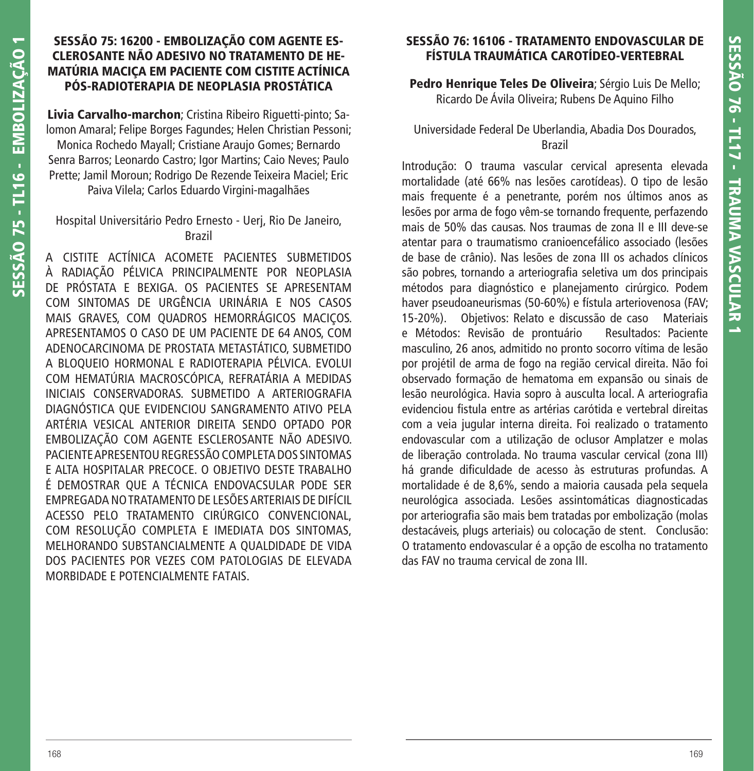# **SESSÃO 75: 16200 - EMBOLIZAÇÃO COM AGENTE ES-CLEROSANTE NÃO ADESIVO NO TRATAMENTO DE HE-MATÚRIA MACIÇA EM PACIENTE COM CISTITE ACTÍNICA PÓS-RADIOTERAPIA DE NEOPLASIA PROSTÁTICA**

**Livia Carvalho-marchon**; Cristina Ribeiro Riguetti-pinto; Salomon Amaral; Felipe Borges Fagundes; Helen Christian Pessoni; Monica Rochedo Mayall; Cristiane Araujo Gomes; Bernardo Senra Barros; Leonardo Castro; Igor Martins; Caio Neves; Paulo Prette; Jamil Moroun; Rodrigo De Rezende Teixeira Maciel; Eric Paiva Vilela; Carlos Eduardo Virgini-magalhães

## Hospital Universitário Pedro Ernesto - Uerj, Rio De Janeiro, Brazil

A CISTITE ACTÍNICA ACOMETE PACIENTES SUBMETIDOS À RADIAÇÃO PÉLVICA PRINCIPALMENTE POR NEOPLASIA DE PRÓSTATA E BEXIGA. OS PACIENTES SE APRESENTAM COM SINTOMAS DE URGÊNCIA URINÁRIA E NOS CASOS MAIS GRAVES, COM QUADROS HEMORRÁGICOS MACICOS. APRESENTAMOS O CASO DE UM PACIENTE DE 64 ANOS, COM ADENOCARCINOMA DE PROSTATA METASTÁTICO, SUBMETIDO A BLOQUEIO HORMONAL E RADIOTERAPIA PÉLVICA. EVOLUI COM HEMATÚRIA MACROSCÓPICA, REFRATÁRIA A MEDIDAS INICIAIS CONSERVADORAS. SUBMETIDO A ARTERIOGRAFIA DIAGNÓSTICA QUE EVIDENCIOU SANGRAMENTO ATIVO PELA ARTÉRIA VESICAL ANTERIOR DIREITA SENDO OPTADO POR EMBOLIZAÇÃO COM AGENTE ESCLEROSANTE NÃO ADESIVO. PACIENTE APRESENTOU REGRESSÃO COMPLETA DOS SINTOMAS E ALTA HOSPITALAR PRECOCE. O OBJETIVO DESTE TRABALHO É DEMOSTRAR QUE A TÉCNICA ENDOVACSULAR PODE SER EMPREGADA NO TRATAMENTO DE LESÕES ARTERIAIS DE DIFÍCIL ACESSO PELO TRATAMENTO CIRÚRGICO CONVENCIONAL, COM RESOLUÇÃO COMPLETA E IMEDIATA DOS SINTOMAS, MELHORANDO SUBSTANCIALMENTE A QUALDIDADE DE VIDA DOS PACIENTES POR VEZES COM PATOLOGIAS DE ELEVADA MORBIDADE E POTENCIALMENTE FATAIS.

# **SESSÃO 76: 16106 - TRATAMENTO ENDOVASCULAR DE FÍSTULA TRAUMÁTICA CAROTÍDEO-VERTEBRAL**

**Pedro Henrique Teles De Oliveira**; Sérgio Luis De Mello; Ricardo De Ávila Oliveira; Rubens De Aquino Filho

## Universidade Federal De Uberlandia, Abadia Dos Dourados, Brazil

Introdução: O trauma vascular cervical apresenta elevada mortalidade (até 66% nas lesões carotídeas). O tipo de lesão mais frequente é a penetrante, porém nos últimos anos as lesões por arma de fogo vêm-se tornando frequente, perfazendo mais de 50% das causas. Nos traumas de zona II e III deve-se atentar para o traumatismo cranioencefálico associado (lesões de base de crânio). Nas lesões de zona III os achados clínicos são pobres, tornando a arteriografia seletiva um dos principais métodos para diagnóstico e planejamento cirúrgico. Podem haver pseudoaneurismas (50-60%) e fístula arteriovenosa (FAV; 15-20%). Objetivos: Relato e discussão de caso Materiais e Métodos: Revisão de prontuário Resultados: Paciente masculino, 26 anos, admitido no pronto socorro vítima de lesão por projétil de arma de fogo na região cervical direita. Não foi observado formação de hematoma em expansão ou sinais de lesão neurológica. Havia sopro à ausculta local. A arteriografia evidenciou fistula entre as artérias carótida e vertebral direitas com a veia jugular interna direita. Foi realizado o tratamento endovascular com a utilização de oclusor Amplatzer e molas de liberação controlada. No trauma vascular cervical (zona III) há grande dificuldade de acesso às estruturas profundas. A mortalidade é de 8,6%, sendo a maioria causada pela sequela neurológica associada. Lesões assintomáticas diagnosticadas por arteriografia são mais bem tratadas por embolização (molas destacáveis, plugs arteriais) ou colocação de stent. Conclusão: O tratamento endovascular é a opção de escolha no tratamento das FAV no trauma cervical de zona III.

**SESSÃO 75 - TL16 - EMBOLIZAÇÃO 1**

SESSÃO 75 - TL16 - EMBOLIZACÃO 1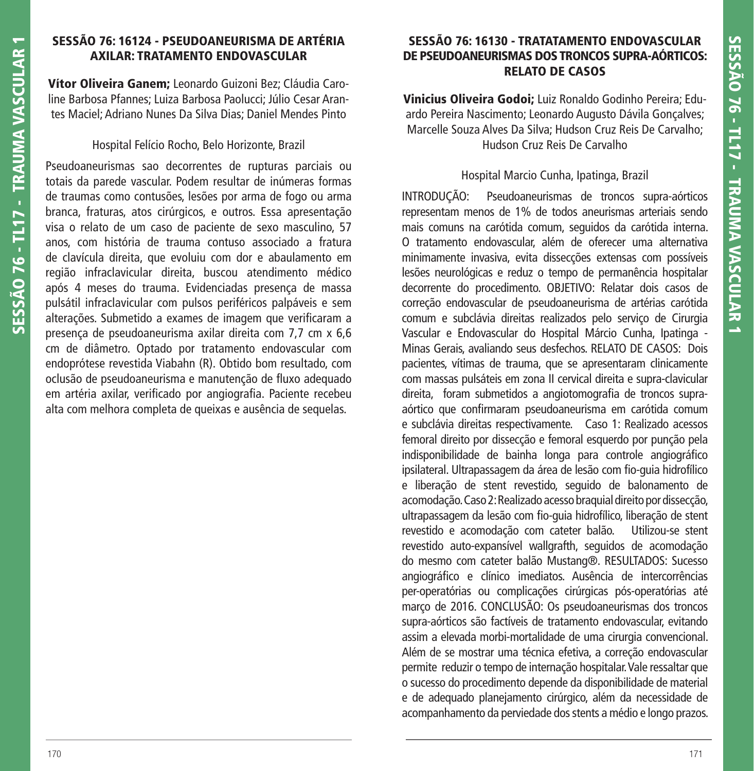# **SESSÃO 76: 16124 - PSEUDOANEURISMA DE ARTÉRIA AXILAR: TRATAMENTO ENDOVASCULAR**

**Vítor Oliveira Ganem;** Leonardo Guizoni Bez; Cláudia Caroline Barbosa Pfannes; Luiza Barbosa Paolucci; Júlio Cesar Arantes Maciel; Adriano Nunes Da Silva Dias; Daniel Mendes Pinto

#### Hospital Felício Rocho, Belo Horizonte, Brazil

Pseudoaneurismas sao decorrentes de rupturas parciais ou totais da parede vascular. Podem resultar de inúmeras formas de traumas como contusões, lesões por arma de fogo ou arma branca, fraturas, atos cirúrgicos, e outros. Essa apresentação visa o relato de um caso de paciente de sexo masculino, 57 anos, com história de trauma contuso associado a fratura de clavícula direita, que evoluiu com dor e abaulamento em região infraclavicular direita, buscou atendimento médico após 4 meses do trauma. Evidenciadas presença de massa pulsátil infraclavicular com pulsos periféricos palpáveis e sem alterações. Submetido a exames de imagem que verificaram a presença de pseudoaneurisma axilar direita com 7,7 cm x 6,6 cm de diâmetro. Optado por tratamento endovascular com endoprótese revestida Viabahn (R). Obtido bom resultado, com oclusão de pseudoaneurisma e manutenção de fluxo adequado em artéria axilar, verificado por angiografia. Paciente recebeu alta com melhora completa de queixas e ausência de sequelas.

## **SESSÃO 76: 16130 - TRATATAMENTO ENDOVASCULAR DE PSEUDOANEURISMAS DOS TRONCOS SUPRA-AÓRTICOS: RELATO DE CASOS**

**Vinicius Oliveira Godoi;** Luiz Ronaldo Godinho Pereira; Eduardo Pereira Nascimento; Leonardo Augusto Dávila Gonçalves; Marcelle Souza Alves Da Silva; Hudson Cruz Reis De Carvalho; Hudson Cruz Reis De Carvalho

#### Hospital Marcio Cunha, Ipatinga, Brazil

INTRODUÇÃO: Pseudoaneurismas de troncos supra-aórticos representam menos de 1% de todos aneurismas arteriais sendo mais comuns na carótida comum, seguidos da carótida interna. O tratamento endovascular, além de oferecer uma alternativa minimamente invasiva, evita dissecções extensas com possíveis lesões neurológicas e reduz o tempo de permanência hospitalar decorrente do procedimento. OBJETIVO: Relatar dois casos de correção endovascular de pseudoaneurisma de artérias carótida comum e subclávia direitas realizados pelo serviço de Cirurgia Vascular e Endovascular do Hospital Márcio Cunha, Ipatinga - Minas Gerais, avaliando seus desfechos. RELATO DE CASOS: Dois pacientes, vítimas de trauma, que se apresentaram clinicamente com massas pulsáteis em zona II cervical direita e supra-clavicular direita, foram submetidos a angiotomografia de troncos supraaórtico que confirmaram pseudoaneurisma em carótida comum e subclávia direitas respectivamente. Caso 1: Realizado acessos femoral direito por dissecção e femoral esquerdo por punção pela indisponibilidade de bainha longa para controle angiográfico ipsilateral. Ultrapassagem da área de lesão com fio-quia hidrofílico e liberação de stent revestido, seguido de balonamento de acomodação. Caso 2: Realizado acesso braquial direito por dissecção, ultrapassagem da lesão com fio-quia hidrofílico, liberação de stent revestido e acomodação com cateter balão. Utilizou-se stent revestido auto-expansível wallgrafth, seguidos de acomodação do mesmo com cateter balão Mustang®. RESULTADOS: Sucesso angiográfico e clínico imediatos. Ausência de intercorrências per-operatórias ou complicações cirúrgicas pós-operatórias até março de 2016. CONCLUSÃO: Os pseudoaneurismas dos troncos supra-aórticos são factíveis de tratamento endovascular, evitando assim a elevada morbi-mortalidade de uma cirurgia convencional. Além de se mostrar uma técnica efetiva, a correção endovascular permite reduzir o tempo de internação hospitalar. Vale ressaltar que o sucesso do procedimento depende da disponibilidade de material e de adequado planejamento cirúrgico, além da necessidade de acompanhamento da perviedade dos stents a médio e longo prazos.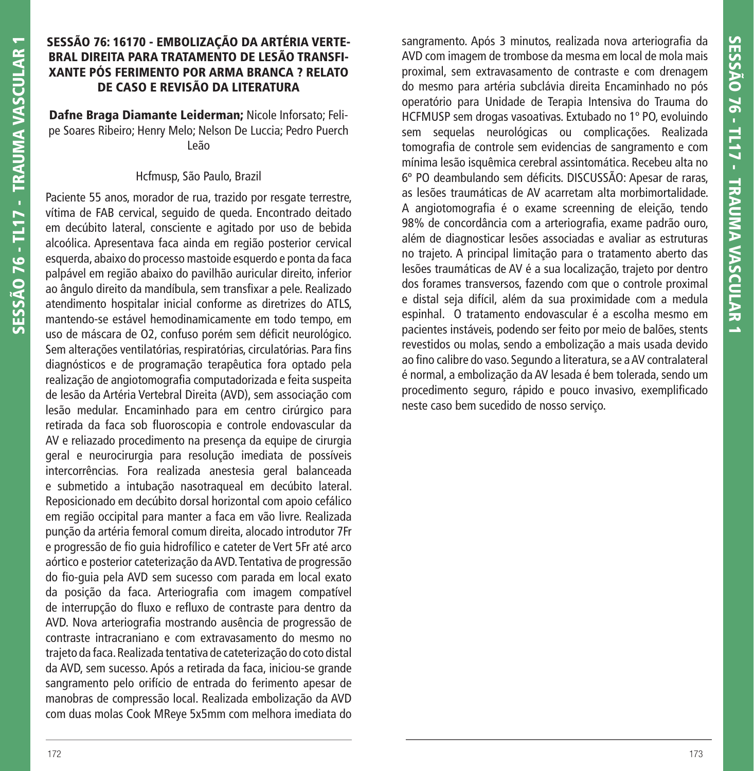## **SESSÃO 76: 16170 - EMBOLIZAÇÃO DA ARTÉRIA VERTE-BRAL DIREITA PARA TRATAMENTO DE LESÃO TRANSFI-XANTE PÓS FERIMENTO POR ARMA BRANCA ? RELATO DE CASO E REVISÃO DA LITERATURA**

**Dafne Braga Diamante Leiderman;** Nicole Inforsato; Felipe Soares Ribeiro; Henry Melo; Nelson De Luccia; Pedro Puerch Leão

### Hcfmusp, São Paulo, Brazil

Paciente 55 anos, morador de rua, trazido por resgate terrestre, vítima de FAB cervical, seguido de queda. Encontrado deitado em decúbito lateral, consciente e agitado por uso de bebida alcoólica. Apresentava faca ainda em região posterior cervical esquerda, abaixo do processo mastoide esquerdo e ponta da faca palpável em região abaixo do pavilhão auricular direito, inferior ao ângulo direito da mandíbula, sem transfixar a pele. Realizado atendimento hospitalar inicial conforme as diretrizes do ATLS, mantendo-se estável hemodinamicamente em todo tempo, em uso de máscara de O2, confuso porém sem déficit neurológico. Sem alterações ventilatórias, respiratórias, circulatórias. Para fins diagnósticos e de programação terapêutica fora optado pela realização de angiotomografia computadorizada e feita suspeita de lesão da Artéria Vertebral Direita (AVD), sem associação com lesão medular. Encaminhado para em centro cirúrgico para retirada da faca sob fluoroscopia e controle endovascular da AV e reliazado procedimento na presença da equipe de cirurgia geral e neurocirurgia para resolução imediata de possíveis intercorrências. Fora realizada anestesia geral balanceada e submetido a intubação nasotraqueal em decúbito lateral. Reposicionado em decúbito dorsal horizontal com apoio cefálico em região occipital para manter a faca em vão livre. Realizada punção da artéria femoral comum direita, alocado introdutor 7Fr e progressão de fio guia hidrofílico e cateter de Vert 5Fr até arco aórtico e posterior cateterização da AVD. Tentativa de progressão do fio-quia pela AVD sem sucesso com parada em local exato da posição da faca. Arteriografia com imagem compatível de interrupção do fluxo e refluxo de contraste para dentro da AVD. Nova arteriografia mostrando ausência de progressão de contraste intracraniano e com extravasamento do mesmo no trajeto da faca. Realizada tentativa de cateterização do coto distal da AVD, sem sucesso. Após a retirada da faca, iniciou-se grande sangramento pelo orifício de entrada do ferimento apesar de manobras de compressão local. Realizada embolização da AVD com duas molas Cook MReye 5x5mm com melhora imediata do

sangramento. Após 3 minutos, realizada nova arteriografia da AVD com imagem de trombose da mesma em local de mola mais proximal, sem extravasamento de contraste e com drenagem do mesmo para artéria subclávia direita Encaminhado no pós operatório para Unidade de Terapia Intensiva do Trauma do HCFMUSP sem drogas vasoativas. Extubado no 1º PO, evoluindo sem sequelas neurológicas ou complicações. Realizada tomografia de controle sem evidencias de sangramento e com mínima lesão isquêmica cerebral assintomática. Recebeu alta no 6º PO deambulando sem déficits. DISCUSSÃO: Apesar de raras, as lesões traumáticas de AV acarretam alta morbimortalidade. A angiotomografia é o exame screenning de eleição, tendo 98% de concordância com a arteriografia, exame padrão ouro, além de diagnosticar lesões associadas e avaliar as estruturas no trajeto. A principal limitação para o tratamento aberto das lesões traumáticas de AV é a sua localização, trajeto por dentro dos forames transversos, fazendo com que o controle proximal e distal seja difícil, além da sua proximidade com a medula espinhal. O tratamento endovascular é a escolha mesmo em pacientes instáveis, podendo ser feito por meio de balões, stents revestidos ou molas, sendo a embolização a mais usada devido ao fino calibre do vaso. Segundo a literatura, se a AV contralateral é normal, a embolização da AV lesada é bem tolerada, sendo um procedimento seguro, rápido e pouco invasivo, exemplificado neste caso bem sucedido de nosso serviço.

**SESSÃO 76 - TL17 - TRAUMA VASCULAR 1**

**SESSÃO 76 - TL17 - TRAUMA VASCULAR 1**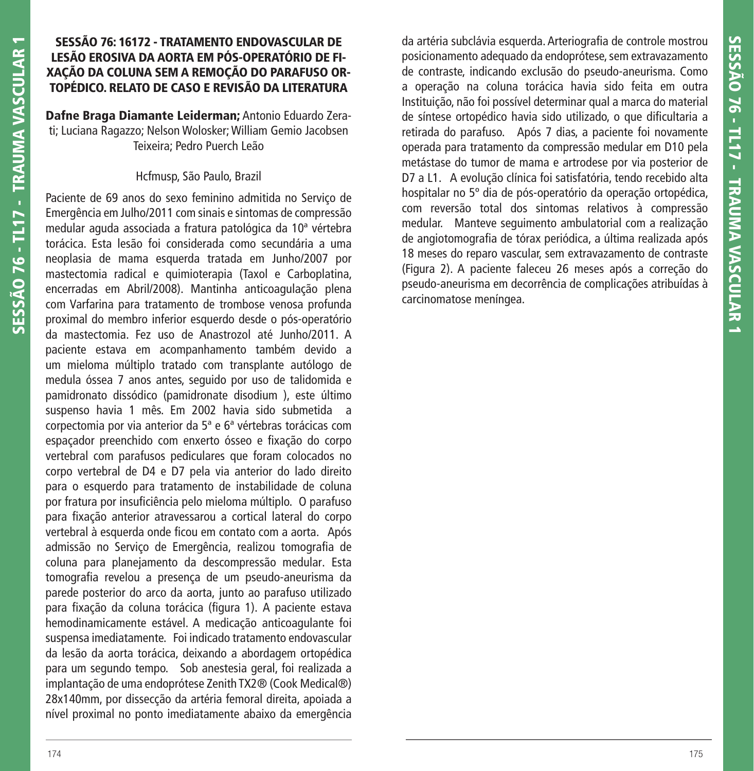## **SESSÃO 76: 16172 - TRATAMENTO ENDOVASCULAR DE LESÃO EROSIVA DA AORTA EM PÓS-OPERATÓRIO DE FI-XAÇÃO DA COLUNA SEM A REMOÇÃO DO PARAFUSO OR-TOPÉDICO. RELATO DE CASO E REVISÃO DA LITERATURA**

**Dafne Braga Diamante Leiderman;** Antonio Eduardo Zerati; Luciana Ragazzo; Nelson Wolosker; William Gemio Jacobsen Teixeira; Pedro Puerch Leão

#### Hcfmusp, São Paulo, Brazil

Paciente de 69 anos do sexo feminino admitida no Serviço de Emergência em Julho/2011 com sinais e sintomas de compressão medular aguda associada a fratura patológica da 10ª vértebra torácica. Esta lesão foi considerada como secundária a uma neoplasia de mama esquerda tratada em Junho/2007 por mastectomia radical e quimioterapia (Taxol e Carboplatina, encerradas em Abril/2008). Mantinha anticoagulação plena com Varfarina para tratamento de trombose venosa profunda proximal do membro inferior esquerdo desde o pós-operatório da mastectomia. Fez uso de Anastrozol até Junho/2011. A paciente estava em acompanhamento também devido a um mieloma múltiplo tratado com transplante autólogo de medula óssea 7 anos antes, seguido por uso de talidomida e pamidronato dissódico (pamidronate disodium ), este último suspenso havia 1 mês. Em 2002 havia sido submetida a corpectomia por via anterior da 5ª e 6ª vértebras torácicas com espaçador preenchido com enxerto ósseo e fixação do corpo vertebral com parafusos pediculares que foram colocados no corpo vertebral de D4 e D7 pela via anterior do lado direito para o esquerdo para tratamento de instabilidade de coluna por fratura por insuficiência pelo mieloma múltiplo. O parafuso para fixação anterior atravessarou a cortical lateral do corpo vertebral à esquerda onde ficou em contato com a aorta. Após admissão no Serviço de Emergência, realizou tomografia de coluna para planejamento da descompressão medular. Esta tomografia revelou a presença de um pseudo-aneurisma da parede posterior do arco da aorta, junto ao parafuso utilizado para fixação da coluna torácica (figura 1). A paciente estava hemodinamicamente estável. A medicação anticoagulante foi suspensa imediatamente. Foi indicado tratamento endovascular da lesão da aorta torácica, deixando a abordagem ortopédica para um segundo tempo. Sob anestesia geral, foi realizada a implantação de uma endoprótese Zenith TX2® (Cook Medical®) 28x140mm, por dissecção da artéria femoral direita, apoiada a nível proximal no ponto imediatamente abaixo da emergência

da artéria subclávia esquerda. Arteriografia de controle mostrou posicionamento adequado da endoprótese, sem extravazamento de contraste, indicando exclusão do pseudo-aneurisma. Como a operação na coluna torácica havia sido feita em outra Instituição, não foi possível determinar qual a marca do material de síntese ortopédico havia sido utilizado, o que dificultaria a retirada do parafuso. Após 7 dias, a paciente foi novamente operada para tratamento da compressão medular em D10 pela metástase do tumor de mama e artrodese por via posterior de D7 a L1. A evolução clínica foi satisfatória, tendo recebido alta hospitalar no 5º dia de pós-operatório da operação ortopédica, com reversão total dos sintomas relativos à compressão medular. Manteve seguimento ambulatorial com a realização de angiotomografia de tórax periódica, a última realizada após 18 meses do reparo vascular, sem extravazamento de contraste (Figura 2). A paciente faleceu 26 meses após a correção do pseudo-aneurisma em decorrência de complicações atribuídas à carcinomatose meníngea.

**SESSÃO 76 - TL17 - TRAUMA VASCULAR 1**

**SESSÃO 76 - TL17 - TRAUMA VASCULAR 1**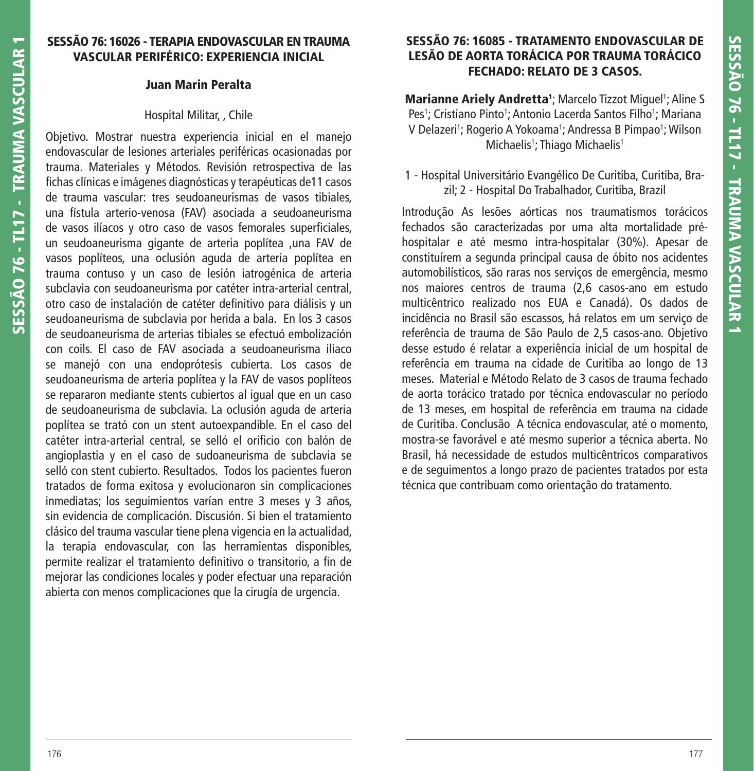## **SESSÃO 76: 16026 - TERAPIA ENDOVASCULAR EN TRAUMA VASCULAR PERIFÉRICO: EXPERIENCIA INICIAL**

#### **Juan Marin Peralta**

#### Hospital Militar, , Chile

Objetivo. Mostrar nuestra experiencia inicial en el manejo endovascular de lesiones arteriales periféricas ocasionadas por trauma. Materiales y Métodos. Revisión retrospectiva de las fichas clínicas e imágenes diagnósticas y terapéuticas de11 casos de trauma vascular: tres seudoaneurismas de vasos tibiales, una fístula arterio-venosa (FAV) asociada a seudoaneurisma de vasos ilíacos y otro caso de vasos femorales superficiales, un seudoaneurisma gigante de arteria poplítea ,una FAV de vasos poplíteos, una oclusión aguda de arteria poplítea en trauma contuso y un caso de lesión iatrogénica de arteria subclavia con seudoaneurisma por catéter intra-arterial central, otro caso de instalación de catéter definitivo para diálisis y un seudoaneurisma de subclavia por herida a bala. En los 3 casos de seudoaneurisma de arterias tibiales se efectuó embolización con coils. El caso de FAV asociada a seudoaneurisma iliaco se manejó con una endoprótesis cubierta. Los casos de seudoaneurisma de arteria poplítea y la FAV de vasos poplíteos se repararon mediante stents cubiertos al igual que en un caso de seudoaneurisma de subclavia. La oclusión aguda de arteria poplítea se trató con un stent autoexpandible. En el caso del catéter intra-arterial central, se selló el orificio con balón de angioplastia y en el caso de sudoaneurisma de subclavia se selló con stent cubierto. Resultados. Todos los pacientes fueron tratados de forma exitosa y evolucionaron sin complicaciones inmediatas; los seguimientos varían entre 3 meses y 3 años, sin evidencia de complicación. Discusión. Si bien el tratamiento clásico del trauma vascular tiene plena vigencia en la actualidad, la terapia endovascular, con las herramientas disponibles, permite realizar el tratamiento definitivo o transitorio, a fin de mejorar las condiciones locales y poder efectuar una reparación abierta con menos complicaciones que la cirugía de urgencia.

## **SESSÃO 76: 16085 - TRATAMENTO ENDOVASCULAR DE LESÃO DE AORTA TORÁCICA POR TRAUMA TORÁCICO FECHADO: RELATO DE 3 CASOS.**

**Marianne Ariely Andretta<sup>1</sup>; Marcelo Tizzot Miguel<sup>1</sup>; Aline S** Pes<sup>1</sup>; Cristiano Pinto<sup>1</sup>; Antonio Lacerda Santos Filho<sup>1</sup>; Mariana V Delazeri'; Rogerio A Yokoama'; Andressa B Pimpao'; Wilson Michaelis<sup>1</sup>; Thiago Michaelis<sup>1</sup>

## 1 - Hospital Universitário Evangélico De Curitiba, Curitiba, Brazil; 2 - Hospital Do Trabalhador, Curitiba, Brazil

Introdução As lesões aórticas nos traumatismos torácicos fechados são caracterizadas por uma alta mortalidade préhospitalar e até mesmo intra-hospitalar (30%). Apesar de constituírem a segunda principal causa de óbito nos acidentes automobilísticos, são raras nos serviços de emergência, mesmo nos maiores centros de trauma (2,6 casos-ano em estudo multicêntrico realizado nos EUA e Canadá). Os dados de incidência no Brasil são escassos, há relatos em um serviço de referência de trauma de São Paulo de 2,5 casos-ano. Objetivo desse estudo é relatar a experiência inicial de um hospital de referência em trauma na cidade de Curitiba ao longo de 13 meses. Material e Método Relato de 3 casos de trauma fechado de aorta torácico tratado por técnica endovascular no período de 13 meses, em hospital de referência em trauma na cidade de Curitiba. Conclusão A técnica endovascular, até o momento, mostra-se favorável e até mesmo superior a técnica aberta. No Brasil, há necessidade de estudos multicêntricos comparativos e de seguimentos a longo prazo de pacientes tratados por esta técnica que contribuam como orientação do tratamento.

**SESSÃO 76 - TL17 - TRAUMA VASCULAR 1**

**SESSÃO 76 - TL17 - TRAUMA VASCULAR 1**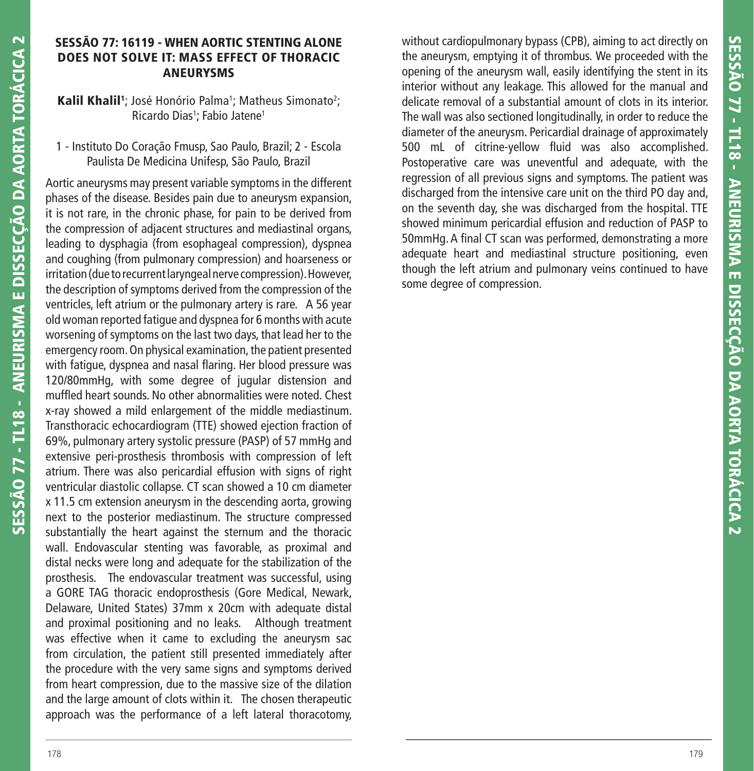## **SESSÃO 77: 16119 - WHEN AORTIC STENTING ALONE DOES NOT SOLVE IT: MASS EFFECT OF THORACIC ANEURYSMS**

Kalil Khalil<sup>1</sup>; José Honório Palma<sup>1</sup>; Matheus Simonato<sup>2</sup>; Ricardo Dias<sup>1</sup>; Fabio Jatene<sup>1</sup>

## 1 - Instituto Do Coração Fmusp, Sao Paulo, Brazil; 2 - Escola Paulista De Medicina Unifesp, São Paulo, Brazil

Aortic aneurysms may present variable symptoms in the different phases of the disease. Besides pain due to aneurysm expansion, it is not rare, in the chronic phase, for pain to be derived from the compression of adjacent structures and mediastinal organs, leading to dysphagia (from esophageal compression), dyspnea and coughing (from pulmonary compression) and hoarseness or irritation (due to recurrent laryngeal nerve compression). However, the description of symptoms derived from the compression of the ventricles, left atrium or the pulmonary artery is rare. A 56 year old woman reported fatigue and dyspnea for 6 months with acute worsening of symptoms on the last two days, that lead her to the emergency room. On physical examination, the patient presented with fatigue, dyspnea and nasal flaring. Her blood pressure was 120/80mmHg, with some degree of jugular distension and muffled heart sounds. No other abnormalities were noted. Chest x-ray showed a mild enlargement of the middle mediastinum. Transthoracic echocardiogram (TTE) showed ejection fraction of 69%, pulmonary artery systolic pressure (PASP) of 57 mmHg and extensive peri-prosthesis thrombosis with compression of left atrium. There was also pericardial effusion with signs of right ventricular diastolic collapse. CT scan showed a 10 cm diameter x 11.5 cm extension aneurysm in the descending aorta, growing next to the posterior mediastinum. The structure compressed substantially the heart against the sternum and the thoracic wall. Endovascular stenting was favorable, as proximal and distal necks were long and adequate for the stabilization of the prosthesis. The endovascular treatment was successful, using a GORE TAG thoracic endoprosthesis (Gore Medical, Newark, Delaware, United States) 37mm x 20cm with adequate distal and proximal positioning and no leaks. Although treatment was effective when it came to excluding the aneurysm sac from circulation, the patient still presented immediately after the procedure with the very same signs and symptoms derived from heart compression, due to the massive size of the dilation and the large amount of clots within it. The chosen therapeutic approach was the performance of a left lateral thoracotomy,

without cardiopulmonary bypass (CPB), aiming to act directly on the aneurysm, emptying it of thrombus. We proceeded with the opening of the aneurysm wall, easily identifying the stent in its interior without any leakage. This allowed for the manual and delicate removal of a substantial amount of clots in its interior. The wall was also sectioned longitudinally, in order to reduce the diameter of the aneurysm. Pericardial drainage of approximately without cardiopulmonary bypass (CPB), aiming to act directly on<br>the aneurysm, emptying it of thrombus. We proceeded with the<br>opening of the aneurysm wall, easily identifying the stent in its<br>interior without any leakage. T Postoperative care was uneventful and adequate, with the regression of all previous signs and symptoms. The patient was discharged from the intensive care unit on the third PO day and, on the seventh day, she was discharged from the hospital. TTE showed minimum pericardial effusion and reduction of PASP to 50mmHg. A final CT scan was performed, demonstrating a more adequate heart and mediastinal structure positioning, even though the left atrium and pulmonary veins continued to have some degree of compression.

**SESSÃO 77 - TL18 - ANEURISMA E DISSECÇÃO DA AORTA TORÁCICA 2**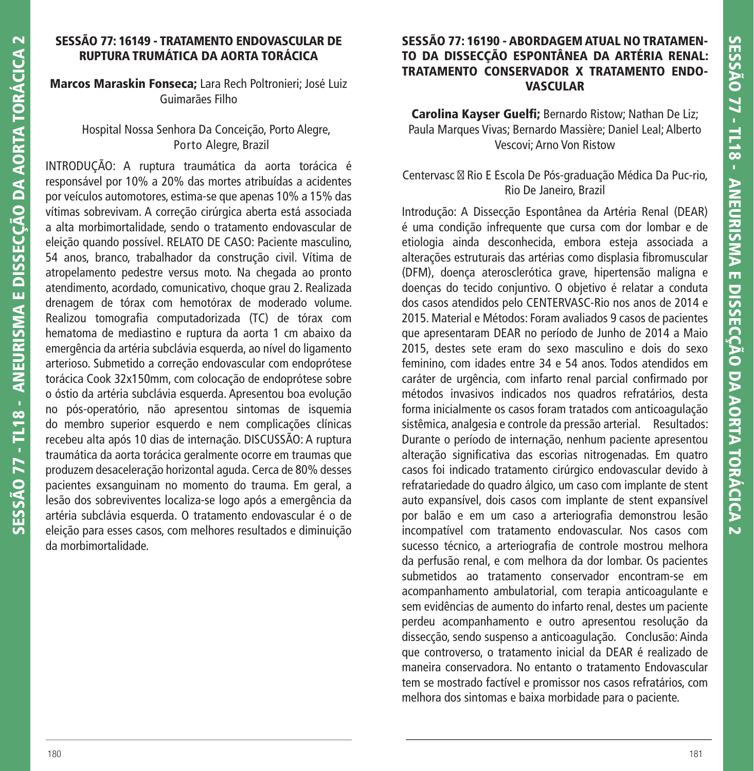## **SESSÃO 77: 16149 - TRATAMENTO ENDOVASCULAR DE RUPTURA TRUMÁTICA DA AORTA TORÁCICA**

## **Marcos Maraskin Fonseca;** Lara Rech Poltronieri; José Luiz Guimarães Filho

#### Hospital Nossa Senhora Da Conceição, Porto Alegre, Porto Alegre, Brazil

INTRODUÇÃO: A ruptura traumática da aorta torácica é responsável por 10% a 20% das mortes atribuídas a acidentes por veículos automotores, estima-se que apenas 10% a 15% das vítimas sobrevivam. A correção cirúrgica aberta está associada a alta morbimortalidade, sendo o tratamento endovascular de eleição quando possível. RELATO DE CASO: Paciente masculino, 54 anos, branco, trabalhador da construção civil. Vítima de atropelamento pedestre versus moto. Na chegada ao pronto atendimento, acordado, comunicativo, choque grau 2. Realizada drenagem de tórax com hemotórax de moderado volume. Realizou tomografia computadorizada (TC) de tórax com hematoma de mediastino e ruptura da aorta 1 cm abaixo da emergência da artéria subclávia esquerda, ao nível do ligamento arterioso. Submetido a correção endovascular com endoprótese torácica Cook 32x150mm, com colocação de endoprótese sobre o óstio da artéria subclávia esquerda. Apresentou boa evolução no pós-operatório, não apresentou sintomas de isquemia do membro superior esquerdo e nem complicações clínicas recebeu alta após 10 dias de internação. DISCUSSÃO: A ruptura traumática da aorta torácica geralmente ocorre em traumas que produzem desaceleração horizontal aguda. Cerca de 80% desses pacientes exsanguinam no momento do trauma. Em geral, a lesão dos sobreviventes localiza-se logo após a emergência da artéria subclávia esquerda. O tratamento endovascular é o de eleição para esses casos, com melhores resultados e diminuição da morbimortalidade.

# **SESSÃO 77: 16190 - ABORDAGEM ATUAL NO TRATAMEN-TO DA DISSECÇÃO ESPONTÂNEA DA ARTÉRIA RENAL: TRATAMENTO CONSERVADOR X TRATAMENTO ENDO-VASCULAR**

**Carolina Kayser Guelfi; Bernardo Ristow; Nathan De Liz;** Paula Marques Vivas; Bernardo Massière; Daniel Leal; Alberto Vescovi; Arno Von Ristow

## Centervasc ⊠ Rio E Escola De Pós-graduação Médica Da Puc-rio, Rio De Janeiro, Brazil

Introdução: A Dissecção Espontânea da Artéria Renal (DEAR) é uma condição infrequente que cursa com dor lombar e de etiologia ainda desconhecida, embora esteja associada a alterações estruturais das artérias como displasia fibromuscular (DFM), doença aterosclerótica grave, hipertensão maligna e doenças do tecido conjuntivo. O objetivo é relatar a conduta dos casos atendidos pelo CENTERVASC-Rio nos anos de 2014 e 2015. Material e Métodos: Foram avaliados 9 casos de pacientes que apresentaram DEAR no período de Junho de 2014 a Maio 2015, destes sete eram do sexo masculino e dois do sexo feminino, com idades entre 34 e 54 anos. Todos atendidos em caráter de urgência, com infarto renal parcial confirmado por métodos invasivos indicados nos quadros refratários, desta forma inicialmente os casos foram tratados com anticoagulação sistêmica, analgesia e controle da pressão arterial. Resultados: Durante o período de internação, nenhum paciente apresentou alteração significativa das escorias nitrogenadas. Em quatro casos foi indicado tratamento cirúrgico endovascular devido à refratariedade do quadro álgico, um caso com implante de stent auto expansível, dois casos com implante de stent expansível por balão e em um caso a arteriografia demonstrou lesão incompatível com tratamento endovascular. Nos casos com sucesso técnico, a arteriografia de controle mostrou melhora da perfusão renal, e com melhora da dor lombar. Os pacientes submetidos ao tratamento conservador encontram-se em acompanhamento ambulatorial, com terapia anticoagulante e sem evidências de aumento do infarto renal, destes um paciente perdeu acompanhamento e outro apresentou resolução da dissecção, sendo suspenso a anticoagulação. Conclusão: Ainda que controverso, o tratamento inicial da DEAR é realizado de maneira conservadora. No entanto o tratamento Endovascular tem se mostrado factível e promissor nos casos refratários, com melhora dos sintomas e baixa morbidade para o paciente.

**SESSÃO 77 - TL18 - ANEURISMA E DISSECÇÃO DA AORTA TORÁCICA 2**

SESSÃO 77 - TL18 - ANEURISMA E DISSECÇÃO DA AORTA TORÁCICA

 $\overline{\mathbf{C}}$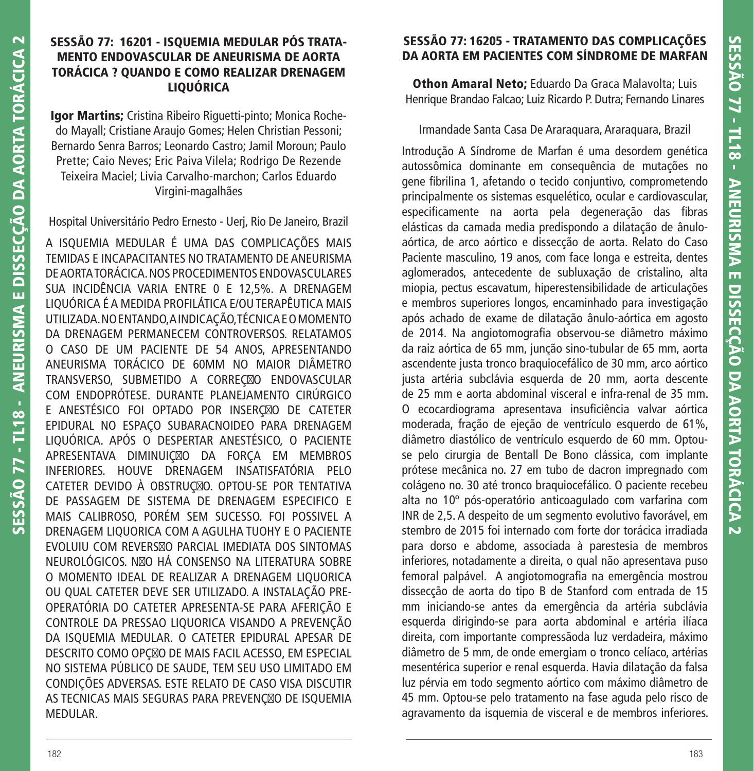## **SESSÃO 77: 16201 - ISQUEMIA MEDULAR PÓS TRATA-MENTO ENDOVASCULAR DE ANEURISMA DE AORTA TORÁCICA ? QUANDO E COMO REALIZAR DRENAGEM LIQUÓRICA**

**Igor Martins;** Cristina Ribeiro Riguetti-pinto; Monica Rochedo Mayall; Cristiane Araujo Gomes; Helen Christian Pessoni; Bernardo Senra Barros; Leonardo Castro; Jamil Moroun; Paulo Prette; Caio Neves; Eric Paiva Vilela; Rodrigo De Rezende Teixeira Maciel; Livia Carvalho-marchon; Carlos Eduardo Virgini-magalhães

Hospital Universitário Pedro Ernesto - Uerj, Rio De Janeiro, Brazil

A ISQUEMIA MEDULAR É UMA DAS COMPLICAÇÕES MAIS TEMIDAS E INCAPACITANTES NO TRATAMENTO DE ANEURISMA DE AORTA TORÁCICA. NOS PROCEDIMENTOS ENDOVASCULARES SUA INCIDÊNCIA VARIA ENTRE 0 E 12,5%. A DRENAGEM LIQUÓRICA É A MEDIDA PROFILÁTICA E/OU TERAPÊUTICA MAIS UTILIZADA. NO ENTANDO, A INDICAÇÃO, TÉCNICA E O MOMENTO DA DRENAGEM PERMANECEM CONTROVERSOS. RELATAMOS O CASO DE UM PACIENTE DE 54 ANOS, APRESENTANDO ANEURISMA TORÁCICO DE 60MM NO MAIOR DIÂMETRO TRANSVERSO, SUBMETIDO A CORREÇÃO ENDOVASCULAR COM ENDOPRÓTESE. DURANTE PLANEJAMENTO CIRÚRGICO E ANESTÉSICO FOI OPTADO POR INSERÇÃO DE CATETER EPIDURAL NO ESPAÇO SUBARACNOIDEO PARA DRENAGEM LIQUÓRICA. APÓS O DESPERTAR ANESTÉSICO, O PACIENTE APRESENTAVA DIMINUIÇ⊠O DA FORÇA EM MEMBROS INFERIORES. HOUVE DRENAGEM INSATISFATÓRIA PELO CATETER DEVIDO À OBSTRUÇÃO. OPTOU-SE POR TENTATIVA DE PASSAGEM DE SISTEMA DE DRENAGEM ESPECIFICO E MAIS CALIBROSO, PORÉM SEM SUCESSO. FOI POSSIVEL A DRENAGEM LIQUORICA COM A AGULHA TUOHY E O PACIENTE EVOLUIU COM REVERSXO PARCIAL IMEDIATA DOS SINTOMAS NEUROLÓGICOS. NØD HÁ CONSENSO NA LITERATURA SOBRE O MOMENTO IDEAL DE REALIZAR A DRENAGEM LIQUORICA OU QUAL CATETER DEVE SER UTILIZADO. A INSTALAÇÃO PRE-OPERATÓRIA DO CATETER APRESENTA-SE PARA AFERIÇÃO E CONTROLE DA PRESSAO LIQUORICA VISANDO A PREVENÇÃO DA ISQUEMIA MEDULAR. O CATETER EPIDURAL APESAR DE DESCRITO COMO OPÇÃO DE MAIS FACIL ACESSO, EM ESPECIAL NO SISTEMA PÚBLICO DE SAUDE, TEM SEU USO LIMITADO EM CONDIÇÕES ADVERSAS. ESTE RELATO DE CASO VISA DISCUTIR AS TECNICAS MAIS SEGURAS PARA PREVENÇÃO DE ISQUEMIA MEDULAR.

# **SESSÃO 77: 16205 - TRATAMENTO DAS COMPLICAÇÕES DA AORTA EM PACIENTES COM SÍNDROME DE MARFAN**

**Othon Amaral Neto;** Eduardo Da Graca Malavolta; Luis Henrique Brandao Falcao; Luiz Ricardo P. Dutra; Fernando Linares

#### Irmandade Santa Casa De Araraquara, Araraquara, Brazil

Introdução A Síndrome de Marfan é uma desordem genética autossômica dominante em consequência de mutações no gene fibrilina 1, afetando o tecido conjuntivo, comprometendo principalmente os sistemas esquelético, ocular e cardiovascular, especificamente na aorta pela degeneração das fibras elásticas da camada media predispondo a dilatação de ânuloaórtica, de arco aórtico e dissecção de aorta. Relato do Caso Paciente masculino, 19 anos, com face longa e estreita, dentes aglomerados, antecedente de subluxação de cristalino, alta miopia, pectus escavatum, hiperestensibilidade de articulações e membros superiores longos, encaminhado para investigação após achado de exame de dilatação ânulo-aórtica em agosto de 2014. Na angiotomografia observou-se diâmetro máximo da raiz aórtica de 65 mm, junção sino-tubular de 65 mm, aorta ascendente justa tronco braquiocefálico de 30 mm, arco aórtico justa artéria subclávia esquerda de 20 mm, aorta descente de 25 mm e aorta abdominal visceral e infra-renal de 35 mm. O ecocardiograma apresentava insuficiência valvar aórtica moderada, fração de ejeção de ventrículo esquerdo de 61%, diâmetro diastólico de ventrículo esquerdo de 60 mm. Optouse pelo cirurgia de Bentall De Bono clássica, com implante prótese mecânica no. 27 em tubo de dacron impregnado com colágeno no. 30 até tronco braquiocefálico. O paciente recebeu alta no 10º pós-operatório anticoagulado com varfarina com INR de 2,5. A despeito de um segmento evolutivo favorável, em stembro de 2015 foi internado com forte dor torácica irradiada para dorso e abdome, associada à parestesia de membros inferiores, notadamente a direita, o qual não apresentava puso femoral palpável. A angiotomografia na emergência mostrou dissecção de aorta do tipo B de Stanford com entrada de 15 mm iniciando-se antes da emergência da artéria subclávia esquerda dirigindo-se para aorta abdominal e artéria ilíaca direita, com importante compressãoda luz verdadeira, máximo diâmetro de 5 mm, de onde emergiam o tronco celíaco, artérias mesentérica superior e renal esquerda. Havia dilatação da falsa luz pérvia em todo segmento aórtico com máximo diâmetro de 45 mm. Optou-se pelo tratamento na fase aguda pelo risco de agravamento da isquemia de visceral e de membros inferiores.

**SESSÃO 77 - TL18 - ANEURISMA E DISSECÇÃO DA AORTA TORÁCICA 2**

SESSÃO 77 - TL18 - ANEURISMA E DISSECÇÃO DA AORTA TORÁCICA

 $\overline{\mathbf{C}}$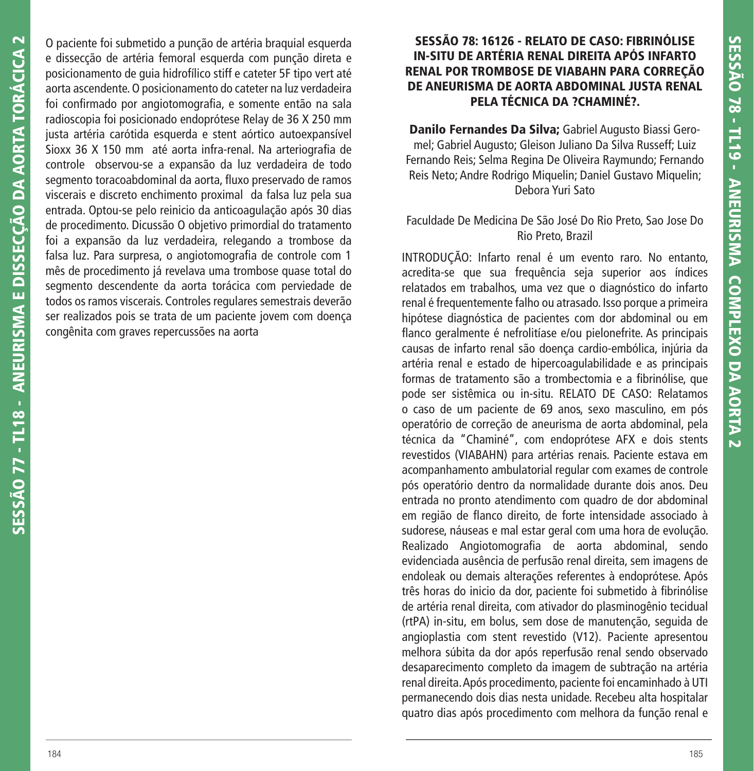O paciente foi submetido a punção de artéria braquial esquerda e dissecção de artéria femoral esquerda com punção direta e posicionamento de guia hidrofílico stiff e cateter 5F tipo vert até aorta ascendente. O posicionamento do cateter na luz verdadeira foi confirmado por angiotomografia, e somente então na sala radioscopia foi posicionado endoprótese Relay de 36 X 250 mm justa artéria carótida esquerda e stent aórtico autoexpansível Sioxx 36 X 150 mm até aorta infra-renal. Na arteriografia de controle observou-se a expansão da luz verdadeira de todo segmento toracoabdominal da aorta, fluxo preservado de ramos viscerais e discreto enchimento proximal da falsa luz pela sua entrada. Optou-se pelo reinicio da anticoagulação após 30 dias de procedimento. Dicussão O objetivo primordial do tratamento foi a expansão da luz verdadeira, relegando a trombose da falsa luz. Para surpresa, o angiotomografia de controle com 1 mês de procedimento já revelava uma trombose quase total do segmento descendente da aorta torácica com perviedade de todos os ramos viscerais. Controles regulares semestrais deverão ser realizados pois se trata de um paciente jovem com doença congênita com graves repercussões na aorta

## **SESSÃO 78: 16126 - RELATO DE CASO: FIBRINÓLISE IN-SITU DE ARTÉRIA RENAL DIREITA APÓS INFARTO RENAL POR TROMBOSE DE VIABAHN PARA CORREÇÃO DE ANEURISMA DE AORTA ABDOMINAL JUSTA RENAL PELA TÉCNICA DA ?CHAMINÉ?.**

**Danilo Fernandes Da Silva;** Gabriel Augusto Biassi Geromel; Gabriel Augusto; Gleison Juliano Da Silva Russeff; Luiz Fernando Reis; Selma Regina De Oliveira Raymundo; Fernando Reis Neto; Andre Rodrigo Miquelin; Daniel Gustavo Miquelin; Debora Yuri Sato

#### Faculdade De Medicina De São José Do Rio Preto, Sao Jose Do Rio Preto, Brazil

INTRODUÇÃO: Infarto renal é um evento raro. No entanto, acredita-se que sua frequência seja superior aos índices relatados em trabalhos, uma vez que o diagnóstico do infarto renal é frequentemente falho ou atrasado. Isso porque a primeira hipótese diagnóstica de pacientes com dor abdominal ou em flanco geralmente é nefrolitíase e/ou pielonefrite. As principais causas de infarto renal são doença cardio-embólica, injúria da artéria renal e estado de hipercoagulabilidade e as principais formas de tratamento são a trombectomia e a fibrinólise, que pode ser sistêmica ou in-situ. RELATO DE CASO: Relatamos o caso de um paciente de 69 anos, sexo masculino, em pós operatório de correção de aneurisma de aorta abdominal, pela técnica da "Chaminé", com endoprótese AFX e dois stents revestidos (VIABAHN) para artérias renais. Paciente estava em acompanhamento ambulatorial regular com exames de controle pós operatório dentro da normalidade durante dois anos. Deu entrada no pronto atendimento com quadro de dor abdominal em região de flanco direito, de forte intensidade associado à sudorese, náuseas e mal estar geral com uma hora de evolução. Realizado Angiotomografia de aorta abdominal, sendo evidenciada ausência de perfusão renal direita, sem imagens de endoleak ou demais alterações referentes à endoprótese. Após três horas do inicio da dor, paciente foi submetido à fibrinólise de artéria renal direita, com ativador do plasminogênio tecidual (rtPA) in-situ, em bolus, sem dose de manutenção, seguida de angioplastia com stent revestido (V12). Paciente apresentou melhora súbita da dor após reperfusão renal sendo observado desaparecimento completo da imagem de subtração na artéria renal direita. Após procedimento, paciente foi encaminhado à UTI permanecendo dois dias nesta unidade. Recebeu alta hospitalar quatro dias após procedimento com melhora da função renal e

**SESSÃO 77 - TL18 - ANEURISMA E DISSECÇÃO DA AORTA TORÁCICA 2**

SESSÃO 77 - TL18 - ANEURISMA E DISSECÇÃO DA AORTA TORÁCICA 2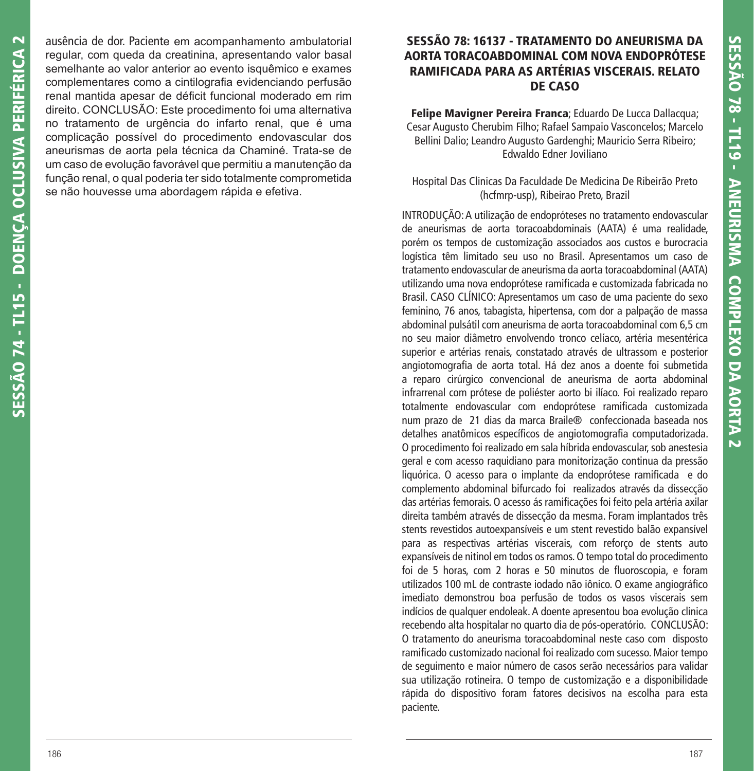ausência de dor. Paciente em acompanhamento ambulatorial regular, com queda da creatinina, apresentando valor basal semelhante ao valor anterior ao evento isquêmico e exames complementares como a cintilografia evidenciando perfusão renal mantida apesar de déficit funcional moderado em rim direito. CONCLUSÃO: Este procedimento foi uma alternativa no tratamento de urgência do infarto renal, que é uma complicação possível do procedimento endovascular dos aneurismas de aorta pela técnica da Chaminé. Trata-se de um caso de evolução favorável que permitiu a manutenção da função renal, o qual poderia ter sido totalmente comprometida se não houvesse uma abordagem rápida e efetiva.

## **SESSÃO 78: 16137 - TRATAMENTO DO ANEURISMA DA AORTA TORACOABDOMINAL COM NOVA ENDOPRÓTESE RAMIFICADA PARA AS ARTÉRIAS VISCERAIS. RELATO DE CASO**

**Felipe Mavigner Pereira Franca**; Eduardo De Lucca Dallacqua; Cesar Augusto Cherubim Filho; Rafael Sampaio Vasconcelos; Marcelo Bellini Dalio; Leandro Augusto Gardenghi; Mauricio Serra Ribeiro; Edwaldo Edner Joviliano

#### Hospital Das Clinicas Da Faculdade De Medicina De Ribeirão Preto (hcfmrp-usp), Ribeirao Preto, Brazil

INTRODUÇÃO: A utilização de endopróteses no tratamento endovascular de aneurismas de aorta toracoabdominais (AATA) é uma realidade, porém os tempos de customização associados aos custos e burocracia logística têm limitado seu uso no Brasil. Apresentamos um caso de tratamento endovascular de aneurisma da aorta toracoabdominal (AATA) utilizando uma nova endoprótese ramificada e customizada fabricada no Brasil. CASO CLÍNICO: Apresentamos um caso de uma paciente do sexo feminino, 76 anos, tabagista, hipertensa, com dor a palpação de massa abdominal pulsátil com aneurisma de aorta toracoabdominal com 6,5 cm no seu maior diâmetro envolvendo tronco celíaco, artéria mesentérica superior e artérias renais, constatado através de ultrassom e posterior angiotomografia de aorta total. Há dez anos a doente foi submetida a reparo cirúrgico convencional de aneurisma de aorta abdominal infrarrenal com prótese de poliéster aorto bi ilíaco. Foi realizado reparo totalmente endovascular com endoprótese ramificada customizada num prazo de 21 dias da marca Braile® confeccionada baseada nos detalhes anatômicos específicos de angiotomografia computadorizada. O procedimento foi realizado em sala híbrida endovascular, sob anestesia geral e com acesso raquidiano para monitorização continua da pressão liquórica. O acesso para o implante da endoprótese ramificada e do complemento abdominal bifurcado foi realizados através da dissecção das artérias femorais. O acesso ás ramificações foi feito pela artéria axilar direita também através de dissecção da mesma. Foram implantados três stents revestidos autoexpansíveis e um stent revestido balão expansível para as respectivas artérias viscerais, com reforço de stents auto expansíveis de nitinol em todos os ramos. O tempo total do procedimento foi de 5 horas, com 2 horas e 50 minutos de fluoroscopia, e foram utilizados 100 mL de contraste iodado não iônico. O exame angiográfico imediato demonstrou boa perfusão de todos os vasos viscerais sem indícios de qualquer endoleak. A doente apresentou boa evolução clinica recebendo alta hospitalar no quarto dia de pós-operatório. CONCLUSÃO: O tratamento do aneurisma toracoabdominal neste caso com disposto ramificado customizado nacional foi realizado com sucesso. Maior tempo de seguimento e maior número de casos serão necessários para validar sua utilização rotineira. O tempo de customização e a disponibilidade rápida do dispositivo foram fatores decisivos na escolha para esta paciente.

**SESSÃO 74 - TL15 - DOENÇA OCLUSIVA PERIFÉRICA 2**

SESSÃO 74 - TL15 - DOENCA OCLUSIVA PERIFÉRICA 2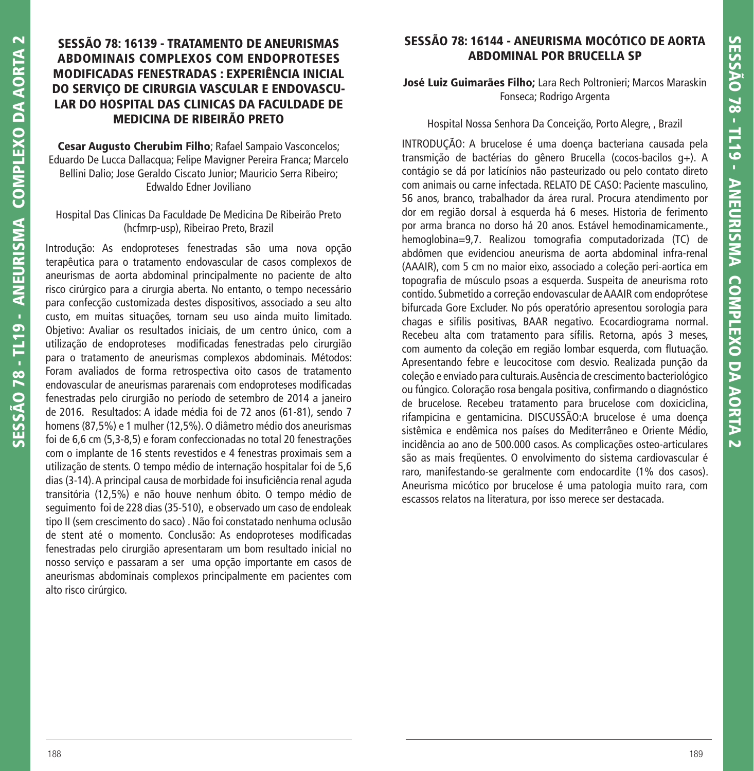# **SESSÃO 78: 16139 - TRATAMENTO DE ANEURISMAS ABDOMINAIS COMPLEXOS COM ENDOPROTESES MODIFICADAS FENESTRADAS : EXPERIÊNCIA INICIAL DO SERVIÇO DE CIRURGIA VASCULAR E ENDOVASCU-LAR DO HOSPITAL DAS CLINICAS DA FACULDADE DE MEDICINA DE RIBEIRÃO PRETO**

**Cesar Augusto Cherubim Filho**; Rafael Sampaio Vasconcelos; Eduardo De Lucca Dallacqua; Felipe Mavigner Pereira Franca; Marcelo Bellini Dalio; Jose Geraldo Ciscato Junior; Mauricio Serra Ribeiro; Edwaldo Edner Joviliano

#### Hospital Das Clinicas Da Faculdade De Medicina De Ribeirão Preto (hcfmrp-usp), Ribeirao Preto, Brazil

Introdução: As endoproteses fenestradas são uma nova opção terapêutica para o tratamento endovascular de casos complexos de aneurismas de aorta abdominal principalmente no paciente de alto risco cirúrgico para a cirurgia aberta. No entanto, o tempo necessário para confecção customizada destes dispositivos, associado a seu alto custo, em muitas situações, tornam seu uso ainda muito limitado. Objetivo: Avaliar os resultados iniciais, de um centro único, com a utilização de endoproteses modificadas fenestradas pelo cirurgião para o tratamento de aneurismas complexos abdominais. Métodos: Foram avaliados de forma retrospectiva oito casos de tratamento endovascular de aneurismas pararenais com endoproteses modificadas fenestradas pelo cirurgião no período de setembro de 2014 a janeiro de 2016. Resultados: A idade média foi de 72 anos (61-81), sendo 7 homens (87,5%) e 1 mulher (12,5%). O diâmetro médio dos aneurismas foi de 6,6 cm (5,3-8,5) e foram confeccionadas no total 20 fenestrações com o implante de 16 stents revestidos e 4 fenestras proximais sem a utilização de stents. O tempo médio de internação hospitalar foi de 5,6 dias (3-14). A principal causa de morbidade foi insuficiência renal aguda transitória (12,5%) e não houve nenhum óbito. O tempo médio de seguimento foi de 228 dias (35-510), e observado um caso de endoleak tipo II (sem crescimento do saco) . Não foi constatado nenhuma oclusão de stent até o momento. Conclusão: As endoproteses modificadas fenestradas pelo cirurgião apresentaram um bom resultado inicial no nosso serviço e passaram a ser uma opção importante em casos de aneurismas abdominais complexos principalmente em pacientes com alto risco cirúrgico.

# **SESSÃO 78: 16144 - ANEURISMA MOCÓTICO DE AORTA ABDOMINAL POR BRUCELLA SP**

#### **José Luiz Guimarães Filho;** Lara Rech Poltronieri; Marcos Maraskin Fonseca; Rodrigo Argenta

#### Hospital Nossa Senhora Da Conceição, Porto Alegre, , Brazil

INTRODUÇÃO: A brucelose é uma doença bacteriana causada pela transmição de bactérias do gênero Brucella (cocos-bacilos g+). A contágio se dá por laticínios não pasteurizado ou pelo contato direto com animais ou carne infectada. RELATO DE CASO: Paciente masculino, 56 anos, branco, trabalhador da área rural. Procura atendimento por dor em região dorsal à esquerda há 6 meses. Historia de ferimento por arma branca no dorso há 20 anos. Estável hemodinamicamente., hemoglobina=9,7. Realizou tomografia computadorizada (TC) de abdômen que evidenciou aneurisma de aorta abdominal infra-renal (AAAIR), com 5 cm no maior eixo, associado a coleção peri-aortica em topografia de músculo psoas a esquerda. Suspeita de aneurisma roto contido. Submetido a correção endovascular de AAAIR com endoprótese bifurcada Gore Excluder. No pós operatório apresentou sorologia para chagas e sifilis positivas, BAAR negativo. Ecocardiograma normal. Recebeu alta com tratamento para sífilis. Retorna, após 3 meses, com aumento da coleção em região lombar esquerda, com flutuação. Apresentando febre e leucocitose com desvio. Realizada punção da coleção e enviado para culturais. Ausência de crescimento bacteriológico ou fúngico. Coloração rosa bengala positiva, confirmando o diagnóstico de brucelose. Recebeu tratamento para brucelose com doxiciclina, rifampicina e gentamicina. DISCUSSÃO:A brucelose é uma doença sistêmica e endêmica nos países do Mediterrâneo e Oriente Médio, incidência ao ano de 500.000 casos. As complicações osteo-articulares são as mais freqüentes. O envolvimento do sistema cardiovascular é raro, manifestando-se geralmente com endocardite (1% dos casos). Aneurisma micótico por brucelose é uma patologia muito rara, com escassos relatos na literatura, por isso merece ser destacada.

**SESSÃO 78 - TL19 - ANEURISMA COMPLEXO DA AORTA 2**

SESSÃO 78 - TL19 - ANEURISMA COMPLEXO DA AORTA

 $\overline{\mathbf{C}}$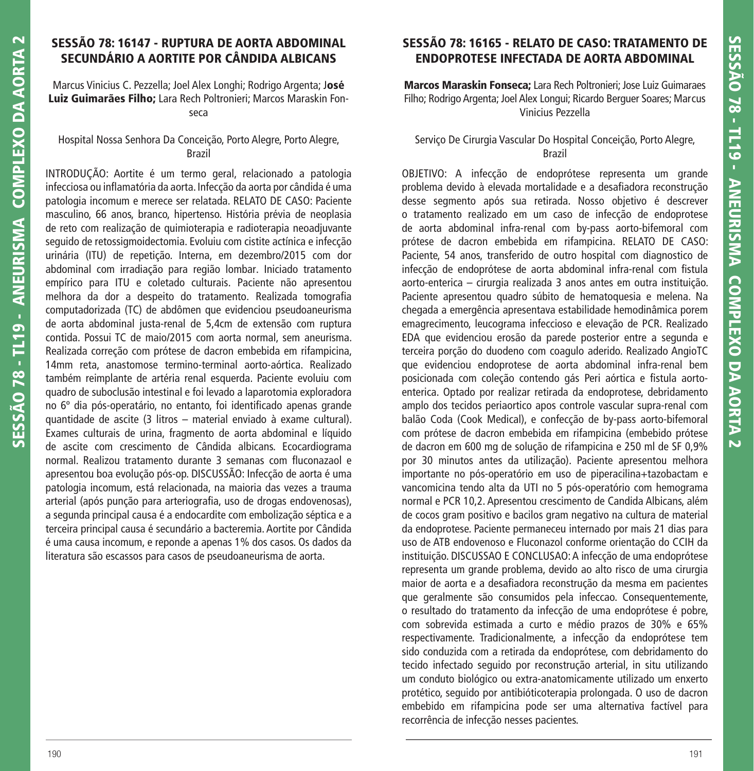## **SESSÃO 78: 16147 - RUPTURA DE AORTA ABDOMINAL SECUNDÁRIO A AORTITE POR CÂNDIDA ALBICANS**

Marcus Vinicius C. Pezzella; Joel Alex Longhi; Rodrigo Argenta; J**osé Luiz Guimarães Filho;** Lara Rech Poltronieri; Marcos Maraskin Fonseca

Hospital Nossa Senhora Da Conceição, Porto Alegre, Porto Alegre, Brazil

INTRODUÇÃO: Aortite é um termo geral, relacionado a patologia infecciosa ou inflamatória da aorta. Infecção da aorta por cândida é uma patologia incomum e merece ser relatada. RELATO DE CASO: Paciente masculino, 66 anos, branco, hipertenso. História prévia de neoplasia de reto com realização de quimioterapia e radioterapia neoadjuvante seguido de retossigmoidectomia. Evoluiu com cistite actínica e infecção urinária (ITU) de repetição. Interna, em dezembro/2015 com dor abdominal com irradiação para região lombar. Iniciado tratamento empírico para ITU e coletado culturais. Paciente não apresentou melhora da dor a despeito do tratamento. Realizada tomografia computadorizada (TC) de abdômen que evidenciou pseudoaneurisma de aorta abdominal justa-renal de 5,4cm de extensão com ruptura contida. Possui TC de maio/2015 com aorta normal, sem aneurisma. Realizada correção com prótese de dacron embebida em rifampicina, 14mm reta, anastomose termino-terminal aorto-aórtica. Realizado também reimplante de artéria renal esquerda. Paciente evoluiu com quadro de suboclusão intestinal e foi levado a laparotomia exploradora no 6º dia pós-operatário, no entanto, foi identificado apenas grande quantidade de ascite (3 litros – material enviado à exame cultural). Exames culturais de urina, fragmento de aorta abdominal e líquido de ascite com crescimento de Cândida albicans. Ecocardiograma normal. Realizou tratamento durante 3 semanas com fluconazaol e apresentou boa evolução pós-op. DISCUSSÃO: Infecção de aorta é uma patologia incomum, está relacionada, na maioria das vezes a trauma arterial (após punção para arteriografia, uso de drogas endovenosas), a segunda principal causa é a endocardite com embolização séptica e a terceira principal causa é secundário a bacteremia. Aortite por Cândida é uma causa incomum, e reponde a apenas 1% dos casos. Os dados da literatura são escassos para casos de pseudoaneurisma de aorta.

# **SESSÃO 78: 16165 - RELATO DE CASO: TRATAMENTO DE ENDOPROTESE INFECTADA DE AORTA ABDOMINAL**

**Marcos Maraskin Fonseca;** Lara Rech Poltronieri; Jose Luiz Guimaraes Filho; Rodrigo Argenta; Joel Alex Longui; Ricardo Berguer Soares; Marcus Vinicius Pezzella

#### Serviço De Cirurgia Vascular Do Hospital Conceição, Porto Alegre, Brazil

OBJETIVO: A infecção de endoprótese representa um grande problema devido à elevada mortalidade e a desafiadora reconstrução desse segmento após sua retirada. Nosso objetivo é descrever o tratamento realizado em um caso de infecção de endoprotese de aorta abdominal infra-renal com by-pass aorto-bifemoral com prótese de dacron embebida em rifampicina. RELATO DE CASO: Paciente, 54 anos, transferido de outro hospital com diagnostico de infecção de endoprótese de aorta abdominal infra-renal com fistula aorto-enterica – cirurgia realizada 3 anos antes em outra instituição. Paciente apresentou quadro súbito de hematoquesia e melena. Na chegada a emergência apresentava estabilidade hemodinâmica porem emagrecimento, leucograma infeccioso e elevação de PCR. Realizado EDA que evidenciou erosão da parede posterior entre a segunda e terceira porção do duodeno com coagulo aderido. Realizado AngioTC que evidenciou endoprotese de aorta abdominal infra-renal bem posicionada com coleção contendo gás Peri aórtica e fistula aortoenterica. Optado por realizar retirada da endoprotese, debridamento amplo dos tecidos periaortico apos controle vascular supra-renal com balão Coda (Cook Medical), e confecção de by-pass aorto-bifemoral com prótese de dacron embebida em rifampicina (embebido prótese de dacron em 600 mg de solução de rifampicina e 250 ml de SF 0,9% por 30 minutos antes da utilização). Paciente apresentou melhora importante no pós-operatório em uso de piperacilina+tazobactam e vancomicina tendo alta da UTI no 5 pós-operatório com hemograma normal e PCR 10,2. Apresentou crescimento de Candida Albicans, além de cocos gram positivo e bacilos gram negativo na cultura de material da endoprotese. Paciente permaneceu internado por mais 21 dias para uso de ATB endovenoso e Fluconazol conforme orientação do CCIH da instituição. DISCUSSAO E CONCLUSAO: A infecção de uma endoprótese representa um grande problema, devido ao alto risco de uma cirurgia maior de aorta e a desafiadora reconstrução da mesma em pacientes que geralmente são consumidos pela infeccao. Consequentemente, o resultado do tratamento da infecção de uma endoprótese é pobre, com sobrevida estimada a curto e médio prazos de 30% e 65% respectivamente. Tradicionalmente, a infecção da endoprótese tem sido conduzida com a retirada da endoprótese, com debridamento do tecido infectado seguido por reconstrução arterial, in situ utilizando um conduto biológico ou extra-anatomicamente utilizado um enxerto protético, seguido por antibióticoterapia prolongada. O uso de dacron embebido em rifampicina pode ser uma alternativa factível para recorrência de infecção nesses pacientes.

**SESSÃO 78 - TL19 - ANEURISMA COMPLEXO DA AORTA 2**

SESSÃO 78 - TL19 - ANEURISMA COMPLEXO DA AORTA

 $\overline{\mathbf{C}}$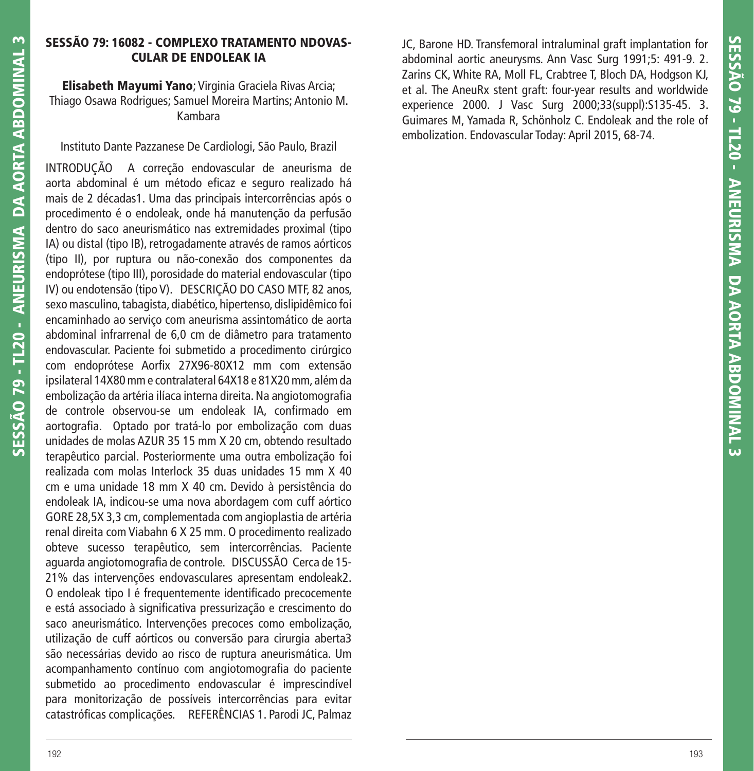## **SESSÃO 79: 16082 - COMPLEXO TRATAMENTO NDOVAS-CULAR DE ENDOLEAK IA**

**Elisabeth Mayumi Yano**; Virginia Graciela Rivas Arcia; Thiago Osawa Rodrigues; Samuel Moreira Martins; Antonio M. Kambara

Instituto Dante Pazzanese De Cardiologi, São Paulo, Brazil

INTRODUÇÃO A correção endovascular de aneurisma de aorta abdominal é um método eficaz e seguro realizado há mais de 2 décadas1. Uma das principais intercorrências após o procedimento é o endoleak, onde há manutenção da perfusão dentro do saco aneurismático nas extremidades proximal (tipo IA) ou distal (tipo IB), retrogadamente através de ramos aórticos (tipo II), por ruptura ou não-conexão dos componentes da endoprótese (tipo III), porosidade do material endovascular (tipo IV) ou endotensão (tipo V). DESCRIÇÃO DO CASO MTF, 82 anos, sexo masculino, tabagista, diabético, hipertenso, dislipidêmico foi encaminhado ao serviço com aneurisma assintomático de aorta abdominal infrarrenal de 6,0 cm de diâmetro para tratamento endovascular. Paciente foi submetido a procedimento cirúrgico com endoprótese Aorfix 27X96-80X12 mm com extensão ipsilateral 14X80 mm e contralateral 64X18 e 81X20 mm, além da embolização da artéria ilíaca interna direita. Na angiotomografia de controle observou-se um endoleak IA, confirmado em aortografia. Optado por tratá-lo por embolização com duas unidades de molas AZUR 35 15 mm X 20 cm, obtendo resultado terapêutico parcial. Posteriormente uma outra embolização foi realizada com molas Interlock 35 duas unidades 15 mm X 40 cm e uma unidade 18 mm X 40 cm. Devido à persistência do endoleak IA, indicou-se uma nova abordagem com cuff aórtico GORE 28,5X 3,3 cm, complementada com angioplastia de artéria renal direita com Viabahn 6 X 25 mm. O procedimento realizado obteve sucesso terapêutico, sem intercorrências. Paciente aguarda angiotomografia de controle. DISCUSSÃO Cerca de 15-21% das intervenções endovasculares apresentam endoleak2. O endoleak tipo I é frequentemente identificado precocemente e está associado à significativa pressurização e crescimento do saco aneurismático. Intervenções precoces como embolização, utilização de cuff aórticos ou conversão para cirurgia aberta3 são necessárias devido ao risco de ruptura aneurismática. Um acompanhamento contínuo com angiotomografia do paciente submetido ao procedimento endovascular é imprescindível para monitorização de possíveis intercorrências para evitar catastróficas complicações. REFERÊNCIAS 1. Parodi JC, Palmaz JC, Barone HD. Transfemoral intraluminal graft implantation for abdominal aortic aneurysms. Ann Vasc Surg 1991;5: 491-9. 2. Zarins CK, White RA, Moll FL, Crabtree T, Bloch DA, Hodgson KJ, et al. The AneuRx stent graft: four-year results and worldwide experience 2000. J Vasc Surg 2000;33(suppl):S135-45. 3. Guimares M, Yamada R, Schönholz C. Endoleak and the role of embolization. Endovascular Today: April 2015, 68-74.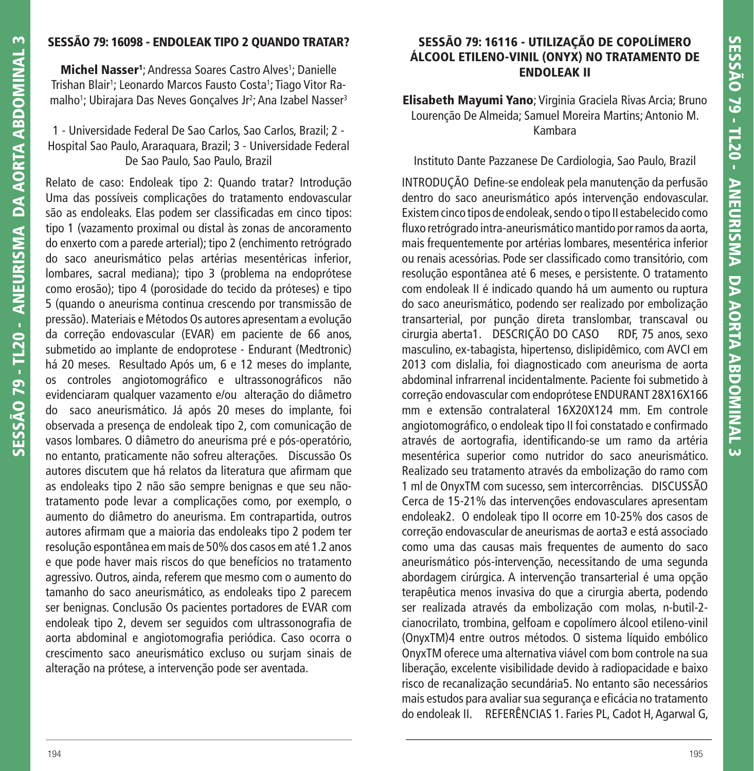# **SESSÃO 79: 16098 - ENDOLEAK TIPO 2 QUANDO TRATAR?**

**Michel Nasser<sup>1</sup>**; Andressa Soares Castro Alves<sup>1</sup>; Danielle Trishan Blair<sup>1</sup>; Leonardo Marcos Fausto Costa<sup>1</sup>; Tiago Vitor Ramalho<sup>1</sup>; Ubirajara Das Neves Gonçalves Jr<sup>2</sup>; Ana Izabel Nasser<sup>3</sup>

## 1 - Universidade Federal De Sao Carlos, Sao Carlos, Brazil; 2 - Hospital Sao Paulo, Araraquara, Brazil; 3 - Universidade Federal De Sao Paulo, Sao Paulo, Brazil

Relato de caso: Endoleak tipo 2: Quando tratar? Introdução Uma das possíveis complicações do tratamento endovascular são as endoleaks. Elas podem ser classificadas em cinco tipos: tipo 1 (vazamento proximal ou distal às zonas de ancoramento do enxerto com a parede arterial); tipo 2 (enchimento retrógrado do saco aneurismático pelas artérias mesentéricas inferior, lombares, sacral mediana); tipo 3 (problema na endoprótese como erosão); tipo 4 (porosidade do tecido da próteses) e tipo 5 (quando o aneurisma continua crescendo por transmissão de pressão). Materiais e Métodos Os autores apresentam a evolução da correção endovascular (EVAR) em paciente de 66 anos, submetido ao implante de endoprotese - Endurant (Medtronic) há 20 meses. Resultado Após um, 6 e 12 meses do implante, os controles angiotomográfico e ultrassonográficos não evidenciaram qualquer vazamento e/ou alteração do diâmetro do saco aneurismático. Já após 20 meses do implante, foi observada a presença de endoleak tipo 2, com comunicação de vasos lombares. O diâmetro do aneurisma pré e pós-operatório, no entanto, praticamente não sofreu alterações. Discussão Os autores discutem que há relatos da literatura que afirmam que as endoleaks tipo 2 não são sempre benignas e que seu nãotratamento pode levar a complicações como, por exemplo, o aumento do diâmetro do aneurisma. Em contrapartida, outros autores afirmam que a maioria das endoleaks tipo 2 podem ter resolução espontânea em mais de 50% dos casos em até 1.2 anos e que pode haver mais riscos do que benefícios no tratamento agressivo. Outros, ainda, referem que mesmo com o aumento do tamanho do saco aneurismático, as endoleaks tipo 2 parecem ser benignas. Conclusão Os pacientes portadores de EVAR com endoleak tipo 2, devem ser seguidos com ultrassonografia de aorta abdominal e angiotomografia periódica. Caso ocorra o crescimento saco aneurismático excluso ou surjam sinais de alteração na prótese, a intervenção pode ser aventada.

# **SESSÃO 79: 16116 - UTILIZAÇÃO DE COPOLÍMERO ÁLCOOL ETILENO-VINIL (ONYX) NO TRATAMENTO DE ENDOLEAK II**

**Elisabeth Mayumi Yano**; Virginia Graciela Rivas Arcia; Bruno Lourenção De Almeida; Samuel Moreira Martins; Antonio M. Kambara

# Instituto Dante Pazzanese De Cardiologia, Sao Paulo, Brazil

INTRODUÇÃO Define-se endoleak pela manutenção da perfusão dentro do saco aneurismático após intervenção endovascular. Existem cinco tipos de endoleak, sendo o tipo II estabelecido como fluxo retrógrado intra-aneurismático mantido por ramos da aorta, mais frequentemente por artérias lombares, mesentérica inferior ou renais acessórias. Pode ser classifi cado como transitório, com resolução espontânea até 6 meses, e persistente. O tratamento com endoleak II é indicado quando há um aumento ou ruptura do saco aneurismático, podendo ser realizado por embolização transarterial, por punção direta translombar, transcaval ou cirurgia aberta1. DESCRIÇÃO DO CASO RDF, 75 anos, sexo masculino, ex-tabagista, hipertenso, dislipidêmico, com AVCI em 2013 com dislalia, foi diagnosticado com aneurisma de aorta abdominal infrarrenal incidentalmente. Paciente foi submetido à correção endovascular com endoprótese ENDURANT 28X16X166 mm e extensão contralateral 16X20X124 mm. Em controle angiotomográfico, o endoleak tipo II foi constatado e confirmado através de aortografia, identificando-se um ramo da artéria mesentérica superior como nutridor do saco aneurismático. Realizado seu tratamento através da embolização do ramo com 1 ml de OnyxTM com sucesso, sem intercorrências. DISCUSSÃO Cerca de 15-21% das intervenções endovasculares apresentam endoleak2. O endoleak tipo II ocorre em 10-25% dos casos de correção endovascular de aneurismas de aorta3 e está associado como uma das causas mais frequentes de aumento do saco aneurismático pós-intervenção, necessitando de uma segunda abordagem cirúrgica. A intervenção transarterial é uma opção terapêutica menos invasiva do que a cirurgia aberta, podendo ser realizada através da embolização com molas, n-butil-2 cianocrilato, trombina, gelfoam e copolímero álcool etileno-vinil (OnyxTM)4 entre outros métodos. O sistema líquido embólico OnyxTM oferece uma alternativa viável com bom controle na sua liberação, excelente visibilidade devido à radiopacidade e baixo risco de recanalização secundária5. No entanto são necessários mais estudos para avaliar sua segurança e efi cácia no tratamento do endoleak II. REFERÊNCIAS 1. Faries PL, Cadot H, Agarwal G,

**SESSÃO 79 - TL20 - ANEURISMA DA AORTA ABDOMINAL 3**

SESSÃO 79 - TL20 - ANEURISMA DA AORTA ABDOMINAL 3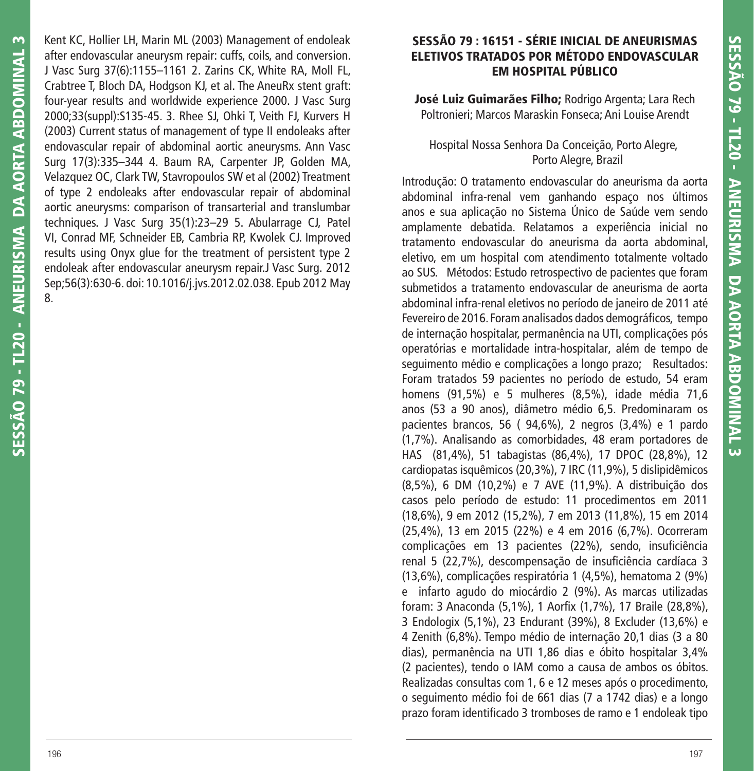Kent KC, Hollier LH, Marin ML (2003) Management of endoleak after endovascular aneurysm repair: cuffs, coils, and conversion. J Vasc Surg 37(6):1155–1161 2. Zarins CK, White RA, Moll FL, Crabtree T, Bloch DA, Hodgson KJ, et al. The AneuRx stent graft: four-year results and worldwide experience 2000. J Vasc Surg 2000;33(suppl):S135-45. 3. Rhee SJ, Ohki T, Veith FJ, Kurvers H (2003) Current status of management of type II endoleaks after endovascular repair of abdominal aortic aneurysms. Ann Vasc Surg 17(3):335–344 4. Baum RA, Carpenter JP, Golden MA, Velazquez OC, Clark TW, Stavropoulos SW et al (2002) Treatment of type 2 endoleaks after endovascular repair of abdominal aortic aneurysms: comparison of transarterial and translumbar techniques. J Vasc Surg 35(1):23–29 5. Abularrage CJ, Patel VI, Conrad MF, Schneider EB, Cambria RP, Kwolek CJ. Improved results using Onyx glue for the treatment of persistent type 2 endoleak after endovascular aneurysm repair.J Vasc Surg. 2012 Sep;56(3):630-6. doi: 10.1016/j.jvs.2012.02.038. Epub 2012 May 8.

## **SESSÃO 79 : 16151 - SÉRIE INICIAL DE ANEURISMAS ELETIVOS TRATADOS POR MÉTODO ENDOVASCULAR EM HOSPITAL PÚBLICO**

**José Luiz Guimarães Filho;** Rodrigo Argenta; Lara Rech Poltronieri; Marcos Maraskin Fonseca; Ani Louise Arendt

#### Hospital Nossa Senhora Da Conceição, Porto Alegre, Porto Alegre, Brazil

Introdução: O tratamento endovascular do aneurisma da aorta abdominal infra-renal vem ganhando espaço nos últimos anos e sua aplicação no Sistema Único de Saúde vem sendo amplamente debatida. Relatamos a experiência inicial no tratamento endovascular do aneurisma da aorta abdominal, eletivo, em um hospital com atendimento totalmente voltado ao SUS. Métodos: Estudo retrospectivo de pacientes que foram submetidos a tratamento endovascular de aneurisma de aorta abdominal infra-renal eletivos no período de janeiro de 2011 até Fevereiro de 2016. Foram analisados dados demográficos, tempo de internação hospitalar, permanência na UTI, complicações pós operatórias e mortalidade intra-hospitalar, além de tempo de seguimento médio e complicações a longo prazo; Resultados: Foram tratados 59 pacientes no período de estudo, 54 eram homens (91,5%) e 5 mulheres (8,5%), idade média 71,6 anos (53 a 90 anos), diâmetro médio 6,5. Predominaram os pacientes brancos, 56 ( 94,6%), 2 negros (3,4%) e 1 pardo (1,7%). Analisando as comorbidades, 48 eram portadores de HAS (81,4%), 51 tabagistas (86,4%), 17 DPOC (28,8%), 12 cardiopatas isquêmicos (20,3%), 7 IRC (11,9%), 5 dislipidêmicos (8,5%), 6 DM (10,2%) e 7 AVE (11,9%). A distribuição dos casos pelo período de estudo: 11 procedimentos em 2011 (18,6%), 9 em 2012 (15,2%), 7 em 2013 (11,8%), 15 em 2014 (25,4%), 13 em 2015 (22%) e 4 em 2016 (6,7%). Ocorreram complicações em 13 pacientes (22%), sendo, insuficiência renal 5 (22,7%), descompensação de insuficiência cardíaca 3 (13,6%), complicações respiratória 1 (4,5%), hematoma 2 (9%) e infarto agudo do miocárdio 2 (9%). As marcas utilizadas foram: 3 Anaconda (5,1%), 1 Aorfix (1,7%), 17 Braile (28,8%), 3 Endologix (5,1%), 23 Endurant (39%), 8 Excluder (13,6%) e 4 Zenith (6,8%). Tempo médio de internação 20,1 dias (3 a 80 dias), permanência na UTI 1,86 dias e óbito hospitalar 3,4% (2 pacientes), tendo o IAM como a causa de ambos os óbitos. Realizadas consultas com 1, 6 e 12 meses após o procedimento, o seguimento médio foi de 661 dias (7 a 1742 dias) e a longo prazo foram identificado 3 tromboses de ramo e 1 endoleak tipo

**SESSÃO 79 - TL20 - ANEURISMA DA AORTA ABDOMINAL 3**

SESSÃO 79 - TL20 - ANEURISMA DA AORTA ABDOMINAL

 $\sim$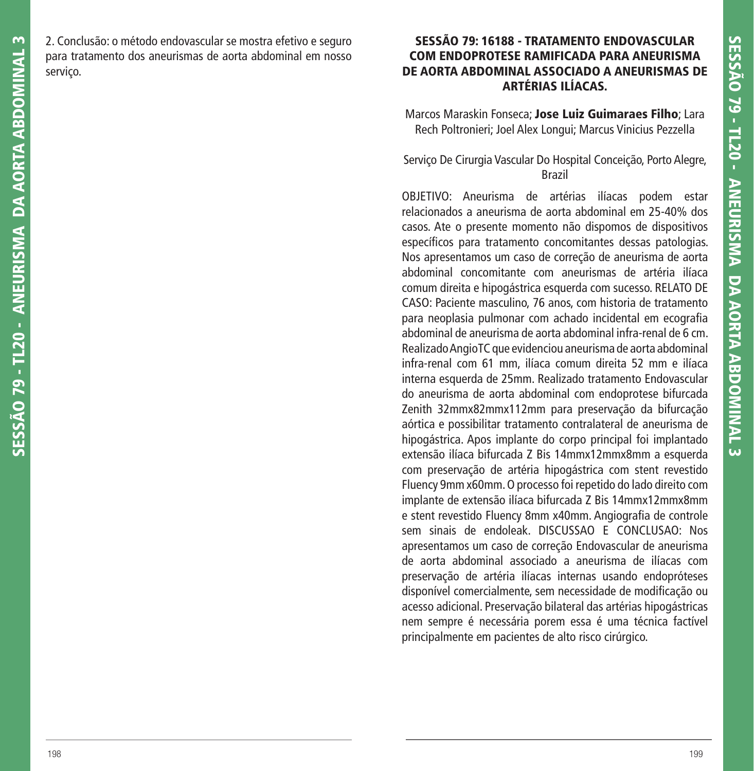2. Conclusão: o método endovascular se mostra efetivo e seguro para tratamento dos aneurismas de aorta abdominal em nosso servico.

## **SESSÃO 79: 16188 - TRATAMENTO ENDOVASCULAR COM ENDOPROTESE RAMIFICADA PARA ANEURISMA DE AORTA ABDOMINAL ASSOCIADO A ANEURISMAS DE ARTÉRIAS ILÍACAS.**

Marcos Maraskin Fonseca; **Jose Luiz Guimaraes Filho**; Lara Rech Poltronieri; Joel Alex Longui; Marcus Vinicius Pezzella

#### Serviço De Cirurgia Vascular Do Hospital Conceição, Porto Alegre, Brazil

OBJETIVO: Aneurisma de artérias ilíacas podem estar relacionados a aneurisma de aorta abdominal em 25-40% dos casos. Ate o presente momento não dispomos de dispositivos específicos para tratamento concomitantes dessas patologias. Nos apresentamos um caso de correção de aneurisma de aorta abdominal concomitante com aneurismas de artéria ilíaca comum direita e hipogástrica esquerda com sucesso. RELATO DE CASO: Paciente masculino, 76 anos, com historia de tratamento para neoplasia pulmonar com achado incidental em ecografia abdominal de aneurisma de aorta abdominal infra-renal de 6 cm. Realizado AngioTC que evidenciou aneurisma de aorta abdominal infra-renal com 61 mm, ilíaca comum direita 52 mm e ilíaca interna esquerda de 25mm. Realizado tratamento Endovascular do aneurisma de aorta abdominal com endoprotese bifurcada Zenith 32mmx82mmx112mm para preservação da bifurcação aórtica e possibilitar tratamento contralateral de aneurisma de hipogástrica. Apos implante do corpo principal foi implantado extensão ilíaca bifurcada Z Bis 14mmx12mmx8mm a esquerda com preservação de artéria hipogástrica com stent revestido Fluency 9mm x60mm. O processo foi repetido do lado direito com implante de extensão ilíaca bifurcada Z Bis 14mmx12mmx8mm e stent revestido Fluency 8mm x40mm. Angiografia de controle sem sinais de endoleak. DISCUSSAO E CONCLUSAO: Nos apresentamos um caso de correção Endovascular de aneurisma de aorta abdominal associado a aneurisma de ilíacas com preservação de artéria ilíacas internas usando endopróteses disponível comercialmente, sem necessidade de modificação ou acesso adicional. Preservação bilateral das artérias hipogástricas nem sempre é necessária porem essa é uma técnica factível principalmente em pacientes de alto risco cirúrgico.

 $\sim$